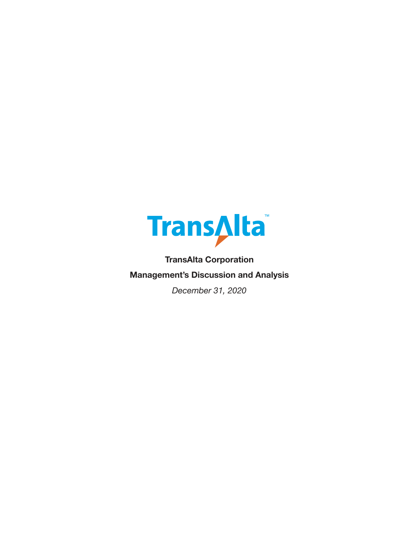

**TransAlta Corporation Management's Discussion and Analysis**

*December 31, 2020*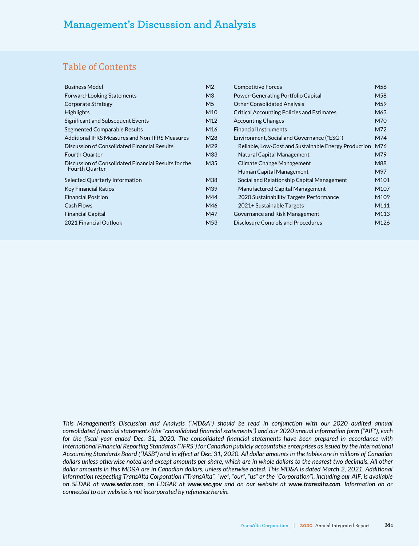# Table of Contents

| M <sub>56</sub>                                      |
|------------------------------------------------------|
| M58                                                  |
| M <sub>59</sub>                                      |
| M63                                                  |
| M70                                                  |
| M72                                                  |
| M74                                                  |
| M76                                                  |
| M79                                                  |
| M88                                                  |
| M97                                                  |
| M <sub>101</sub>                                     |
| M <sub>107</sub>                                     |
| M109                                                 |
| M111                                                 |
| M113                                                 |
| M126                                                 |
| Reliable, Low-Cost and Sustainable Energy Production |

This Management's Discussion and Analysis ("MD&A") should be read in conjunction with our 2020 audited annual *consolidated financial statements (the "consolidated financial statements") and our 2020 annual information form ("AIF"), each for the fiscal year ended Dec. 31, 2020. The consolidated financial statements have been prepared in accordance with International Financial Reporting Standards ("IFRS") for Canadian publicly accountable enterprises as issued by the International Accounting Standards Board ("IASB") and in effect at Dec. 31, 2020. All dollar amounts in the tables are in millions of Canadian dollars unless otherwise noted and except amounts per share, which are in whole dollars to the nearest two decimals. All other dollar amounts in this MD&A are in Canadian dollars, unless otherwise noted. This MD&A is dated March 2, 2021. Additional information respecting TransAlta Corporation ("TransAlta", "we", "our", "us" or the "Corporation"), including our AIF, is available on SEDAR at www.sedar.com, on EDGAR at www.sec.gov and on our website at www.transalta.com. Information on or connected to our website is not incorporated by reference herein.*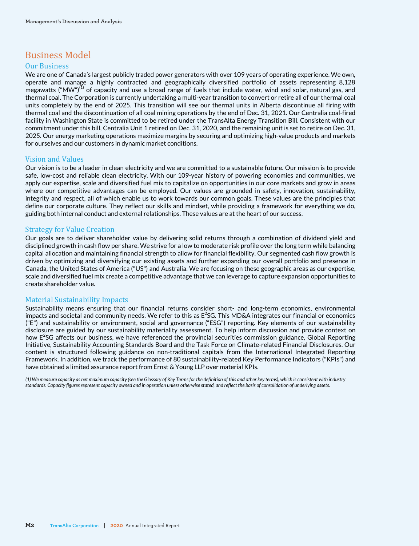# Business Model

### Our Business

We are one of Canada's largest publicly traded power generators with over 109 years of operating experience. We own, operate and manage a highly contracted and geographically diversified portfolio of assets representing 8,128 megawatts ("MW")<sup>(1)</sup> of capacity and use a broad range of fuels that include water, wind and solar, natural gas, and thermal coal. The Corporation is currently undertaking a multi-year transition to convert or retire all of our thermal coal units completely by the end of 2025. This transition will see our thermal units in Alberta discontinue all firing with thermal coal and the discontinuation of all coal mining operations by the end of Dec. 31, 2021. Our Centralia coal-fired facility in Washington State is committed to be retired under the TransAlta Energy Transition Bill. Consistent with our commitment under this bill, Centralia Unit 1 retired on Dec. 31, 2020, and the remaining unit is set to retire on Dec. 31, 2025. Our energy marketing operations maximize margins by securing and optimizing high-value products and markets for ourselves and our customers in dynamic market conditions.

### Vision and Values

Our vision is to be a leader in clean electricity and we are committed to a sustainable future. Our mission is to provide safe, low-cost and reliable clean electricity. With our 109-year history of powering economies and communities, we apply our expertise, scale and diversified fuel mix to capitalize on opportunities in our core markets and grow in areas where our competitive advantages can be employed. Our values are grounded in safety, innovation, sustainability, integrity and respect, all of which enable us to work towards our common goals. These values are the principles that define our corporate culture. They reflect our skills and mindset, while providing a framework for everything we do, guiding both internal conduct and external relationships. These values are at the heart of our success.

### Strategy for Value Creation

Our goals are to deliver shareholder value by delivering solid returns through a combination of dividend yield and disciplined growth in cash flow per share. We strive for a low to moderate risk profile over the long term while balancing capital allocation and maintaining financial strength to allow for financial flexibility. Our segmented cash flow growth is driven by optimizing and diversifying our existing assets and further expanding our overall portfolio and presence in Canada, the United States of America ("US") and Australia. We are focusing on these geographic areas as our expertise, scale and diversified fuel mix create a competitive advantage that we can leverage to capture expansion opportunities to create shareholder value.

## Material Sustainability Impacts

Sustainability means ensuring that our financial returns consider short- and long-term economics, environmental impacts and societal and community needs. We refer to this as  $E^2$ SG. This MD&A integrates our financial or economics ("E") and sustainability or environment, social and governance ("ESG") reporting. Key elements of our sustainability disclosure are guided by our sustainability materiality assessment. To help inform discussion and provide context on how E<sup>2</sup>SG affects our business, we have referenced the provincial securities commission guidance, Global Reporting Initiative, Sustainability Accounting Standards Board and the Task Force on Climate-related Financial Disclosures. Our content is structured following guidance on non-traditional capitals from the International Integrated Reporting Framework. In addition, we track the performance of 80 sustainability-related Key Performance Indicators ("KPIs") and have obtained a limited assurance report from Ernst & Young LLP over material KPIs.

*(1) We measure capacity as net maximum capacity (see the Glossary of Key Terms for the definition of this and other key terms), which is consistent with industry standards. Capacity figures represent capacity owned and in operation unless otherwise stated, and reflect the basis of consolidation of underlying assets.*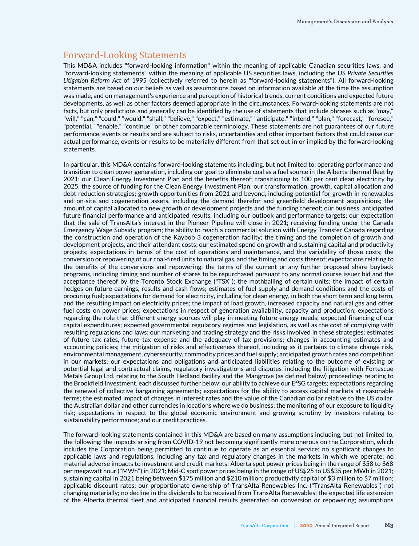# Forward-Looking Statements

This MD&A includes "forward-looking information" within the meaning of applicable Canadian securities laws, and "forward-looking statements" within the meaning of applicable US securities laws, including the US *Private Securities Litigation Reform Act* of 1995 (collectively referred to herein as "forward-looking statements"). All forward-looking statements are based on our beliefs as well as assumptions based on information available at the time the assumption was made, and on management's experience and perception of historical trends, current conditions and expected future developments, as well as other factors deemed appropriate in the circumstances. Forward-looking statements are not facts, but only predictions and generally can be identified by the use of statements that include phrases such as "may," "will," "can," "could," "would," "shall," "believe," "expect," "estimate," "anticipate," "intend," "plan," "forecast," "foresee," "potential," "enable," "continue" or other comparable terminology. These statements are not guarantees of our future performance, events or results and are subject to risks, uncertainties and other important factors that could cause our actual performance, events or results to be materially different from that set out in or implied by the forward-looking statements.

In particular, this MD&A contains forward-looking statements including, but not limited to: operating performance and transition to clean power generation, including our goal to eliminate coal as a fuel source in the Alberta thermal fleet by 2021; our Clean Energy Investment Plan and the benefits thereof; transitioning to 100 per cent clean electricity by 2025; the source of funding for the Clean Energy Investment Plan; our transformation, growth, capital allocation and debt reduction strategies; growth opportunities from 2021 and beyond, including potential for growth in renewables and on-site and cogeneration assets, including the demand therefor and greenfield development acquisitions; the amount of capital allocated to new growth or development projects and the funding thereof; our business, anticipated future financial performance and anticipated results, including our outlook and performance targets; our expectation that the sale of TransAlta's interest in the Pioneer Pipeline will close in 2021; receiving funding under the Canada Emergency Wage Subsidy program; the ability to reach a commercial solution with Energy Transfer Canada regarding the construction and operation of the Kaybob 3 cogeneration facility; the timing and the completion of growth and development projects, and their attendant costs; our estimated spend on growth and sustaining capital and productivity projects; expectations in terms of the cost of operations and maintenance, and the variability of those costs; the conversion or repowering of our coal-fired units to natural gas, and the timing and costs thereof; expectations relating to the benefits of the conversions and repowering; the terms of the current or any further proposed share buyback programs, including timing and number of shares to be repurchased pursuant to any normal course issuer bid and the acceptance thereof by the Toronto Stock Exchange ("TSX"); the mothballing of certain units; the impact of certain hedges on future earnings, results and cash flows; estimates of fuel supply and demand conditions and the costs of procuring fuel; expectations for demand for electricity, including for clean energy, in both the short term and long term, and the resulting impact on electricity prices; the impact of load growth, increased capacity and natural gas and other fuel costs on power prices; expectations in respect of generation availability, capacity and production; expectations regarding the role that different energy sources will play in meeting future energy needs; expected financing of our capital expenditures; expected governmental regulatory regimes and legislation, as well as the cost of complying with resulting regulations and laws; our marketing and trading strategy and the risks involved in these strategies; estimates of future tax rates, future tax expense and the adequacy of tax provisions; changes in accounting estimates and accounting policies; the mitigation of risks and effectiveness thereof, including as it pertains to climate change risk, environmental management, cybersecurity, commodity prices and fuel supply; anticipated growth rates and competition in our markets; our expectations and obligations and anticipated liabilities relating to the outcome of existing or potential legal and contractual claims, regulatory investigations and disputes, including the litigation with Fortescue Metals Group Ltd. relating to the South Hedland facility and the Mangrove (as defined below) proceedings relating to the Brookfield Investment, each discussed further below; our ability to achieve our  $E^2$ SG targets; expectations regarding the renewal of collective bargaining agreements; expectations for the ability to access capital markets at reasonable terms; the estimated impact of changes in interest rates and the value of the Canadian dollar relative to the US dollar, the Australian dollar and other currencies in locations where we do business; the monitoring of our exposure to liquidity risk; expectations in respect to the global economic environment and growing scrutiny by investors relating to sustainability performance; and our credit practices.

The forward-looking statements contained in this MD&A are based on many assumptions including, but not limited to, the following: the impacts arising from COVID-19 not becoming significantly more onerous on the Corporation, which includes the Corporation being permitted to continue to operate as an essential service; no significant changes to applicable laws and regulations, including any tax and regulatory changes in the markets in which we operate; no material adverse impacts to investment and credit markets; Alberta spot power prices being in the range of \$58 to \$68 per megawatt hour ("MWh") in 2021; Mid-C spot power prices being in the range of US\$25 to US\$35 per MWh in 2021; sustaining capital in 2021 being between \$175 million and \$210 million; productivity capital of \$3 million to \$7 million; applicable discount rates; our proportionate ownership of TransAlta Renewables Inc. ("TransAlta Renewables") not changing materially; no decline in the dividends to be received from TransAlta Renewables; the expected life extension of the Alberta thermal fleet and anticipated financial results generated on conversion or repowering; assumptions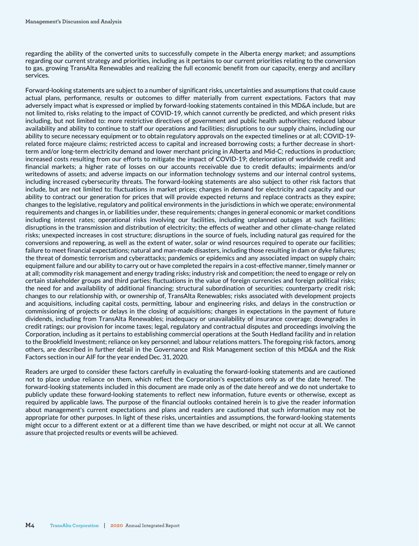regarding the ability of the converted units to successfully compete in the Alberta energy market; and assumptions regarding our current strategy and priorities, including as it pertains to our current priorities relating to the conversion to gas, growing TransAlta Renewables and realizing the full economic benefit from our capacity, energy and ancillary services.

Forward-looking statements are subject to a number of significant risks, uncertainties and assumptions that could cause actual plans, performance, results or outcomes to differ materially from current expectations. Factors that may adversely impact what is expressed or implied by forward-looking statements contained in this MD&A include, but are not limited to, risks relating to the impact of COVID-19, which cannot currently be predicted, and which present risks including, but not limited to: more restrictive directives of government and public health authorities; reduced labour availability and ability to continue to staff our operations and facilities; disruptions to our supply chains, including our ability to secure necessary equipment or to obtain regulatory approvals on the expected timelines or at all; COVID-19 related force majeure claims; restricted access to capital and increased borrowing costs; a further decrease in shortterm and/or long-term electricity demand and lower merchant pricing in Alberta and Mid-C; reductions in production; increased costs resulting from our efforts to mitigate the impact of COVID-19; deterioration of worldwide credit and financial markets; a higher rate of losses on our accounts receivable due to credit defaults; impairments and/or writedowns of assets; and adverse impacts on our information technology systems and our internal control systems, including increased cybersecurity threats. The forward-looking statements are also subject to other risk factors that include, but are not limited to: fluctuations in market prices; changes in demand for electricity and capacity and our ability to contract our generation for prices that will provide expected returns and replace contracts as they expire; changes to the legislative, regulatory and political environments in the jurisdictions in which we operate; environmental requirements and changes in, or liabilities under, these requirements; changes in general economic or market conditions including interest rates; operational risks involving our facilities, including unplanned outages at such facilities; disruptions in the transmission and distribution of electricity; the effects of weather and other climate-change related risks; unexpected increases in cost structure; disruptions in the source of fuels, including natural gas required for the conversions and repowering, as well as the extent of water, solar or wind resources required to operate our facilities; failure to meet financial expectations; natural and man-made disasters, including those resulting in dam or dyke failures; the threat of domestic terrorism and cyberattacks; pandemics or epidemics and any associated impact on supply chain; equipment failure and our ability to carry out or have completed the repairs in a cost-effective manner, timely manner or at all; commodity risk management and energy trading risks; industry risk and competition; the need to engage or rely on certain stakeholder groups and third parties; fluctuations in the value of foreign currencies and foreign political risks; the need for and availability of additional financing; structural subordination of securities; counterparty credit risk; changes to our relationship with, or ownership of, TransAlta Renewables; risks associated with development projects and acquisitions, including capital costs, permitting, labour and engineering risks, and delays in the construction or commissioning of projects or delays in the closing of acquisitions; changes in expectations in the payment of future dividends, including from TransAlta Renewables; inadequacy or unavailability of insurance coverage; downgrades in credit ratings; our provision for income taxes; legal, regulatory and contractual disputes and proceedings involving the Corporation, including as it pertains to establishing commercial operations at the South Hedland facility and in relation to the Brookfield Investment; reliance on key personnel; and labour relations matters. The foregoing risk factors, among others, are described in further detail in the Governance and Risk Management section of this MD&A and the Risk Factors section in our AIF for the year ended Dec. 31, 2020.

Readers are urged to consider these factors carefully in evaluating the forward-looking statements and are cautioned not to place undue reliance on them, which reflect the Corporation's expectations only as of the date hereof. The forward-looking statements included in this document are made only as of the date hereof and we do not undertake to publicly update these forward-looking statements to reflect new information, future events or otherwise, except as required by applicable laws. The purpose of the financial outlooks contained herein is to give the reader information about management's current expectations and plans and readers are cautioned that such information may not be appropriate for other purposes. In light of these risks, uncertainties and assumptions, the forward-looking statements might occur to a different extent or at a different time than we have described, or might not occur at all. We cannot assure that projected results or events will be achieved.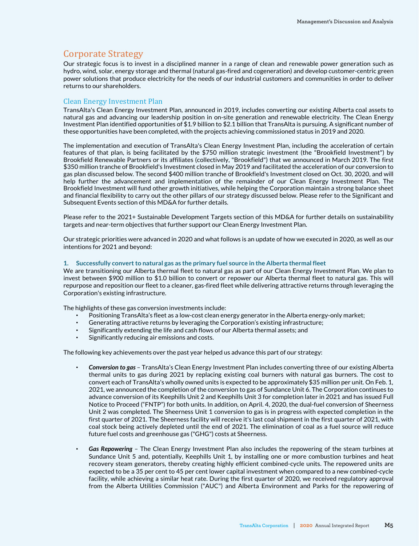# Corporate Strategy

Our strategic focus is to invest in a disciplined manner in a range of clean and renewable power generation such as hydro, wind, solar, energy storage and thermal (natural gas-fired and cogeneration) and develop customer-centric green power solutions that produce electricity for the needs of our industrial customers and communities in order to deliver returns to our shareholders.

#### Clean Energy Investment Plan

TransAlta's Clean Energy Investment Plan, announced in 2019, includes converting our existing Alberta coal assets to natural gas and advancing our leadership position in on-site generation and renewable electricity. The Clean Energy Investment Plan identified opportunities of \$1.9 billion to \$2.1 billion that TransAlta is pursuing. A significant number of these opportunities have been completed, with the projects achieving commissioned status in 2019 and 2020.

The implementation and execution of TransAlta's Clean Energy Investment Plan, including the acceleration of certain features of that plan, is being facilitated by the \$750 million strategic investment (the "Brookfield Investment") by Brookfield Renewable Partners or its affiliates (collectively, "Brookfield") that we announced in March 2019. The first \$350 million tranche of Brookfield's Investment closed in May 2019 and facilitated the acceleration of our conversion to gas plan discussed below. The second \$400 million tranche of Brookfield's Investment closed on Oct. 30, 2020, and will help further the advancement and implementation of the remainder of our Clean Energy Investment Plan. The Brookfield Investment will fund other growth initiatives, while helping the Corporation maintain a strong balance sheet and financial flexibility to carry out the other pillars of our strategy discussed below. Please refer to the Significant and Subsequent Events section of this MD&A for further details.

Please refer to the 2021+ Sustainable Development Targets section of this MD&A for further details on sustainability targets and near-term objectives that further support our Clean Energy Investment Plan.

Our strategic priorities were advanced in 2020 and what follows is an update of how we executed in 2020, as well as our intentions for 2021 and beyond:

#### **1. Successfully convert to natural gas as the primary fuel source in the Alberta thermal fleet**

We are transitioning our Alberta thermal fleet to natural gas as part of our Clean Energy Investment Plan. We plan to invest between \$900 million to \$1.0 billion to convert or repower our Alberta thermal fleet to natural gas. This will repurpose and reposition our fleet to a cleaner, gas-fired fleet while delivering attractive returns through leveraging the Corporation's existing infrastructure.

The highlights of these gas conversion investments include:

- Positioning TransAlta's fleet as a low-cost clean energy generator in the Alberta energy-only market;
- Generating attractive returns by leveraging the Corporation's existing infrastructure;
- Significantly extending the life and cash flows of our Alberta thermal assets; and
- Significantly reducing air emissions and costs.

The following key achievements over the past year helped us advance this part of our strategy:

- Conversion to gas TransAlta's Clean Energy Investment Plan includes converting three of our existing Alberta thermal units to gas during 2021 by replacing existing coal burners with natural gas burners. The cost to convert each of TransAlta's wholly owned units is expected to be approximately \$35 million per unit. On Feb. 1, 2021, we announced the completion of the conversion to gas of Sundance Unit 6. The Corporation continues to advance conversion of its Keephills Unit 2 and Keephills Unit 3 for completion later in 2021 and has issued Full Notice to Proceed ("FNTP") for both units. In addition, on April. 4, 2020, the dual-fuel conversion of Sheerness Unit 2 was completed. The Sheerness Unit 1 conversion to gas is in progress with expected completion in the first quarter of 2021. The Sheerness facility will receive it's last coal shipment in the first quarter of 2021, with coal stock being actively depleted until the end of 2021. The elimination of coal as a fuel source will reduce future fuel costs and greenhouse gas ("GHG") costs at Sheerness.
- Gas Repowering The Clean Energy Investment Plan also includes the repowering of the steam turbines at Sundance Unit 5 and, potentially, Keephills Unit 1, by installing one or more combustion turbines and heat recovery steam generators, thereby creating highly efficient combined-cycle units. The repowered units are expected to be a 35 per cent to 45 per cent lower capital investment when compared to a new combined-cycle facility, while achieving a similar heat rate. During the first quarter of 2020, we received regulatory approval from the Alberta Utilities Commission ("AUC") and Alberta Environment and Parks for the repowering of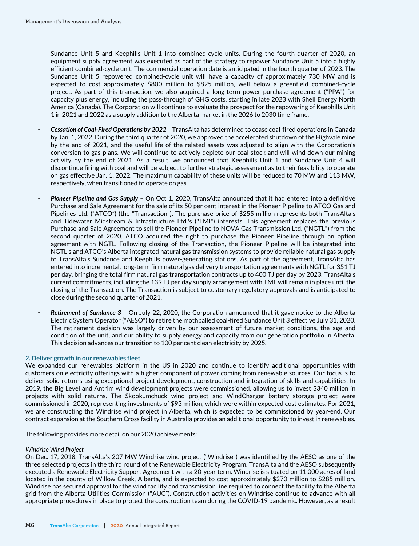Sundance Unit 5 and Keephills Unit 1 into combined-cycle units. During the fourth quarter of 2020, an equipment supply agreement was executed as part of the strategy to repower Sundance Unit 5 into a highly efficient combined-cycle unit. The commercial operation date is anticipated in the fourth quarter of 2023. The Sundance Unit 5 repowered combined-cycle unit will have a capacity of approximately 730 MW and is expected to cost approximately \$800 million to \$825 million, well below a greenfield combined-cycle project. As part of this transaction, we also acquired a long-term power purchase agreement ("PPA") for capacity plus energy, including the pass-through of GHG costs, starting in late 2023 with Shell Energy North America (Canada). The Corporation will continue to evaluate the prospect for the repowering of Keephills Unit 1 in 2021 and 2022 as a supply addition to the Alberta market in the 2026 to 2030 time frame.

- Cessation of Coal-Fired Operations by 2022 TransAlta has determined to cease coal-fired operations in Canada by Jan. 1, 2022. During the third quarter of 2020, we approved the accelerated shutdown of the Highvale mine by the end of 2021, and the useful life of the related assets was adjusted to align with the Corporation's conversion to gas plans. We will continue to actively deplete our coal stock and will wind down our mining activity by the end of 2021. As a result, we announced that Keephills Unit 1 and Sundance Unit 4 will discontinue firing with coal and will be subject to further strategic assessment as to their feasibility to operate on gas effective Jan. 1, 2022. The maximum capability of these units will be reduced to 70 MW and 113 MW, respectively, when transitioned to operate on gas.
- Pioneer Pipeline and Gas Supply On Oct 1, 2020, TransAlta announced that it had entered into a definitive Purchase and Sale Agreement for the sale of its 50 per cent interest in the Pioneer Pipeline to ATCO Gas and Pipelines Ltd. ("ATCO") (the "Transaction"). The purchase price of \$255 million represents both TransAlta's and Tidewater Midstream & Infrastructure Ltd.'s ("TMI") interests. This agreement replaces the previous Purchase and Sale Agreement to sell the Pioneer Pipeline to NOVA Gas Transmission Ltd. ("NGTL") from the second quarter of 2020. ATCO acquired the right to purchase the Pioneer Pipeline through an option agreement with NGTL. Following closing of the Transaction, the Pioneer Pipeline will be integrated into NGTL's and ATCO's Alberta integrated natural gas transmission systems to provide reliable natural gas supply to TransAlta's Sundance and Keephills power-generating stations. As part of the agreement, TransAlta has entered into incremental, long-term firm natural gas delivery transportation agreements with NGTL for 351 TJ per day, bringing the total firm natural gas transportation contracts up to 400 TJ per day by 2023. TransAlta's current commitments, including the 139 TJ per day supply arrangement with TMI, will remain in place until the closing of the Transaction. The Transaction is subject to customary regulatory approvals and is anticipated to close during the second quarter of 2021.
- **Retirement of Sundance 3** On July 22, 2020, the Corporation announced that it gave notice to the Alberta Electric System Operator ("AESO") to retire the mothballed coal-fired Sundance Unit 3 effective July 31, 2020. The retirement decision was largely driven by our assessment of future market conditions, the age and condition of the unit, and our ability to supply energy and capacity from our generation portfolio in Alberta. This decision advances our transition to 100 per cent clean electricity by 2025.

#### **2. Deliver growth in our renewables fleet**

We expanded our renewables platform in the US in 2020 and continue to identify additional opportunities with customers on electricity offerings with a higher component of power coming from renewable sources. Our focus is to deliver solid returns using exceptional project development, construction and integration of skills and capabilities. In 2019, the Big Level and Antrim wind development projects were commissioned, allowing us to invest \$340 million in projects with solid returns. The Skookumchuck wind project and WindCharger battery storage project were commissioned in 2020, representing investments of \$93 million, which were within expected cost estimates. For 2021, we are constructing the Windrise wind project in Alberta, which is expected to be commissioned by year-end. Our contract expansion at the Southern Cross facility in Australia provides an additional opportunity to invest in renewables.

The following provides more detail on our 2020 achievements:

#### *Windrise Wind Project*

On Dec. 17, 2018, TransAlta's 207 MW Windrise wind project ("Windrise") was identified by the AESO as one of the three selected projects in the third round of the Renewable Electricity Program. TransAlta and the AESO subsequently executed a Renewable Electricity Support Agreement with a 20-year term. Windrise is situated on 11,000 acres of land located in the county of Willow Creek, Alberta, and is expected to cost approximately \$270 million to \$285 million. Windrise has secured approval for the wind facility and transmission line required to connect the facility to the Alberta grid from the Alberta Utilities Commission ("AUC"). Construction activities on Windrise continue to advance with all appropriate procedures in place to protect the construction team during the COVID-19 pandemic. However, as a result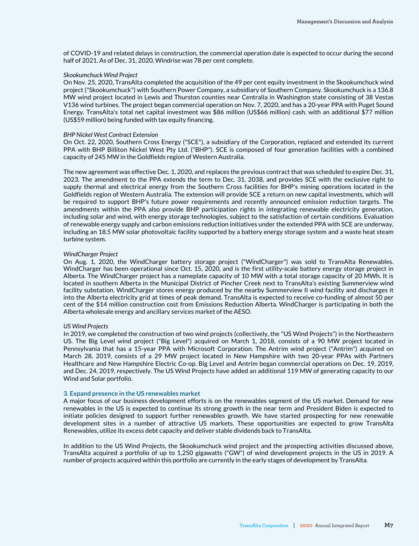of COVID-19 and related delays in construction, the commercial operation date is expected to occur during the second half of 2021. As of Dec. 31, 2020, Windrise was 78 per cent complete.

#### *Skookumchuck Wind Project*

On Nov. 25, 2020, TransAlta completed the acquisition of the 49 per cent equity investment in the Skookumchuck wind project ("Skookumchuck") with Southern Power Company, a subsidiary of Southern Company. Skookumchuck is a 136.8 MW wind project located in Lewis and Thurston counties near Centralia in Washington state consisting of 38 Vestas V136 wind turbines. The project began commercial operation on Nov. 7, 2020, and has a 20-year PPA with Puget Sound Energy. TransAlta's total net capital investment was \$86 million (US\$66 million) cash, with an additional \$77 million (US\$59 million) being funded with tax equity financing.

#### *BHP Nickel West Contract Extension*

On Oct. 22, 2020, Southern Cross Energy ("SCE"), a subsidiary of the Corporation, replaced and extended its current PPA with BHP Billiton Nickel West Pty Ltd. ("BHP"). SCE is composed of four generation facilities with a combined capacity of 245 MW in the Goldfields region of Western Australia.

The new agreement was effective Dec. 1, 2020, and replaces the previous contract that was scheduled to expire Dec. 31, 2023. The amendment to the PPA extends the term to Dec. 31, 2038, and provides SCE with the exclusive right to supply thermal and electrical energy from the Southern Cross facilities for BHP's mining operations located in the Goldfields region of Western Australia. The extension will provide SCE a return on new capital investments, which will be required to support BHP's future power requirements and recently announced emission reduction targets. The amendments within the PPA also provide BHP participation rights in integrating renewable electricity generation, including solar and wind, with energy storage technologies, subject to the satisfaction of certain conditions. Evaluation of renewable energy supply and carbon emissions reduction initiatives under the extended PPA with SCE are underway, including an 18.5 MW solar photovoltaic facility supported by a battery energy storage system and a waste heat steam turbine system.

#### *WindCharger Project*

On Aug. 1, 2020, the WindCharger battery storage project ("WindCharger") was sold to TransAlta Renewables. WindCharger has been operational since Oct. 15, 2020, and is the first utility-scale battery energy storage project in Alberta. The WindCharger project has a nameplate capacity of 10 MW with a total storage capacity of 20 MWh. It is located in southern Alberta in the Municipal District of Pincher Creek next to TransAlta's existing Summerview wind facility substation. WindCharger stores energy produced by the nearby Summerview II wind facility and discharges it into the Alberta electricity grid at times of peak demand. TransAlta is expected to receive co-funding of almost 50 per cent of the \$14 million construction cost from Emissions Reduction Alberta. WindCharger is participating in both the Alberta wholesale energy and ancillary services market of the AESO.

#### *US Wind Projects*

In 2019, we completed the construction of two wind projects (collectively, the "US Wind Projects") in the Northeastern US. The Big Level wind project ("Big Level") acquired on March 1, 2018, consists of a 90 MW project located in Pennsylvania that has a 15-year PPA with Microsoft Corporation. The Antrim wind project ("Antrim") acquired on March 28, 2019, consists of a 29 MW project located in New Hampshire with two 20-year PPAs with Partners Healthcare and New Hampshire Electric Co-op. Big Level and Antrim began commercial operations on Dec. 19, 2019, and Dec. 24, 2019, respectively. The US Wind Projects have added an additional 119 MW of generating capacity to our Wind and Solar portfolio.

#### **3. Expand presence in the US renewables market**

A major focus of our business development efforts is on the renewables segment of the US market. Demand for new renewables in the US is expected to continue its strong growth in the near term and President Biden is expected to initiate policies designed to support further renewables growth. We have started prospecting for new renewable development sites in a number of attractive US markets. These opportunities are expected to grow TransAlta Renewables, utilize its excess debt capacity and deliver stable dividends back to TransAlta.

In addition to the US Wind Projects, the Skookumchuck wind project and the prospecting activities discussed above, TransAlta acquired a portfolio of up to 1,250 gigawatts ("GW") of wind development projects in the US in 2019. A number of projects acquired within this portfolio are currently in the early stages of development by TransAlta.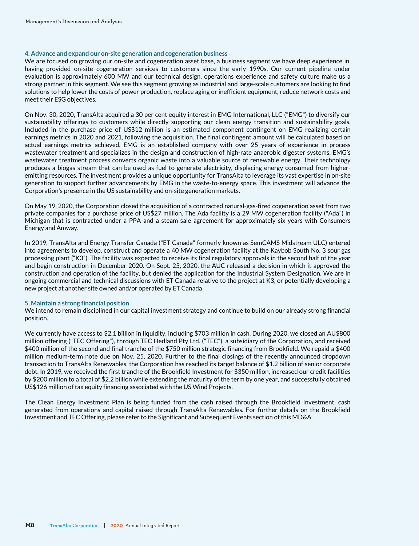#### **4. Advance and expand our on-site generation and cogeneration business**

We are focused on growing our on-site and cogeneration asset base, a business segment we have deep experience in, having provided on-site cogeneration services to customers since the early 1990s. Our current pipeline under evaluation is approximately 600 MW and our technical design, operations experience and safety culture make us a strong partner in this segment. We see this segment growing as industrial and large-scale customers are looking to find solutions to help lower the costs of power production, replace aging or inefficient equipment, reduce network costs and meet their ESG objectives.

On Nov. 30, 2020, TransAlta acquired a 30 per cent equity interest in EMG International, LLC ("EMG") to diversify our sustainability offerings to customers while directly supporting our clean energy transition and sustainability goals. Included in the purchase price of US\$12 million is an estimated component contingent on EMG realizing certain earnings metrics in 2020 and 2021, following the acquisition. The final contingent amount will be calculated based on actual earnings metrics achieved. EMG is an established company with over 25 years of experience in process wastewater treatment and specializes in the design and construction of high-rate anaerobic digester systems. EMG's wastewater treatment process converts organic waste into a valuable source of renewable energy. Their technology produces a biogas stream that can be used as fuel to generate electricity, displacing energy consumed from higheremitting resources. The investment provides a unique opportunity for TransAlta to leverage its vast expertise in on-site generation to support further advancements by EMG in the waste-to-energy space. This investment will advance the Corporation's presence in the US sustainability and on-site generation markets.

On May 19, 2020, the Corporation closed the acquisition of a contracted natural-gas-fired cogeneration asset from two private companies for a purchase price of US\$27 million. The Ada facility is a 29 MW cogeneration facility ("Ada") in Michigan that is contracted under a PPA and a steam sale agreement for approximately six years with Consumers Energy and Amway.

In 2019, TransAlta and Energy Transfer Canada ("ET Canada" formerly known as SemCAMS Midstream ULC) entered into agreements to develop, construct and operate a 40 MW cogeneration facility at the Kaybob South No. 3 sour gas processing plant ("K3"). The facility was expected to receive its final regulatory approvals in the second half of the year and begin construction in December 2020. On Sept. 25, 2020, the AUC released a decision in which it approved the construction and operation of the facility, but denied the application for the Industrial System Designation. We are in ongoing commercial and technical discussions with ET Canada relative to the project at K3, or potentially developing a new project at another site owned and/or operated by ET Canada

#### **5. Maintain a strong financial position**

We intend to remain disciplined in our capital investment strategy and continue to build on our already strong financial position.

We currently have access to \$2.1 billion in liquidity, including \$703 million in cash. During 2020, we closed an AU\$800 million offering ("TEC Offering"), through TEC Hedland Pty Ltd. ("TEC"), a subsidiary of the Corporation, and received \$400 million of the second and final tranche of the \$750 million strategic financing from Brookfield. We repaid a \$400 million medium-term note due on Nov. 25, 2020. Further to the final closings of the recently announced dropdown transaction to TransAlta Renewables, the Corporation has reached its target balance of \$1.2 billion of senior corporate debt. In 2019, we received the first tranche of the Brookfield Investment for \$350 million, increased our credit facilities by \$200 million to a total of \$2.2 billion while extending the maturity of the term by one year, and successfully obtained US\$126 million of tax equity financing associated with the US Wind Projects.

The Clean Energy Investment Plan is being funded from the cash raised through the Brookfield Investment, cash generated from operations and capital raised through TransAlta Renewables. For further details on the Brookfield Investment and TEC Offering, please refer to the Significant and Subsequent Events section of this MD&A.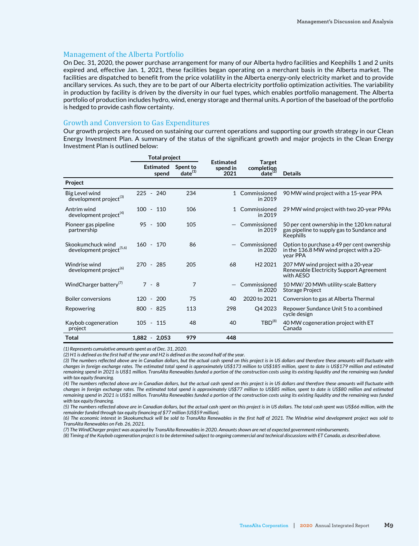#### Management of the Alberta Portfolio

On Dec. 31, 2020, the power purchase arrangement for many of our Alberta hydro facilities and Keephills 1 and 2 units expired and, effective Jan. 1, 2021, these facilities began operating on a merchant basis in the Alberta market. The facilities are dispatched to benefit from the price volatility in the Alberta energy-only electricity market and to provide ancillary services. As such, they are to be part of our Alberta electricity portfolio optimization activities. The variability in production by facility is driven by the diversity in our fuel types, which enables portfolio management. The Alberta portfolio of production includes hydro, wind, energy storage and thermal units. A portion of the baseload of the portfolio is hedged to provide cash flow certainty.

#### Growth and Conversion to Gas Expenditures

Our growth projects are focused on sustaining our current operations and supporting our growth strategy in our Clean Energy Investment Plan. A summary of the status of the significant growth and major projects in the Clean Energy Investment Plan is outlined below:

|                                                           | <b>Total project</b>      |                          |                                      |                                             |                                                                                                        |
|-----------------------------------------------------------|---------------------------|--------------------------|--------------------------------------|---------------------------------------------|--------------------------------------------------------------------------------------------------------|
|                                                           | <b>Estimated</b><br>spend | Spent to<br>$date^{(1)}$ | <b>Estimated</b><br>spend in<br>2021 | <b>Target</b><br>completion<br>$date^{(2)}$ | <b>Details</b>                                                                                         |
| Project                                                   |                           |                          |                                      |                                             |                                                                                                        |
| Big Level wind<br>development project <sup>(3)</sup>      | $225 - 240$               | 234                      |                                      | 1 Commissioned<br>in 2019                   | 90 MW wind project with a 15-year PPA                                                                  |
| Antrim wind<br>development project <sup>(4)</sup>         | $100 - 110$               | 106                      |                                      | 1 Commissioned<br>in 2019                   | 29 MW wind project with two 20-year PPAs                                                               |
| Pioneer gas pipeline<br>partnership                       | $95 - 100$                | 105                      |                                      | Commissioned<br>in 2019                     | 50 per cent ownership in the 120 km natural<br>gas pipeline to supply gas to Sundance and<br>Keephills |
| Skookumchuck wind<br>development project <sup>(5,6)</sup> | $160 - 170$               | 86                       |                                      | Commissioned<br>in 2020                     | Option to purchase a 49 per cent ownership<br>in the 136.8 MW wind project with a 20-<br>vear PPA      |
| Windrise wind<br>development project <sup>(6)</sup>       | $270 - 285$               | 205                      | 68                                   | H <sub>2</sub> 2021                         | 207 MW wind project with a 20-year<br>Renewable Electricity Support Agreement<br>with AESO             |
| WindCharger battery <sup>(1)</sup>                        | $7 - 8$                   | 7                        |                                      | Commissioned<br>in 2020                     | 10 MW/20 MWh utility-scale Battery<br><b>Storage Project</b>                                           |
| <b>Boiler conversions</b>                                 | $120 - 200$               | 75                       | 40                                   | 2020 to 2021                                | Conversion to gas at Alberta Thermal                                                                   |
| Repowering                                                | $800 - 825$               | 113                      | 298                                  | Q4 2023                                     | Repower Sundance Unit 5 to a combined<br>cycle design                                                  |
| Kaybob cogeneration<br>project                            | $105 - 115$               | 48                       | 40                                   | $TBD^{(8)}$                                 | 40 MW cogeneration project with ET<br>Canada                                                           |
| Total                                                     | $1,882 - 2,053$           | 979                      | 448                                  |                                             |                                                                                                        |

*(1) Represents cumulative amounts spent as of Dec. 31, 2020.*

*(2) H1 is defined as the first half of the year and H2 is defined as the second half of the year.*

*(3) The numbers reflected above are in Canadian dollars, but the actual cash spend on this project is in US dollars and therefore these amounts will fluctuate with changes in foreign exchange rates. The estimated total spend is approximately US\$173 million to US\$185 million, spent to date is US\$179 million and estimated remaining spend in 2021 is US\$1 million. TransAlta Renewables funded a portion of the construction costs using its existing liquidity and the remaining was funded with tax equity financing.*

*(4) The numbers reflected above are in Canadian dollars, but the actual cash spend on this project is in US dollars and therefore these amounts will fluctuate with changes in foreign exchange rates. The estimated total spend is approximately US\$77 million to US\$85 million, spent to date is US\$80 million and estimated remaining spend in 2021 is US\$1 million. TransAlta Renewables funded a portion of the construction costs using its existing liquidity and the remaining was funded with tax equity financing.* 

*(5) The numbers reflected above are in Canadian dollars, but the actual cash spent on this project is in US dollars. The total cash spent was US\$66 million, with the remainder funded through tax equity financing of \$77 million (US\$59 million).*

*(6) The economic interest in Skookumchuck will be sold to TransAlta Renewables in the first half of 2021. The Windrise wind development project was sold to TransAlta Renewables on Feb. 26, 2021.* 

*(7) The WindCharger project was acquired by TransAlta Renewables in 2020. Amounts shown are net of expected government reimbursements.*

*(8) Timing of the Kaybob cogeneration project is to be determined subject to ongoing commercial and technical discussions with ET Canada, as described above.*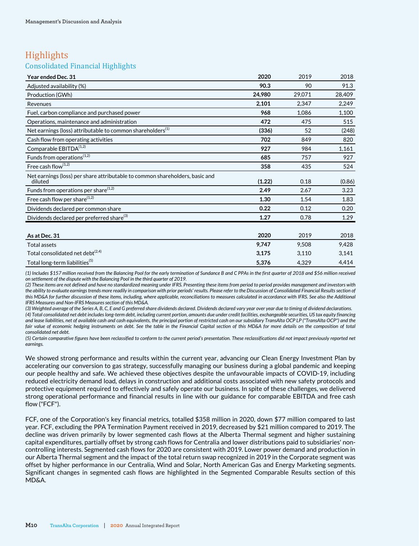# **Highlights**

# Consolidated Financial Highlights

| Year ended Dec. 31                                                                      | 2020   | 2019   | 2018   |
|-----------------------------------------------------------------------------------------|--------|--------|--------|
| Adjusted availability (%)                                                               | 90.3   | 90     | 91.3   |
| Production (GWh)                                                                        | 24,980 | 29,071 | 28,409 |
| Revenues                                                                                | 2,101  | 2,347  | 2,249  |
| Fuel, carbon compliance and purchased power                                             | 968    | 1,086  | 1,100  |
| Operations, maintenance and administration                                              | 472    | 475    | 515    |
| Net earnings (loss) attributable to common shareholders <sup>(1)</sup>                  | (336)  | 52     | (248)  |
| Cash flow from operating activities                                                     | 702    | 849    | 820    |
| Comparable EBITDA <sup>(1,2)</sup>                                                      | 927    | 984    | 1,161  |
| Funds from operations <sup>(1,2)</sup>                                                  | 685    | 757    | 927    |
| Free cash flow <sup>(1,2)</sup>                                                         | 358    | 435    | 524    |
| Net earnings (loss) per share attributable to common shareholders, basic and<br>diluted | (1.22) | 0.18   | (0.86) |
| Funds from operations per share $^{(1,2)}$                                              | 2.49   | 2.67   | 3.23   |
| Free cash flow per share <sup>(1,2)</sup>                                               | 1.30   | 1.54   | 1.83   |
| Dividends declared per common share                                                     | 0.22   | 0.12   | 0.20   |
| Dividends declared per preferred share <sup>(3)</sup>                                   | 1.27   | 0.78   | 1.29   |
|                                                                                         |        |        |        |
| As at Dec. 31                                                                           | 2020   | 2019   | 2018   |
| <b>Total assets</b>                                                                     | 9,747  | 9.508  | 9,428  |
| Total consolidated net debt <sup>(2,4)</sup>                                            | 3,175  | 3,110  | 3,141  |
| Total long-term liabilities <sup>(5)</sup>                                              | 5,376  | 4,329  | 4,414  |

*(1) Includes \$157 million received from the Balancing Pool for the early termination of Sundance B and C PPAs in the first quarter of 2018 and \$56 million received on settlement of the dispute with the Balancing Pool in the third quarter of 2019.*

*(2) These items are not defined and have no standardized meaning under IFRS. Presenting these items from period to period provides management and investors with the ability to evaluate earnings trends more readily in comparison with prior periods' results. Please refer to the Discussion of Consolidated Financial Results section of this MD&A for further discussion of these items, including, where applicable, reconciliations to measures calculated in accordance with IFRS. See also the Additional IFRS Measures and Non-IFRS Measures section of this MD&A.*

*(3) Weighted average of the Series A, B, C, E and G preferred share dividends declared. Dividends declared vary year over year due to timing of dividend declarations. (4) Total consolidated net debt includes long-term debt, including current portion, amounts due under credit facilities, exchangeable securities, US tax equity financing and lease liabilities, net of available cash and cash equivalents, the principal portion of restricted cash on our subsidiary TransAlta OCP LP ("TransAlta OCP") and the*  fair value of economic hedging instruments on debt. See the table in the Financial Capital section of this MD&A for more details on the composition of total *consolidated net debt.*

*(5) Certain comparative figures have been reclassified to conform to the current period's presentation. These reclassifications did not impact previously reported net earnings.*

We showed strong performance and results within the current year, advancing our Clean Energy Investment Plan by accelerating our conversion to gas strategy, successfully managing our business during a global pandemic and keeping our people healthy and safe. We achieved these objectives despite the unfavourable impacts of COVID-19, including reduced electricity demand load, delays in construction and additional costs associated with new safety protocols and protective equipment required to effectively and safely operate our business. In spite of these challenges, we delivered strong operational performance and financial results in line with our guidance for comparable EBITDA and free cash flow ("FCF").

FCF, one of the Corporation's key financial metrics, totalled \$358 million in 2020, down \$77 million compared to last year. FCF, excluding the PPA Termination Payment received in 2019, decreased by \$21 million compared to 2019. The decline was driven primarily by lower segmented cash flows at the Alberta Thermal segment and higher sustaining capital expenditures, partially offset by strong cash flows for Centralia and lower distributions paid to subsidiaries' noncontrolling interests. Segmented cash flows for 2020 are consistent with 2019. Lower power demand and production in our Alberta Thermal segment and the impact of the total return swap recognized in 2019 in the Corporate segment was offset by higher performance in our Centralia, Wind and Solar, North American Gas and Energy Marketing segments. Significant changes in segmented cash flows are highlighted in the Segmented Comparable Results section of this MD&A.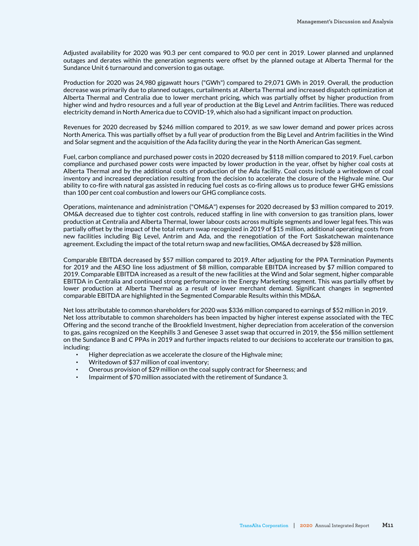Adjusted availability for 2020 was 90.3 per cent compared to 90.0 per cent in 2019. Lower planned and unplanned outages and derates within the generation segments were offset by the planned outage at Alberta Thermal for the Sundance Unit 6 turnaround and conversion to gas outage.

Production for 2020 was 24,980 gigawatt hours ("GWh") compared to 29,071 GWh in 2019. Overall, the production decrease was primarily due to planned outages, curtailments at Alberta Thermal and increased dispatch optimization at Alberta Thermal and Centralia due to lower merchant pricing, which was partially offset by higher production from higher wind and hydro resources and a full year of production at the Big Level and Antrim facilities. There was reduced electricity demand in North America due to COVID-19, which also had a significant impact on production.

Revenues for 2020 decreased by \$246 million compared to 2019, as we saw lower demand and power prices across North America. This was partially offset by a full year of production from the Big Level and Antrim facilities in the Wind and Solar segment and the acquisition of the Ada facility during the year in the North American Gas segment.

Fuel, carbon compliance and purchased power costs in 2020 decreased by \$118 million compared to 2019. Fuel, carbon compliance and purchased power costs were impacted by lower production in the year, offset by higher coal costs at Alberta Thermal and by the additional costs of production of the Ada facility. Coal costs include a writedown of coal inventory and increased depreciation resulting from the decision to accelerate the closure of the Highvale mine. Our ability to co-fire with natural gas assisted in reducing fuel costs as co-firing allows us to produce fewer GHG emissions than 100 per cent coal combustion and lowers our GHG compliance costs.

Operations, maintenance and administration ("OM&A") expenses for 2020 decreased by \$3 million compared to 2019. OM&A decreased due to tighter cost controls, reduced staffing in line with conversion to gas transition plans, lower production at Centralia and Alberta Thermal, lower labour costs across multiple segments and lower legal fees. This was partially offset by the impact of the total return swap recognized in 2019 of \$15 million, additional operating costs from new facilities including Big Level, Antrim and Ada, and the renegotiation of the Fort Saskatchewan maintenance agreement. Excluding the impact of the total return swap and new facilities, OM&A decreased by \$28 million.

Comparable EBITDA decreased by \$57 million compared to 2019. After adjusting for the PPA Termination Payments for 2019 and the AESO line loss adjustment of \$8 million, comparable EBITDA increased by \$7 million compared to 2019. Comparable EBITDA increased as a result of the new facilities at the Wind and Solar segment, higher comparable EBITDA in Centralia and continued strong performance in the Energy Marketing segment. This was partially offset by lower production at Alberta Thermal as a result of lower merchant demand. Significant changes in segmented comparable EBITDA are highlighted in the Segmented Comparable Results within this MD&A.

Net loss attributable to common shareholders for 2020 was \$336 million compared to earnings of \$52 million in 2019. Net loss attributable to common shareholders has been impacted by higher interest expense associated with the TEC Offering and the second tranche of the Brookfield Investment, higher depreciation from acceleration of the conversion to gas, gains recognized on the Keephills 3 and Genesee 3 asset swap that occurred in 2019, the \$56 million settlement on the Sundance B and C PPAs in 2019 and further impacts related to our decisions to accelerate our transition to gas, including:

- Higher depreciation as we accelerate the closure of the Highvale mine;
- Writedown of \$37 million of coal inventory:
- Onerous provision of \$29 million on the coal supply contract for Sheerness; and
- Impairment of \$70 million associated with the retirement of Sundance 3.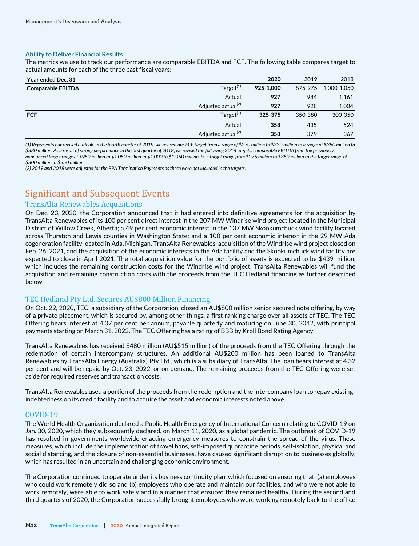#### **Ability to Deliver Financial Results**

The metrics we use to track our performance are comparable EBITDA and FCF. The following table compares target to actual amounts for each of the three past fiscal years:

| Year ended Dec. 31       |                                | 2020      | 2019    | 2018        |
|--------------------------|--------------------------------|-----------|---------|-------------|
| <b>Comparable EBITDA</b> | Target <sup>(1)</sup>          | 925-1.000 | 875-975 | 1,000-1,050 |
|                          | Actual                         | 927       | 984     | 1,161       |
|                          | Adjusted actual <sup>(2)</sup> | 927       | 928     | 1,004       |
| <b>FCF</b>               | Target <sup>(1)</sup>          | 325-375   | 350-380 | 300-350     |
|                          | Actual                         | 358       | 435     | 524         |
|                          | Adjusted actual <sup>(2)</sup> | 358       | 379     | 367         |

*(1) Represents our revised outlook. In the fourth quarter of 2019, we revised our FCF target from a range of \$270 million to \$330 million to a range of \$350 million to \$380 million. As a result of strong performance in the first quarter of 2018, we revised the following 2018 targets: comparable EBITDA from the previously announced target range of \$950 million to \$1,050 million to \$1,000 to \$1,050 million, FCF target range from \$275 million to \$350 million to the target range of \$300 million to \$350 million.* 

*(2) 2019 and 2018 were adjusted for the PPA Termination Payments as these were not included in the targets.* 

# Significant and Subsequent Events

### TransAlta Renewables Acquisitions

On Dec. 23, 2020, the Corporation announced that it had entered into definitive agreements for the acquisition by TransAlta Renewables of its 100 per cent direct interest in the 207 MW Windrise wind project located in the Municipal District of Willow Creek, Alberta; a 49 per cent economic interest in the 137 MW Skookumchuck wind facility located across Thurston and Lewis counties in Washington State; and a 100 per cent economic interest in the 29 MW Ada cogeneration facility located in Ada, Michigan. TransAlta Renewables' acquisition of the Windrise wind project closed on Feb. 26, 2021, and the acquisition of the economic interests in the Ada facility and the Skookumchuck wind facility are expected to close in April 2021. The total acquisition value for the portfolio of assets is expected to be \$439 million, which includes the remaining construction costs for the Windrise wind project. TransAlta Renewables will fund the acquisition and remaining construction costs with the proceeds from the TEC Hedland financing as further described below.

### TEC Hedland Pty Ltd. Secures AU\$800 Million Financing

On Oct. 22, 2020, TEC, a subsidiary of the Corporation, closed an AU\$800 million senior secured note offering, by way of a private placement, which is secured by, among other things, a first ranking charge over all assets of TEC. The TEC Offering bears interest at 4.07 per cent per annum, payable quarterly and maturing on June 30, 2042, with principal payments starting on March 31, 2022. The TEC Offering has a rating of BBB by Kroll Bond Rating Agency.

TransAlta Renewables has received \$480 million (AU\$515 million) of the proceeds from the TEC Offering through the redemption of certain intercompany structures. An additional AU\$200 million has been loaned to TransAlta Renewables by TransAlta Energy (Australia) Pty Ltd., which is a subsidiary of TransAlta. The loan bears interest at 4.32 per cent and will be repaid by Oct. 23, 2022, or on demand. The remaining proceeds from the TEC Offering were set aside for required reserves and transaction costs.

TransAlta Renewables used a portion of the proceeds from the redemption and the intercompany loan to repay existing indebtedness on its credit facility and to acquire the asset and economic interests noted above.

#### COVID-19

The World Health Organization declared a Public Health Emergency of International Concern relating to COVID-19 on Jan. 30, 2020, which they subsequently declared, on March 11, 2020, as a global pandemic. The outbreak of COVID-19 has resulted in governments worldwide enacting emergency measures to constrain the spread of the virus. These measures, which include the implementation of travel bans, self-imposed quarantine periods, self-isolation, physical and social distancing, and the closure of non-essential businesses, have caused significant disruption to businesses globally, which has resulted in an uncertain and challenging economic environment.

The Corporation continued to operate under its business continuity plan, which focused on ensuring that: (a) employees who could work remotely did so and (b) employees who operate and maintain our facilities, and who were not able to work remotely, were able to work safely and in a manner that ensured they remained healthy. During the second and third quarters of 2020, the Corporation successfully brought employees who were working remotely back to the office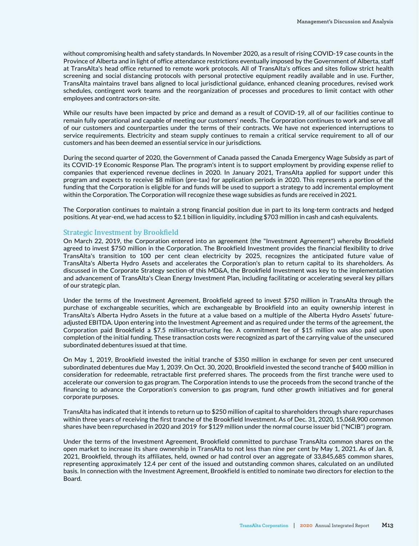without compromising health and safety standards. In November 2020, as a result of rising COVID-19 case counts in the Province of Alberta and in light of office attendance restrictions eventually imposed by the Government of Alberta, staff at TransAlta's head office returned to remote work protocols. All of TransAlta's offices and sites follow strict health screening and social distancing protocols with personal protective equipment readily available and in use. Further, TransAlta maintains travel bans aligned to local jurisdictional guidance, enhanced cleaning procedures, revised work schedules, contingent work teams and the reorganization of processes and procedures to limit contact with other employees and contractors on-site.

While our results have been impacted by price and demand as a result of COVID-19, all of our facilities continue to remain fully operational and capable of meeting our customers' needs. The Corporation continues to work and serve all of our customers and counterparties under the terms of their contracts. We have not experienced interruptions to service requirements. Electricity and steam supply continues to remain a critical service requirement to all of our customers and has been deemed an essential service in our jurisdictions.

During the second quarter of 2020, the Government of Canada passed the Canada Emergency Wage Subsidy as part of its COVID-19 Economic Response Plan. The program's intent is to support employment by providing expense relief to companies that experienced revenue declines in 2020. In January 2021, TransAlta applied for support under this program and expects to receive \$8 million (pre-tax) for application periods in 2020. This represents a portion of the funding that the Corporation is eligible for and funds will be used to support a strategy to add incremental employment within the Corporation. The Corporation will recognize these wage subsidies as funds are received in 2021.

The Corporation continues to maintain a strong financial position due in part to its long-term contracts and hedged positions. At year-end, we had access to \$2.1 billion in liquidity, including \$703 million in cash and cash equivalents.

#### Strategic Investment by Brookfield

On March 22, 2019, the Corporation entered into an agreement (the "Investment Agreement") whereby Brookfield agreed to invest \$750 million in the Corporation. The Brookfield Investment provides the financial flexibility to drive TransAlta's transition to 100 per cent clean electricity by 2025, recognizes the anticipated future value of TransAlta's Alberta Hydro Assets and accelerates the Corporation's plan to return capital to its shareholders. As discussed in the Corporate Strategy section of this MD&A, the Brookfield Investment was key to the implementation and advancement of TransAlta's Clean Energy Investment Plan, including facilitating or accelerating several key pillars of our strategic plan.

Under the terms of the Investment Agreement, Brookfield agreed to invest \$750 million in TransAlta through the purchase of exchangeable securities, which are exchangeable by Brookfield into an equity ownership interest in TransAlta's Alberta Hydro Assets in the future at a value based on a multiple of the Alberta Hydro Assets' futureadjusted EBITDA. Upon entering into the Investment Agreement and as required under the terms of the agreement, the Corporation paid Brookfield a \$7.5 million-structuring fee. A commitment fee of \$15 million was also paid upon completion of the initial funding. These transaction costs were recognized as part of the carrying value of the unsecured subordinated debentures issued at that time.

On May 1, 2019, Brookfield invested the initial tranche of \$350 million in exchange for seven per cent unsecured subordinated debentures due May 1, 2039. On Oct. 30, 2020, Brookfield invested the second tranche of \$400 million in consideration for redeemable, retractable first preferred shares. The proceeds from the first tranche were used to accelerate our conversion to gas program. The Corporation intends to use the proceeds from the second tranche of the financing to advance the Corporation's conversion to gas program, fund other growth initiatives and for general corporate purposes.

TransAlta has indicated that it intends to return up to \$250 million of capital to shareholders through share repurchases within three years of receiving the first tranche of the Brookfield Investment. As of Dec. 31, 2020, 15,068,900 common shares have been repurchased in 2020 and 2019 for \$129 million under the normal course issuer bid ("NCIB") program.

Under the terms of the Investment Agreement, Brookfield committed to purchase TransAlta common shares on the open market to increase its share ownership in TransAlta to not less than nine per cent by May 1, 2021. As of Jan. 8, 2021, Brookfield, through its affiliates, held, owned or had control over an aggregate of 33,845,685 common shares, representing approximately 12.4 per cent of the issued and outstanding common shares, calculated on an undiluted basis. In connection with the Investment Agreement, Brookfield is entitled to nominate two directors for election to the Board.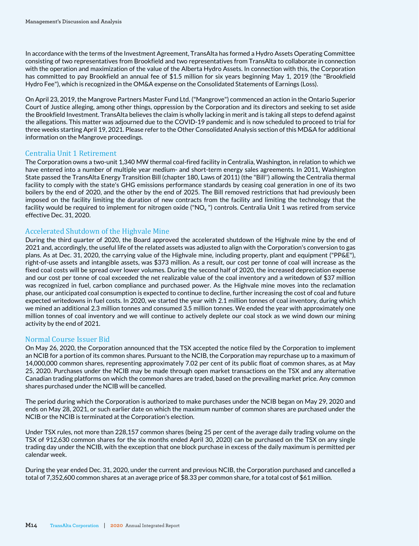In accordance with the terms of the Investment Agreement, TransAlta has formed a Hydro Assets Operating Committee consisting of two representatives from Brookfield and two representatives from TransAlta to collaborate in connection with the operation and maximization of the value of the Alberta Hydro Assets. In connection with this, the Corporation has committed to pay Brookfield an annual fee of \$1.5 million for six years beginning May 1, 2019 (the "Brookfield Hydro Fee"), which is recognized in the OM&A expense on the Consolidated Statements of Earnings (Loss).

On April 23, 2019, the Mangrove Partners Master Fund Ltd. ("Mangrove") commenced an action in the Ontario Superior Court of Justice alleging, among other things, oppression by the Corporation and its directors and seeking to set aside the Brookfield Investment. TransAlta believes the claim is wholly lacking in merit and is taking all steps to defend against the allegations. This matter was adjourned due to the COVID-19 pandemic and is now scheduled to proceed to trial for three weeks starting April 19, 2021. Please refer to the Other Consolidated Analysis section of this MD&A for additional information on the Mangrove proceedings.

### Centralia Unit 1 Retirement

The Corporation owns a two-unit 1,340 MW thermal coal-fired facility in Centralia, Washington, in relation to which we have entered into a number of multiple year medium- and short-term energy sales agreements. In 2011, Washington State passed the TransAlta Energy Transition Bill (chapter 180, Laws of 2011) (the "Bill'') allowing the Centralia thermal facility to comply with the state's GHG emissions performance standards by ceasing coal generation in one of its two boilers by the end of 2020, and the other by the end of 2025. The Bill removed restrictions that had previously been imposed on the facility limiting the duration of new contracts from the facility and limiting the technology that the facility would be required to implement for nitrogen oxide ("NO<sub>x</sub> ") controls. Centralia Unit 1 was retired from service effective Dec. 31, 2020.

### Accelerated Shutdown of the Highvale Mine

During the third quarter of 2020, the Board approved the accelerated shutdown of the Highvale mine by the end of 2021 and, accordingly, the useful life of the related assets was adjusted to align with the Corporation's conversion to gas plans. As at Dec. 31, 2020, the carrying value of the Highvale mine, including property, plant and equipment ("PP&E"), right-of-use assets and intangible assets, was \$373 million. As a result, our cost per tonne of coal will increase as the fixed coal costs will be spread over lower volumes. During the second half of 2020, the increased depreciation expense and our cost per tonne of coal exceeded the net realizable value of the coal inventory and a writedown of \$37 million was recognized in fuel, carbon compliance and purchased power. As the Highvale mine moves into the reclamation phase, our anticipated coal consumption is expected to continue to decline, further increasing the cost of coal and future expected writedowns in fuel costs. In 2020, we started the year with 2.1 million tonnes of coal inventory, during which we mined an additional 2.3 million tonnes and consumed 3.5 million tonnes. We ended the year with approximately one million tonnes of coal inventory and we will continue to actively deplete our coal stock as we wind down our mining activity by the end of 2021.

### Normal Course Issuer Bid

On May 26, 2020, the Corporation announced that the TSX accepted the notice filed by the Corporation to implement an NCIB for a portion of its common shares. Pursuant to the NCIB, the Corporation may repurchase up to a maximum of 14,000,000 common shares, representing approximately 7.02 per cent of its public float of common shares, as at May 25, 2020. Purchases under the NCIB may be made through open market transactions on the TSX and any alternative Canadian trading platforms on which the common shares are traded, based on the prevailing market price. Any common shares purchased under the NCIB will be cancelled.

The period during which the Corporation is authorized to make purchases under the NCIB began on May 29, 2020 and ends on May 28, 2021, or such earlier date on which the maximum number of common shares are purchased under the NCIB or the NCIB is terminated at the Corporation's election.

Under TSX rules, not more than 228,157 common shares (being 25 per cent of the average daily trading volume on the TSX of 912,630 common shares for the six months ended April 30, 2020) can be purchased on the TSX on any single trading day under the NCIB, with the exception that one block purchase in excess of the daily maximum is permitted per calendar week.

During the year ended Dec. 31, 2020, under the current and previous NCIB, the Corporation purchased and cancelled a total of 7,352,600 common shares at an average price of \$8.33 per common share, for a total cost of \$61 million.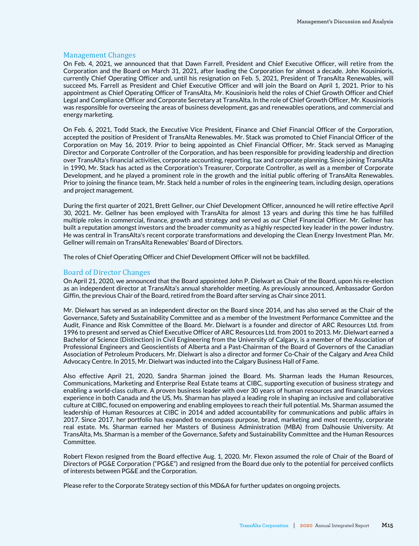#### Management Changes

On Feb. 4, 2021, we announced that that Dawn Farrell, President and Chief Executive Officer, will retire from the Corporation and the Board on March 31, 2021, after leading the Corporation for almost a decade. John Kousinioris, currently Chief Operating Officer and, until his resignation on Feb. 5, 2021, President of TransAlta Renewables, will succeed Ms. Farrell as President and Chief Executive Officer and will join the Board on April 1, 2021. Prior to his appointment as Chief Operating Officer of TransAlta, Mr. Kousinioris held the roles of Chief Growth Officer and Chief Legal and Compliance Officer and Corporate Secretary at TransAlta. In the role of Chief Growth Officer, Mr. Kousinioris was responsible for overseeing the areas of business development, gas and renewables operations, and commercial and energy marketing.

On Feb. 6, 2021, Todd Stack, the Executive Vice President, Finance and Chief Financial Officer of the Corporation, accepted the position of President of TransAlta Renewables. Mr. Stack was promoted to Chief Financial Officer of the Corporation on May 16, 2019. Prior to being appointed as Chief Financial Officer, Mr. Stack served as Managing Director and Corporate Controller of the Corporation, and has been responsible for providing leadership and direction over TransAlta's financial activities, corporate accounting, reporting, tax and corporate planning. Since joining TransAlta in 1990, Mr. Stack has acted as the Corporation's Treasurer, Corporate Controller, as well as a member of Corporate Development, and he played a prominent role in the growth and the initial public offering of TransAlta Renewables. Prior to joining the finance team, Mr. Stack held a number of roles in the engineering team, including design, operations and project management.

During the first quarter of 2021, Brett Gellner, our Chief Development Officer, announced he will retire effective April 30, 2021. Mr. Gellner has been employed with TransAlta for almost 13 years and during this time he has fulfilled multiple roles in commercial, finance, growth and strategy and served as our Chief Financial Officer. Mr. Gellner has built a reputation amongst investors and the broader community as a highly respected key leader in the power industry. He was central in TransAlta's recent corporate transformations and developing the Clean Energy Investment Plan. Mr. Gellner will remain on TransAlta Renewables' Board of Directors.

The roles of Chief Operating Officer and Chief Development Officer will not be backfilled.

#### Board of Director Changes

On April 21, 2020, we announced that the Board appointed John P. Dielwart as Chair of the Board, upon his re-election as an independent director at TransAlta's annual shareholder meeting. As previously announced, Ambassador Gordon Giffin, the previous Chair of the Board, retired from the Board after serving as Chair since 2011.

Mr. Dielwart has served as an independent director on the Board since 2014, and has also served as the Chair of the Governance, Safety and Sustainability Committee and as a member of the Investment Performance Committee and the Audit, Finance and Risk Committee of the Board. Mr. Dielwart is a founder and director of ARC Resources Ltd. from 1996 to present and served as Chief Executive Officer of ARC Resources Ltd. from 2001 to 2013. Mr. Dielwart earned a Bachelor of Science (Distinction) in Civil Engineering from the University of Calgary, is a member of the Association of Professional Engineers and Geoscientists of Alberta and a Past-Chairman of the Board of Governors of the Canadian Association of Petroleum Producers. Mr. Dielwart is also a director and former Co-Chair of the Calgary and Area Child Advocacy Centre. In 2015, Mr. Dielwart was inducted into the Calgary Business Hall of Fame.

Also effective April 21, 2020, Sandra Sharman joined the Board. Ms. Sharman leads the Human Resources, Communications, Marketing and Enterprise Real Estate teams at CIBC, supporting execution of business strategy and enabling a world-class culture. A proven business leader with over 30 years of human resources and financial services experience in both Canada and the US, Ms. Sharman has played a leading role in shaping an inclusive and collaborative culture at CIBC, focused on empowering and enabling employees to reach their full potential. Ms. Sharman assumed the leadership of Human Resources at CIBC in 2014 and added accountability for communications and public affairs in 2017. Since 2017, her portfolio has expanded to encompass purpose, brand, marketing and most recently, corporate real estate. Ms. Sharman earned her Masters of Business Administration (MBA) from Dalhousie University. At TransAlta, Ms. Sharman is a member of the Governance, Safety and Sustainability Committee and the Human Resources Committee.

Robert Flexon resigned from the Board effective Aug. 1, 2020. Mr. Flexon assumed the role of Chair of the Board of Directors of PG&E Corporation ("PG&E") and resigned from the Board due only to the potential for perceived conflicts of interests between PG&E and the Corporation.

Please refer to the Corporate Strategy section of this MD&A for further updates on ongoing projects.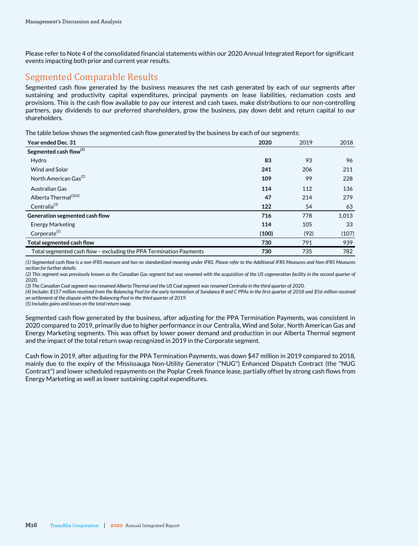Please refer to Note 4 of the consolidated financial statements within our 2020 Annual Integrated Report for significant events impacting both prior and current year results.

# Segmented Comparable Results

Segmented cash flow generated by the business measures the net cash generated by each of our segments after sustaining and productivity capital expenditures, principal payments on lease liabilities, reclamation costs and provisions. This is the cash flow available to pay our interest and cash taxes, make distributions to our non-controlling partners, pay dividends to our preferred shareholders, grow the business, pay down debt and return capital to our shareholders.

The table below shows the segmented cash flow generated by the business by each of our segments:

| Year ended Dec. 31                                                 | 2020  | 2019 | 2018  |
|--------------------------------------------------------------------|-------|------|-------|
| Segmented cash flow <sup>(1)</sup>                                 |       |      |       |
| Hydro                                                              | 83    | 93   | 96    |
| <b>Wind and Solar</b>                                              | 241   | 206  | 211   |
| North American Gas <sup>(2)</sup>                                  | 109   | 99   | 228   |
| Australian Gas                                                     | 114   | 112  | 136   |
| Alberta Thermal <sup>(3)(4)</sup>                                  | 47    | 214  | 279   |
| Centralia <sup>(3)</sup>                                           | 122   | 54   | 63    |
| Generation segmented cash flow                                     | 716   | 778  | 1,013 |
| <b>Energy Marketing</b>                                            | 114   | 105  | 33    |
| Corporate <sup>(5)</sup>                                           | (100) | (92) | (107) |
| Total segmented cash flow                                          | 730   | 791  | 939   |
| Total segmented cash flow - excluding the PPA Termination Payments | 730   | 735  | 782   |

*(1) Segmented cash flow is a non-IFRS measure and has no standardized meaning under IFRS. Please refer to the Additional IFRS Measures and Non-IFRS Measures section for further details.*

*(2) This segment was previously known as the Canadian Gas segment but was renamed with the acquisition of the US cogeneration facility in the second quarter of 2020.* 

*(3) The Canadian Coal segment was renamed Alberta Thermal and the US Coal segment was renamed Centralia in the third quarter of 2020.*

*(4) Includes \$157 million received from the Balancing Pool for the early termination of Sundance B and C PPAs in the first quarter of 2018 and \$56 million received on settlement of the dispute with the Balancing Pool in the third quarter of 2019.* 

*(5) Includes gains and losses on the total return swap.*

Segmented cash flow generated by the business, after adjusting for the PPA Termination Payments, was consistent in 2020 compared to 2019, primarily due to higher performance in our Centralia, Wind and Solar, North American Gas and Energy Marketing segments. This was offset by lower power demand and production in our Alberta Thermal segment and the impact of the total return swap recognized in 2019 in the Corporate segment.

Cash flow in 2019, after adjusting for the PPA Termination Payments, was down \$47 million in 2019 compared to 2018, mainly due to the expiry of the Mississauga Non-Utility Generator ("NUG") Enhanced Dispatch Contract (the "NUG Contract") and lower scheduled repayments on the Poplar Creek finance lease, partially offset by strong cash flows from Energy Marketing as well as lower sustaining capital expenditures.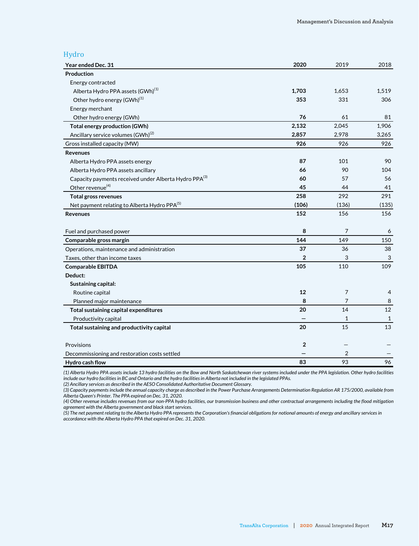### Hydro

| Year ended Dec. 31                                       | 2020           | 2019           | 2018  |
|----------------------------------------------------------|----------------|----------------|-------|
| Production                                               |                |                |       |
| Energy contracted                                        |                |                |       |
| Alberta Hydro PPA assets (GWh) <sup>(1)</sup>            | 1,703          | 1,653          | 1,519 |
| Other hydro energy (GWh) <sup>(1)</sup>                  | 353            | 331            | 306   |
| Energy merchant                                          |                |                |       |
| Other hydro energy (GWh)                                 | 76             | 61             | 81    |
| <b>Total energy production (GWh)</b>                     | 2,132          | 2,045          | 1,906 |
| Ancillary service volumes (GWh) <sup>(2)</sup>           | 2,857          | 2,978          | 3,265 |
| Gross installed capacity (MW)                            | 926            | 926            | 926   |
| <b>Revenues</b>                                          |                |                |       |
| Alberta Hydro PPA assets energy                          | 87             | 101            | 90    |
| Alberta Hydro PPA assets ancillary                       | 66             | 90             | 104   |
| Capacity payments received under Alberta Hydro PPA(3)    | 60             | 57             | 56    |
| Other revenue <sup>(4)</sup>                             | 45             | 44             | 41    |
| <b>Total gross revenues</b>                              | 258            | 292            | 291   |
| Net payment relating to Alberta Hydro PPA <sup>(5)</sup> | (106)          | (136)          | (135) |
| <b>Revenues</b>                                          | 152            | 156            | 156   |
| Fuel and purchased power                                 | 8              | 7              | 6     |
| Comparable gross margin                                  | 144            | 149            | 150   |
| Operations, maintenance and administration               | 37             | 36             | 38    |
| Taxes, other than income taxes                           | $\overline{2}$ | 3              | 3     |
| <b>Comparable EBITDA</b>                                 | 105            | 110            | 109   |
| Deduct:                                                  |                |                |       |
| Sustaining capital:                                      |                |                |       |
| Routine capital                                          | 12             | 7              | 4     |
| Planned major maintenance                                | 8              | 7              | 8     |
| Total sustaining capital expenditures                    | 20             | 14             | 12    |
| Productivity capital                                     |                | 1              | 1     |
| Total sustaining and productivity capital                | 20             | 15             | 13    |
| Provisions                                               | $\overline{2}$ |                |       |
| Decommissioning and restoration costs settled            |                | $\overline{2}$ |       |
| Hydro cash flow                                          | 83             | 93             | 96    |

*(1) Alberta Hydro PPA assets include 13 hydro facilities on the Bow and North Saskatchewan river systems included under the PPA legislation. Other hydro facilities include our hydro facilities in BC and Ontario and the hydro facilities in Alberta not included in the legislated PPAs. (2) Ancillary services as described in the AESO Consolidated Authoritative Document Glossary.*

*(3) Capacity payments include the annual capacity charge as described in the Power Purchase Arrangements Determination Regulation AR 175/2000, available from Alberta Queen's Printer. The PPA expired on Dec. 31, 2020.*

*(4) Other revenue includes revenues from our non-PPA hydro facilities, our transmission business and other contractual arrangements including the flood mitigation agreement with the Alberta government and black start services.* 

*(5) The net payment relating to the Alberta Hydro PPA represents the Corporation's financial obligations for notional amounts of energy and ancillary services in accordance with the Alberta Hydro PPA that expired on Dec. 31, 2020.*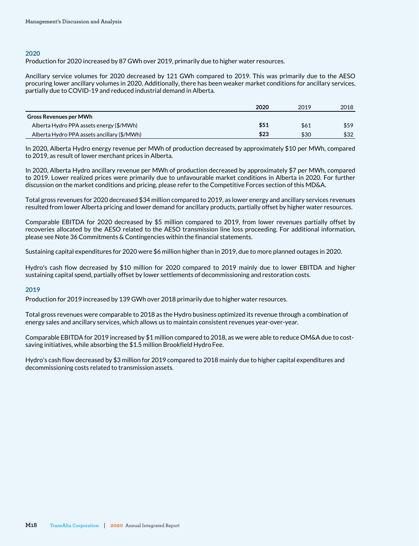#### **2020**

Production for 2020 increased by 87 GWh over 2019, primarily due to higher water resources.

Ancillary service volumes for 2020 decreased by 121 GWh compared to 2019. This was primarily due to the AESO procuring lower ancillary volumes in 2020. Additionally, there has been weaker market conditions for ancillary services, partially due to COVID-19 and reduced industrial demand in Alberta.

|                                             | 2020 | 2019 | 2018 |
|---------------------------------------------|------|------|------|
| <b>Gross Revenues per MWh</b>               |      |      |      |
| Alberta Hydro PPA assets energy (\$/MWh)    | \$51 | \$61 | \$59 |
| Alberta Hydro PPA assets ancillary (\$/MWh) | \$23 | \$30 | \$32 |

In 2020, Alberta Hydro energy revenue per MWh of production decreased by approximately \$10 per MWh, compared to 2019, as result of lower merchant prices in Alberta.

In 2020, Alberta Hydro ancillary revenue per MWh of production decreased by approximately \$7 per MWh, compared to 2019. Lower realized prices were primarily due to unfavourable market conditions in Alberta in 2020. For further discussion on the market conditions and pricing, please refer to the Competitive Forces section of this MD&A.

Total gross revenues for 2020 decreased \$34 million compared to 2019, as lower energy and ancillary services revenues resulted from lower Alberta pricing and lower demand for ancillary products, partially offset by higher water resources.

Comparable EBITDA for 2020 decreased by \$5 million compared to 2019, from lower revenues partially offset by recoveries allocated by the AESO related to the AESO transmission line loss proceeding. For additional information, please see Note 36 Commitments & Contingencies within the financial statements.

Sustaining capital expenditures for 2020 were \$6 million higher than in 2019, due to more planned outages in 2020.

Hydro's cash flow decreased by \$10 million for 2020 compared to 2019 mainly due to lower EBITDA and higher sustaining capital spend, partially offset by lower settlements of decommissioning and restoration costs.

#### **2019**

Production for 2019 increased by 139 GWh over 2018 primarily due to higher water resources.

Total gross revenues were comparable to 2018 as the Hydro business optimized its revenue through a combination of energy sales and ancillary services, which allows us to maintain consistent revenues year-over-year.

Comparable EBITDA for 2019 increased by \$1 million compared to 2018, as we were able to reduce OM&A due to costsaving initiatives, while absorbing the \$1.5 million Brookfield Hydro Fee.

Hydro's cash flow decreased by \$3 million for 2019 compared to 2018 mainly due to higher capital expenditures and decommissioning costs related to transmission assets.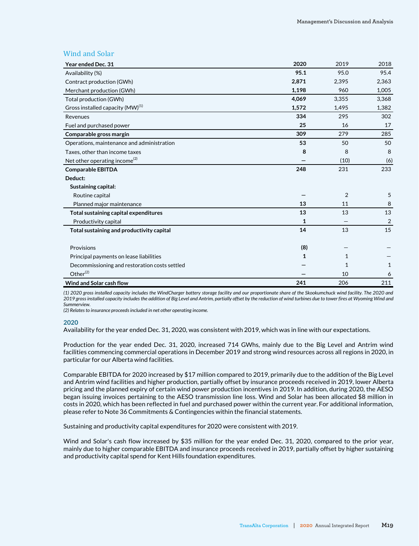### Wind and Solar

| Year ended Dec. 31                            | 2020  | 2019           | 2018           |
|-----------------------------------------------|-------|----------------|----------------|
| Availability (%)                              | 95.1  | 95.0           | 95.4           |
| Contract production (GWh)                     | 2,871 | 2,395          | 2,363          |
| Merchant production (GWh)                     | 1,198 | 960            | 1,005          |
| Total production (GWh)                        | 4,069 | 3,355          | 3,368          |
| Gross installed capacity (MW) <sup>(1)</sup>  | 1,572 | 1,495          | 1,382          |
| Revenues                                      | 334   | 295            | 302            |
| Fuel and purchased power                      | 25    | 16             | 17             |
| Comparable gross margin                       | 309   | 279            | 285            |
| Operations, maintenance and administration    | 53    | 50             | 50             |
| Taxes, other than income taxes                | 8     | 8              | 8              |
| Net other operating income <sup>(2)</sup>     |       | (10)           | (6)            |
| <b>Comparable EBITDA</b>                      | 248   | 231            | 233            |
| Deduct:                                       |       |                |                |
| Sustaining capital:                           |       |                |                |
| Routine capital                               |       | $\overline{2}$ | 5              |
| Planned major maintenance                     | 13    | 11             | 8              |
| Total sustaining capital expenditures         | 13    | 13             | 13             |
| Productivity capital                          | 1     |                | $\overline{2}$ |
| Total sustaining and productivity capital     | 14    | 13             | 15             |
| Provisions                                    | (8)   |                |                |
| Principal payments on lease liabilities       | 1     | 1              |                |
| Decommissioning and restoration costs settled |       | $\mathbf{1}$   | 1              |
| Other <sup>(2)</sup>                          |       | 10             | 6              |
| <b>Wind and Solar cash flow</b>               | 241   | 206            | 211            |

*(1) 2020 gross installed capacity includes the WindCharger battery storage facility and our proportionate share of the Skookumchuck wind facility. The 2020 and 2019 gross installed capacity includes the addition of Big Level and Antrim, partially offset by the reduction of wind turbines due to tower fires at Wyoming Wind and Summerview.* 

*(2) Relates to insurance proceeds included in net other operating income.* 

#### **2020**

Availability for the year ended Dec. 31, 2020, was consistent with 2019, which was in line with our expectations.

Production for the year ended Dec. 31, 2020, increased 714 GWhs, mainly due to the Big Level and Antrim wind facilities commencing commercial operations in December 2019 and strong wind resources across all regions in 2020, in particular for our Alberta wind facilities.

Comparable EBITDA for 2020 increased by \$17 million compared to 2019, primarily due to the addition of the Big Level and Antrim wind facilities and higher production, partially offset by insurance proceeds received in 2019, lower Alberta pricing and the planned expiry of certain wind power production incentives in 2019. In addition, during 2020, the AESO began issuing invoices pertaining to the AESO transmission line loss. Wind and Solar has been allocated \$8 million in costs in 2020, which has been reflected in fuel and purchased power within the current year. For additional information, please refer to Note 36 Commitments & Contingencies within the financial statements.

Sustaining and productivity capital expenditures for 2020 were consistent with 2019.

Wind and Solar's cash flow increased by \$35 million for the year ended Dec. 31, 2020, compared to the prior year, mainly due to higher comparable EBITDA and insurance proceeds received in 2019, partially offset by higher sustaining and productivity capital spend for Kent Hills foundation expenditures.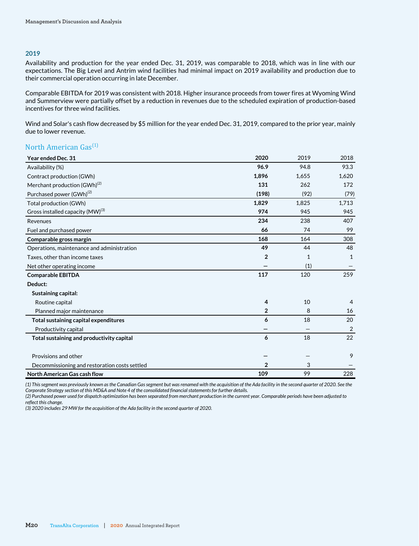#### **2019**

Availability and production for the year ended Dec. 31, 2019, was comparable to 2018, which was in line with our expectations. The Big Level and Antrim wind facilities had minimal impact on 2019 availability and production due to their commercial operation occurring in late December.

Comparable EBITDA for 2019 was consistent with 2018. Higher insurance proceeds from tower fires at Wyoming Wind and Summerview were partially offset by a reduction in revenues due to the scheduled expiration of production-based incentives for three wind facilities.

Wind and Solar's cash flow decreased by \$5 million for the year ended Dec. 31, 2019, compared to the prior year, mainly due to lower revenue.

# North American  $Gas<sup>(1)</sup>$

| Year ended Dec. 31                            | 2020           | 2019  | 2018           |
|-----------------------------------------------|----------------|-------|----------------|
| Availability (%)                              | 96.9           | 94.8  | 93.3           |
| Contract production (GWh)                     | 1,896          | 1,655 | 1,620          |
| Merchant production (GWh) <sup>(2)</sup>      | 131            | 262   | 172            |
| Purchased power (GWh) <sup>(2)</sup>          | (198)          | (92)  | (79)           |
| Total production (GWh)                        | 1,829          | 1,825 | 1,713          |
| Gross installed capacity (MW) <sup>(3)</sup>  | 974            | 945   | 945            |
| Revenues                                      | 234            | 238   | 407            |
| Fuel and purchased power                      | 66             | 74    | 99             |
| Comparable gross margin                       | 168            | 164   | 308            |
| Operations, maintenance and administration    | 49             | 44    | 48             |
| Taxes, other than income taxes                | $\overline{2}$ | 1     | $\mathbf{1}$   |
| Net other operating income                    |                | (1)   |                |
| <b>Comparable EBITDA</b>                      | 117            | 120   | 259            |
| Deduct:                                       |                |       |                |
| Sustaining capital:                           |                |       |                |
| Routine capital                               | 4              | 10    | $\overline{4}$ |
| Planned major maintenance                     | $\overline{2}$ | 8     | 16             |
| Total sustaining capital expenditures         | 6              | 18    | 20             |
| Productivity capital                          |                |       | 2              |
| Total sustaining and productivity capital     | 6              | 18    | 22             |
|                                               |                |       |                |
| Provisions and other                          |                |       | 9              |
| Decommissioning and restoration costs settled | 2              | 3     |                |
| <b>North American Gas cash flow</b>           | 109            | 99    | 228            |

*(1) This segment was previously known as the Canadian Gas segment but was renamed with the acquisition of the Ada facility in the second quarter of 2020. See the Corporate Strategy section of this MD&A and Note 4 of the consolidated financial statements for further details.*

*(2) Purchased power used for dispatch optimization has been separated from merchant production in the current year. Comparable periods have been adjusted to reflect this change.* 

*(3) 2020 includes 29 MW for the acquisition of the Ada facility in the second quarter of 2020.*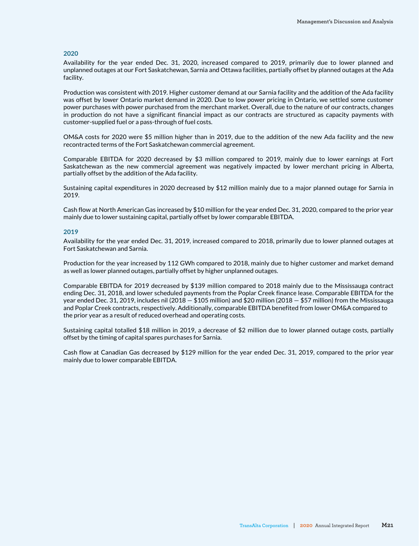#### **2020**

Availability for the year ended Dec. 31, 2020, increased compared to 2019, primarily due to lower planned and unplanned outages at our Fort Saskatchewan, Sarnia and Ottawa facilities, partially offset by planned outages at the Ada facility.

Production was consistent with 2019. Higher customer demand at our Sarnia facility and the addition of the Ada facility was offset by lower Ontario market demand in 2020. Due to low power pricing in Ontario, we settled some customer power purchases with power purchased from the merchant market. Overall, due to the nature of our contracts, changes in production do not have a significant financial impact as our contracts are structured as capacity payments with customer-supplied fuel or a pass-through of fuel costs.

OM&A costs for 2020 were \$5 million higher than in 2019, due to the addition of the new Ada facility and the new recontracted terms of the Fort Saskatchewan commercial agreement.

Comparable EBITDA for 2020 decreased by \$3 million compared to 2019, mainly due to lower earnings at Fort Saskatchewan as the new commercial agreement was negatively impacted by lower merchant pricing in Alberta, partially offset by the addition of the Ada facility.

Sustaining capital expenditures in 2020 decreased by \$12 million mainly due to a major planned outage for Sarnia in 2019.

Cash flow at North American Gas increased by \$10 million for the year ended Dec. 31, 2020, compared to the prior year mainly due to lower sustaining capital, partially offset by lower comparable EBITDA.

#### **2019**

Availability for the year ended Dec. 31, 2019, increased compared to 2018, primarily due to lower planned outages at Fort Saskatchewan and Sarnia.

Production for the year increased by 112 GWh compared to 2018, mainly due to higher customer and market demand as well as lower planned outages, partially offset by higher unplanned outages.

Comparable EBITDA for 2019 decreased by \$139 million compared to 2018 mainly due to the Mississauga contract ending Dec. 31, 2018, and lower scheduled payments from the Poplar Creek finance lease. Comparable EBITDA for the year ended Dec. 31, 2019, includes nil (2018 — \$105 million) and \$20 million (2018 — \$57 million) from the Mississauga and Poplar Creek contracts, respectively. Additionally, comparable EBITDA benefited from lower OM&A compared to the prior year as a result of reduced overhead and operating costs.

Sustaining capital totalled \$18 million in 2019, a decrease of \$2 million due to lower planned outage costs, partially offset by the timing of capital spares purchases for Sarnia.

Cash flow at Canadian Gas decreased by \$129 million for the year ended Dec. 31, 2019, compared to the prior year mainly due to lower comparable EBITDA.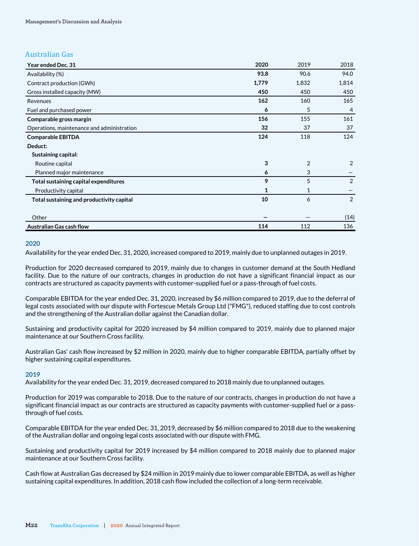# Australian Gas

| Year ended Dec. 31                         | 2020         | 2019           | 2018           |
|--------------------------------------------|--------------|----------------|----------------|
| Availability (%)                           | 93.8         | 90.6           | 94.0           |
| Contract production (GWh)                  | 1,779        | 1,832          | 1,814          |
| Gross installed capacity (MW)              | 450          | 450            | 450            |
| Revenues                                   | 162          | 160            | 165            |
| Fuel and purchased power                   | 6            | 5              | $\overline{4}$ |
| Comparable gross margin                    | 156          | 155            | 161            |
| Operations, maintenance and administration | 32           | 37             | 37             |
| <b>Comparable EBITDA</b>                   | 124          | 118            | 124            |
| Deduct:                                    |              |                |                |
| Sustaining capital:                        |              |                |                |
| Routine capital                            | 3            | $\overline{2}$ | 2              |
| Planned major maintenance                  | 6            | 3              |                |
| Total sustaining capital expenditures      | 9            | 5              | 2              |
| Productivity capital                       | $\mathbf{1}$ | 1              |                |
| Total sustaining and productivity capital  | 10           | 6              | 2              |
|                                            |              |                |                |
| Other                                      |              |                | (14)           |
| <b>Australian Gas cash flow</b>            | 114          | 112            | 136            |

#### **2020**

Availability for the year ended Dec. 31, 2020, increased compared to 2019, mainly due to unplanned outages in 2019.

Production for 2020 decreased compared to 2019, mainly due to changes in customer demand at the South Hedland facility. Due to the nature of our contracts, changes in production do not have a significant financial impact as our contracts are structured as capacity payments with customer-supplied fuel or a pass-through of fuel costs.

Comparable EBITDA for the year ended Dec. 31, 2020, increased by \$6 million compared to 2019, due to the deferral of legal costs associated with our dispute with Fortescue Metals Group Ltd ("FMG"), reduced staffing due to cost controls and the strengthening of the Australian dollar against the Canadian dollar.

Sustaining and productivity capital for 2020 increased by \$4 million compared to 2019, mainly due to planned major maintenance at our Southern Cross facility.

Australian Gas' cash flow increased by \$2 million in 2020, mainly due to higher comparable EBITDA, partially offset by higher sustaining capital expenditures.

#### **2019**

Availability for the year ended Dec. 31, 2019, decreased compared to 2018 mainly due to unplanned outages.

Production for 2019 was comparable to 2018. Due to the nature of our contracts, changes in production do not have a significant financial impact as our contracts are structured as capacity payments with customer-supplied fuel or a passthrough of fuel costs.

Comparable EBITDA for the year ended Dec. 31, 2019, decreased by \$6 million compared to 2018 due to the weakening of the Australian dollar and ongoing legal costs associated with our dispute with FMG.

Sustaining and productivity capital for 2019 increased by \$4 million compared to 2018 mainly due to planned major maintenance at our Southern Cross facility.

Cash flow at Australian Gas decreased by \$24 million in 2019 mainly due to lower comparable EBITDA, as well as higher sustaining capital expenditures. In addition, 2018 cash flow included the collection of a long-term receivable.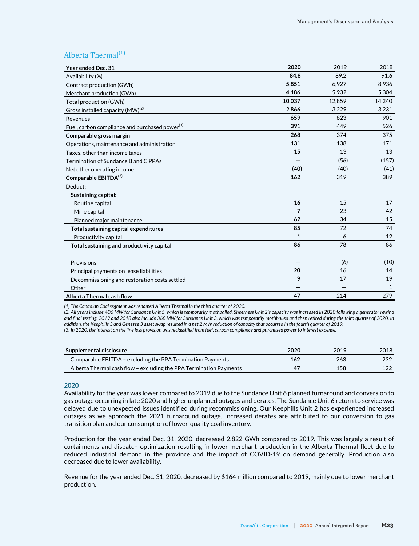# Alberta Thermal $^{(1)}$

| Year ended Dec. 31                                         | 2020   | 2019   | 2018   |
|------------------------------------------------------------|--------|--------|--------|
| Availability (%)                                           | 84.8   | 89.2   | 91.6   |
| Contract production (GWh)                                  | 5,851  | 6,927  | 8,936  |
| Merchant production (GWh)                                  | 4,186  | 5,932  | 5,304  |
| Total production (GWh)                                     | 10,037 | 12,859 | 14,240 |
| Gross installed capacity (MW) <sup>(2)</sup>               | 2,866  | 3,229  | 3,231  |
| Revenues                                                   | 659    | 823    | 901    |
| Fuel, carbon compliance and purchased power <sup>(3)</sup> | 391    | 449    | 526    |
| Comparable gross margin                                    | 268    | 374    | 375    |
| Operations, maintenance and administration                 | 131    | 138    | 171    |
| Taxes, other than income taxes                             | 15     | 13     | 13     |
| Termination of Sundance B and C PPAs                       |        | (56)   | (157)  |
| Net other operating income                                 | (40)   | (40)   | (41)   |
| Comparable EBITDA(3)                                       | 162    | 319    | 389    |
| Deduct:                                                    |        |        |        |
| Sustaining capital:                                        |        |        |        |
| Routine capital                                            | 16     | 15     | 17     |
| Mine capital                                               | 7      | 23     | 42     |
| Planned major maintenance                                  | 62     | 34     | 15     |
| Total sustaining capital expenditures                      | 85     | 72     | 74     |
| Productivity capital                                       | 1      | 6      | 12     |
| Total sustaining and productivity capital                  | 86     | 78     | 86     |
|                                                            |        |        |        |
| Provisions                                                 |        | (6)    | (10)   |
| Principal payments on lease liabilities                    | 20     | 16     | 14     |
| Decommissioning and restoration costs settled              | 9      | 17     | 19     |
| Other                                                      |        |        | 1      |
| Alberta Thermal cash flow                                  | 47     | 214    | 279    |

*(1) The Canadian Coal segment was renamed Alberta Thermal in the third quarter of 2020.*

*(2) All years include 406 MW for Sundance Unit 5, which is temporarily mothballed. Sheerness Unit 2's capacity was increased in 2020 following a generator rewind and final testing. 2019 and 2018 also include 368 MW for Sundance Unit 3, which was temporarily mothballed and then retired during the third quarter of 2020. In addition, the Keephills 3 and Genesee 3 asset swap resulted in a net 2 MW reduction of capacity that occurred in the fourth quarter of 2019.*

*(3) In 2020, the interest on the line loss provision was reclassified from fuel, carbon compliance and purchased power to interest expense.* 

| Supplemental disclosure                                            | 2020 | 2019 | 2018 |
|--------------------------------------------------------------------|------|------|------|
| Comparable EBITDA – excluding the PPA Termination Payments         | 162  | 263  | 232  |
| Alberta Thermal cash flow – excluding the PPA Termination Payments | 47   | 158  | 122  |

#### **2020**

Availability for the year was lower compared to 2019 due to the Sundance Unit 6 planned turnaround and conversion to gas outage occurring in late 2020 and higher unplanned outages and derates. The Sundance Unit 6 return to service was delayed due to unexpected issues identified during recommissioning. Our Keephills Unit 2 has experienced increased outages as we approach the 2021 turnaround outage. Increased derates are attributed to our conversion to gas transition plan and our consumption of lower-quality coal inventory.

Production for the year ended Dec. 31, 2020, decreased 2,822 GWh compared to 2019. This was largely a result of curtailments and dispatch optimization resulting in lower merchant production in the Alberta Thermal fleet due to reduced industrial demand in the province and the impact of COVID-19 on demand generally. Production also decreased due to lower availability.

Revenue for the year ended Dec. 31, 2020, decreased by \$164 million compared to 2019, mainly due to lower merchant production.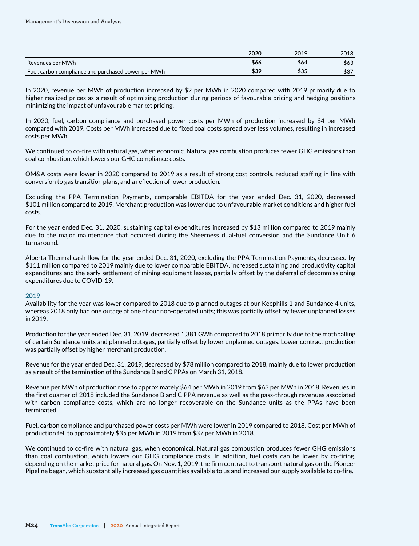|                                                     | 2020 | 2019 | 2018 |
|-----------------------------------------------------|------|------|------|
| Revenues per MWh                                    | \$66 | \$64 | \$63 |
| Fuel, carbon compliance and purchased power per MWh | \$39 | \$35 | \$37 |

In 2020, revenue per MWh of production increased by \$2 per MWh in 2020 compared with 2019 primarily due to higher realized prices as a result of optimizing production during periods of favourable pricing and hedging positions minimizing the impact of unfavourable market pricing.

In 2020, fuel, carbon compliance and purchased power costs per MWh of production increased by \$4 per MWh compared with 2019. Costs per MWh increased due to fixed coal costs spread over less volumes, resulting in increased costs per MWh.

We continued to co-fire with natural gas, when economic. Natural gas combustion produces fewer GHG emissions than coal combustion, which lowers our GHG compliance costs.

OM&A costs were lower in 2020 compared to 2019 as a result of strong cost controls, reduced staffing in line with conversion to gas transition plans, and a reflection of lower production.

Excluding the PPA Termination Payments, comparable EBITDA for the year ended Dec. 31, 2020, decreased \$101 million compared to 2019. Merchant production was lower due to unfavourable market conditions and higher fuel costs.

For the year ended Dec. 31, 2020, sustaining capital expenditures increased by \$13 million compared to 2019 mainly due to the major maintenance that occurred during the Sheerness dual-fuel conversion and the Sundance Unit 6 turnaround.

Alberta Thermal cash flow for the year ended Dec. 31, 2020, excluding the PPA Termination Payments, decreased by \$111 million compared to 2019 mainly due to lower comparable EBITDA, increased sustaining and productivity capital expenditures and the early settlement of mining equipment leases, partially offset by the deferral of decommissioning expenditures due to COVID-19.

#### **2019**

Availability for the year was lower compared to 2018 due to planned outages at our Keephills 1 and Sundance 4 units, whereas 2018 only had one outage at one of our non-operated units; this was partially offset by fewer unplanned losses in 2019.

Production for the year ended Dec. 31, 2019, decreased 1,381 GWh compared to 2018 primarily due to the mothballing of certain Sundance units and planned outages, partially offset by lower unplanned outages. Lower contract production was partially offset by higher merchant production.

Revenue for the year ended Dec. 31, 2019, decreased by \$78 million compared to 2018, mainly due to lower production as a result of the termination of the Sundance B and C PPAs on March 31, 2018.

Revenue per MWh of production rose to approximately \$64 per MWh in 2019 from \$63 per MWh in 2018. Revenues in the first quarter of 2018 included the Sundance B and C PPA revenue as well as the pass-through revenues associated with carbon compliance costs, which are no longer recoverable on the Sundance units as the PPAs have been terminated.

Fuel, carbon compliance and purchased power costs per MWh were lower in 2019 compared to 2018. Cost per MWh of production fell to approximately \$35 per MWh in 2019 from \$37 per MWh in 2018.

We continued to co-fire with natural gas, when economical. Natural gas combustion produces fewer GHG emissions than coal combustion, which lowers our GHG compliance costs. In addition, fuel costs can be lower by co-firing, depending on the market price for natural gas. On Nov. 1, 2019, the firm contract to transport natural gas on the Pioneer Pipeline began, which substantially increased gas quantities available to us and increased our supply available to co-fire.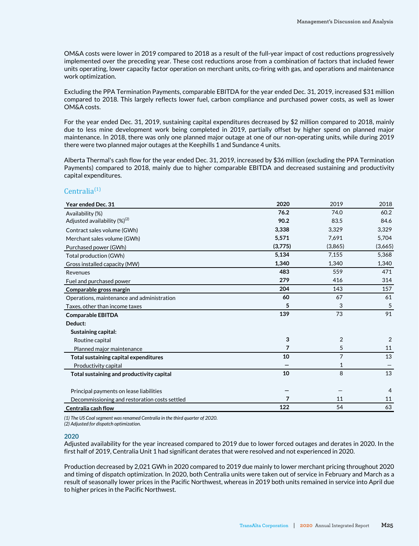OM&A costs were lower in 2019 compared to 2018 as a result of the full-year impact of cost reductions progressively implemented over the preceding year. These cost reductions arose from a combination of factors that included fewer units operating, lower capacity factor operation on merchant units, co-firing with gas, and operations and maintenance work optimization.

Excluding the PPA Termination Payments, comparable EBITDA for the year ended Dec. 31, 2019, increased \$31 million compared to 2018. This largely reflects lower fuel, carbon compliance and purchased power costs, as well as lower OM&A costs.

For the year ended Dec. 31, 2019, sustaining capital expenditures decreased by \$2 million compared to 2018, mainly due to less mine development work being completed in 2019, partially offset by higher spend on planned major maintenance. In 2018, there was only one planned major outage at one of our non-operating units, while during 2019 there were two planned major outages at the Keephills 1 and Sundance 4 units.

Alberta Thermal's cash flow for the year ended Dec. 31, 2019, increased by \$36 million (excluding the PPA Termination Payments) compared to 2018, mainly due to higher comparable EBITDA and decreased sustaining and productivity capital expenditures.

### $Centralia<sup>(1)</sup>$

| Year ended Dec. 31                            | 2020    | 2019           | 2018    |
|-----------------------------------------------|---------|----------------|---------|
| Availability (%)                              | 76.2    | 74.0           | 60.2    |
| Adjusted availability $(\%)^{(2)}$            | 90.2    | 83.5           | 84.6    |
| Contract sales volume (GWh)                   | 3,338   | 3,329          | 3,329   |
| Merchant sales volume (GWh)                   | 5,571   | 7,691          | 5,704   |
| Purchased power (GWh)                         | (3,775) | (3,865)        | (3,665) |
| Total production (GWh)                        | 5,134   | 7,155          | 5,368   |
| Gross installed capacity (MW)                 | 1,340   | 1,340          | 1,340   |
| Revenues                                      | 483     | 559            | 471     |
| Fuel and purchased power                      | 279     | 416            | 314     |
| Comparable gross margin                       | 204     | 143            | 157     |
| Operations, maintenance and administration    | 60      | 67             | 61      |
| Taxes, other than income taxes                | 5       | 3              | 5       |
| <b>Comparable EBITDA</b>                      | 139     | 73             | 91      |
| Deduct:                                       |         |                |         |
| Sustaining capital:                           |         |                |         |
| Routine capital                               | 3       | 2              | 2       |
| Planned major maintenance                     | 7       | 5              | 11      |
| Total sustaining capital expenditures         | 10      | $\overline{7}$ | 13      |
| Productivity capital                          |         | 1              |         |
| Total sustaining and productivity capital     | 10      | 8              | 13      |
|                                               |         |                |         |
| Principal payments on lease liabilities       |         |                | 4       |
| Decommissioning and restoration costs settled | 7       | 11             | 11      |
| Centralia cash flow                           | 122     | 54             | 63      |

*(1) The US Coal segment was renamed Centralia in the third quarter of 2020.*

*(2) Adjusted for dispatch optimization.*

#### **2020**

Adjusted availability for the year increased compared to 2019 due to lower forced outages and derates in 2020. In the first half of 2019, Centralia Unit 1 had significant derates that were resolved and not experienced in 2020.

Production decreased by 2,021 GWh in 2020 compared to 2019 due mainly to lower merchant pricing throughout 2020 and timing of dispatch optimization. In 2020, both Centralia units were taken out of service in February and March as a result of seasonally lower prices in the Pacific Northwest, whereas in 2019 both units remained in service into April due to higher prices in the Pacific Northwest.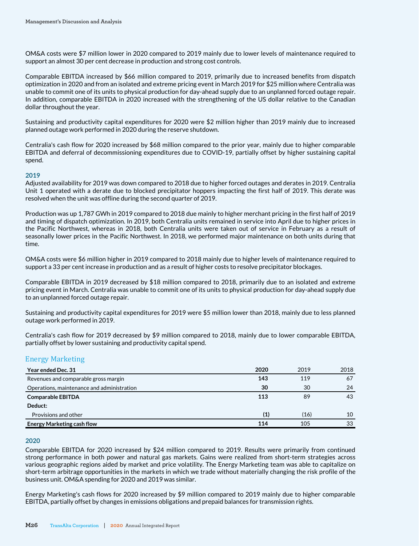OM&A costs were \$7 million lower in 2020 compared to 2019 mainly due to lower levels of maintenance required to support an almost 30 per cent decrease in production and strong cost controls.

Comparable EBITDA increased by \$66 million compared to 2019, primarily due to increased benefits from dispatch optimization in 2020 and from an isolated and extreme pricing event in March 2019 for \$25 million where Centralia was unable to commit one of its units to physical production for day-ahead supply due to an unplanned forced outage repair. In addition, comparable EBITDA in 2020 increased with the strengthening of the US dollar relative to the Canadian dollar throughout the year.

Sustaining and productivity capital expenditures for 2020 were \$2 million higher than 2019 mainly due to increased planned outage work performed in 2020 during the reserve shutdown.

Centralia's cash flow for 2020 increased by \$68 million compared to the prior year, mainly due to higher comparable EBITDA and deferral of decommissioning expenditures due to COVID-19, partially offset by higher sustaining capital spend.

#### **2019**

Adjusted availability for 2019 was down compared to 2018 due to higher forced outages and derates in 2019. Centralia Unit 1 operated with a derate due to blocked precipitator hoppers impacting the first half of 2019. This derate was resolved when the unit was offline during the second quarter of 2019.

Production was up 1,787 GWh in 2019 compared to 2018 due mainly to higher merchant pricing in the first half of 2019 and timing of dispatch optimization. In 2019, both Centralia units remained in service into April due to higher prices in the Pacific Northwest, whereas in 2018, both Centralia units were taken out of service in February as a result of seasonally lower prices in the Pacific Northwest. In 2018, we performed major maintenance on both units during that time.

OM&A costs were \$6 million higher in 2019 compared to 2018 mainly due to higher levels of maintenance required to support a 33 per cent increase in production and as a result of higher costs to resolve precipitator blockages.

Comparable EBITDA in 2019 decreased by \$18 million compared to 2018, primarily due to an isolated and extreme pricing event in March. Centralia was unable to commit one of its units to physical production for day-ahead supply due to an unplanned forced outage repair.

Sustaining and productivity capital expenditures for 2019 were \$5 million lower than 2018, mainly due to less planned outage work performed in 2019.

Centralia's cash flow for 2019 decreased by \$9 million compared to 2018, mainly due to lower comparable EBITDA, partially offset by lower sustaining and productivity capital spend.

# Energy Marketing

| Year ended Dec. 31                         | 2020 | 2019 | 2018 |
|--------------------------------------------|------|------|------|
| Revenues and comparable gross margin       | 143  | 119  | 67   |
| Operations, maintenance and administration | 30   | 30   | 24   |
| <b>Comparable EBITDA</b>                   | 113  | 89   | 43   |
| Deduct:                                    |      |      |      |
| Provisions and other                       | (1)  | (16) | 10   |
| <b>Energy Marketing cash flow</b>          | 114  | 105  | 33   |

#### **2020**

Comparable EBITDA for 2020 increased by \$24 million compared to 2019. Results were primarily from continued strong performance in both power and natural gas markets. Gains were realized from short-term strategies across various geographic regions aided by market and price volatility. The Energy Marketing team was able to capitalize on short-term arbitrage opportunities in the markets in which we trade without materially changing the risk profile of the business unit. OM&A spending for 2020 and 2019 was similar.

Energy Marketing's cash flows for 2020 increased by \$9 million compared to 2019 mainly due to higher comparable EBITDA, partially offset by changes in emissions obligations and prepaid balances for transmission rights.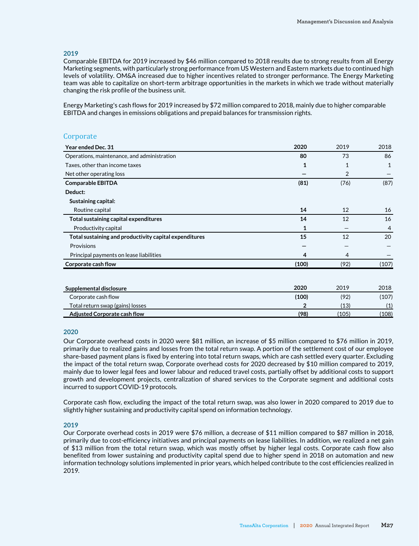#### **2019**

Comparable EBITDA for 2019 increased by \$46 million compared to 2018 results due to strong results from all Energy Marketing segments, with particularly strong performance from US Western and Eastern markets due to continued high levels of volatility. OM&A increased due to higher incentives related to stronger performance. The Energy Marketing team was able to capitalize on short-term arbitrage opportunities in the markets in which we trade without materially changing the risk profile of the business unit.

Energy Marketing's cash flows for 2019 increased by \$72 million compared to 2018, mainly due to higher comparable EBITDA and changes in emissions obligations and prepaid balances for transmission rights.

### **Corporate**

| Year ended Dec. 31                                     | 2020                                           | 2019   | 2018                                    |
|--------------------------------------------------------|------------------------------------------------|--------|-----------------------------------------|
| Operations, maintenance, and administration            | 80                                             | 73     | 86                                      |
| Taxes, other than income taxes                         | $\mathbf{1}$                                   | 1      | $\mathbf{1}$                            |
| Net other operating loss                               |                                                | 2      |                                         |
| <b>Comparable EBITDA</b>                               | (81)                                           | (76)   | (87)                                    |
| Deduct:                                                |                                                |        |                                         |
| Sustaining capital:                                    |                                                |        |                                         |
| Routine capital                                        | 14                                             | 12     | 16                                      |
| Total sustaining capital expenditures                  | 14                                             | 12     | 16                                      |
| Productivity capital                                   | 1                                              |        | 4                                       |
| Total sustaining and productivity capital expenditures | 15                                             | 12     | 20                                      |
| Provisions                                             |                                                |        |                                         |
| Principal payments on lease liabilities                | 4                                              | 4      |                                         |
| Corporate cash flow                                    | (100)                                          | (92)   | (107)                                   |
|                                                        |                                                |        |                                         |
| Supplemental disclosure                                | 2020                                           | 2019   | 2018                                    |
|                                                        | $\mathbf{1} \cdot \mathbf{2} \cdot \mathbf{3}$ | $\sim$ | $\lambda$ $\lambda$ $\lambda$ $\lambda$ |

| Supplemental disclosure          |       |      |       |
|----------------------------------|-------|------|-------|
| Corporate cash flow              | (100) | (92) | (107) |
| Total return swap (gains) losses |       | (13) |       |
| Adjusted Corporate cash flow     | (98)  | 105  | (108) |

#### **2020**

Our Corporate overhead costs in 2020 were \$81 million, an increase of \$5 million compared to \$76 million in 2019, primarily due to realized gains and losses from the total return swap. A portion of the settlement cost of our employee share-based payment plans is fixed by entering into total return swaps, which are cash settled every quarter. Excluding the impact of the total return swap, Corporate overhead costs for 2020 decreased by \$10 million compared to 2019, mainly due to lower legal fees and lower labour and reduced travel costs, partially offset by additional costs to support growth and development projects, centralization of shared services to the Corporate segment and additional costs incurred to support COVID-19 protocols.

Corporate cash flow, excluding the impact of the total return swap, was also lower in 2020 compared to 2019 due to slightly higher sustaining and productivity capital spend on information technology.

#### **2019**

Our Corporate overhead costs in 2019 were \$76 million, a decrease of \$11 million compared to \$87 million in 2018, primarily due to cost-efficiency initiatives and principal payments on lease liabilities. In addition, we realized a net gain of \$13 million from the total return swap, which was mostly offset by higher legal costs. Corporate cash flow also benefited from lower sustaining and productivity capital spend due to higher spend in 2018 on automation and new information technology solutions implemented in prior years, which helped contribute to the cost efficiencies realized in 2019.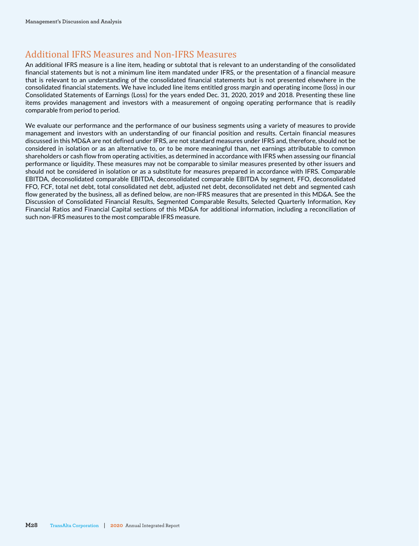# Additional IFRS Measures and Non-IFRS Measures

An additional IFRS measure is a line item, heading or subtotal that is relevant to an understanding of the consolidated financial statements but is not a minimum line item mandated under IFRS, or the presentation of a financial measure that is relevant to an understanding of the consolidated financial statements but is not presented elsewhere in the consolidated financial statements. We have included line items entitled gross margin and operating income (loss) in our Consolidated Statements of Earnings (Loss) for the years ended Dec. 31, 2020, 2019 and 2018. Presenting these line items provides management and investors with a measurement of ongoing operating performance that is readily comparable from period to period.

We evaluate our performance and the performance of our business segments using a variety of measures to provide management and investors with an understanding of our financial position and results. Certain financial measures discussed in this MD&A are not defined under IFRS, are not standard measures under IFRS and, therefore, should not be considered in isolation or as an alternative to, or to be more meaningful than, net earnings attributable to common shareholders or cash flow from operating activities, as determined in accordance with IFRS when assessing our financial performance or liquidity. These measures may not be comparable to similar measures presented by other issuers and should not be considered in isolation or as a substitute for measures prepared in accordance with IFRS. Comparable EBITDA, deconsolidated comparable EBITDA, deconsolidated comparable EBITDA by segment, FFO, deconsolidated FFO, FCF, total net debt, total consolidated net debt, adjusted net debt, deconsolidated net debt and segmented cash flow generated by the business, all as defined below, are non-IFRS measures that are presented in this MD&A. See the Discussion of Consolidated Financial Results, Segmented Comparable Results, Selected Quarterly Information, Key Financial Ratios and Financial Capital sections of this MD&A for additional information, including a reconciliation of such non-IFRS measures to the most comparable IFRS measure.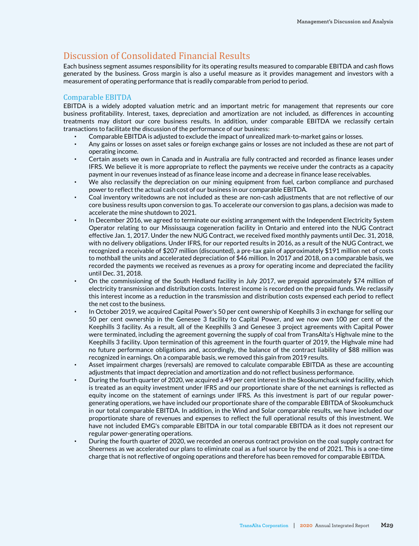# Discussion of Consolidated Financial Results

Each business segment assumes responsibility for its operating results measured to comparable EBITDA and cash flows generated by the business. Gross margin is also a useful measure as it provides management and investors with a measurement of operating performance that is readily comparable from period to period.

### Comparable EBITDA

EBITDA is a widely adopted valuation metric and an important metric for management that represents our core business profitability. Interest, taxes, depreciation and amortization are not included, as differences in accounting treatments may distort our core business results. In addition, under comparable EBITDA we reclassify certain transactions to facilitate the discussion of the performance of our business:

- Comparable EBITDA is adjusted to exclude the impact of unrealized mark-to-market gains or losses.
- Any gains or losses on asset sales or foreign exchange gains or losses are not included as these are not part of operating income.
- Certain assets we own in Canada and in Australia are fully contracted and recorded as finance leases under IFRS. We believe it is more appropriate to reflect the payments we receive under the contracts as a capacity payment in our revenues instead of as finance lease income and a decrease in finance lease receivables.
- We also reclassify the depreciation on our mining equipment from fuel, carbon compliance and purchased power to reflect the actual cash cost of our business in our comparable EBITDA.
- Coal inventory writedowns are not included as these are non-cash adjustments that are not reflective of our core business results upon conversion to gas. To accelerate our conversion to gas plans, a decision was made to accelerate the mine shutdown to 2021.
- In December 2016, we agreed to terminate our existing arrangement with the Independent Electricity System Operator relating to our Mississauga cogeneration facility in Ontario and entered into the NUG Contract effective Jan. 1, 2017. Under the new NUG Contract, we received fixed monthly payments until Dec. 31, 2018, with no delivery obligations. Under IFRS, for our reported results in 2016, as a result of the NUG Contract, we recognized a receivable of \$207 million (discounted), a pre-tax gain of approximately \$191 million net of costs to mothball the units and accelerated depreciation of \$46 million. In 2017 and 2018, on a comparable basis, we recorded the payments we received as revenues as a proxy for operating income and depreciated the facility until Dec. 31, 2018.
- On the commissioning of the South Hedland facility in July 2017, we prepaid approximately \$74 million of electricity transmission and distribution costs. Interest income is recorded on the prepaid funds. We reclassify this interest income as a reduction in the transmission and distribution costs expensed each period to reflect the net cost to the business.
- In October 2019, we acquired Capital Power's 50 per cent ownership of Keephills 3 in exchange for selling our 50 per cent ownership in the Genesee 3 facility to Capital Power, and we now own 100 per cent of the Keephills 3 facility. As a result, all of the Keephills 3 and Genesee 3 project agreements with Capital Power were terminated, including the agreement governing the supply of coal from TransAlta's Highvale mine to the Keephills 3 facility. Upon termination of this agreement in the fourth quarter of 2019, the Highvale mine had no future performance obligations and, accordingly, the balance of the contract liability of \$88 million was recognized in earnings. On a comparable basis, we removed this gain from 2019 results.
- Asset impairment charges (reversals) are removed to calculate comparable EBITDA as these are accounting adjustments that impact depreciation and amortization and do not reflect business performance.
- During the fourth quarter of 2020, we acquired a 49 per cent interest in the Skookumchuck wind facility, which is treated as an equity investment under IFRS and our proportionate share of the net earnings is reflected as equity income on the statement of earnings under IFRS. As this investment is part of our regular powergenerating operations, we have included our proportionate share of the comparable EBITDA of Skookumchuck in our total comparable EBITDA. In addition, in the Wind and Solar comparable results, we have included our proportionate share of revenues and expenses to reflect the full operational results of this investment. We have not included EMG's comparable EBITDA in our total comparable EBITDA as it does not represent our regular power-generating operations.
- During the fourth quarter of 2020, we recorded an onerous contract provision on the coal supply contract for Sheerness as we accelerated our plans to eliminate coal as a fuel source by the end of 2021. This is a one-time charge that is not reflective of ongoing operations and therefore has been removed for comparable EBITDA.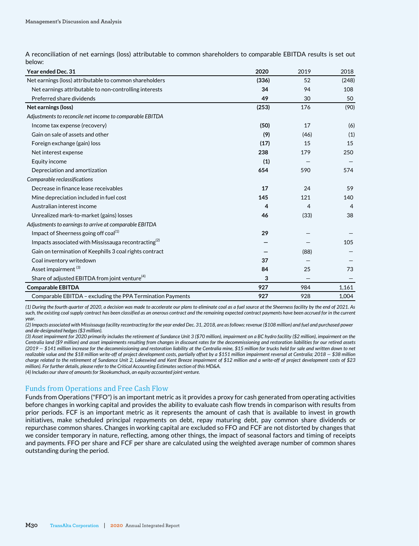A reconciliation of net earnings (loss) attributable to common shareholders to comparable EBITDA results is set out below:

| <b>Year ended Dec. 31</b>                                        | 2020  | 2019           | 2018  |
|------------------------------------------------------------------|-------|----------------|-------|
| Net earnings (loss) attributable to common shareholders          | (336) | 52             | (248) |
| Net earnings attributable to non-controlling interests           | 34    | 94             | 108   |
| Preferred share dividends                                        | 49    | 30             | 50    |
| Net earnings (loss)                                              | (253) | 176            | (90)  |
| Adjustments to reconcile net income to comparable EBITDA         |       |                |       |
| Income tax expense (recovery)                                    | (50)  | 17             | (6)   |
| Gain on sale of assets and other                                 | (9)   | (46)           | (1)   |
| Foreign exchange (gain) loss                                     | (17)  | 15             | 15    |
| Net interest expense                                             | 238   | 179            | 250   |
| Equity income                                                    | (1)   |                |       |
| Depreciation and amortization                                    | 654   | 590            | 574   |
| Comparable reclassifications                                     |       |                |       |
| Decrease in finance lease receivables                            | 17    | 24             | 59    |
| Mine depreciation included in fuel cost                          | 145   | 121            | 140   |
| Australian interest income                                       | 4     | $\overline{4}$ | 4     |
| Unrealized mark-to-market (gains) losses                         | 46    | (33)           | 38    |
| Adjustments to earnings to arrive at comparable EBITDA           |       |                |       |
| Impact of Sheerness going off coal <sup>(1)</sup>                | 29    |                |       |
| Impacts associated with Mississauga recontracting <sup>(2)</sup> |       |                | 105   |
| Gain on termination of Keephills 3 coal rights contract          |       | (88)           |       |
| Coal inventory writedown                                         | 37    |                |       |
| Asset impairment <sup>(3)</sup>                                  | 84    | 25             | 73    |
| Share of adjusted EBITDA from joint venture <sup>(4)</sup>       | 3     |                |       |
| <b>Comparable EBITDA</b>                                         | 927   | 984            | 1,161 |
| Comparable EBITDA - excluding the PPA Termination Payments       | 927   | 928            | 1,004 |

*(1) During the fourth quarter of 2020, a decision was made to accelerate our plans to eliminate coal as a fuel source at the Sheerness facility by the end of 2021. As*  such, the existing coal supply contract has been classified as an onerous contract and the remaining expected contract payments have been accrued for in the current *year.*

*(2) Impacts associated with Mississauga facility recontracting for the year ended Dec. 31, 2018, are as follows: revenue (\$108 million) and fuel and purchased power and de-designated hedges (\$3 million).* 

*(3) Asset impairment for 2020 primarily includes the retirement of Sundance Unit 3 (\$70 million), impairment on a BC hydro facility (\$2 million), impairment on the Centralia land (\$9 million) and asset impairments resulting from changes in discount rates for the decommissioning and restoration liabilities for our retired assets (2019 — \$141 million increase for the decommissioning and restoration liability at the Centralia mine, \$15 million for trucks held for sale and written down to net*  realizable value and the \$18 million write-off of project development costs, partially offset by a \$151 million impairment reversal at Centralia; 2018 - \$38 million *charge related to the retirement of Sundance Unit 2, Lakeswind and Kent Breeze impairment of \$12 million and a write-off of project development costs of \$23 million). For further details, please refer to the Critical Accounting Estimates section of this MD&A.* 

*(4) Includes our share of amounts for Skookumchuck, an equity accounted joint venture.*

#### Funds from Operations and Free Cash Flow

Funds from Operations ("FFO") is an important metric as it provides a proxy for cash generated from operating activities before changes in working capital and provides the ability to evaluate cash flow trends in comparison with results from prior periods. FCF is an important metric as it represents the amount of cash that is available to invest in growth initiatives, make scheduled principal repayments on debt, repay maturing debt, pay common share dividends or repurchase common shares. Changes in working capital are excluded so FFO and FCF are not distorted by changes that we consider temporary in nature, reflecting, among other things, the impact of seasonal factors and timing of receipts and payments. FFO per share and FCF per share are calculated using the weighted average number of common shares outstanding during the period.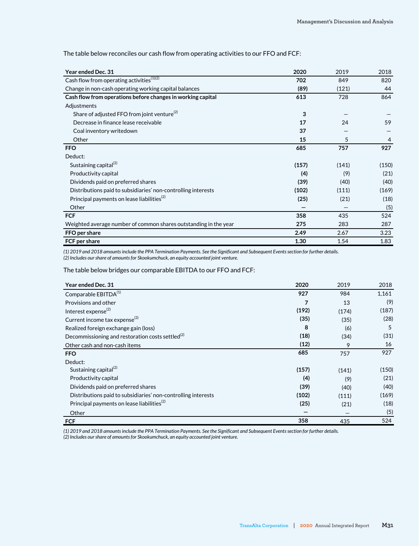| Year ended Dec. 31                                               | 2020  | 2019  | 2018  |
|------------------------------------------------------------------|-------|-------|-------|
| Cash flow from operating activities $(1)(2)$                     | 702   | 849   | 820   |
| Change in non-cash operating working capital balances            | (89)  | (121) | 44    |
| Cash flow from operations before changes in working capital      | 613   | 728   | 864   |
| Adjustments                                                      |       |       |       |
| Share of adjusted FFO from joint venture <sup>(2)</sup>          | 3     |       |       |
| Decrease in finance lease receivable                             | 17    | 24    | 59    |
| Coal inventory writedown                                         | 37    |       |       |
| Other                                                            | 15    | 5     | 4     |
| <b>FFO</b>                                                       | 685   | 757   | 927   |
| Deduct:                                                          |       |       |       |
| Sustaining capital <sup>(2)</sup>                                | (157) | (141) | (150) |
| Productivity capital                                             | (4)   | (9)   | (21)  |
| Dividends paid on preferred shares                               | (39)  | (40)  | (40)  |
| Distributions paid to subsidiaries' non-controlling interests    | (102) | (111) | (169) |
| Principal payments on lease liabilities <sup>(2)</sup>           | (25)  | (21)  | (18)  |
| Other                                                            |       |       | (5)   |
| <b>FCF</b>                                                       | 358   | 435   | 524   |
| Weighted average number of common shares outstanding in the year | 275   | 283   | 287   |
| FFO per share                                                    | 2.49  | 2.67  | 3.23  |
| FCF per share                                                    | 1.30  | 1.54  | 1.83  |

The table below reconciles our cash flow from operating activities to our FFO and FCF:.

*(1) 2019 and 2018 amounts include the PPA Termination Payments. See the Significant and Subsequent Events section for further details.* 

*(2) Includes our share of amounts for Skookumchuck, an equity accounted joint venture.*

The table below bridges our comparable EBITDA to our FFO and FCF:

| Year ended Dec. 31                                            | 2020  | 2019  | 2018  |
|---------------------------------------------------------------|-------|-------|-------|
| Comparable EBITDA <sup>(1)</sup>                              | 927   | 984   | 1,161 |
| Provisions and other                                          | 7     | 13    | (9)   |
| Interest expense <sup>(2)</sup>                               | (192) | (174) | (187) |
| Current income tax expense $^{(2)}$                           | (35)  | (35)  | (28)  |
| Realized foreign exchange gain (loss)                         | 8     | (6)   | 5     |
| Decommissioning and restoration costs settled $^{(2)}$        | (18)  | (34)  | (31)  |
| Other cash and non-cash items                                 | (12)  | 9     | 16    |
| <b>FFO</b>                                                    | 685   | 757   | 927   |
| Deduct:                                                       |       |       |       |
| Sustaining capital <sup>(2)</sup>                             | (157) | (141) | (150) |
| Productivity capital                                          | (4)   | (9)   | (21)  |
| Dividends paid on preferred shares                            | (39)  | (40)  | (40)  |
| Distributions paid to subsidiaries' non-controlling interests | (102) | (111) | (169) |
| Principal payments on lease liabilities <sup>(2)</sup>        | (25)  | (21)  | (18)  |
| Other                                                         |       |       | (5)   |
| <b>FCF</b>                                                    | 358   | 435   | 524   |

*(1) 2019 and 2018 amounts include the PPA Termination Payments. See the Significant and Subsequent Events section for further details.* 

*(2) Includes our share of amounts for Skookumchuck, an equity accounted joint venture.*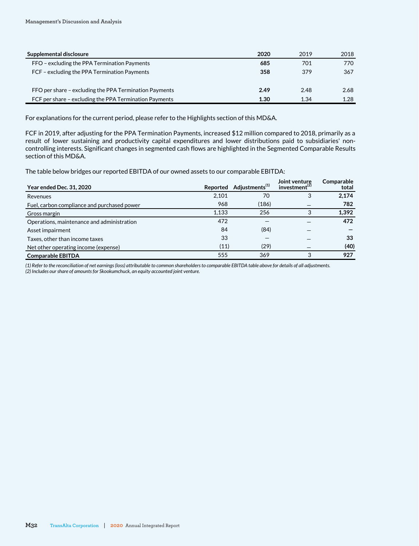| Supplemental disclosure                                | 2020 | 2019 | 2018 |
|--------------------------------------------------------|------|------|------|
| FFO – excluding the PPA Termination Payments           | 685  | 701  | 770  |
| FCF - excluding the PPA Termination Payments           | 358  | 379  | 367  |
|                                                        |      |      |      |
| FFO per share – excluding the PPA Termination Payments | 2.49 | 2.48 | 2.68 |
| FCF per share – excluding the PPA Termination Payments | 1.30 | 1.34 | 1.28 |

For explanations for the current period, please refer to the Highlights section of this MD&A.

FCF in 2019, after adjusting for the PPA Termination Payments, increased \$12 million compared to 2018, primarily as a result of lower sustaining and productivity capital expenditures and lower distributions paid to subsidiaries' noncontrolling interests. Significant changes in segmented cash flows are highlighted in the Segmented Comparable Results section of this MD&A.

The table below bridges our reported EBITDA of our owned assets to our comparable EBITDA:

| <b>Year ended Dec. 31, 2020</b>             |       | Reported Adjustments <sup>(1)</sup> | Joint venture<br>investment <sup>(2)</sup> | Comparable<br>total |
|---------------------------------------------|-------|-------------------------------------|--------------------------------------------|---------------------|
| Revenues                                    | 2,101 | 70                                  | 3                                          | 2,174               |
| Fuel, carbon compliance and purchased power | 968   | (186)                               |                                            | 782                 |
| Gross margin                                | 1.133 | 256                                 |                                            | 1,392               |
| Operations, maintenance and administration  | 472   |                                     |                                            | 472                 |
| Asset impairment                            | 84    | (84)                                |                                            |                     |
| Taxes, other than income taxes              | 33    |                                     |                                            | 33                  |
| Net other operating income (expense)        | (11)  | (29)                                |                                            | (40)                |
| <b>Comparable EBITDA</b>                    | 555   | 369                                 | 3                                          | 927                 |

*(1) Refer to the reconciliation of net earnings (loss) attributable to common shareholders to comparable EBITDA table above for details of all adjustments. (2) Includes our share of amounts for Skookumchuck, an equity accounted joint venture.*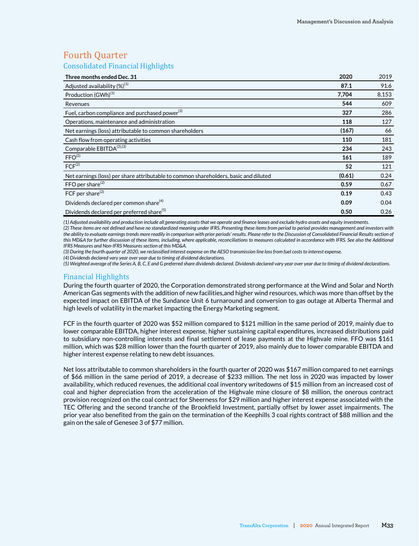# Fourth Quarter

Consolidated Financial Highlights

| Three months ended Dec. 31                                                           | 2020   | 2019  |
|--------------------------------------------------------------------------------------|--------|-------|
| Adjusted availability $(\%)^{(1)}$                                                   | 87.1   | 91.6  |
| Production (GWh) <sup>(1)</sup>                                                      | 7,704  | 8,153 |
| Revenues                                                                             | 544    | 609   |
| Fuel, carbon compliance and purchased power <sup>(3)</sup>                           | 327    | 286   |
| Operations, maintenance and administration                                           | 118    | 127   |
| Net earnings (loss) attributable to common shareholders                              | (167)  | 66    |
| Cash flow from operating activities                                                  | 110    | 181   |
| Comparable EBITDA <sup>(2),(3)</sup>                                                 | 234    | 243   |
| FFO <sup>(2)</sup>                                                                   | 161    | 189   |
| FCF <sup>(2)</sup>                                                                   | 52     | 121   |
| Net earnings (loss) per share attributable to common shareholders, basic and diluted | (0.61) | 0.24  |
| FFO per share $^{(2)}$                                                               | 0.59   | 0.67  |
| FCF per share <sup>(2)</sup>                                                         | 0.19   | 0.43  |
| Dividends declared per common share <sup>(4)</sup>                                   | 0.09   | 0.04  |
| Dividends declared per preferred share <sup>(5)</sup>                                | 0.50   | 0.26  |

*(1) Adjusted availability and production include all generating assets that we operate and finance leases and exclude hydro assets and equity investments.* 

*(2) These items are not defined and have no standardized meaning under IFRS. Presenting these items from period to period provides management and investors with the ability to evaluate earnings trends more readily in comparison with prior periods' results. Please refer to the Discussion of Consolidated Financial Results section of this MD&A for further discussion of these items, including, where applicable, reconciliations to measures calculated in accordance with IFRS. See also the Additional IFRS Measures and Non-IFRS Measures section of this MD&A.*

*(3) During the fourth quarter of 2020, we reclassified interest expense on the AESO transmission line loss from fuel costs to interest expense.* 

*(4) Dividends declared vary year over year due to timing of dividend declarations.*

*(5) Weighted average of the Series A, B, C, E and G preferred share dividends declared. Dividends declared vary year over year due to timing of dividend declarations.*

### Financial Highlights

During the fourth quarter of 2020, the Corporation demonstrated strong performance at the Wind and Solar and North American Gas segments with the addition of new facilities,and higher wind resources, which was more than offset by the expected impact on EBITDA of the Sundance Unit 6 turnaround and conversion to gas outage at Alberta Thermal and high levels of volatility in the market impacting the Energy Marketing segment.

FCF in the fourth quarter of 2020 was \$52 million compared to \$121 million in the same period of 2019, mainly due to lower comparable EBITDA, higher interest expense, higher sustaining capital expenditures, increased distributions paid to subsidiary non-controlling interests and final settlement of lease payments at the Highvale mine. FFO was \$161 million, which was \$28 million lower than the fourth quarter of 2019, also mainly due to lower comparable EBITDA and higher interest expense relating to new debt issuances.

Net loss attributable to common shareholders in the fourth quarter of 2020 was \$167 million compared to net earnings of \$66 million in the same period of 2019, a decrease of \$233 million. The net loss in 2020 was impacted by lower availability, which reduced revenues, the additional coal inventory writedowns of \$15 million from an increased cost of coal and higher depreciation from the acceleration of the Highvale mine closure of \$8 million, the onerous contract provision recognized on the coal contract for Sheerness for \$29 million and higher interest expense associated with the TEC Offering and the second tranche of the Brookfield Investment, partially offset by lower asset impairments. The prior year also benefited from the gain on the termination of the Keephills 3 coal rights contract of \$88 million and the gain on the sale of Genesee 3 of \$77 million.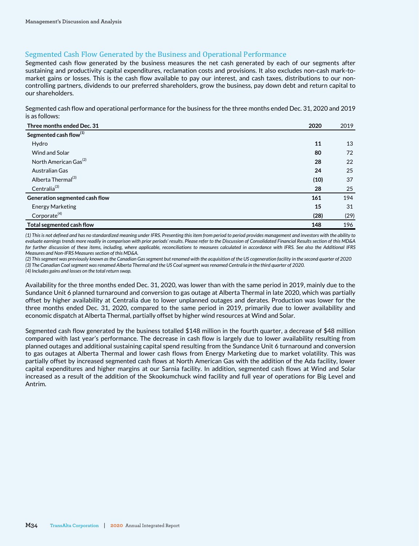# Segmented Cash Flow Generated by the Business and Operational Performance

Segmented cash flow generated by the business measures the net cash generated by each of our segments after sustaining and productivity capital expenditures, reclamation costs and provisions. It also excludes non-cash mark-tomarket gains or losses. This is the cash flow available to pay our interest, and cash taxes, distributions to our noncontrolling partners, dividends to our preferred shareholders, grow the business, pay down debt and return capital to our shareholders.

Segmented cash flow and operational performance for the business for the three months ended Dec. 31, 2020 and 2019 is as follows:

| Three months ended Dec. 31         | 2020 | 2019 |
|------------------------------------|------|------|
| Segmented cash flow <sup>(1)</sup> |      |      |
| Hydro                              | 11   | 13   |
| <b>Wind and Solar</b>              | 80   | 72   |
| North American Gas <sup>(2)</sup>  | 28   | 22   |
| Australian Gas                     | 24   | 25   |
| Alberta Thermal <sup>(3)</sup>     | (10) | 37   |
| Centralia <sup>(3)</sup>           | 28   | 25   |
| Generation segmented cash flow     | 161  | 194  |
| <b>Energy Marketing</b>            | 15   | 31   |
| Corporate <sup>(4)</sup>           | (28) | (29) |
| Total segmented cash flow          | 148  | 196  |

*(1) This is not defined and has no standardized meaning under IFRS. Presenting this item from period to period provides management and investors with the ability to evaluate earnings trends more readily in comparison with prior periods' results. Please refer to the Discussion of Consolidated Financial Results section of this MD&A for further discussion of these items, including, where applicable, reconciliations to measures calculated in accordance with IFRS. See also the Additional IFRS Measures and Non-IFRS Measures section of this MD&A.*

*(2) This segment was previously known as the Canadian Gas segment but renamed with the acquisition of the US cogeneration facility in the second quarter of 2020 (3) The Canadian Coal segment was renamed Alberta Thermal and the US Coal segment was renamed Centralia in the third quarter of 2020.*

*(4) Includes gains and losses on the total return swap.*

Availability for the three months ended Dec. 31, 2020, was lower than with the same period in 2019, mainly due to the Sundance Unit 6 planned turnaround and conversion to gas outage at Alberta Thermal in late 2020, which was partially offset by higher availability at Centralia due to lower unplanned outages and derates. Production was lower for the three months ended Dec. 31, 2020, compared to the same period in 2019, primarily due to lower availability and economic dispatch at Alberta Thermal, partially offset by higher wind resources at Wind and Solar.

Segmented cash flow generated by the business totalled \$148 million in the fourth quarter, a decrease of \$48 million compared with last year's performance. The decrease in cash flow is largely due to lower availability resulting from planned outages and additional sustaining capital spend resulting from the Sundance Unit 6 turnaround and conversion to gas outages at Alberta Thermal and lower cash flows from Energy Marketing due to market volatility. This was partially offset by increased segmented cash flows at North American Gas with the addition of the Ada facility, lower capital expenditures and higher margins at our Sarnia facility. In addition, segmented cash flows at Wind and Solar increased as a result of the addition of the Skookumchuck wind facility and full year of operations for Big Level and Antrim.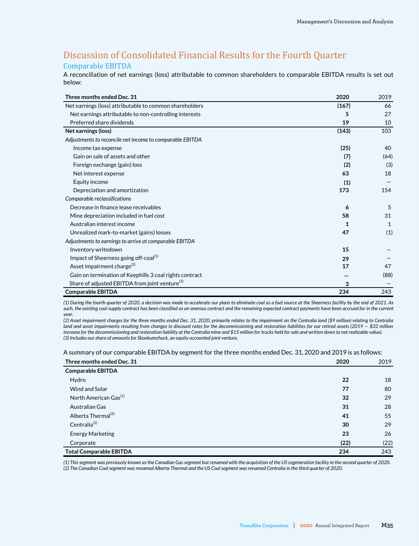# Discussion of Consolidated Financial Results for the Fourth Quarter Comparable EBITDA

A reconciliation of net earnings (loss) attributable to common shareholders to comparable EBITDA results is set out below:

| Three months ended Dec. 31                                 | 2020  | 2019         |
|------------------------------------------------------------|-------|--------------|
| Net earnings (loss) attributable to common shareholders    | (167) | 66           |
| Net earnings attributable to non-controlling interests     | 5     | 27           |
| Preferred share dividends                                  | 19    | 10           |
| Net earnings (loss)                                        | (143) | 103          |
| Adjustments to reconcile net income to comparable EBITDA   |       |              |
| Income tax expense                                         | (25)  | 40           |
| Gain on sale of assets and other                           | (7)   | (64)         |
| Foreign exchange (gain) loss                               | (2)   | (3)          |
| Net interest expense                                       | 63    | 18           |
| Equity income                                              | (1)   |              |
| Depreciation and amortization                              | 173   | 154          |
| Comparable reclassifications                               |       |              |
| Decrease in finance lease receivables                      | 6     | 5            |
| Mine depreciation included in fuel cost                    | 58    | 31           |
| Australian interest income                                 | 1     | $\mathbf{1}$ |
| Unrealized mark-to-market (gains) losses                   | 47    | (1)          |
| Adjustments to earnings to arrive at comparable EBITDA     |       |              |
| Inventory writedown                                        | 15    |              |
| Impact of Sheerness going off-coal <sup>(1)</sup>          | 29    |              |
| Asset impairment charge <sup>(2)</sup>                     | 17    | 47           |
| Gain on termination of Keephills 3 coal rights contract    |       | (88)         |
| Share of adjusted EBITDA from joint venture <sup>(3)</sup> | 3     |              |
| <b>Comparable EBITDA</b>                                   | 234   | 243          |

*(1) During the fourth quarter of 2020, a decision was made to accelerate our plans to eliminate coal as a fuel source at the Sheerness facility by the end of 2021. As*  such, the existing coal supply contract has been classified as an onerous contract and the remaining expected contract payments have been accrued for in the current *year.*

*(2) Asset impairment charges for the three months ended Dec. 31, 2020, primarily relates to the impairment on the Centralia land (\$9 million) relating to Centralia land and asset impairments resulting from changes in discount rates for the decommissioning and restoration liabilities for our retired assets (2019 — \$32 million increase for the decommissioning and restoration liability at the Centralia mine and \$15 million for trucks held for sale and written down to net realizable value). (3) Includes our share of amounts for Skookumchuck, an equity accounted joint venture.*

A summary of our comparable EBITDA by segment for the three months ended Dec. 31, 2020 and 2019 is as follows:

| Three months ended Dec. 31        | 2020 | 2019 |
|-----------------------------------|------|------|
| <b>Comparable EBITDA</b>          |      |      |
| Hydro                             | 22   | 18   |
| Wind and Solar                    | 77   | 80   |
| North American Gas <sup>(1)</sup> | 32   | 29   |
| Australian Gas                    | 31   | 28   |
| Alberta Thermal <sup>(2)</sup>    | 41   | 55   |
| Centralia <sup>(2)</sup>          | 30   | 29   |
| <b>Energy Marketing</b>           | 23   | 26   |
| Corporate                         | (22) | (22) |
| <b>Total Comparable EBITDA</b>    | 234  | 243  |

*(1) This segment was previously known as the Canadian Gas segment but renamed with the acquisition of the US cogeneration facility in the second quarter of 2020. (2) The Canadian Coal segment was renamed Alberta Thermal and the US Coal segment was renamed Centralia in the third quarter of 2020.*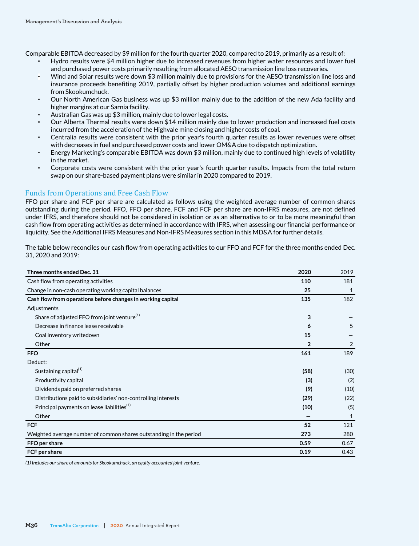Comparable EBITDA decreased by \$9 million for the fourth quarter 2020, compared to 2019, primarily as a result of:

- Hydro results were \$4 million higher due to increased revenues from higher water resources and lower fuel and purchased power costs primarily resulting from allocated AESO transmission line loss recoveries.
- Wind and Solar results were down \$3 million mainly due to provisions for the AESO transmission line loss and insurance proceeds benefiting 2019, partially offset by higher production volumes and additional earnings from Skookumchuck.
- Our North American Gas business was up \$3 million mainly due to the addition of the new Ada facility and higher margins at our Sarnia facility.
- Australian Gas was up \$3 million, mainly due to lower legal costs.
- Our Alberta Thermal results were down \$14 million mainly due to lower production and increased fuel costs incurred from the acceleration of the Highvale mine closing and higher costs of coal.
- Centralia results were consistent with the prior year's fourth quarter results as lower revenues were offset with decreases in fuel and purchased power costs and lower OM&A due to dispatch optimization.
- Energy Marketing's comparable EBITDA was down \$3 million, mainly due to continued high levels of volatility in the market.
- Corporate costs were consistent with the prior year's fourth quarter results. Impacts from the total return swap on our share-based payment plans were similar in 2020 compared to 2019.

## Funds from Operations and Free Cash Flow

FFO per share and FCF per share are calculated as follows using the weighted average number of common shares outstanding during the period. FFO, FFO per share, FCF and FCF per share are non-IFRS measures, are not defined under IFRS, and therefore should not be considered in isolation or as an alternative to or to be more meaningful than cash flow from operating activities as determined in accordance with IFRS, when assessing our financial performance or liquidity. See the Additional IFRS Measures and Non-IFRS Measures section in this MD&A for further details.

The table below reconciles our cash flow from operating activities to our FFO and FCF for the three months ended Dec. 31, 2020 and 2019:

| Three months ended Dec. 31                                         | 2020 | 2019 |
|--------------------------------------------------------------------|------|------|
| Cash flow from operating activities                                | 110  | 181  |
| Change in non-cash operating working capital balances              | 25   | 1    |
| Cash flow from operations before changes in working capital        | 135  | 182  |
| Adjustments                                                        |      |      |
| Share of adjusted FFO from joint venture <sup>(1)</sup>            | 3    |      |
| Decrease in finance lease receivable                               | 6    | 5    |
| Coal inventory writedown                                           | 15   |      |
| Other                                                              | 2    | 2    |
| <b>FFO</b>                                                         | 161  | 189  |
| Deduct:                                                            |      |      |
| Sustaining capital <sup>(1)</sup>                                  | (58) | (30) |
| Productivity capital                                               | (3)  | (2)  |
| Dividends paid on preferred shares                                 | (9)  | (10) |
| Distributions paid to subsidiaries' non-controlling interests      | (29) | (22) |
| Principal payments on lease liabilities <sup>(1)</sup>             | (10) | (5)  |
| Other                                                              |      | 1    |
| <b>FCF</b>                                                         | 52   | 121  |
| Weighted average number of common shares outstanding in the period | 273  | 280  |
| FFO per share                                                      | 0.59 | 0.67 |
| FCF per share                                                      | 0.19 | 0.43 |

*(1) Includes our share of amounts for Skookumchuck, an equity accounted joint venture.*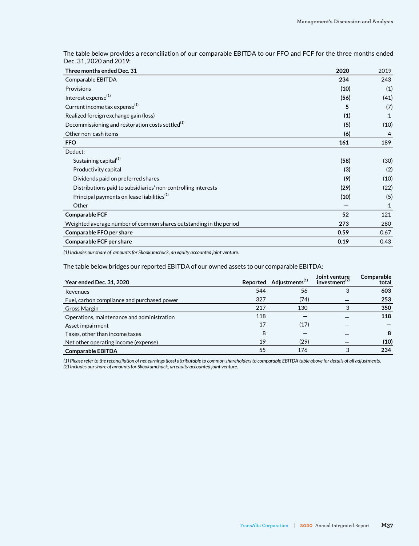The table below provides a reconciliation of our comparable EBITDA to our FFO and FCF for the three months ended Dec. 31, 2020 and 2019:

| Three months ended Dec. 31                                         | 2020 | 2019 |
|--------------------------------------------------------------------|------|------|
| Comparable EBITDA                                                  | 234  | 243  |
| Provisions                                                         | (10) | (1)  |
| Interest expense <sup>(1)</sup>                                    | (56) | (41) |
| Current income tax expense <sup>(1)</sup>                          | 5    | (7)  |
| Realized foreign exchange gain (loss)                              | (1)  | 1    |
| Decommissioning and restoration costs settled <sup>(1)</sup>       | (5)  | (10) |
| Other non-cash items                                               | (6)  | 4    |
| <b>FFO</b>                                                         | 161  | 189  |
| Deduct:                                                            |      |      |
| Sustaining capital <sup>(1)</sup>                                  | (58) | (30) |
| Productivity capital                                               | (3)  | (2)  |
| Dividends paid on preferred shares                                 | (9)  | (10) |
| Distributions paid to subsidiaries' non-controlling interests      | (29) | (22) |
| Principal payments on lease liabilities <sup>(1)</sup>             | (10) | (5)  |
| Other                                                              |      | 1    |
| Comparable FCF                                                     | 52   | 121  |
| Weighted average number of common shares outstanding in the period | 273  | 280  |
| Comparable FFO per share                                           | 0.59 | 0.67 |
| <b>Comparable FCF per share</b>                                    | 0.19 | 0.43 |
|                                                                    |      |      |

*(1) Includes our share of amounts for Skookumchuck, an equity accounted joint venture.*

The table below bridges our reported EBITDA of our owned assets to our comparable EBITDA:

| <b>Year ended Dec. 31, 2020</b>             |     | Reported Adjustments <sup>(1)</sup> | Joint venture<br>investment <sup>(2)</sup> | Comparable<br>total |
|---------------------------------------------|-----|-------------------------------------|--------------------------------------------|---------------------|
| Revenues                                    | 544 | 56                                  | 3                                          | 603                 |
| Fuel, carbon compliance and purchased power | 327 | (74)                                |                                            | 253                 |
| Gross Margin                                | 217 | 130                                 | 3                                          | 350                 |
| Operations, maintenance and administration  | 118 |                                     |                                            | 118                 |
| Asset impairment                            | 17  | (17)                                |                                            |                     |
| Taxes, other than income taxes              | 8   |                                     |                                            | 8                   |
| Net other operating income (expense)        | 19  | (29)                                |                                            | (10)                |
| <b>Comparable EBITDA</b>                    | 55  | 176                                 |                                            | 234                 |

*(1) Please refer to the reconciliation of net earnings (loss) attributable to common shareholders to comparable EBITDA table above for details of all adjustments. (2) Includes our share of amounts for Skookumchuck, an equity accounted joint venture.*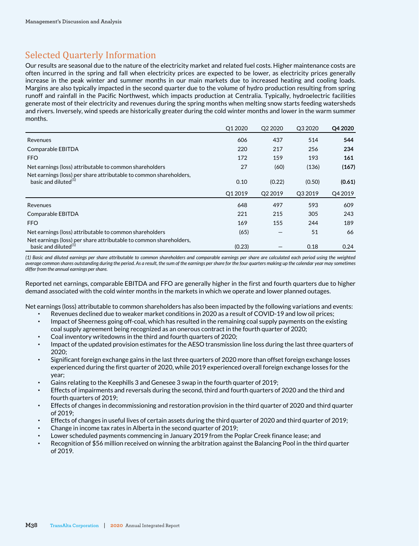# Selected Quarterly Information

Our results are seasonal due to the nature of the electricity market and related fuel costs. Higher maintenance costs are often incurred in the spring and fall when electricity prices are expected to be lower, as electricity prices generally increase in the peak winter and summer months in our main markets due to increased heating and cooling loads. Margins are also typically impacted in the second quarter due to the volume of hydro production resulting from spring runoff and rainfall in the Pacific Northwest, which impacts production at Centralia. Typically, hydroelectric facilities generate most of their electricity and revenues during the spring months when melting snow starts feeding watersheds and rivers. Inversely, wind speeds are historically greater during the cold winter months and lower in the warm summer months.

|                                                                                                        | O1 2020 | O <sub>2</sub> 2020 | O3 2020 | Q4 2020 |
|--------------------------------------------------------------------------------------------------------|---------|---------------------|---------|---------|
| Revenues                                                                                               | 606     | 437                 | 514     | 544     |
| Comparable EBITDA                                                                                      | 220     | 217                 | 256     | 234     |
| <b>FFO</b>                                                                                             | 172     | 159                 | 193     | 161     |
| Net earnings (loss) attributable to common shareholders                                                | 27      | (60)                | (136)   | (167)   |
| Net earnings (loss) per share attributable to common shareholders,<br>basic and diluted $(1)$          | 0.10    | (0.22)              | (0.50)  | (0.61)  |
|                                                                                                        | O1 2019 | O <sub>2</sub> 2019 | O3 2019 | Q4 2019 |
| Revenues                                                                                               | 648     | 497                 | 593     | 609     |
| Comparable EBITDA                                                                                      | 221     | 215                 | 305     | 243     |
| <b>FFO</b>                                                                                             | 169     | 155                 | 244     | 189     |
| Net earnings (loss) attributable to common shareholders                                                | (65)    |                     | 51      | 66      |
| Net earnings (loss) per share attributable to common shareholders,<br>basic and diluted <sup>(1)</sup> | (0.23)  |                     | 0.18    | 0.24    |

*(1) Basic and diluted earnings per share attributable to common shareholders and comparable earnings per share are calculated each period using the weighted average common shares outstanding during the period. As a result, the sum of the earnings per share for the four quarters making up the calendar year may sometimes differ from the annual earnings per share.*

Reported net earnings, comparable EBITDA and FFO are generally higher in the first and fourth quarters due to higher demand associated with the cold winter months in the markets in which we operate and lower planned outages.

Net earnings (loss) attributable to common shareholders has also been impacted by the following variations and events:

- Revenues declined due to weaker market conditions in 2020 as a result of COVID-19 and low oil prices;
- Impact of Sheerness going off-coal, which has resulted in the remaining coal supply payments on the existing coal supply agreement being recognized as an onerous contract in the fourth quarter of 2020;
- Coal inventory writedowns in the third and fourth quarters of 2020;
- Impact of the updated provision estimates for the AESO transmission line loss during the last three quarters of 2020;
- Significant foreign exchange gains in the last three quarters of 2020 more than offset foreign exchange losses experienced during the first quarter of 2020, while 2019 experienced overall foreign exchange losses for the year;
- Gains relating to the Keephills 3 and Genesee 3 swap in the fourth quarter of 2019;
- Effects of impairments and reversals during the second, third and fourth quarters of 2020 and the third and fourth quarters of 2019;
- Effects of changes in decommissioning and restoration provision in the third quarter of 2020 and third quarter of 2019;
- Effects of changes in useful lives of certain assets during the third quarter of 2020 and third quarter of 2019;
- Change in income tax rates in Alberta in the second quarter of 2019;
- Lower scheduled payments commencing in January 2019 from the Poplar Creek finance lease; and
- Recognition of \$56 million received on winning the arbitration against the Balancing Pool in the third quarter of 2019.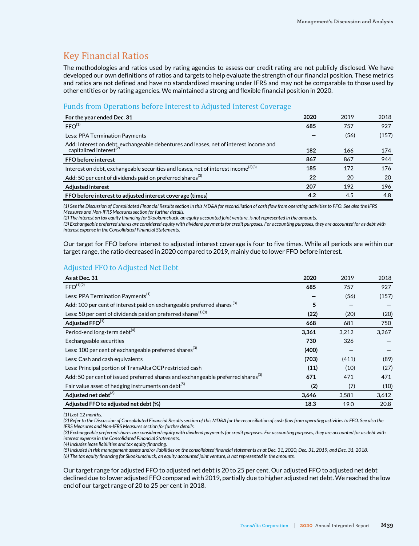# Key Financial Ratios

The methodologies and ratios used by rating agencies to assess our credit rating are not publicly disclosed. We have developed our own definitions of ratios and targets to help evaluate the strength of our financial position. These metrics and ratios are not defined and have no standardized meaning under IFRS and may not be comparable to those used by other entities or by rating agencies. We maintained a strong and flexible financial position in 2020.

## Funds from Operations before Interest to Adjusted Interest Coverage

| For the year ended Dec. 31                                                                                                | 2020 | 2019 | 2018  |
|---------------------------------------------------------------------------------------------------------------------------|------|------|-------|
| FFO <sup>(1)</sup>                                                                                                        | 685  | 757  | 927   |
| Less: PPA Termination Payments                                                                                            |      | (56) | (157) |
| Add: Interest on debt, exchangeable debentures and leases, net of interest income and capitalized interest <sup>(2)</sup> | 182  | 166  | 174   |
| <b>FFO before interest</b>                                                                                                | 867  | 867  | 944   |
| Interest on debt, exchangeable securities and leases, net of interest income <sup>(2)(3)</sup>                            | 185  | 172  | 176   |
| Add: 50 per cent of dividends paid on preferred shares <sup>(3)</sup>                                                     | 22   | 20   | 20    |
| <b>Adjusted interest</b>                                                                                                  | 207  | 192  | 196   |
| FFO before interest to adjusted interest coverage (times)                                                                 | 4.2  | 4.5  | 4.8   |

*(1) See the Discussion of Consolidated Financial Results section in this MD&A for reconciliation of cash flow from operating activities to FFO. See also the IFRS Measures and Non-IFRS Measures section for further details.*

*(2) The interest on tax equity financing for Skookumchuck, an equity accounted joint venture, is not represented in the amounts.*

*(3) Exchangeable preferred shares are considered equity with dividend payments for credit purposes. For accounting purposes, they are accounted for as debt with interest expense in the Consolidated Financial Statements.* 

Our target for FFO before interest to adjusted interest coverage is four to five times. While all periods are within our target range, the ratio decreased in 2020 compared to 2019, mainly due to lower FFO before interest.

## Adjusted FFO to Adjusted Net Debt

| As at Dec. 31                                                                                | 2020  | 2019  | 2018  |
|----------------------------------------------------------------------------------------------|-------|-------|-------|
| FFO <sup>(1)(2)</sup>                                                                        | 685   | 757   | 927   |
| Less: PPA Termination Payments <sup>(1)</sup>                                                |       | (56)  | (157) |
| Add: 100 per cent of interest paid on exchangeable preferred shares <sup>(3)</sup>           | 5     |       |       |
| Less: 50 per cent of dividends paid on preferred shares <sup>(1)(3)</sup>                    | (22)  | (20)  | (20)  |
| Adjusted FFO <sup>(1)</sup>                                                                  | 668   | 681   | 750   |
| Period-end long-term debt <sup>(4)</sup>                                                     | 3,361 | 3,212 | 3,267 |
| Exchangeable securities                                                                      | 730   | 326   |       |
| Less: 100 per cent of exchangeable preferred shares <sup>(3)</sup>                           | (400) |       |       |
| Less: Cash and cash equivalents                                                              | (703) | (411) | (89)  |
| Less: Principal portion of TransAlta OCP restricted cash                                     | (11)  | (10)  | (27)  |
| Add: 50 per cent of issued preferred shares and exchangeable preferred shares <sup>(3)</sup> | 671   | 471   | 471   |
| Fair value asset of hedging instruments on debt <sup>(5)</sup>                               | (2)   | (7)   | (10)  |
| Adjusted net debt <sup>(6)</sup>                                                             | 3,646 | 3,581 | 3,612 |
| Adjusted FFO to adjusted net debt (%)                                                        | 18.3  | 19.0  | 20.8  |

*(1) Last 12 months.*

*(2) Refer to the Discussion of Consolidated Financial Results section of this MD&A for the reconciliation of cash flow from operating activities to FFO. See also the IFRS Measures and Non-IFRS Measures section for further details.*

*(3) Exchangeable preferred shares are considered equity with dividend payments for credit purposes. For accounting purposes, they are accounted for as debt with interest expense in the Consolidated Financial Statements.* 

*(4) Includes lease liabilities and tax equity financing.*

*(5) Included in risk management assets and/or liabilities on the consolidated financial statements as at Dec. 31, 2020, Dec. 31, 2019, and Dec. 31, 2018. (6) The tax equity financing for Skookumchuck, an equity accounted joint venture, is not represented in the amounts.*

Our target range for adjusted FFO to adjusted net debt is 20 to 25 per cent. Our adjusted FFO to adjusted net debt declined due to lower adjusted FFO compared with 2019, partially due to higher adjusted net debt. We reached the low end of our target range of 20 to 25 per cent in 2018.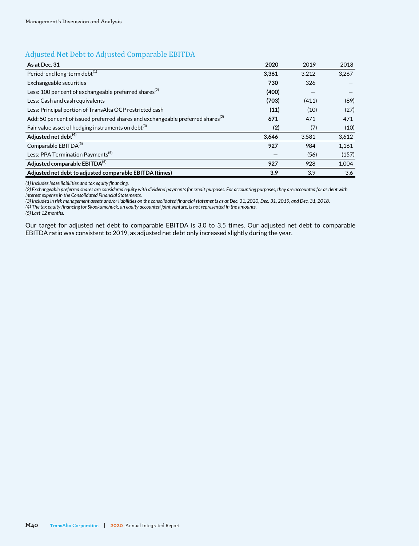# Adjusted Net Debt to Adjusted Comparable EBITDA

| As at Dec. 31                                                                                | 2020  | 2019  | 2018  |
|----------------------------------------------------------------------------------------------|-------|-------|-------|
| Period-end long-term debt <sup>(1)</sup>                                                     | 3,361 | 3,212 | 3,267 |
| Exchangeable securities                                                                      | 730   | 326   |       |
| Less: 100 per cent of exchangeable preferred shares <sup>(2)</sup>                           | (400) |       |       |
| Less: Cash and cash equivalents                                                              | (703) | (411) | (89)  |
| Less: Principal portion of TransAlta OCP restricted cash                                     | (11)  | (10)  | (27)  |
| Add: 50 per cent of issued preferred shares and exchangeable preferred shares <sup>(2)</sup> | 671   | 471   | 471   |
| Fair value asset of hedging instruments on debt <sup>(3)</sup>                               | (2)   | (7)   | (10)  |
| Adjusted net debt <sup>(4)</sup>                                                             | 3,646 | 3,581 | 3,612 |
| Comparable EBITDA <sup>(5)</sup>                                                             | 927   | 984   | 1,161 |
| Less: PPA Termination Payments <sup>(5)</sup>                                                |       | (56)  | (157) |
| Adjusted comparable EBITDA(5)                                                                | 927   | 928   | 1,004 |
| Adjusted net debt to adjusted comparable EBITDA (times)                                      | 3.9   | 3.9   | 3.6   |

*(1) Includes lease liabilities and tax equity financing.*

*(2) Exchangeable preferred shares are considered equity with dividend payments for credit purposes. For accounting purposes, they are accounted for as debt with interest expense in the Consolidated Financial Statements.* 

*(3) Included in risk management assets and/or liabilities on the consolidated financial statements as at Dec. 31, 2020, Dec. 31, 2019, and Dec. 31, 2018.*

*(4) The tax equity financing for Skookumchuck, an equity accounted joint venture, is not represented in the amounts.*

*(5) Last 12 months.* 

Our target for adjusted net debt to comparable EBITDA is 3.0 to 3.5 times. Our adjusted net debt to comparable EBITDA ratio was consistent to 2019, as adjusted net debt only increased slightly during the year.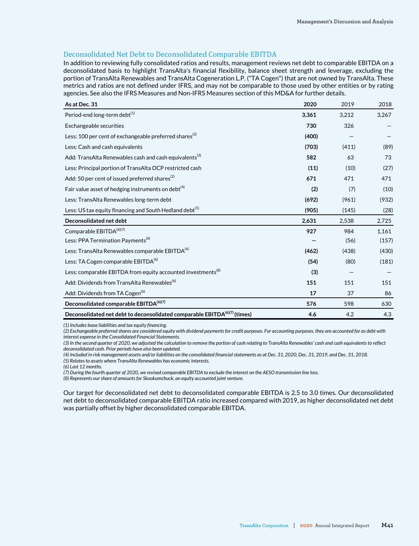## Deconsolidated Net Debt to Deconsolidated Comparable EBITDA

In addition to reviewing fully consolidated ratios and results, management reviews net debt to comparable EBITDA on a deconsolidated basis to highlight TransAlta's financial flexibility, balance sheet strength and leverage, excluding the portion of TransAlta Renewables and TransAlta Cogeneration L.P. ("TA Cogen") that are not owned by TransAlta. These metrics and ratios are not defined under IFRS, and may not be comparable to those used by other entities or by rating agencies. See also the IFRS Measures and Non-IFRS Measures section of this MD&A for further details.

| As at Dec. 31                                                                   | 2020  | 2019  | 2018  |
|---------------------------------------------------------------------------------|-------|-------|-------|
| Period-end long-term debt <sup>(1)</sup>                                        | 3,361 | 3,212 | 3,267 |
| Exchangeable securities                                                         | 730   | 326   |       |
| Less: 100 per cent of exchangeable preferred shares <sup>(2)</sup>              | (400) |       |       |
| Less: Cash and cash equivalents                                                 | (703) | (411) | (89)  |
| Add: TransAlta Renewables cash and cash equivalents <sup>(3)</sup>              | 582   | 63    | 73    |
| Less: Principal portion of TransAlta OCP restricted cash                        | (11)  | (10)  | (27)  |
| Add: 50 per cent of issued preferred shares <sup>(2)</sup>                      | 671   | 471   | 471   |
| Fair value asset of hedging instruments on debt <sup>(4)</sup>                  | (2)   | (7)   | (10)  |
| Less: TransAlta Renewables long-term debt                                       | (692) | (961) | (932) |
| Less: US tax equity financing and South Hedland debt <sup>(5)</sup>             | (905) | (145) | (28)  |
| Deconsolidated net debt                                                         | 2,631 | 2,538 | 2,725 |
| Comparable EBITDA <sup>(6)(7)</sup>                                             | 927   | 984   | 1,161 |
| Less: PPA Termination Payments <sup>(6)</sup>                                   |       | (56)  | (157) |
| Less: TransAlta Renewables comparable EBITDA <sup>(6)</sup>                     | (462) | (438) | (430) |
| Less: TA Cogen comparable EBITDA <sup>(6)</sup>                                 | (54)  | (80)  | (181) |
| Less: comparable EBITDA from equity accounted investments <sup>(8)</sup>        | (3)   |       |       |
| Add: Dividends from TransAlta Renewables <sup>(6)</sup>                         | 151   | 151   | 151   |
| Add: Dividends from TA Cogen <sup>(6)</sup>                                     | 17    | 37    | 86    |
| Deconsolidated comparable EBITDA <sup>(6)(7)</sup>                              | 576   | 598   | 630   |
| Deconsolidated net debt to deconsolidated comparable EBITDA $^{(6)(7)}$ (times) | 4.6   | 4.2   | 4.3   |

*(1) Includes lease liabilities and tax equity financing.*

*(2) Exchangeable preferred shares are considered equity with dividend payments for credit purposes. For accounting purposes, they are accounted for as debt with interest expense in the Consolidated Financial Statements.* 

*(3) In the second quarter of 2020, we adjusted the calculation to remove the portion of cash relating to TransAlta Renewables' cash and cash equivalents to reflect deconsolidated cash. Prior periods have also been updated.*

*(4) Included in risk management assets and/or liabilities on the consolidated financial statements as at Dec. 31, 2020, Dec. 31, 2019, and Dec. 31, 2018.*

*(5) Relates to assets where TransAlta Renewables has economic interests.*

*(6) Last 12 months.* 

*(7) During the fourth quarter of 2020, we revised comparable EBITDA to exclude the interest on the AESO transmission line loss.* 

*(8) Represents our share of amounts for Skookumchuck, an equity accounted joint venture.*

Our target for deconsolidated net debt to deconsolidated comparable EBITDA is 2.5 to 3.0 times. Our deconsolidated net debt to deconsolidated comparable EBITDA ratio increased compared with 2019, as higher deconsolidated net debt was partially offset by higher deconsolidated comparable EBITDA.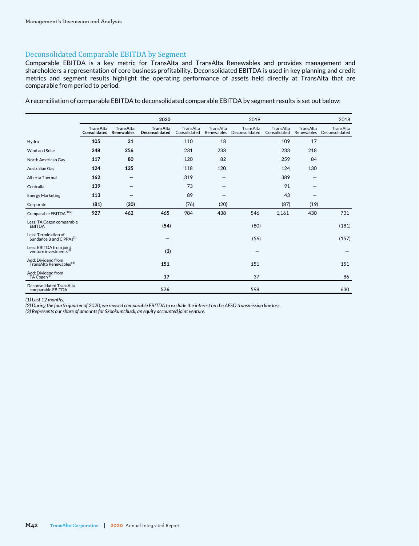## Deconsolidated Comparable EBITDA by Segment

Comparable EBITDA is a key metric for TransAlta and TransAlta Renewables and provides management and shareholders a representation of core business profitability. Deconsolidated EBITDA is used in key planning and credit metrics and segment results highlight the operating performance of assets held directly at TransAlta that are comparable from period to period.

| A reconciliation of comparable EBITDA to deconsolidated comparable EBITDA by segment results is set out below: |  |
|----------------------------------------------------------------------------------------------------------------|--|
|----------------------------------------------------------------------------------------------------------------|--|

|                                                               |                                  |                                       | 2020                               |                           |                         | 2019                        |                           |                         | 2018                        |
|---------------------------------------------------------------|----------------------------------|---------------------------------------|------------------------------------|---------------------------|-------------------------|-----------------------------|---------------------------|-------------------------|-----------------------------|
|                                                               | <b>TransAlta</b><br>Consolidated | <b>TransAlta</b><br><b>Renewables</b> | <b>TransAlta</b><br>Deconsolidated | TransAlta<br>Consolidated | TransAlta<br>Renewables | TransAlta<br>Deconsolidated | TransAlta<br>Consolidated | TransAlta<br>Renewables | TransAlta<br>Deconsolidated |
| Hydro                                                         | 105                              | 21                                    |                                    | 110                       | 18                      |                             | 109                       | 17                      |                             |
| Wind and Solar                                                | 248                              | 256                                   |                                    | 231                       | 238                     |                             | 233                       | 218                     |                             |
| North American Gas                                            | 117                              | 80                                    |                                    | 120                       | 82                      |                             | 259                       | 84                      |                             |
| Australian Gas                                                | 124                              | 125                                   |                                    | 118                       | 120                     |                             | 124                       | 130                     |                             |
| Alberta Thermal                                               | 162                              |                                       |                                    | 319                       |                         |                             | 389                       |                         |                             |
| Centralia                                                     | 139                              |                                       |                                    | 73                        |                         |                             | 91                        |                         |                             |
| <b>Energy Marketing</b>                                       | 113                              |                                       |                                    | 89                        |                         |                             | 43                        |                         |                             |
| Corporate                                                     | (81)                             | (20)                                  |                                    | (76)                      | (20)                    |                             | (87)                      | (19)                    |                             |
| Comparable EBITDA <sup>(1)(2)</sup>                           | 927                              | 462                                   | 465                                | 984                       | 438                     | 546                         | 1,161                     | 430                     | 731                         |
| Less: TA Cogen comparable<br><b>EBITDA</b>                    |                                  |                                       | (54)                               |                           |                         | (80)                        |                           |                         | (181)                       |
| Less: Termination of<br>Sundance B and C PPAs <sup>(1)</sup>  |                                  |                                       |                                    |                           |                         | (56)                        |                           |                         | (157)                       |
| Less: EBITDA from joint<br>venture investments <sup>(3)</sup> |                                  |                                       | (3)                                |                           |                         |                             |                           |                         |                             |
| Add: Dividend from<br>TransAlta Renewables <sup>((1)</sup>    |                                  |                                       | 151                                |                           |                         | 151                         |                           |                         | 151                         |
| Add: Dividend from<br>TA Cogen <sup>(1)</sup>                 |                                  |                                       | 17                                 |                           |                         | 37                          |                           |                         | 86                          |
| Deconsolidated TransAlta<br>comparable EBITDA                 |                                  |                                       | 576                                |                           |                         | 598                         |                           |                         | 630                         |

*(1) Last 12 months.* 

*(2) During the fourth quarter of 2020, we revised comparable EBITDA to exclude the interest on the AESO transmission line loss.*

*(3) Represents our share of amounts for Skookumchuck, an equity accounted joint venture.*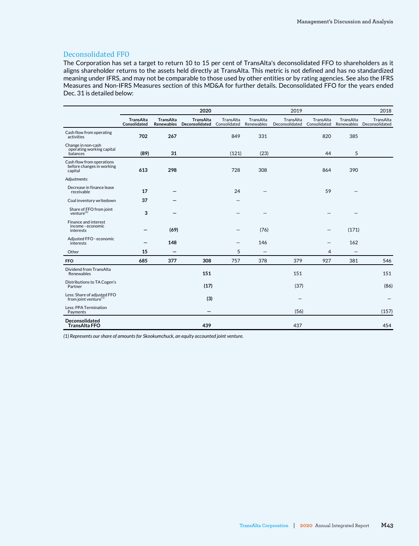## Deconsolidated FFO

The Corporation has set a target to return 10 to 15 per cent of TransAlta's deconsolidated FFO to shareholders as it aligns shareholder returns to the assets held directly at TransAlta. This metric is not defined and has no standardized meaning under IFRS, and may not be comparable to those used by other entities or by rating agencies. See also the IFRS Measures and Non-IFRS Measures section of this MD&A for further details. Deconsolidated FFO for the years ended Dec. 31 is detailed below:

|                                                                   | 2020                      |                                |                                    | 2019                      |                          |                             |                           | 2018                    |                             |
|-------------------------------------------------------------------|---------------------------|--------------------------------|------------------------------------|---------------------------|--------------------------|-----------------------------|---------------------------|-------------------------|-----------------------------|
|                                                                   | TransAlta<br>Consolidated | TransAlta<br><b>Renewables</b> | <b>TransAlta</b><br>Deconsolidated | TransAlta<br>Consolidated | TransAlta<br>Renewables  | TransAlta<br>Deconsolidated | TransAlta<br>Consolidated | TransAlta<br>Renewables | TransAlta<br>Deconsolidated |
| Cash flow from operating<br>activities                            | 702                       | 267                            |                                    | 849                       | 331                      |                             | 820                       | 385                     |                             |
| Change in non-cash<br>operating working capital<br>balances       | (89)                      | 31                             |                                    | (121)                     | (23)                     |                             | 44                        | 5                       |                             |
| Cash flow from operations<br>before changes in working<br>capital | 613                       | 298                            |                                    | 728                       | 308                      |                             | 864                       | 390                     |                             |
| Adjustments:                                                      |                           |                                |                                    |                           |                          |                             |                           |                         |                             |
| Decrease in finance lease<br>receivable                           | 17                        |                                |                                    | 24                        |                          |                             | 59                        |                         |                             |
| Coal inventory writedown                                          | 37                        |                                |                                    |                           |                          |                             |                           |                         |                             |
| Share of FFO from joint<br>venture $^{(1)}$                       | 3                         |                                |                                    |                           |                          |                             |                           |                         |                             |
| Finance and interest<br>income - economic<br>interests            |                           | (69)                           |                                    |                           | (76)                     |                             |                           | (171)                   |                             |
| Adjusted FFO - economic<br>interests                              |                           | 148                            |                                    |                           | 146                      |                             |                           | 162                     |                             |
| Other                                                             | 15                        |                                |                                    | 5                         | $\overline{\phantom{0}}$ |                             | 4                         |                         |                             |
| <b>FFO</b>                                                        | 685                       | 377                            | 308                                | 757                       | 378                      | 379                         | 927                       | 381                     | 546                         |
| Dividend from TransAlta<br>Renewables                             |                           |                                | 151                                |                           |                          | 151                         |                           |                         | 151                         |
| Distributions to TA Cogen's<br>Partner                            |                           |                                | (17)                               |                           |                          | (37)                        |                           |                         | (86)                        |
| Less: Share of adjusted FFO<br>from joint venture <sup>(1)</sup>  |                           |                                | (3)                                |                           |                          |                             |                           |                         |                             |
| Less: PPA Termination<br>Payments                                 |                           |                                | -                                  |                           |                          | (56)                        |                           |                         | (157)                       |
| Deconsolidated<br><b>TransAlta FFO</b>                            |                           |                                | 439                                |                           |                          | 437                         |                           |                         | 454                         |

*(1) Represents our share of amounts for Skookumchuck, an equity accounted joint venture.*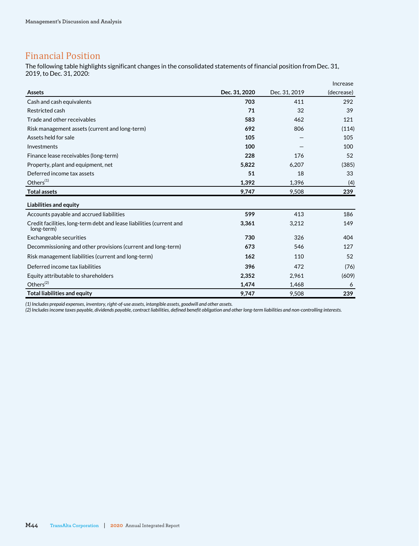# Financial Position

The following table highlights significant changes in the consolidated statements of financial position from Dec. 31, 2019, to Dec. 31, 2020:

|                                                                                    |               |               | Increase   |
|------------------------------------------------------------------------------------|---------------|---------------|------------|
| <b>Assets</b>                                                                      | Dec. 31, 2020 | Dec. 31, 2019 | (decrease) |
| Cash and cash equivalents                                                          | 703           | 411           | 292        |
| Restricted cash                                                                    | 71            | 32            | 39         |
| Trade and other receivables                                                        | 583           | 462           | 121        |
| Risk management assets (current and long-term)                                     | 692           | 806           | (114)      |
| Assets held for sale                                                               | 105           |               | 105        |
| Investments                                                                        | 100           |               | 100        |
| Finance lease receivables (long-term)                                              | 228           | 176           | 52         |
| Property, plant and equipment, net                                                 | 5,822         | 6,207         | (385)      |
| Deferred income tax assets                                                         | 51            | 18            | 33         |
| Others <sup>(1)</sup>                                                              | 1,392         | 1,396         | (4)        |
| <b>Total assets</b>                                                                | 9,747         | 9.508         | 239        |
| Liabilities and equity                                                             |               |               |            |
| Accounts payable and accrued liabilities                                           | 599           | 413           | 186        |
| Credit facilities, long-term debt and lease liabilities (current and<br>long-term) | 3,361         | 3,212         | 149        |
| Exchangeable securities                                                            | 730           | 326           | 404        |
| Decommissioning and other provisions (current and long-term)                       | 673           | 546           | 127        |
| Risk management liabilities (current and long-term)                                | 162           | 110           | 52         |
| Deferred income tax liabilities                                                    | 396           | 472           | (76)       |
| Equity attributable to shareholders                                                | 2,352         | 2,961         | (609)      |
| Others $(2)$                                                                       | 1.474         | 1,468         | 6          |
| <b>Total liabilities and equity</b>                                                | 9,747         | 9,508         | 239        |

*(1) Includes prepaid expenses, inventory, right-of-use assets, intangible assets, goodwill and other assets.*

*(2) Includes income taxes payable, dividends payable, contract liabilities, defined benefit obligation and other long-term liabilities and non-controlling interests.*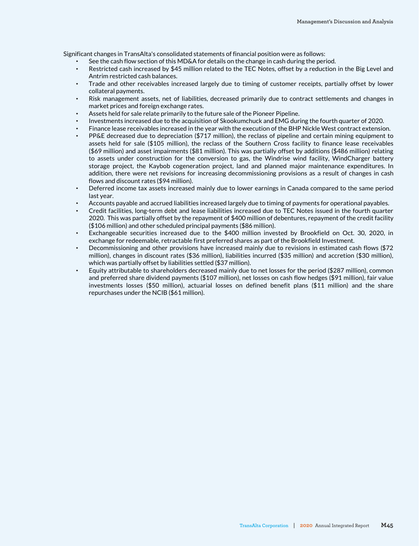Significant changes in TransAlta's consolidated statements of financial position were as follows:

- See the cash flow section of this MD&A for details on the change in cash during the period.
- Restricted cash increased by \$45 million related to the TEC Notes, offset by a reduction in the Big Level and Antrim restricted cash balances.
- Trade and other receivables increased largely due to timing of customer receipts, partially offset by lower collateral payments.
- Risk management assets, net of liabilities, decreased primarily due to contract settlements and changes in market prices and foreign exchange rates.
- Assets held for sale relate primarily to the future sale of the Pioneer Pipeline.
- Investments increased due to the acquisition of Skookumchuck and EMG during the fourth quarter of 2020.
- Finance lease receivables increased in the year with the execution of the BHP Nickle West contract extension.
- PP&E decreased due to depreciation (\$717 million), the reclass of pipeline and certain mining equipment to assets held for sale (\$105 million), the reclass of the Southern Cross facility to finance lease receivables (\$69 million) and asset impairments (\$81 million). This was partially offset by additions (\$486 million) relating to assets under construction for the conversion to gas, the Windrise wind facility, WindCharger battery storage project, the Kaybob cogeneration project, land and planned major maintenance expenditures. In addition, there were net revisions for increasing decommissioning provisions as a result of changes in cash flows and discount rates (\$94 million).
- Deferred income tax assets increased mainly due to lower earnings in Canada compared to the same period last year.
- Accounts payable and accrued liabilities increased largely due to timing of payments for operational payables.
- Credit facilities, long-term debt and lease liabilities increased due to TEC Notes issued in the fourth quarter 2020. This was partially offset by the repayment of \$400 million of debentures, repayment of the credit facility (\$106 million) and other scheduled principal payments (\$86 million).
- Exchangeable securities increased due to the \$400 million invested by Brookfield on Oct. 30, 2020, in exchange for redeemable, retractable first preferred shares as part of the Brookfield Investment.
- Decommissioning and other provisions have increased mainly due to revisions in estimated cash flows (\$72 million), changes in discount rates (\$36 million), liabilities incurred (\$35 million) and accretion (\$30 million), which was partially offset by liabilities settled (\$37 million).
- Equity attributable to shareholders decreased mainly due to net losses for the period (\$287 million), common and preferred share dividend payments (\$107 million), net losses on cash flow hedges (\$91 million), fair value investments losses (\$50 million), actuarial losses on defined benefit plans (\$11 million) and the share repurchases under the NCIB (\$61 million).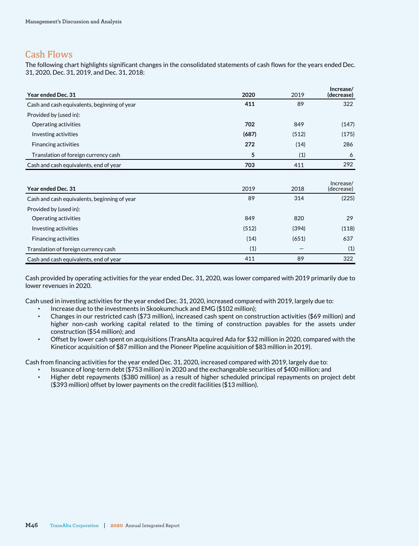# Cash Flows

The following chart highlights significant changes in the consolidated statements of cash flows for the years ended Dec. 31, 2020, Dec. 31, 2019, and Dec. 31, 2018:

| Year ended Dec. 31                           | 2020  | 2019  | Increase/<br>(decrease) |
|----------------------------------------------|-------|-------|-------------------------|
| Cash and cash equivalents, beginning of year | 411   | 89    | 322                     |
| Provided by (used in):                       |       |       |                         |
| Operating activities                         | 702   | 849   | (147)                   |
| Investing activities                         | (687) | (512) | (175)                   |
| <b>Financing activities</b>                  | 272   | (14)  | 286                     |
| Translation of foreign currency cash         | 5     | (1)   | 6                       |
| Cash and cash equivalents, end of year       | 703   | 411   | 292                     |
|                                              |       |       |                         |
| Year ended Dec. 31                           | 2019  | 2018  | Increase/<br>(decrease) |
| Cash and cash equivalents, beginning of year | 89    | 314   | (225)                   |
| Provided by (used in):                       |       |       |                         |
| Operating activities                         | 849   | 820   | 29                      |
| Investing activities                         | (512) | (394) | (118)                   |
| <b>Financing activities</b>                  | (14)  | (651) | 637                     |
| Translation of foreign currency cash         | (1)   |       | (1)                     |
| Cash and cash equivalents, end of year       | 411   | 89    | 322                     |

Cash provided by operating activities for the year ended Dec. 31, 2020, was lower compared with 2019 primarily due to lower revenues in 2020.

Cash used in investing activities for the year ended Dec. 31, 2020, increased compared with 2019, largely due to:

- Increase due to the investments in Skookumchuck and EMG (\$102 million);
- Changes in our restricted cash (\$73 million), increased cash spent on construction activities (\$69 million) and higher non-cash working capital related to the timing of construction payables for the assets under construction (\$54 million); and
- Offset by lower cash spent on acquisitions (TransAlta acquired Ada for \$32 million in 2020, compared with the Kineticor acquisition of \$87 million and the Pioneer Pipeline acquisition of \$83 million in 2019).

Cash from financing activities for the year ended Dec. 31, 2020, increased compared with 2019, largely due to:

- Issuance of long-term debt (\$753 million) in 2020 and the exchangeable securities of \$400 million; and
- Higher debt repayments (\$380 million) as a result of higher scheduled principal repayments on project debt (\$393 million) offset by lower payments on the credit facilities (\$13 million).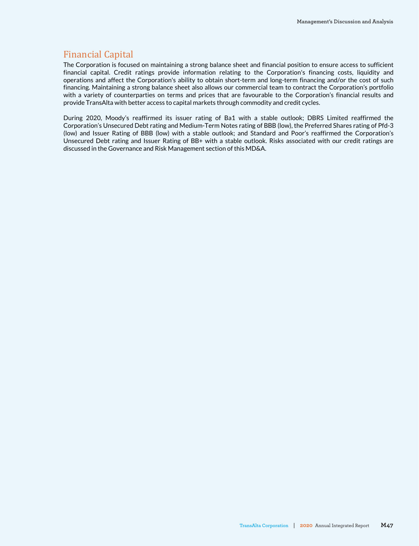# Financial Capital

The Corporation is focused on maintaining a strong balance sheet and financial position to ensure access to sufficient financial capital. Credit ratings provide information relating to the Corporation's financing costs, liquidity and operations and affect the Corporation's ability to obtain short-term and long-term financing and/or the cost of such financing. Maintaining a strong balance sheet also allows our commercial team to contract the Corporation's portfolio with a variety of counterparties on terms and prices that are favourable to the Corporation's financial results and provide TransAlta with better access to capital markets through commodity and credit cycles.

During 2020, Moody's reaffirmed its issuer rating of Ba1 with a stable outlook; DBRS Limited reaffirmed the Corporation's Unsecured Debt rating and Medium-Term Notes rating of BBB (low), the Preferred Shares rating of Pfd-3 (low) and Issuer Rating of BBB (low) with a stable outlook; and Standard and Poor's reaffirmed the Corporation's Unsecured Debt rating and Issuer Rating of BB+ with a stable outlook. Risks associated with our credit ratings are discussed in the Governance and Risk Management section of this MD&A.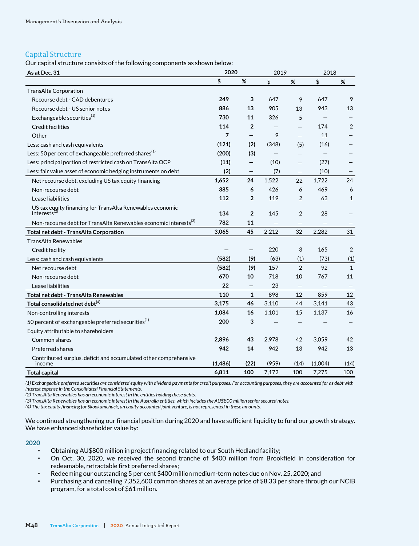## Capital Structure

Our capital structure consists of the following components as shown below:

| As at Dec. 31                                                                       | 2020           |                          | 2019  |                          | 2018    |              |
|-------------------------------------------------------------------------------------|----------------|--------------------------|-------|--------------------------|---------|--------------|
|                                                                                     | \$             | %                        | \$    | $\%$                     | \$      | %            |
| <b>TransAlta Corporation</b>                                                        |                |                          |       |                          |         |              |
| Recourse debt - CAD debentures                                                      | 249            | 3                        | 647   | 9                        | 647     | 9            |
| Recourse debt - US senior notes                                                     | 886            | 13                       | 905   | 13                       | 943     | 13           |
| Exchangeable securities <sup>(1)</sup>                                              | 730            | 11                       | 326   | 5                        |         |              |
| <b>Credit facilities</b>                                                            | 114            | $\overline{2}$           |       |                          | 174     | 2            |
| Other                                                                               | $\overline{7}$ | $\qquad \qquad -$        | 9     | $\overline{\phantom{0}}$ | 11      |              |
| Less: cash and cash equivalents                                                     | (121)          | (2)                      | (348) | (5)                      | (16)    |              |
| Less: 50 per cent of exchangeable preferred shares <sup>(1)</sup>                   | (200)          | (3)                      |       |                          |         |              |
| Less: principal portion of restricted cash on TransAlta OCP                         | (11)           | —                        | (10)  |                          | (27)    |              |
| Less: fair value asset of economic hedging instruments on debt                      | (2)            | $\qquad \qquad -$        | (7)   |                          | (10)    |              |
| Net recourse debt, excluding US tax equity financing                                | 1,652          | 24                       | 1,522 | 22                       | 1,722   | 24           |
| Non-recourse debt                                                                   | 385            | 6                        | 426   | 6                        | 469     | 6            |
| Lease liabilities                                                                   | 112            | $\overline{2}$           | 119   | 2                        | 63      | $\mathbf{1}$ |
| US tax equity financing for TransAlta Renewables economic<br>interests <sup>(</sup> | 134            | $\overline{2}$           | 145   | $\overline{2}$           | 28      |              |
| Non-recourse debt for TransAlta Renewables economic interests <sup>(3)</sup>        | 782            | 11                       |       |                          |         |              |
| Total net debt - TransAlta Corporation                                              | 3,065          | 45                       | 2,212 | 32                       | 2,282   | 31           |
| <b>TransAlta Renewables</b>                                                         |                |                          |       |                          |         |              |
| Credit facility                                                                     |                |                          | 220   | 3                        | 165     | 2            |
| Less: cash and cash equivalents                                                     | (582)          | (9)                      | (63)  | (1)                      | (73)    | (1)          |
| Net recourse debt                                                                   | (582)          | (9)                      | 157   | 2                        | 92      | $\mathbf{1}$ |
| Non-recourse debt                                                                   | 670            | 10                       | 718   | 10                       | 767     | 11           |
| Lease liabilities                                                                   | 22             | $\overline{\phantom{0}}$ | 23    |                          |         |              |
| Total net debt - TransAlta Renewables                                               | 110            | $\mathbf{1}$             | 898   | 12                       | 859     | 12           |
| Total consolidated net debt <sup>(4)</sup>                                          | 3,175          | 46                       | 3,110 | 44                       | 3,141   | 43           |
| Non-controlling interests                                                           | 1,084          | 16                       | 1,101 | 15                       | 1,137   | 16           |
| 50 percent of exchangeable preferred securities <sup>(1)</sup>                      | 200            | 3                        |       |                          |         |              |
| Equity attributable to shareholders                                                 |                |                          |       |                          |         |              |
| Common shares                                                                       | 2,896          | 43                       | 2,978 | 42                       | 3,059   | 42           |
| Preferred shares                                                                    | 942            | 14                       | 942   | 13                       | 942     | 13           |
| Contributed surplus, deficit and accumulated other comprehensive<br>income          | (1,486)        | (22)                     | (959) | (14)                     | (1,004) | (14)         |
| <b>Total capital</b>                                                                | 6,811          | 100                      | 7,172 | 100                      | 7,275   | 100          |

*(1) Exchangeable preferred securities are considered equity with dividend payments for credit purposes. For accounting purposes, they are accounted for as debt with interest expense in the Consolidated Financial Statements.* 

*(2) TransAlta Renewables has an economic interest in the entities holding these debts.*

*(3) TransAlta Renewables has an economic interest in the Australia entities, which includes the AU\$800 million senior secured notes.*

*(4) The tax equity financing for Skookumchuck, an equity accounted joint venture, is not represented in these amounts.*

We continued strengthening our financial position during 2020 and have sufficient liquidity to fund our growth strategy. We have enhanced shareholder value by:

## **2020**

- Obtaining AU\$800 million in project financing related to our South Hedland facility;
- On Oct. 30, 2020, we received the second tranche of \$400 million from Brookfield in consideration for redeemable, retractable first preferred shares;
- Redeeming our outstanding 5 per cent \$400 million medium-term notes due on Nov. 25, 2020; and
- Purchasing and cancelling 7,352,600 common shares at an average price of \$8.33 per share through our NCIB program, for a total cost of \$61 million.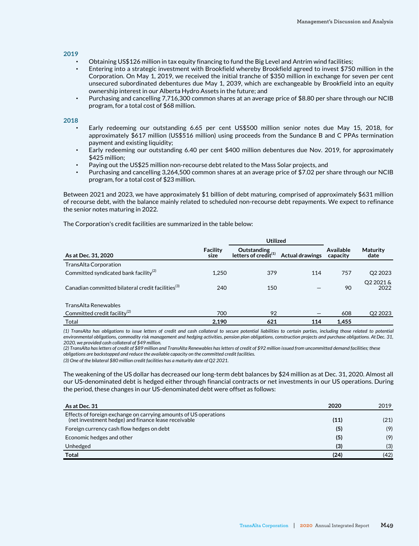## **2019**

- Obtaining US\$126 million in tax equity financing to fund the Big Level and Antrim wind facilities;
- Entering into a strategic investment with Brookfield whereby Brookfield agreed to invest \$750 million in the Corporation. On May 1, 2019, we received the initial tranche of \$350 million in exchange for seven per cent unsecured subordinated debentures due May 1, 2039, which are exchangeable by Brookfield into an equity ownership interest in our Alberta Hydro Assets in the future; and
- Purchasing and cancelling 7,716,300 common shares at an average price of \$8.80 per share through our NCIB program, for a total cost of \$68 million.

#### **2018**

- Early redeeming our outstanding 6.65 per cent US\$500 million senior notes due May 15, 2018, for approximately \$617 million (US\$516 million) using proceeds from the Sundance B and C PPAs termination payment and existing liquidity;
- Early redeeming our outstanding 6.40 per cent \$400 million debentures due Nov. 2019, for approximately \$425 million;
- Paying out the US\$25 million non-recourse debt related to the Mass Solar projects, and
- Purchasing and cancelling 3,264,500 common shares at an average price of \$7.02 per share through our NCIB program, for a total cost of \$23 million.

Between 2021 and 2023, we have approximately \$1 billion of debt maturing, comprised of approximately \$631 million of recourse debt, with the balance mainly related to scheduled non-recourse debt repayments. We expect to refinance the senior notes maturing in 2022.

The Corporation's credit facilities are summarized in the table below:

|                                                               |                  | <b>Utilized</b>                           |                        |                              |                         |
|---------------------------------------------------------------|------------------|-------------------------------------------|------------------------|------------------------------|-------------------------|
| As at Dec. 31, 2020                                           | Facility<br>size | Outstanding<br>letters of credit $^{(1)}$ | <b>Actual drawings</b> | <b>Available</b><br>capacity | <b>Maturity</b><br>date |
| TransAlta Corporation                                         |                  |                                           |                        |                              |                         |
| Committed syndicated bank facility <sup>(2)</sup>             | 1,250            | 379                                       | 114                    | 757                          | Q <sub>2</sub> 2023     |
| Canadian committed bilateral credit facilities <sup>(3)</sup> | 240              | 150                                       |                        | 90                           | Q2 2021 &<br>2022       |
| <b>TransAlta Renewables</b>                                   |                  |                                           |                        |                              |                         |
| Committed credit facility <sup>(2)</sup>                      | 700              | 92                                        |                        | 608                          | Q2 2023                 |
| Total                                                         | 2,190            | 621                                       | 114                    | 1,455                        |                         |

*(1) TransAlta has obligations to issue letters of credit and cash collateral to secure potential liabilities to certain parties, including those related to potential environmental obligations, commodity risk management and hedging activities, pension plan obligations, construction projects and purchase obligations. At Dec. 31, 2020, we provided cash collateral of \$49 million.*

*(2) TransAlta has letters of credit of \$89 million and TransAlta Renewables has letters of credit of \$92 million issued from uncommitted demand facilities; these obligations are backstopped and reduce the available capacity on the committed credit facilities.* 

*(3) One of the bilateral \$80 million credit facilities has a maturity date of Q2 2021.*

The weakening of the US dollar has decreased our long-term debt balances by \$24 million as at Dec. 31, 2020. Almost all our US-denominated debt is hedged either through financial contracts or net investments in our US operations. During the period, these changes in our US-denominated debt were offset as follows:

| As at Dec. 31                                                                                                           | 2020 | 2019 |
|-------------------------------------------------------------------------------------------------------------------------|------|------|
| Effects of foreign exchange on carrying amounts of US operations<br>(net investment hedge) and finance lease receivable | (11) | (21) |
| Foreign currency cash flow hedges on debt                                                                               | (5)  | (9)  |
| Economic hedges and other                                                                                               | (5)  | (9)  |
| Unhedged                                                                                                                | (3)  | (3)  |
| <b>Total</b>                                                                                                            | (24) | (42) |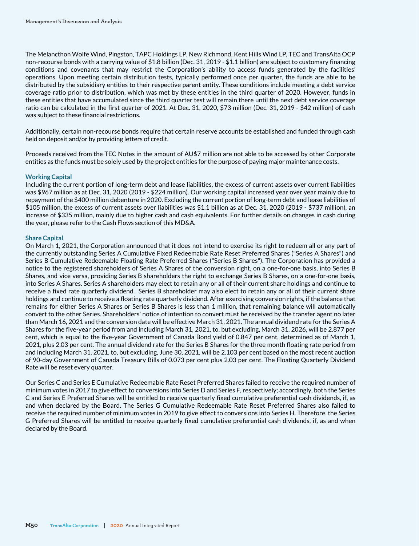The Melancthon Wolfe Wind, Pingston, TAPC Holdings LP, New Richmond, Kent Hills Wind LP, TEC and TransAlta OCP non-recourse bonds with a carrying value of \$1.8 billion (Dec. 31, 2019 - \$1.1 billion) are subject to customary financing conditions and covenants that may restrict the Corporation's ability to access funds generated by the facilities' operations. Upon meeting certain distribution tests, typically performed once per quarter, the funds are able to be distributed by the subsidiary entities to their respective parent entity. These conditions include meeting a debt service coverage ratio prior to distribution, which was met by these entities in the third quarter of 2020. However, funds in these entities that have accumulated since the third quarter test will remain there until the next debt service coverage ratio can be calculated in the first quarter of 2021. At Dec. 31, 2020, \$73 million (Dec. 31, 2019 - \$42 million) of cash was subject to these financial restrictions.

Additionally, certain non-recourse bonds require that certain reserve accounts be established and funded through cash held on deposit and/or by providing letters of credit.

Proceeds received from the TEC Notes in the amount of AU\$7 million are not able to be accessed by other Corporate entities as the funds must be solely used by the project entities for the purpose of paying major maintenance costs.

#### **Working Capital**

Including the current portion of long-term debt and lease liabilities, the excess of current assets over current liabilities was \$967 million as at Dec. 31, 2020 (2019 - \$224 million). Our working capital increased year over year mainly due to repayment of the \$400 million debenture in 2020. Excluding the current portion of long-term debt and lease liabilities of \$105 million, the excess of current assets over liabilities was \$1.1 billion as at Dec. 31, 2020 (2019 - \$737 million), an increase of \$335 million, mainly due to higher cash and cash equivalents. For further details on changes in cash during the year, please refer to the Cash Flows section of this MD&A.

#### **Share Capital**

On March 1, 2021, the Corporation announced that it does not intend to exercise its right to redeem all or any part of the currently outstanding Series A Cumulative Fixed Redeemable Rate Reset Preferred Shares ("Series A Shares") and Series B Cumulative Redeemable Floating Rate Preferred Shares ("Series B Shares"). The Corporation has provided a notice to the registered shareholders of Series A Shares of the conversion right, on a one-for-one basis, into Series B Shares, and vice versa, providing Series B shareholders the right to exchange Series B Shares, on a one-for-one basis, into Series A Shares. Series A shareholders may elect to retain any or all of their current share holdings and continue to receive a fixed rate quarterly dividend. Series B shareholder may also elect to retain any or all of their current share holdings and continue to receive a floating rate quarterly dividend. After exercising conversion rights, if the balance that remains for either Series A Shares or Series B Shares is less than 1 million, that remaining balance will automatically convert to the other Series. Shareholders' notice of intention to convert must be received by the transfer agent no later than March 16, 2021 and the conversion date will be effective March 31, 2021. The annual dividend rate for the Series A Shares for the five-year period from and including March 31, 2021, to, but excluding, March 31, 2026, will be 2.877 per cent, which is equal to the five-year Government of Canada Bond yield of 0.847 per cent, determined as of March 1, 2021, plus 2.03 per cent. The annual dividend rate for the Series B Shares for the three month floating rate period from and including March 31, 2021, to, but excluding, June 30, 2021, will be 2.103 per cent based on the most recent auction of 90-day Government of Canada Treasury Bills of 0.073 per cent plus 2.03 per cent. The Floating Quarterly Dividend Rate will be reset every quarter.

Our Series C and Series E Cumulative Redeemable Rate Reset Preferred Shares failed to receive the required number of minimum votes in 2017 to give effect to conversions into Series D and Series F, respectively; accordingly, both the Series C and Series E Preferred Shares will be entitled to receive quarterly fixed cumulative preferential cash dividends, if, as and when declared by the Board. The Series G Cumulative Redeemable Rate Reset Preferred Shares also failed to receive the required number of minimum votes in 2019 to give effect to conversions into Series H. Therefore, the Series G Preferred Shares will be entitled to receive quarterly fixed cumulative preferential cash dividends, if, as and when declared by the Board.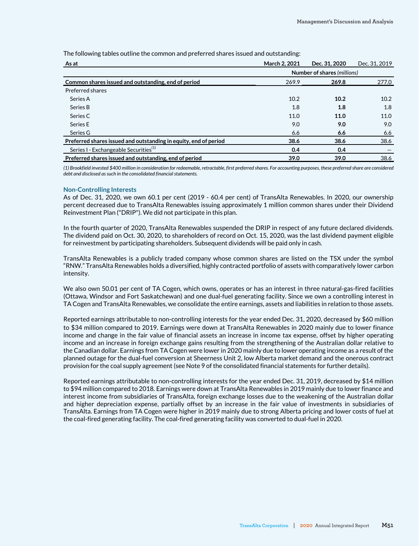| As at                                                            | March 2, 2021 | Dec. 31, 2020               | Dec. 31, 2019 |
|------------------------------------------------------------------|---------------|-----------------------------|---------------|
|                                                                  |               | Number of shares (millions) |               |
| Common shares issued and outstanding, end of period              | 269.9         | 269.8                       | 277.0         |
| Preferred shares                                                 |               |                             |               |
| Series A                                                         | 10.2          | 10.2                        | 10.2          |
| Series B                                                         | 1.8           | 1.8                         | 1.8           |
| Series C                                                         | 11.0          | 11.0                        | 11.0          |
| Series E                                                         | 9.0           | 9.0                         | 9.0           |
| Series G                                                         | 6.6           | 6.6                         | 6.6           |
| Preferred shares issued and outstanding in equity, end of period | 38.6          | 38.6                        | 38.6          |
| Series I - Exchangeable Securities <sup>(1)</sup>                | 0.4           | 0.4                         |               |
| Preferred shares issued and outstanding, end of period           | 39.0          | 39.0                        | 38.6          |

The following tables outline the common and preferred shares issued and outstanding:

*(1) Brookfield invested \$400 million in consideration for redeemable, retractable, first preferred shares. For accounting purposes, these preferred share are considered debt and disclosed as such in the consolidated financial statements.*

#### **Non-Controlling Interests**

As of Dec. 31, 2020, we own 60.1 per cent (2019 - 60.4 per cent) of TransAlta Renewables. In 2020, our ownership percent decreased due to TransAlta Renewables issuing approximately 1 million common shares under their Dividend Reinvestment Plan ("DRIP"). We did not participate in this plan.

In the fourth quarter of 2020, TransAlta Renewables suspended the DRIP in respect of any future declared dividends. The dividend paid on Oct. 30, 2020, to shareholders of record on Oct. 15, 2020, was the last dividend payment eligible for reinvestment by participating shareholders. Subsequent dividends will be paid only in cash.

TransAlta Renewables is a publicly traded company whose common shares are listed on the TSX under the symbol "RNW." TransAlta Renewables holds a diversified, highly contracted portfolio of assets with comparatively lower carbon intensity.

We also own 50.01 per cent of TA Cogen, which owns, operates or has an interest in three natural-gas-fired facilities (Ottawa, Windsor and Fort Saskatchewan) and one dual-fuel generating facility. Since we own a controlling interest in TA Cogen and TransAlta Renewables, we consolidate the entire earnings, assets and liabilities in relation to those assets.

Reported earnings attributable to non-controlling interests for the year ended Dec. 31, 2020, decreased by \$60 million to \$34 million compared to 2019. Earnings were down at TransAlta Renewables in 2020 mainly due to lower finance income and change in the fair value of financial assets an increase in income tax expense, offset by higher operating income and an increase in foreign exchange gains resulting from the strengthening of the Australian dollar relative to the Canadian dollar. Earnings from TA Cogen were lower in 2020 mainly due to lower operating income as a result of the planned outage for the dual-fuel conversion at Sheerness Unit 2, low Alberta market demand and the onerous contract provision for the coal supply agreement (see Note 9 of the consolidated financial statements for further details).

Reported earnings attributable to non-controlling interests for the year ended Dec. 31, 2019, decreased by \$14 million to \$94 million compared to 2018. Earnings were down at TransAlta Renewables in 2019 mainly due to lower finance and interest income from subsidiaries of TransAlta, foreign exchange losses due to the weakening of the Australian dollar and higher depreciation expense, partially offset by an increase in the fair value of investments in subsidiaries of TransAlta. Earnings from TA Cogen were higher in 2019 mainly due to strong Alberta pricing and lower costs of fuel at the coal-fired generating facility. The coal-fired generating facility was converted to dual-fuel in 2020.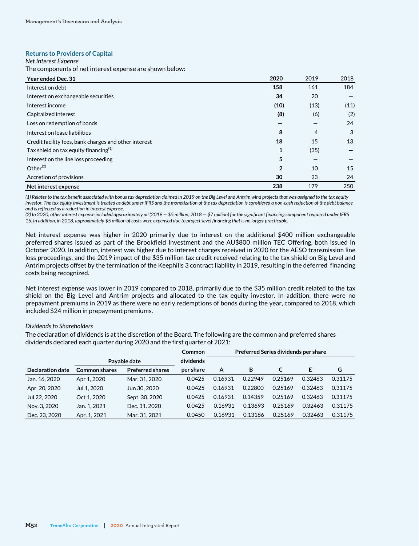#### **Returns to Providers of Capital**

#### *Net Interest Expense*

The components of net interest expense are shown below:

| Year ended Dec. 31                                    | 2020           | 2019 | 2018 |
|-------------------------------------------------------|----------------|------|------|
| Interest on debt                                      | 158            | 161  | 184  |
| Interest on exchangeable securities                   | 34             | 20   |      |
| Interest income                                       | (10)           | (13) | (11) |
| Capitalized interest                                  | (8)            | (6)  | (2)  |
| Loss on redemption of bonds                           |                |      | 24   |
| Interest on lease liabilities                         | 8              | 4    | 3    |
| Credit facility fees, bank charges and other interest | 18             | 15   | 13   |
| Tax shield on tax equity financing $(1)$              | $\mathbf{1}$   | (35) |      |
| Interest on the line loss proceeding                  | 5              |      |      |
| Other $^{(2)}$                                        | $\overline{2}$ | 10   | 15   |
| Accretion of provisions                               | 30             | 23   | 24   |
| Net interest expense                                  | 238            | 179  | 250  |

*(1) Relates to the tax benefit associated with bonus tax depreciation claimed in 2019 on the Big Level and Antrim wind projects that was assigned to the tax equity investor. The tax equity investment is treated as debt under IFRS and the monetization of the tax depreciation is considered a non-cash reduction of the debt balance and is reflected as a reduction in interest expense.*

*(2) In 2020, other interest expense included approximately nil (2019 — \$5 million; 2018 — \$7 million) for the significant financing component required under IFRS 15. In addition, in 2018, approximately \$5 million of costs were expensed due to project-level financing that is no longer practicable.* 

Net interest expense was higher in 2020 primarily due to interest on the additional \$400 million exchangeable preferred shares issued as part of the Brookfield Investment and the AU\$800 million TEC Offering, both issued in October 2020. In addition, interest was higher due to interest charges received in 2020 for the AESO transmission line loss proceedings, and the 2019 impact of the \$35 million tax credit received relating to the tax shield on Big Level and Antrim projects offset by the termination of the Keephills 3 contract liability in 2019, resulting in the deferred financing costs being recognized.

Net interest expense was lower in 2019 compared to 2018, primarily due to the \$35 million credit related to the tax shield on the Big Level and Antrim projects and allocated to the tax equity investor. In addition, there were no prepayment premiums in 2019 as there were no early redemptions of bonds during the year, compared to 2018, which included \$24 million in prepayment premiums.

#### *Dividends to Shareholders*

The declaration of dividends is at the discretion of the Board. The following are the common and preferred shares dividends declared each quarter during 2020 and the first quarter of 2021:

|                         |                      |                         | Common    | Preferred Series dividends per share |         |         |         |         |
|-------------------------|----------------------|-------------------------|-----------|--------------------------------------|---------|---------|---------|---------|
|                         |                      | Pavable date            | dividends |                                      |         |         |         |         |
| <b>Declaration date</b> | <b>Common shares</b> | <b>Preferred shares</b> | per share | A                                    | в       |         | Е       | G       |
| Jan. 16, 2020           | Apr 1, 2020          | Mar. 31, 2020           | 0.0425    | 0.16931                              | 0.22949 | 0.25169 | 0.32463 | 0.31175 |
| Apr. 20, 2020           | Jul 1, 2020          | Jun 30, 2020            | 0.0425    | 0.16931                              | 0.22800 | 0.25169 | 0.32463 | 0.31175 |
| Jul 22, 2020            | Oct.1, 2020          | Sept. 30, 2020          | 0.0425    | 0.16931                              | 0.14359 | 0.25169 | 0.32463 | 0.31175 |
| Nov. 3, 2020            | Jan. 1. 2021         | Dec. 31, 2020           | 0.0425    | 0.16931                              | 0.13693 | 0.25169 | 0.32463 | 0.31175 |
| Dec. 23, 2020           | Apr. 1, 2021         | Mar. 31, 2021           | 0.0450    | 0.16931                              | 0.13186 | 0.25169 | 0.32463 | 0.31175 |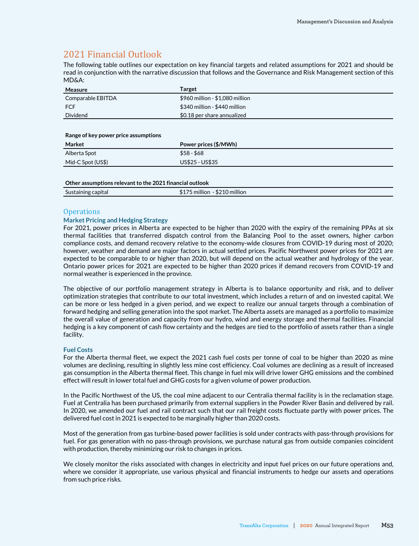# 2021 Financial Outlook

The following table outlines our expectation on key financial targets and related assumptions for 2021 and should be read in conjunction with the narrative discussion that follows and the Governance and Risk Management section of this MD&A:

| Measure           | Target                            |
|-------------------|-----------------------------------|
| Comparable EBITDA | $$960$ million - $$1,080$ million |
| <b>FCF</b>        | \$340 million - \$440 million     |
| Dividend          | \$0.18 per share annualized       |

#### **Range of key power price assumptions**

| Market            | Power prices (\$/MWh) |
|-------------------|-----------------------|
| Alberta Spot      | $$58 - $68$           |
| Mid-C Spot (US\$) | US\$25 - US\$35       |

#### **Other assumptions relevant to the 2021 financial outlook**

| 'I Lai | <br><br>IIIIIIUII<br>п.<br>. <b>.</b> |
|--------|---------------------------------------|
|        |                                       |

## **Operations**

## **Market Pricing and Hedging Strategy**

For 2021, power prices in Alberta are expected to be higher than 2020 with the expiry of the remaining PPAs at six thermal facilities that transferred dispatch control from the Balancing Pool to the asset owners, higher carbon compliance costs, and demand recovery relative to the economy-wide closures from COVID-19 during most of 2020; however, weather and demand are major factors in actual settled prices. Pacific Northwest power prices for 2021 are expected to be comparable to or higher than 2020, but will depend on the actual weather and hydrology of the year. Ontario power prices for 2021 are expected to be higher than 2020 prices if demand recovers from COVID-19 and normal weather is experienced in the province.

The objective of our portfolio management strategy in Alberta is to balance opportunity and risk, and to deliver optimization strategies that contribute to our total investment, which includes a return of and on invested capital. We can be more or less hedged in a given period, and we expect to realize our annual targets through a combination of forward hedging and selling generation into the spot market. The Alberta assets are managed as a portfolio to maximize the overall value of generation and capacity from our hydro, wind and energy storage and thermal facilities. Financial hedging is a key component of cash flow certainty and the hedges are tied to the portfolio of assets rather than a single facility.

## **Fuel Costs**

For the Alberta thermal fleet, we expect the 2021 cash fuel costs per tonne of coal to be higher than 2020 as mine volumes are declining, resulting in slightly less mine cost efficiency. Coal volumes are declining as a result of increased gas consumption in the Alberta thermal fleet. This change in fuel mix will drive lower GHG emissions and the combined effect will result in lower total fuel and GHG costs for a given volume of power production.

In the Pacific Northwest of the US, the coal mine adjacent to our Centralia thermal facility is in the reclamation stage. Fuel at Centralia has been purchased primarily from external suppliers in the Powder River Basin and delivered by rail. In 2020, we amended our fuel and rail contract such that our rail freight costs fluctuate partly with power prices. The delivered fuel cost in 2021 is expected to be marginally higher than 2020 costs.

Most of the generation from gas turbine-based power facilities is sold under contracts with pass-through provisions for fuel. For gas generation with no pass-through provisions, we purchase natural gas from outside companies coincident with production, thereby minimizing our risk to changes in prices.

We closely monitor the risks associated with changes in electricity and input fuel prices on our future operations and, where we consider it appropriate, use various physical and financial instruments to hedge our assets and operations from such price risks.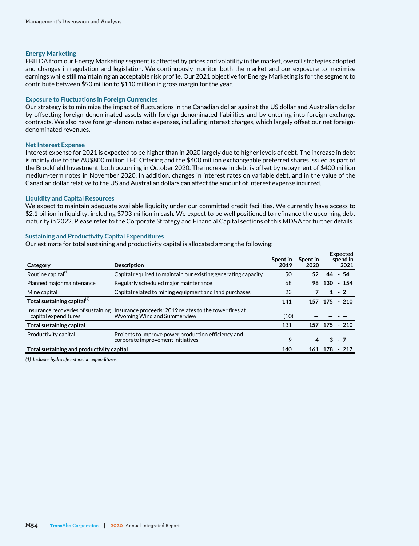#### **Energy Marketing**

EBITDA from our Energy Marketing segment is affected by prices and volatility in the market, overall strategies adopted and changes in regulation and legislation. We continuously monitor both the market and our exposure to maximize earnings while still maintaining an acceptable risk profile. Our 2021 objective for Energy Marketing is for the segment to contribute between \$90 million to \$110 million in gross margin for the year.

#### **Exposure to Fluctuations in Foreign Currencies**

Our strategy is to minimize the impact of fluctuations in the Canadian dollar against the US dollar and Australian dollar by offsetting foreign-denominated assets with foreign-denominated liabilities and by entering into foreign exchange contracts. We also have foreign-denominated expenses, including interest charges, which largely offset our net foreigndenominated revenues.

#### **Net Interest Expense**

Interest expense for 2021 is expected to be higher than in 2020 largely due to higher levels of debt. The increase in debt is mainly due to the AU\$800 million TEC Offering and the \$400 million exchangeable preferred shares issued as part of the Brookfield Investment, both occurring in October 2020. The increase in debt is offset by repayment of \$400 million medium-term notes in November 2020. In addition, changes in interest rates on variable debt, and in the value of the Canadian dollar relative to the US and Australian dollars can affect the amount of interest expense incurred.

#### **Liquidity and Capital Resources**

We expect to maintain adequate available liquidity under our committed credit facilities. We currently have access to \$2.1 billion in liquidity, including \$703 million in cash. We expect to be well positioned to refinance the upcoming debt maturity in 2022. Please refer to the Corporate Strategy and Financial Capital sections of this MD&A for further details.

## **Sustaining and Productivity Capital Expenditures**

Our estimate for total sustaining and productivity capital is allocated among the following:

| Category                                                   | <b>Description</b>                                                                       | Spent in<br>2019 | Spent in<br>2020 | Expected<br>spend in<br>2021 |
|------------------------------------------------------------|------------------------------------------------------------------------------------------|------------------|------------------|------------------------------|
| Routine capital <sup>(1)</sup>                             | Capital required to maintain our existing generating capacity                            | 50               | 52               | $-54$<br>44                  |
| Planned major maintenance                                  | Regularly scheduled major maintenance                                                    | 68               | 98               | 130<br>$-154$                |
| Mine capital                                               | Capital related to mining equipment and land purchases                                   | 23               |                  | $1 - 2$                      |
| Total sustaining capital <sup>(2)</sup>                    |                                                                                          | 141              | 157              | $-210$<br>175                |
| Insurance recoveries of sustaining<br>capital expenditures | Insurance proceeds: 2019 relates to the tower fires at<br>Wyoming Wind and Summerview    | (10)             |                  |                              |
| Total sustaining capital                                   |                                                                                          | 131              | 157              | $-210$<br>175                |
| Productivity capital                                       | Projects to improve power production efficiency and<br>corporate improvement initiatives | 9                | 4                | $3 - 7$                      |
| Total sustaining and productivity capital                  |                                                                                          | 140              | 161              | 178<br>- 217                 |

*(1) Includes hydro life extension expenditures.*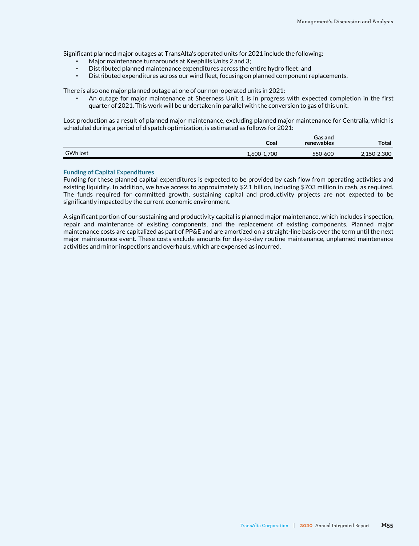Significant planned major outages at TransAlta's operated units for 2021 include the following:

- Major maintenance turnarounds at Keephills Units 2 and 3;
- Distributed planned maintenance expenditures across the entire hydro fleet; and
- Distributed expenditures across our wind fleet, focusing on planned component replacements.

There is also one major planned outage at one of our non-operated units in 2021:

An outage for major maintenance at Sheerness Unit 1 is in progress with expected completion in the first quarter of 2021. This work will be undertaken in parallel with the conversion to gas of this unit.

Lost production as a result of planned major maintenance, excluding planned major maintenance for Centralia, which is scheduled during a period of dispatch optimization, is estimated as follows for 2021:

|                 | Coal        | <b>Gas and</b><br>renewables | Total       |
|-----------------|-------------|------------------------------|-------------|
| <b>GWh lost</b> | 1,600-1,700 | 550-600                      | 2,150-2,300 |

#### **Funding of Capital Expenditures**

Funding for these planned capital expenditures is expected to be provided by cash flow from operating activities and existing liquidity. In addition, we have access to approximately \$2.1 billion, including \$703 million in cash, as required. The funds required for committed growth, sustaining capital and productivity projects are not expected to be significantly impacted by the current economic environment.

A significant portion of our sustaining and productivity capital is planned major maintenance, which includes inspection, repair and maintenance of existing components, and the replacement of existing components. Planned major maintenance costs are capitalized as part of PP&E and are amortized on a straight-line basis over the term until the next major maintenance event. These costs exclude amounts for day-to-day routine maintenance, unplanned maintenance activities and minor inspections and overhauls, which are expensed as incurred.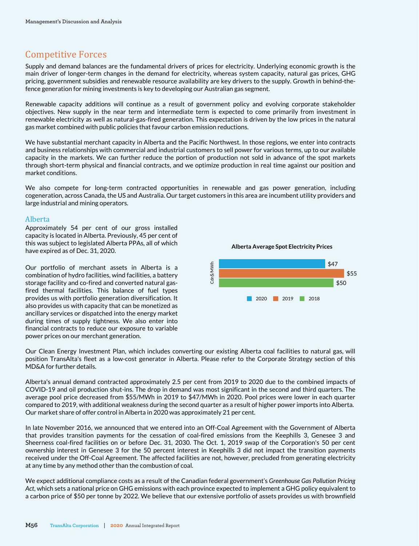# Competitive Forces

Supply and demand balances are the fundamental drivers of prices for electricity. Underlying economic growth is the main driver of longer-term changes in the demand for electricity, whereas system capacity, natural gas prices, GHG pricing, government subsidies and renewable resource availability are key drivers to the supply. Growth in behind-thefence generation for mining investments is key to developing our Australian gas segment.

Renewable capacity additions will continue as a result of government policy and evolving corporate stakeholder objectives. New supply in the near term and intermediate term is expected to come primarily from investment in renewable electricity as well as natural-gas-fired generation. This expectation is driven by the low prices in the natural gas market combined with public policies that favour carbon emission reductions.

We have substantial merchant capacity in Alberta and the Pacific Northwest. In those regions, we enter into contracts and business relationships with commercial and industrial customers to sell power for various terms, up to our available capacity in the markets. We can further reduce the portion of production not sold in advance of the spot markets through short-term physical and financial contracts, and we optimize production in real time against our position and market conditions.

We also compete for long-term contracted opportunities in renewable and gas power generation, including cogeneration, across Canada, the US and Australia. Our target customers in this area are incumbent utility providers and large industrial and mining operators.

## Alberta

Approximately 54 per cent of our gross installed capacity is located in Alberta. Previously, 45 per cent of this was subject to legislated Alberta PPAs, all of which have expired as of Dec. 31, 2020.

Our portfolio of merchant assets in Alberta is a combination of hydro facilities, wind facilities, a battery storage facility and co-fired and converted natural gasfired thermal facilities. This balance of fuel types provides us with portfolio generation diversification. It also provides us with capacity that can be monetized as ancillary services or dispatched into the energy market during times of supply tightness. We also enter into financial contracts to reduce our exposure to variable power prices on our merchant generation.

**Alberta Average Spot Electricity Prices**



Our Clean Energy Investment Plan, which includes converting our existing Alberta coal facilities to natural gas, will position TransAlta's fleet as a low-cost generator in Alberta. Please refer to the Corporate Strategy section of this MD&A for further details.

Alberta's annual demand contracted approximately 2.5 per cent from 2019 to 2020 due to the combined impacts of COVID-19 and oil production shut-ins. The drop in demand was most significant in the second and third quarters. The average pool price decreased from \$55/MWh in 2019 to \$47/MWh in 2020. Pool prices were lower in each quarter compared to 2019, with additional weakness during the second quarter as a result of higher power imports into Alberta. Our market share of offer control in Alberta in 2020 was approximately 21 per cent.

In late November 2016, we announced that we entered into an Off-Coal Agreement with the Government of Alberta that provides transition payments for the cessation of coal-fired emissions from the Keephills 3, Genesee 3 and Sheerness coal-fired facilities on or before Dec. 31, 2030. The Oct. 1, 2019 swap of the Corporation's 50 per cent ownership interest in Genesee 3 for the 50 percent interest in Keephills 3 did not impact the transition payments received under the Off-Coal Agreement. The affected facilities are not, however, precluded from generating electricity at any time by any method other than the combustion of coal.

We expect additional compliance costs as a result of the Canadian federal government's *Greenhouse Gas Pollution Pricing Act*, which sets a national price on GHG emissions with each province expected to implement a GHG policy equivalent to a carbon price of \$50 per tonne by 2022. We believe that our extensive portfolio of assets provides us with brownfield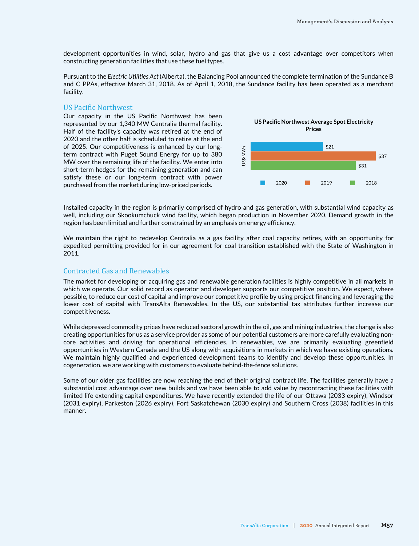development opportunities in wind, solar, hydro and gas that give us a cost advantage over competitors when constructing generation facilities that use these fuel types.

Pursuant to the *Electric Utilities Act* (Alberta), the Balancing Pool announced the complete termination of the Sundance B and C PPAs, effective March 31, 2018. As of April 1, 2018, the Sundance facility has been operated as a merchant facility.

## US Pacific Northwest

Our capacity in the US Pacific Northwest has been represented by our 1,340 MW Centralia thermal facility. Half of the facility's capacity was retired at the end of 2020 and the other half is scheduled to retire at the end of 2025. Our competitiveness is enhanced by our longterm contract with Puget Sound Energy for up to 380 MW over the remaining life of the facility. We enter into short-term hedges for the remaining generation and can satisfy these or our long-term contract with power purchased from the market during low-priced periods.



Installed capacity in the region is primarily comprised of hydro and gas generation, with substantial wind capacity as well, including our Skookumchuck wind facility, which began production in November 2020. Demand growth in the region has been limited and further constrained by an emphasis on energy efficiency.

We maintain the right to redevelop Centralia as a gas facility after coal capacity retires, with an opportunity for expedited permitting provided for in our agreement for coal transition established with the State of Washington in 2011.

## Contracted Gas and Renewables

The market for developing or acquiring gas and renewable generation facilities is highly competitive in all markets in which we operate. Our solid record as operator and developer supports our competitive position. We expect, where possible, to reduce our cost of capital and improve our competitive profile by using project financing and leveraging the lower cost of capital with TransAlta Renewables. In the US, our substantial tax attributes further increase our competitiveness.

While depressed commodity prices have reduced sectoral growth in the oil, gas and mining industries, the change is also creating opportunities for us as a service provider as some of our potential customers are more carefully evaluating noncore activities and driving for operational efficiencies. In renewables, we are primarily evaluating greenfield opportunities in Western Canada and the US along with acquisitions in markets in which we have existing operations. We maintain highly qualified and experienced development teams to identify and develop these opportunities. In cogeneration, we are working with customers to evaluate behind-the-fence solutions.

Some of our older gas facilities are now reaching the end of their original contract life. The facilities generally have a substantial cost advantage over new builds and we have been able to add value by recontracting these facilities with limited life extending capital expenditures. We have recently extended the life of our Ottawa (2033 expiry), Windsor (2031 expiry), Parkeston (2026 expiry), Fort Saskatchewan (2030 expiry) and Southern Cross (2038) facilities in this manner.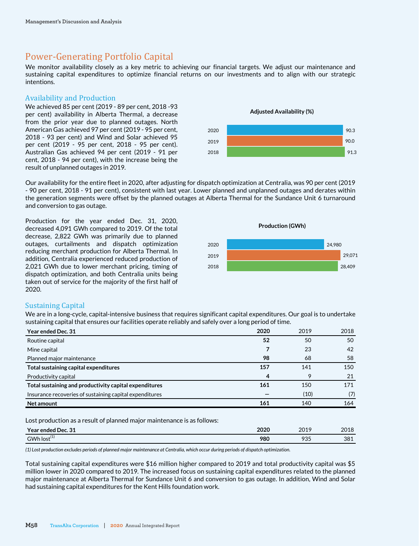# Power-Generating Portfolio Capital

We monitor availability closely as a key metric to achieving our financial targets. We adjust our maintenance and sustaining capital expenditures to optimize financial returns on our investments and to align with our strategic intentions.

## Availability and Production

We achieved 85 per cent (2019 - 89 per cent, 2018 -93 per cent) availability in Alberta Thermal, a decrease from the prior year due to planned outages. North American Gas achieved 97 per cent (2019 - 95 per cent, 2018 - 93 per cent) and Wind and Solar achieved 95 per cent (2019 - 95 per cent, 2018 - 95 per cent). Australian Gas achieved 94 per cent (2019 - 91 per cent, 2018 - 94 per cent), with the increase being the result of unplanned outages in 2019.

**Adjusted Availability (%)** 90.3 90.0 91.3 2020 2019  $2018$ 

Our availability for the entire fleet in 2020, after adjusting for dispatch optimization at Centralia, was 90 per cent (2019 - 90 per cent, 2018 - 91 per cent), consistent with last year. Lower planned and unplanned outages and derates within the generation segments were offset by the planned outages at Alberta Thermal for the Sundance Unit 6 turnaround and conversion to gas outage.

Production for the year ended Dec. 31, 2020, decreased 4,091 GWh compared to 2019. Of the total decrease, 2,822 GWh was primarily due to planned outages, curtailments and dispatch optimization reducing merchant production for Alberta Thermal. In addition, Centralia experienced reduced production of 2,021 GWh due to lower merchant pricing, timing of dispatch optimization, and both Centralia units being taken out of service for the majority of the first half of 2020.



## Sustaining Capital

We are in a long-cycle, capital-intensive business that requires significant capital expenditures. Our goal is to undertake sustaining capital that ensures our facilities operate reliably and safely over a long period of time.

| Year ended Dec. 31                                      | 2020 | 2019 | 2018 |
|---------------------------------------------------------|------|------|------|
| Routine capital                                         | 52   | 50   | 50   |
| Mine capital                                            |      | 23   | 42   |
| Planned major maintenance                               | 98   | 68   | 58   |
| Total sustaining capital expenditures                   | 157  | 141  | 150  |
| Productivity capital                                    | 4    | 9    | 21   |
| Total sustaining and productivity capital expenditures  | 161  | 150  | 171  |
| Insurance recoveries of sustaining capital expenditures |      | (10) | (7)  |
| Net amount                                              | 161  | 140  | 164  |
|                                                         |      |      |      |

Lost production as a result of planned major maintenance is as follows:

| Year ended Dec. $31$             | 2020 | 2019<br>_______ | 2018 |
|----------------------------------|------|-----------------|------|
| $\mathbf{A}$<br>$GWh$ lost $(1)$ | 980  | O2F<br>دن 7     | 381  |

*(1) Lost production excludes periods of planned major maintenance at Centralia, which occur during periods of dispatch optimization.*

Total sustaining capital expenditures were \$16 million higher compared to 2019 and total productivity capital was \$5 million lower in 2020 compared to 2019. The increased focus on sustaining capital expenditures related to the planned major maintenance at Alberta Thermal for Sundance Unit 6 and conversion to gas outage. In addition, Wind and Solar had sustaining capital expenditures for the Kent Hills foundation work.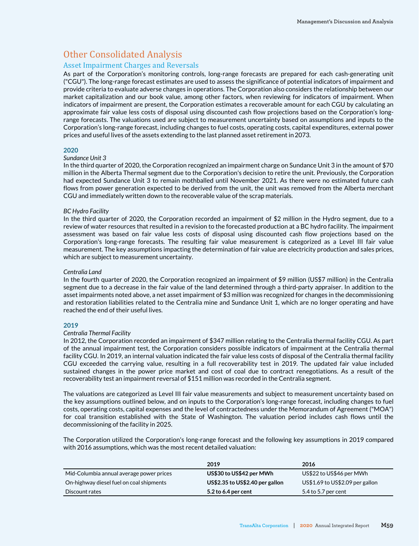# Other Consolidated Analysis

## Asset Impairment Charges and Reversals

As part of the Corporation's monitoring controls, long-range forecasts are prepared for each cash-generating unit ("CGU"). The long-range forecast estimates are used to assess the significance of potential indicators of impairment and provide criteria to evaluate adverse changes in operations. The Corporation also considers the relationship between our market capitalization and our book value, among other factors, when reviewing for indicators of impairment. When indicators of impairment are present, the Corporation estimates a recoverable amount for each CGU by calculating an approximate fair value less costs of disposal using discounted cash flow projections based on the Corporation's longrange forecasts. The valuations used are subject to measurement uncertainty based on assumptions and inputs to the Corporation's long-range forecast, including changes to fuel costs, operating costs, capital expenditures, external power prices and useful lives of the assets extending to the last planned asset retirement in 2073.

## **2020**

#### *Sundance Unit 3*

In the third quarter of 2020, the Corporation recognized an impairment charge on Sundance Unit 3 in the amount of \$70 million in the Alberta Thermal segment due to the Corporation's decision to retire the unit. Previously, the Corporation had expected Sundance Unit 3 to remain mothballed until November 2021. As there were no estimated future cash flows from power generation expected to be derived from the unit, the unit was removed from the Alberta merchant CGU and immediately written down to the recoverable value of the scrap materials.

#### *BC Hydro Facility*

In the third quarter of 2020, the Corporation recorded an impairment of \$2 million in the Hydro segment, due to a review of water resources that resulted in a revision to the forecasted production at a BC hydro facility. The impairment assessment was based on fair value less costs of disposal using discounted cash flow projections based on the Corporation's long-range forecasts. The resulting fair value measurement is categorized as a Level III fair value measurement. The key assumptions impacting the determination of fair value are electricity production and sales prices, which are subject to measurement uncertainty.

#### *Centralia Land*

In the fourth quarter of 2020, the Corporation recognized an impairment of \$9 million (US\$7 million) in the Centralia segment due to a decrease in the fair value of the land determined through a third-party appraiser. In addition to the asset impairments noted above, a net asset impairment of \$3 million was recognized for changes in the decommissioning and restoration liabilities related to the Centralia mine and Sundance Unit 1, which are no longer operating and have reached the end of their useful lives.

## **2019**

## *Centralia Thermal Facility*

In 2012, the Corporation recorded an impairment of \$347 million relating to the Centralia thermal facility CGU. As part of the annual impairment test, the Corporation considers possible indicators of impairment at the Centralia thermal facility CGU. In 2019, an internal valuation indicated the fair value less costs of disposal of the Centralia thermal facility CGU exceeded the carrying value, resulting in a full recoverability test in 2019. The updated fair value included sustained changes in the power price market and cost of coal due to contract renegotiations. As a result of the recoverability test an impairment reversal of \$151 million was recorded in the Centralia segment.

The valuations are categorized as Level III fair value measurements and subject to measurement uncertainty based on the key assumptions outlined below, and on inputs to the Corporation's long-range forecast, including changes to fuel costs, operating costs, capital expenses and the level of contractedness under the Memorandum of Agreement ("MOA") for coal transition established with the State of Washington. The valuation period includes cash flows until the decommissioning of the facility in 2025.

The Corporation utilized the Corporation's long-range forecast and the following key assumptions in 2019 compared with 2016 assumptions, which was the most recent detailed valuation:

|                                          | 2019                            | 2016                            |
|------------------------------------------|---------------------------------|---------------------------------|
| Mid-Columbia annual average power prices | US\$30 to US\$42 per MWh        | US\$22 to US\$46 per MWh        |
| On-highway diesel fuel on coal shipments | US\$2.35 to US\$2.40 per gallon | US\$1.69 to US\$2.09 per gallon |
| Discount rates                           | 5.2 to 6.4 per cent             | 5.4 to 5.7 per cent             |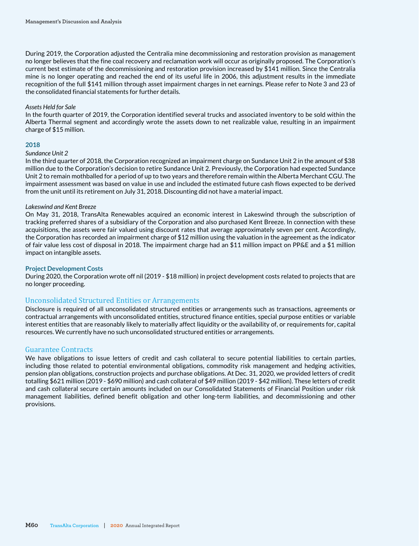During 2019, the Corporation adjusted the Centralia mine decommissioning and restoration provision as management no longer believes that the fine coal recovery and reclamation work will occur as originally proposed. The Corporation's current best estimate of the decommissioning and restoration provision increased by \$141 million. Since the Centralia mine is no longer operating and reached the end of its useful life in 2006, this adjustment results in the immediate recognition of the full \$141 million through asset impairment charges in net earnings. Please refer to Note 3 and 23 of the consolidated financial statements for further details.

#### *Assets Held for Sale*

In the fourth quarter of 2019, the Corporation identified several trucks and associated inventory to be sold within the Alberta Thermal segment and accordingly wrote the assets down to net realizable value, resulting in an impairment charge of \$15 million.

#### **2018**

#### *Sundance Unit 2*

In the third quarter of 2018, the Corporation recognized an impairment charge on Sundance Unit 2 in the amount of \$38 million due to the Corporation's decision to retire Sundance Unit 2. Previously, the Corporation had expected Sundance Unit 2 to remain mothballed for a period of up to two years and therefore remain within the Alberta Merchant CGU. The impairment assessment was based on value in use and included the estimated future cash flows expected to be derived from the unit until its retirement on July 31, 2018. Discounting did not have a material impact.

#### *Lakeswind and Kent Breeze*

On May 31, 2018, TransAlta Renewables acquired an economic interest in Lakeswind through the subscription of tracking preferred shares of a subsidiary of the Corporation and also purchased Kent Breeze. In connection with these acquisitions, the assets were fair valued using discount rates that average approximately seven per cent. Accordingly, the Corporation has recorded an impairment charge of \$12 million using the valuation in the agreement as the indicator of fair value less cost of disposal in 2018. The impairment charge had an \$11 million impact on PP&E and a \$1 million impact on intangible assets.

#### **Project Development Costs**

During 2020, the Corporation wrote off nil (2019 - \$18 million) in project development costs related to projects that are no longer proceeding.

## Unconsolidated Structured Entities or Arrangements

Disclosure is required of all unconsolidated structured entities or arrangements such as transactions, agreements or contractual arrangements with unconsolidated entities, structured finance entities, special purpose entities or variable interest entities that are reasonably likely to materially affect liquidity or the availability of, or requirements for, capital resources. We currently have no such unconsolidated structured entities or arrangements.

## Guarantee Contracts

We have obligations to issue letters of credit and cash collateral to secure potential liabilities to certain parties, including those related to potential environmental obligations, commodity risk management and hedging activities, pension plan obligations, construction projects and purchase obligations. At Dec. 31, 2020, we provided letters of credit totalling \$621 million (2019 - \$690 million) and cash collateral of \$49 million (2019 - \$42 million). These letters of credit and cash collateral secure certain amounts included on our Consolidated Statements of Financial Position under risk management liabilities, defined benefit obligation and other long-term liabilities, and decommissioning and other provisions.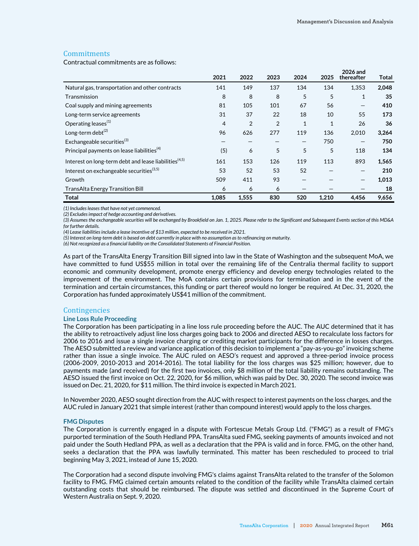## **Commitments**

Contractual commitments are as follows:

|                                                                   | 2021  | 2022           | 2023           | 2024                     | 2025         | 2026 and<br>thereafter   | <b>Total</b> |
|-------------------------------------------------------------------|-------|----------------|----------------|--------------------------|--------------|--------------------------|--------------|
| Natural gas, transportation and other contracts                   | 141   | 149            | 137            | 134                      | 134          | 1,353                    | 2,048        |
| Transmission                                                      | 8     | 8              | 8              | 5                        | 5            | $\mathbf{1}$             | 35           |
| Coal supply and mining agreements                                 | 81    | 105            | 101            | 67                       | 56           | $\overline{\phantom{m}}$ | 410          |
| Long-term service agreements                                      | 31    | 37             | 22             | 18                       | 10           | 55                       | 173          |
| Operating leases <sup>(1)</sup>                                   | 4     | $\overline{2}$ | $\overline{2}$ | $\mathbf{1}$             | $\mathbf{1}$ | 26                       | 36           |
| Long-term debt <sup>(2)</sup>                                     | 96    | 626            | 277            | 119                      | 136          | 2,010                    | 3,264        |
| Exchangeable securities <sup>(3)</sup>                            |       |                |                | $\overline{\phantom{m}}$ | 750          | —                        | 750          |
| Principal payments on lease liabilities <sup>(4)</sup>            | (5)   | 6              | 5              | 5                        | 5            | 118                      | 134          |
| Interest on long-term debt and lease liabilities <sup>(4,5)</sup> | 161   | 153            | 126            | 119                      | 113          | 893                      | 1,565        |
| Interest on exchangeable securities <sup>(3,5)</sup>              | 53    | 52             | 53             | 52                       |              | —                        | 210          |
| Growth                                                            | 509   | 411            | 93             |                          |              | $\overline{\phantom{m}}$ | 1,013        |
| <b>TransAlta Energy Transition Bill</b>                           | 6     | 6              | 6              |                          |              |                          | 18           |
| Total                                                             | 1,085 | 1,555          | 830            | 520                      | 1,210        | 4,456                    | 9,656        |

*(1) Includes leases that have not yet commenced.* 

*(2) Excludes impact of hedge accounting and derivatives.*

*(3) Assumes the exchangeable securities will be exchanged by Brookfield on Jan. 1, 2025. Please refer to the Significant and Subsequent Events section of this MD&A for further details.* 

*(4) Lease liabilities include a lease incentive of \$13 million, expected to be received in 2021.*

*(5) Interest on long-term debt is based on debt currently in place with no assumption as to refinancing on maturity.*

*(6) Not recognized as a financial liability on the Consolidated Statements of Financial Position.*

As part of the TransAlta Energy Transition Bill signed into law in the State of Washington and the subsequent MoA, we have committed to fund US\$55 million in total over the remaining life of the Centralia thermal facility to support economic and community development, promote energy efficiency and develop energy technologies related to the improvement of the environment. The MoA contains certain provisions for termination and in the event of the termination and certain circumstances, this funding or part thereof would no longer be required. At Dec. 31, 2020, the Corporation has funded approximately US\$41 million of the commitment.

#### **Contingencies**

#### **Line Loss Rule Proceeding**

The Corporation has been participating in a line loss rule proceeding before the AUC. The AUC determined that it has the ability to retroactively adjust line loss charges going back to 2006 and directed AESO to recalculate loss factors for 2006 to 2016 and issue a single invoice charging or crediting market participants for the difference in losses charges. The AESO submitted a review and variance application of this decision to implement a "pay-as-you-go" invoicing scheme rather than issue a single invoice. The AUC ruled on AESO's request and approved a three-period invoice process (2006-2009, 2010-2013 and 2014-2016). The total liability for the loss charges was \$25 million; however, due to payments made (and received) for the first two invoices, only \$8 million of the total liability remains outstanding. The AESO issued the first invoice on Oct. 22, 2020, for \$6 million, which was paid by Dec. 30, 2020. The second invoice was issued on Dec. 21, 2020, for \$11 million. The third invoice is expected in March 2021.

In November 2020, AESO sought direction from the AUC with respect to interest payments on the loss charges, and the AUC ruled in January 2021 that simple interest (rather than compound interest) would apply to the loss charges.

#### **FMG Disputes**

The Corporation is currently engaged in a dispute with Fortescue Metals Group Ltd. ("FMG") as a result of FMG's purported termination of the South Hedland PPA. TransAlta sued FMG, seeking payments of amounts invoiced and not paid under the South Hedland PPA, as well as a declaration that the PPA is valid and in force. FMG, on the other hand, seeks a declaration that the PPA was lawfully terminated. This matter has been rescheduled to proceed to trial beginning May 3, 2021, instead of June 15, 2020.

The Corporation had a second dispute involving FMG's claims against TransAlta related to the transfer of the Solomon facility to FMG. FMG claimed certain amounts related to the condition of the facility while TransAlta claimed certain outstanding costs that should be reimbursed. The dispute was settled and discontinued in the Supreme Court of Western Australia on Sept. 9, 2020.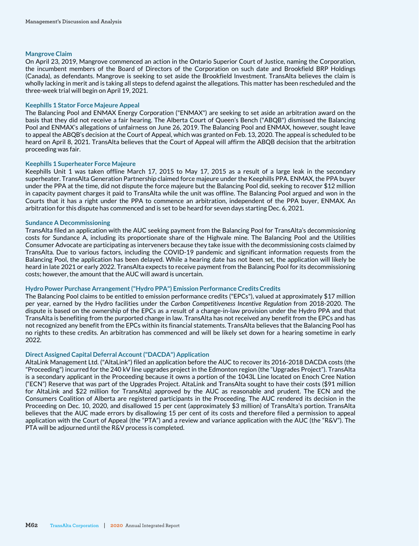#### **Mangrove Claim**

On April 23, 2019, Mangrove commenced an action in the Ontario Superior Court of Justice, naming the Corporation, the incumbent members of the Board of Directors of the Corporation on such date and Brookfield BRP Holdings (Canada), as defendants. Mangrove is seeking to set aside the Brookfield Investment. TransAlta believes the claim is wholly lacking in merit and is taking all steps to defend against the allegations. This matter has been rescheduled and the three-week trial will begin on April 19, 2021.

#### **Keephills 1 Stator Force Majeure Appeal**

The Balancing Pool and ENMAX Energy Corporation ("ENMAX") are seeking to set aside an arbitration award on the basis that they did not receive a fair hearing. The Alberta Court of Queen's Bench ("ABQB") dismissed the Balancing Pool and ENMAX's allegations of unfairness on June 26, 2019. The Balancing Pool and ENMAX, however, sought leave to appeal the ABQB's decision at the Court of Appeal, which was granted on Feb. 13, 2020. The appeal is scheduled to be heard on April 8, 2021. TransAlta believes that the Court of Appeal will affirm the ABQB decision that the arbitration proceeding was fair.

#### **Keephills 1 Superheater Force Majeure**

Keephills Unit 1 was taken offline March 17, 2015 to May 17, 2015 as a result of a large leak in the secondary superheater. TransAlta Generation Partnership claimed force majeure under the Keephills PPA. ENMAX, the PPA buyer under the PPA at the time, did not dispute the force majeure but the Balancing Pool did, seeking to recover \$12 million in capacity payment charges it paid to TransAlta while the unit was offline. The Balancing Pool argued and won in the Courts that it has a right under the PPA to commence an arbitration, independent of the PPA buyer, ENMAX. An arbitration for this dispute has commenced and is set to be heard for seven days starting Dec. 6, 2021.

#### **Sundance A Decommissioning**

TransAlta filed an application with the AUC seeking payment from the Balancing Pool for TransAlta's decommissioning costs for Sundance A, including its proportionate share of the Highvale mine. The Balancing Pool and the Utilities Consumer Advocate are participating as interveners because they take issue with the decommissioning costs claimed by TransAlta. Due to various factors, including the COVID-19 pandemic and significant information requests from the Balancing Pool, the application has been delayed. While a hearing date has not been set, the application will likely be heard in late 2021 or early 2022. TransAlta expects to receive payment from the Balancing Pool for its decommissioning costs; however, the amount that the AUC will award is uncertain.

#### **Hydro Power Purchase Arrangement ("Hydro PPA") Emission Performance Credits Credits**

The Balancing Pool claims to be entitled to emission performance credits ("EPCs"), valued at approximately \$17 million per year, earned by the Hydro facilities under the *Carbon Competitiveness Incentive Regulation* from 2018-2020. The dispute is based on the ownership of the EPCs as a result of a change-in-law provision under the Hydro PPA and that TransAlta is benefiting from the purported change in law. TransAlta has not received any benefit from the EPCs and has not recognized any benefit from the EPCs within its financial statements. TransAlta believes that the Balancing Pool has no rights to these credits. An arbitration has commenced and will be likely set down for a hearing sometime in early 2022.

## **Direct Assigned Capital Deferral Account ("DACDA") Application**

AltaLink Management Ltd. ("AltaLink") filed an application before the AUC to recover its 2016-2018 DACDA costs (the "Proceeding") incurred for the 240 kV line upgrades project in the Edmonton region (the "Upgrades Project"). TransAlta is a secondary applicant in the Proceeding because it owns a portion of the 1043L Line located on Enoch Cree Nation ("ECN") Reserve that was part of the Upgrades Project. AltaLink and TransAlta sought to have their costs (\$91 million for AltaLink and \$22 million for TransAlta) approved by the AUC as reasonable and prudent. The ECN and the Consumers Coalition of Alberta are registered participants in the Proceeding. The AUC rendered its decision in the Proceeding on Dec. 10, 2020, and disallowed 15 per cent (approximately \$3 million) of TransAlta's portion. TransAlta believes that the AUC made errors by disallowing 15 per cent of its costs and therefore filed a permission to appeal application with the Court of Appeal (the "PTA") and a review and variance application with the AUC (the "R&V"). The PTA will be adjourned until the R&V process is completed.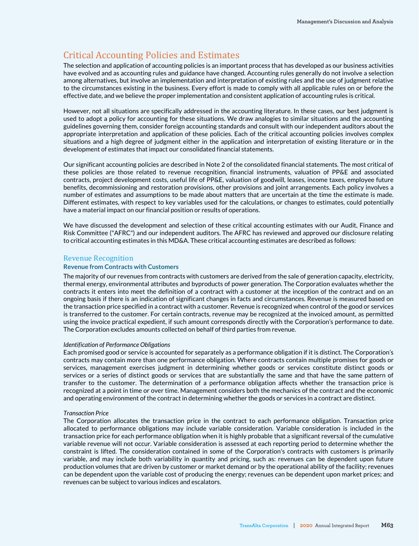# Critical Accounting Policies and Estimates

The selection and application of accounting policies is an important process that has developed as our business activities have evolved and as accounting rules and guidance have changed. Accounting rules generally do not involve a selection among alternatives, but involve an implementation and interpretation of existing rules and the use of judgment relative to the circumstances existing in the business. Every effort is made to comply with all applicable rules on or before the effective date, and we believe the proper implementation and consistent application of accounting rules is critical.

However, not all situations are specifically addressed in the accounting literature. In these cases, our best judgment is used to adopt a policy for accounting for these situations. We draw analogies to similar situations and the accounting guidelines governing them, consider foreign accounting standards and consult with our independent auditors about the appropriate interpretation and application of these policies. Each of the critical accounting policies involves complex situations and a high degree of judgment either in the application and interpretation of existing literature or in the development of estimates that impact our consolidated financial statements.

Our significant accounting policies are described in Note 2 of the consolidated financial statements. The most critical of these policies are those related to revenue recognition, financial instruments, valuation of PP&E and associated contracts, project development costs, useful life of PP&E, valuation of goodwill, leases, income taxes, employee future benefits, decommissioning and restoration provisions, other provisions and joint arrangements. Each policy involves a number of estimates and assumptions to be made about matters that are uncertain at the time the estimate is made. Different estimates, with respect to key variables used for the calculations, or changes to estimates, could potentially have a material impact on our financial position or results of operations.

We have discussed the development and selection of these critical accounting estimates with our Audit, Finance and Risk Committee ("AFRC") and our independent auditors. The AFRC has reviewed and approved our disclosure relating to critical accounting estimates in this MD&A. These critical accounting estimates are described as follows:

## Revenue Recognition

#### **Revenue from Contracts with Customers**

The majority of our revenues from contracts with customers are derived from the sale of generation capacity, electricity, thermal energy, environmental attributes and byproducts of power generation. The Corporation evaluates whether the contracts it enters into meet the definition of a contract with a customer at the inception of the contract and on an ongoing basis if there is an indication of significant changes in facts and circumstances. Revenue is measured based on the transaction price specified in a contract with a customer. Revenue is recognized when control of the good or services is transferred to the customer. For certain contracts, revenue may be recognized at the invoiced amount, as permitted using the invoice practical expedient, if such amount corresponds directly with the Corporation's performance to date. The Corporation excludes amounts collected on behalf of third parties from revenue.

#### *Identification of Performance Obligations*

Each promised good or service is accounted for separately as a performance obligation if it is distinct. The Corporation's contracts may contain more than one performance obligation. Where contracts contain multiple promises for goods or services, management exercises judgment in determining whether goods or services constitute distinct goods or services or a series of distinct goods or services that are substantially the same and that have the same pattern of transfer to the customer. The determination of a performance obligation affects whether the transaction price is recognized at a point in time or over time. Management considers both the mechanics of the contract and the economic and operating environment of the contract in determining whether the goods or services in a contract are distinct.

#### *Transaction Price*

The Corporation allocates the transaction price in the contract to each performance obligation. Transaction price allocated to performance obligations may include variable consideration. Variable consideration is included in the transaction price for each performance obligation when it is highly probable that a significant reversal of the cumulative variable revenue will not occur. Variable consideration is assessed at each reporting period to determine whether the constraint is lifted. The consideration contained in some of the Corporation's contracts with customers is primarily variable, and may include both variability in quantity and pricing, such as: revenues can be dependent upon future production volumes that are driven by customer or market demand or by the operational ability of the facility; revenues can be dependent upon the variable cost of producing the energy; revenues can be dependent upon market prices; and revenues can be subject to various indices and escalators.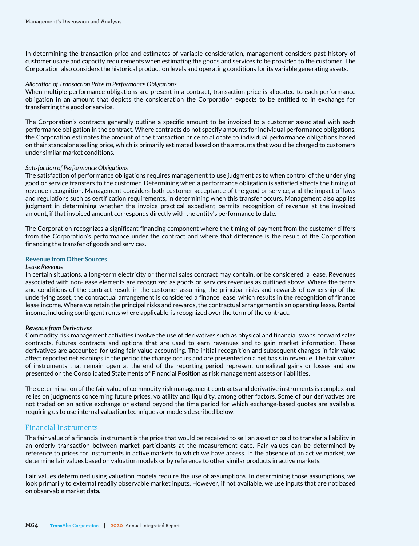In determining the transaction price and estimates of variable consideration, management considers past history of customer usage and capacity requirements when estimating the goods and services to be provided to the customer. The Corporation also considers the historical production levels and operating conditions for its variable generating assets.

#### *Allocation of Transaction Price to Performance Obligations*

When multiple performance obligations are present in a contract, transaction price is allocated to each performance obligation in an amount that depicts the consideration the Corporation expects to be entitled to in exchange for transferring the good or service.

The Corporation's contracts generally outline a specific amount to be invoiced to a customer associated with each performance obligation in the contract. Where contracts do not specify amounts for individual performance obligations, the Corporation estimates the amount of the transaction price to allocate to individual performance obligations based on their standalone selling price, which is primarily estimated based on the amounts that would be charged to customers under similar market conditions.

#### *Satisfaction of Performance Obligations*

The satisfaction of performance obligations requires management to use judgment as to when control of the underlying good or service transfers to the customer. Determining when a performance obligation is satisfied affects the timing of revenue recognition. Management considers both customer acceptance of the good or service, and the impact of laws and regulations such as certification requirements, in determining when this transfer occurs. Management also applies judgment in determining whether the invoice practical expedient permits recognition of revenue at the invoiced amount, if that invoiced amount corresponds directly with the entity's performance to date.

The Corporation recognizes a significant financing component where the timing of payment from the customer differs from the Corporation's performance under the contract and where that difference is the result of the Corporation financing the transfer of goods and services.

## **Revenue from Other Sources**

#### *Lease Revenue*

In certain situations, a long-term electricity or thermal sales contract may contain, or be considered, a lease. Revenues associated with non-lease elements are recognized as goods or services revenues as outlined above. Where the terms and conditions of the contract result in the customer assuming the principal risks and rewards of ownership of the underlying asset, the contractual arrangement is considered a finance lease, which results in the recognition of finance lease income. Where we retain the principal risks and rewards, the contractual arrangement is an operating lease. Rental income, including contingent rents where applicable, is recognized over the term of the contract.

#### *Revenue from Derivatives*

Commodity risk management activities involve the use of derivatives such as physical and financial swaps, forward sales contracts, futures contracts and options that are used to earn revenues and to gain market information. These derivatives are accounted for using fair value accounting. The initial recognition and subsequent changes in fair value affect reported net earnings in the period the change occurs and are presented on a net basis in revenue. The fair values of instruments that remain open at the end of the reporting period represent unrealized gains or losses and are presented on the Consolidated Statements of Financial Position as risk management assets or liabilities.

The determination of the fair value of commodity risk management contracts and derivative instruments is complex and relies on judgments concerning future prices, volatility and liquidity, among other factors. Some of our derivatives are not traded on an active exchange or extend beyond the time period for which exchange-based quotes are available, requiring us to use internal valuation techniques or models described below.

## Financial Instruments

The fair value of a financial instrument is the price that would be received to sell an asset or paid to transfer a liability in an orderly transaction between market participants at the measurement date. Fair values can be determined by reference to prices for instruments in active markets to which we have access. In the absence of an active market, we determine fair values based on valuation models or by reference to other similar products in active markets.

Fair values determined using valuation models require the use of assumptions. In determining those assumptions, we look primarily to external readily observable market inputs. However, if not available, we use inputs that are not based on observable market data.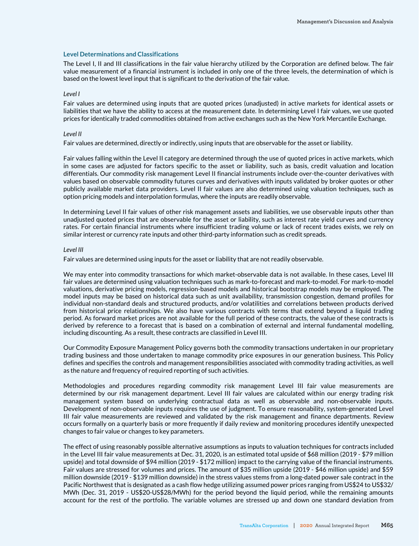#### **Level Determinations and Classifications**

The Level I, II and III classifications in the fair value hierarchy utilized by the Corporation are defined below. The fair value measurement of a financial instrument is included in only one of the three levels, the determination of which is based on the lowest level input that is significant to the derivation of the fair value.

#### *Level I*

Fair values are determined using inputs that are quoted prices (unadjusted) in active markets for identical assets or liabilities that we have the ability to access at the measurement date. In determining Level I fair values, we use quoted prices for identically traded commodities obtained from active exchanges such as the New York Mercantile Exchange.

#### *Level II*

Fair values are determined, directly or indirectly, using inputs that are observable for the asset or liability.

Fair values falling within the Level II category are determined through the use of quoted prices in active markets, which in some cases are adjusted for factors specific to the asset or liability, such as basis, credit valuation and location differentials. Our commodity risk management Level II financial instruments include over-the-counter derivatives with values based on observable commodity futures curves and derivatives with inputs validated by broker quotes or other publicly available market data providers. Level II fair values are also determined using valuation techniques, such as option pricing models and interpolation formulas, where the inputs are readily observable.

In determining Level II fair values of other risk management assets and liabilities, we use observable inputs other than unadjusted quoted prices that are observable for the asset or liability, such as interest rate yield curves and currency rates. For certain financial instruments where insufficient trading volume or lack of recent trades exists, we rely on similar interest or currency rate inputs and other third-party information such as credit spreads.

#### *Level III*

Fair values are determined using inputs for the asset or liability that are not readily observable.

We may enter into commodity transactions for which market-observable data is not available. In these cases, Level III fair values are determined using valuation techniques such as mark-to-forecast and mark-to-model. For mark-to-model valuations, derivative pricing models, regression-based models and historical bootstrap models may be employed. The model inputs may be based on historical data such as unit availability, transmission congestion, demand profiles for individual non-standard deals and structured products, and/or volatilities and correlations between products derived from historical price relationships. We also have various contracts with terms that extend beyond a liquid trading period. As forward market prices are not available for the full period of these contracts, the value of these contracts is derived by reference to a forecast that is based on a combination of external and internal fundamental modelling, including discounting. As a result, these contracts are classified in Level III.

Our Commodity Exposure Management Policy governs both the commodity transactions undertaken in our proprietary trading business and those undertaken to manage commodity price exposures in our generation business. This Policy defines and specifies the controls and management responsibilities associated with commodity trading activities, as well as the nature and frequency of required reporting of such activities.

Methodologies and procedures regarding commodity risk management Level III fair value measurements are determined by our risk management department. Level III fair values are calculated within our energy trading risk management system based on underlying contractual data as well as observable and non-observable inputs. Development of non-observable inputs requires the use of judgment. To ensure reasonability, system-generated Level III fair value measurements are reviewed and validated by the risk management and finance departments. Review occurs formally on a quarterly basis or more frequently if daily review and monitoring procedures identify unexpected changes to fair value or changes to key parameters.

The effect of using reasonably possible alternative assumptions as inputs to valuation techniques for contracts included in the Level III fair value measurements at Dec. 31, 2020, is an estimated total upside of \$68 million (2019 - \$79 million upside) and total downside of \$94 million (2019 - \$172 million) impact to the carrying value of the financial instruments. Fair values are stressed for volumes and prices. The amount of \$35 million upside (2019 - \$46 million upside) and \$59 million downside (2019 - \$139 million downside) in the stress values stems from a long-dated power sale contract in the Pacific Northwest that is designated as a cash flow hedge utilizing assumed power prices ranging from US\$24 to US\$32/ MWh (Dec. 31, 2019 - US\$20-US\$28/MWh) for the period beyond the liquid period, while the remaining amounts account for the rest of the portfolio. The variable volumes are stressed up and down one standard deviation from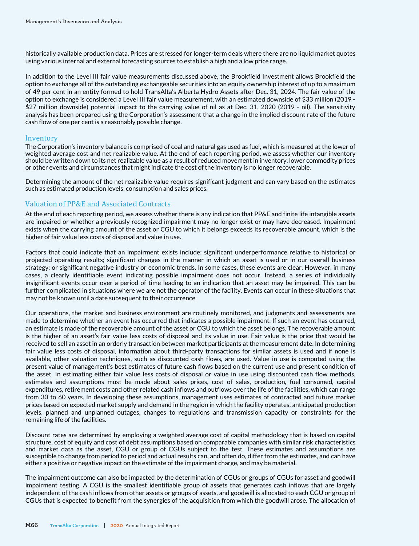historically available production data. Prices are stressed for longer-term deals where there are no liquid market quotes using various internal and external forecasting sources to establish a high and a low price range.

In addition to the Level III fair value measurements discussed above, the Brookfield Investment allows Brookfield the option to exchange all of the outstanding exchangeable securities into an equity ownership interest of up to a maximum of 49 per cent in an entity formed to hold TransAlta's Alberta Hydro Assets after Dec. 31, 2024. The fair value of the option to exchange is considered a Level III fair value measurement, with an estimated downside of \$33 million (2019 - \$27 million downside) potential impact to the carrying value of nil as at Dec. 31, 2020 (2019 - nil). The sensitivity analysis has been prepared using the Corporation's assessment that a change in the implied discount rate of the future cash flow of one per cent is a reasonably possible change.

## Inventory

The Corporation's inventory balance is comprised of coal and natural gas used as fuel, which is measured at the lower of weighted average cost and net realizable value. At the end of each reporting period, we assess whether our inventory should be written down to its net realizable value as a result of reduced movement in inventory, lower commodity prices or other events and circumstances that might indicate the cost of the inventory is no longer recoverable.

Determining the amount of the net realizable value requires significant judgment and can vary based on the estimates such as estimated production levels, consumption and sales prices.

## Valuation of PP&E and Associated Contracts

At the end of each reporting period, we assess whether there is any indication that PP&E and finite life intangible assets are impaired or whether a previously recognized impairment may no longer exist or may have decreased. Impairment exists when the carrying amount of the asset or CGU to which it belongs exceeds its recoverable amount, which is the higher of fair value less costs of disposal and value in use.

Factors that could indicate that an impairment exists include: significant underperformance relative to historical or projected operating results; significant changes in the manner in which an asset is used or in our overall business strategy; or significant negative industry or economic trends. In some cases, these events are clear. However, in many cases, a clearly identifiable event indicating possible impairment does not occur. Instead, a series of individually insignificant events occur over a period of time leading to an indication that an asset may be impaired. This can be further complicated in situations where we are not the operator of the facility. Events can occur in these situations that may not be known until a date subsequent to their occurrence.

Our operations, the market and business environment are routinely monitored, and judgments and assessments are made to determine whether an event has occurred that indicates a possible impairment. If such an event has occurred, an estimate is made of the recoverable amount of the asset or CGU to which the asset belongs. The recoverable amount is the higher of an asset's fair value less costs of disposal and its value in use. Fair value is the price that would be received to sell an asset in an orderly transaction between market participants at the measurement date. In determining fair value less costs of disposal, information about third-party transactions for similar assets is used and if none is available, other valuation techniques, such as discounted cash flows, are used. Value in use is computed using the present value of management's best estimates of future cash flows based on the current use and present condition of the asset. In estimating either fair value less costs of disposal or value in use using discounted cash flow methods, estimates and assumptions must be made about sales prices, cost of sales, production, fuel consumed, capital expenditures, retirement costs and other related cash inflows and outflows over the life of the facilities, which can range from 30 to 60 years. In developing these assumptions, management uses estimates of contracted and future market prices based on expected market supply and demand in the region in which the facility operates, anticipated production levels, planned and unplanned outages, changes to regulations and transmission capacity or constraints for the remaining life of the facilities.

Discount rates are determined by employing a weighted average cost of capital methodology that is based on capital structure, cost of equity and cost of debt assumptions based on comparable companies with similar risk characteristics and market data as the asset, CGU or group of CGUs subject to the test. These estimates and assumptions are susceptible to change from period to period and actual results can, and often do, differ from the estimates, and can have either a positive or negative impact on the estimate of the impairment charge, and may be material.

The impairment outcome can also be impacted by the determination of CGUs or groups of CGUs for asset and goodwill impairment testing. A CGU is the smallest identifiable group of assets that generates cash inflows that are largely independent of the cash inflows from other assets or groups of assets, and goodwill is allocated to each CGU or group of CGUs that is expected to benefit from the synergies of the acquisition from which the goodwill arose. The allocation of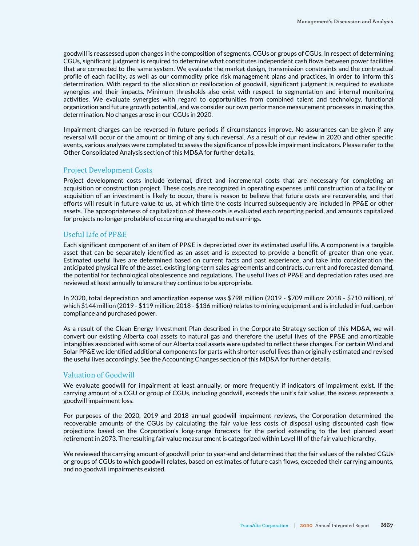goodwill is reassessed upon changes in the composition of segments, CGUs or groups of CGUs. In respect of determining CGUs, significant judgment is required to determine what constitutes independent cash flows between power facilities that are connected to the same system. We evaluate the market design, transmission constraints and the contractual profile of each facility, as well as our commodity price risk management plans and practices, in order to inform this determination. With regard to the allocation or reallocation of goodwill, significant judgment is required to evaluate synergies and their impacts. Minimum thresholds also exist with respect to segmentation and internal monitoring activities. We evaluate synergies with regard to opportunities from combined talent and technology, functional organization and future growth potential, and we consider our own performance measurement processes in making this determination. No changes arose in our CGUs in 2020.

Impairment charges can be reversed in future periods if circumstances improve. No assurances can be given if any reversal will occur or the amount or timing of any such reversal. As a result of our review in 2020 and other specific events, various analyses were completed to assess the significance of possible impairment indicators. Please refer to the Other Consolidated Analysis section of this MD&A for further details.

## Project Development Costs

Project development costs include external, direct and incremental costs that are necessary for completing an acquisition or construction project. These costs are recognized in operating expenses until construction of a facility or acquisition of an investment is likely to occur, there is reason to believe that future costs are recoverable, and that efforts will result in future value to us, at which time the costs incurred subsequently are included in PP&E or other assets. The appropriateness of capitalization of these costs is evaluated each reporting period, and amounts capitalized for projects no longer probable of occurring are charged to net earnings.

## Useful Life of PP&E

Each significant component of an item of PP&E is depreciated over its estimated useful life. A component is a tangible asset that can be separately identified as an asset and is expected to provide a benefit of greater than one year. Estimated useful lives are determined based on current facts and past experience, and take into consideration the anticipated physical life of the asset, existing long-term sales agreements and contracts, current and forecasted demand, the potential for technological obsolescence and regulations. The useful lives of PP&E and depreciation rates used are reviewed at least annually to ensure they continue to be appropriate.

In 2020, total depreciation and amortization expense was \$798 million (2019 - \$709 million; 2018 - \$710 million), of which \$144 million (2019 - \$119 million; 2018 - \$136 million) relates to mining equipment and is included in fuel, carbon compliance and purchased power.

As a result of the Clean Energy Investment Plan described in the Corporate Strategy section of this MD&A, we will convert our existing Alberta coal assets to natural gas and therefore the useful lives of the PP&E and amortizable intangibles associated with some of our Alberta coal assets were updated to reflect these changes. For certain Wind and Solar PP&E we identified additional components for parts with shorter useful lives than originally estimated and revised the useful lives accordingly. See the Accounting Changes section of this MD&A for further details.

## Valuation of Goodwill

We evaluate goodwill for impairment at least annually, or more frequently if indicators of impairment exist. If the carrying amount of a CGU or group of CGUs, including goodwill, exceeds the unit's fair value, the excess represents a goodwill impairment loss.

For purposes of the 2020, 2019 and 2018 annual goodwill impairment reviews, the Corporation determined the recoverable amounts of the CGUs by calculating the fair value less costs of disposal using discounted cash flow projections based on the Corporation's long-range forecasts for the period extending to the last planned asset retirement in 2073. The resulting fair value measurement is categorized within Level III of the fair value hierarchy.

We reviewed the carrying amount of goodwill prior to year-end and determined that the fair values of the related CGUs or groups of CGUs to which goodwill relates, based on estimates of future cash flows, exceeded their carrying amounts, and no goodwill impairments existed.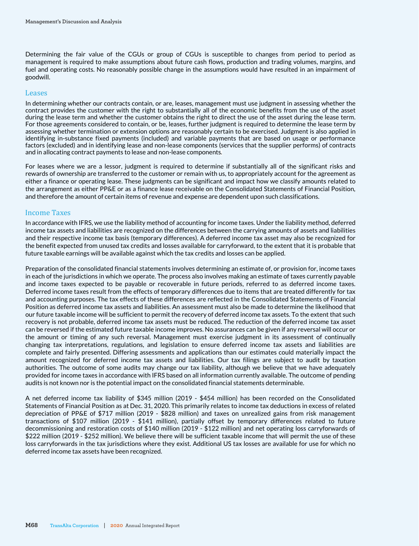Determining the fair value of the CGUs or group of CGUs is susceptible to changes from period to period as management is required to make assumptions about future cash flows, production and trading volumes, margins, and fuel and operating costs. No reasonably possible change in the assumptions would have resulted in an impairment of goodwill.

#### Leases

In determining whether our contracts contain, or are, leases, management must use judgment in assessing whether the contract provides the customer with the right to substantially all of the economic benefits from the use of the asset during the lease term and whether the customer obtains the right to direct the use of the asset during the lease term. For those agreements considered to contain, or be, leases, further judgment is required to determine the lease term by assessing whether termination or extension options are reasonably certain to be exercised. Judgment is also applied in identifying in-substance fixed payments (included) and variable payments that are based on usage or performance factors (excluded) and in identifying lease and non-lease components (services that the supplier performs) of contracts and in allocating contract payments to lease and non-lease components.

For leases where we are a lessor, judgment is required to determine if substantially all of the significant risks and rewards of ownership are transferred to the customer or remain with us, to appropriately account for the agreement as either a finance or operating lease. These judgments can be significant and impact how we classify amounts related to the arrangement as either PP&E or as a finance lease receivable on the Consolidated Statements of Financial Position, and therefore the amount of certain items of revenue and expense are dependent upon such classifications.

## Income Taxes

In accordance with IFRS, we use the liability method of accounting for income taxes. Under the liability method, deferred income tax assets and liabilities are recognized on the differences between the carrying amounts of assets and liabilities and their respective income tax basis (temporary differences). A deferred income tax asset may also be recognized for the benefit expected from unused tax credits and losses available for carryforward, to the extent that it is probable that future taxable earnings will be available against which the tax credits and losses can be applied.

Preparation of the consolidated financial statements involves determining an estimate of, or provision for, income taxes in each of the jurisdictions in which we operate. The process also involves making an estimate of taxes currently payable and income taxes expected to be payable or recoverable in future periods, referred to as deferred income taxes. Deferred income taxes result from the effects of temporary differences due to items that are treated differently for tax and accounting purposes. The tax effects of these differences are reflected in the Consolidated Statements of Financial Position as deferred income tax assets and liabilities. An assessment must also be made to determine the likelihood that our future taxable income will be sufficient to permit the recovery of deferred income tax assets. To the extent that such recovery is not probable, deferred income tax assets must be reduced. The reduction of the deferred income tax asset can be reversed if the estimated future taxable income improves. No assurances can be given if any reversal will occur or the amount or timing of any such reversal. Management must exercise judgment in its assessment of continually changing tax interpretations, regulations, and legislation to ensure deferred income tax assets and liabilities are complete and fairly presented. Differing assessments and applications than our estimates could materially impact the amount recognized for deferred income tax assets and liabilities. Our tax filings are subject to audit by taxation authorities. The outcome of some audits may change our tax liability, although we believe that we have adequately provided for income taxes in accordance with IFRS based on all information currently available. The outcome of pending audits is not known nor is the potential impact on the consolidated financial statements determinable.

A net deferred income tax liability of \$345 million (2019 - \$454 million) has been recorded on the Consolidated Statements of Financial Position as at Dec. 31, 2020. This primarily relates to income tax deductions in excess of related depreciation of PP&E of \$717 million (2019 - \$828 million) and taxes on unrealized gains from risk management transactions of \$107 million (2019 - \$141 million), partially offset by temporary differences related to future decommissioning and restoration costs of \$140 million (2019 - \$122 million) and net operating loss carryforwards of \$222 million (2019 - \$252 million). We believe there will be sufficient taxable income that will permit the use of these loss carryforwards in the tax jurisdictions where they exist. Additional US tax losses are available for use for which no deferred income tax assets have been recognized.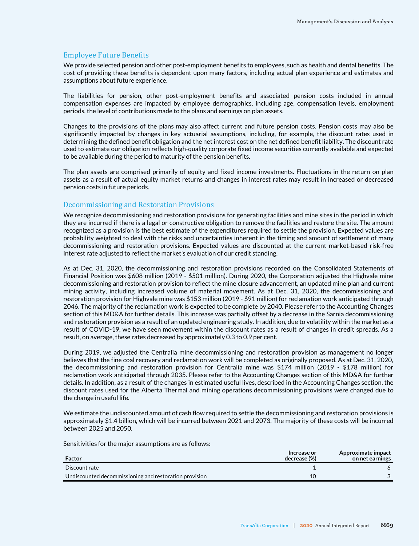## Employee Future Benefits

We provide selected pension and other post-employment benefits to employees, such as health and dental benefits. The cost of providing these benefits is dependent upon many factors, including actual plan experience and estimates and assumptions about future experience.

The liabilities for pension, other post-employment benefits and associated pension costs included in annual compensation expenses are impacted by employee demographics, including age, compensation levels, employment periods, the level of contributions made to the plans and earnings on plan assets.

Changes to the provisions of the plans may also affect current and future pension costs. Pension costs may also be significantly impacted by changes in key actuarial assumptions, including, for example, the discount rates used in determining the defined benefit obligation and the net interest cost on the net defined benefit liability. The discount rate used to estimate our obligation reflects high-quality corporate fixed income securities currently available and expected to be available during the period to maturity of the pension benefits.

The plan assets are comprised primarily of equity and fixed income investments. Fluctuations in the return on plan assets as a result of actual equity market returns and changes in interest rates may result in increased or decreased pension costs in future periods.

#### Decommissioning and Restoration Provisions

We recognize decommissioning and restoration provisions for generating facilities and mine sites in the period in which they are incurred if there is a legal or constructive obligation to remove the facilities and restore the site. The amount recognized as a provision is the best estimate of the expenditures required to settle the provision. Expected values are probability weighted to deal with the risks and uncertainties inherent in the timing and amount of settlement of many decommissioning and restoration provisions. Expected values are discounted at the current market-based risk-free interest rate adjusted to reflect the market's evaluation of our credit standing.

As at Dec. 31, 2020, the decommissioning and restoration provisions recorded on the Consolidated Statements of Financial Position was \$608 million (2019 - \$501 million). During 2020, the Corporation adjusted the Highvale mine decommissioning and restoration provision to reflect the mine closure advancement, an updated mine plan and current mining activity, including increased volume of material movement. As at Dec. 31, 2020, the decommissioning and restoration provision for Highvale mine was \$153 million (2019 - \$91 million) for reclamation work anticipated through 2046. The majority of the reclamation work is expected to be complete by 2040. Please refer to the Accounting Changes section of this MD&A for further details. This increase was partially offset by a decrease in the Sarnia decommissioning and restoration provision as a result of an updated engineering study. In addition, due to volatility within the market as a result of COVID-19, we have seen movement within the discount rates as a result of changes in credit spreads. As a result, on average, these rates decreased by approximately 0.3 to 0.9 per cent.

During 2019, we adjusted the Centralia mine decommissioning and restoration provision as management no longer believes that the fine coal recovery and reclamation work will be completed as originally proposed. As at Dec. 31, 2020, the decommissioning and restoration provision for Centralia mine was \$174 million (2019 - \$178 million) for reclamation work anticipated through 2035. Please refer to the Accounting Changes section of this MD&A for further details. In addition, as a result of the changes in estimated useful lives, described in the Accounting Changes section, the discount rates used for the Alberta Thermal and mining operations decommissioning provisions were changed due to the change in useful life.

We estimate the undiscounted amount of cash flow required to settle the decommissioning and restoration provisions is approximately \$1.4 billion, which will be incurred between 2021 and 2073. The majority of these costs will be incurred between 2025 and 2050.

Sensitivities for the major assumptions are as follows:

| Factor                                                 | Increase or<br>decrease (%) | Approximate impact<br>on net earnings |
|--------------------------------------------------------|-----------------------------|---------------------------------------|
| Discount rate                                          |                             |                                       |
| Undiscounted decommissioning and restoration provision | 10                          |                                       |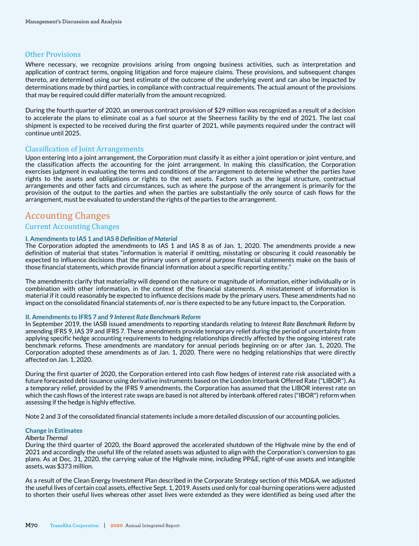## Other Provisions

Where necessary, we recognize provisions arising from ongoing business activities, such as interpretation and application of contract terms, ongoing litigation and force majeure claims. These provisions, and subsequent changes thereto, are determined using our best estimate of the outcome of the underlying event and can also be impacted by determinations made by third parties, in compliance with contractual requirements. The actual amount of the provisions that may be required could differ materially from the amount recognized.

During the fourth quarter of 2020, an onerous contract provision of \$29 million was recognized as a result of a decision to accelerate the plans to eliminate coal as a fuel source at the Sheerness facility by the end of 2021. The last coal shipment is expected to be received during the first quarter of 2021, while payments required under the contract will continue until 2025.

## Classification of Joint Arrangements

Upon entering into a joint arrangement, the Corporation must classify it as either a joint operation or joint venture, and the classification affects the accounting for the joint arrangement. In making this classification, the Corporation exercises judgment in evaluating the terms and conditions of the arrangement to determine whether the parties have rights to the assets and obligations or rights to the net assets. Factors such as the legal structure, contractual arrangements and other facts and circumstances, such as where the purpose of the arrangement is primarily for the provision of the output to the parties and when the parties are substantially the only source of cash flows for the arrangement, must be evaluated to understand the rights of the parties to the arrangement.

# Accounting Changes

## Current Accounting Changes

## **I. Amendments to IAS 1 and IAS 8** *Definition of Material*

The Corporation adopted the amendments to IAS 1 and IAS 8 as of Jan. 1, 2020. The amendments provide a new definition of material that states "information is material if omitting, misstating or obscuring it could reasonably be expected to influence decisions that the primary users of general purpose financial statements make on the basis of those financial statements, which provide financial information about a specific reporting entity."

The amendments clarify that materiality will depend on the nature or magnitude of information, either individually or in combination with other information, in the context of the financial statements. A misstatement of information is material if it could reasonably be expected to influence decisions made by the primary users. These amendments had no impact on the consolidated financial statements of, nor is there expected to be any future impact to, the Corporation.

#### **II. Amendments to IFRS 7 and 9** *Interest Rate Benchmark Reform*

In September 2019, the IASB issued amendments to reporting standards relating to *Interest Rate Benchmark Reform* by amending IFRS 9, IAS 39 and IFRS 7. These amendments provide temporary relief during the period of uncertainty from applying specific hedge accounting requirements to hedging relationships directly affected by the ongoing interest rate benchmark reforms. These amendments are mandatory for annual periods beginning on or after Jan. 1, 2020. The Corporation adopted these amendments as of Jan. 1, 2020. There were no hedging relationships that were directly affected on Jan. 1, 2020.

During the first quarter of 2020, the Corporation entered into cash flow hedges of interest rate risk associated with a future forecasted debt issuance using derivative instruments based on the London Interbank Offered Rate ("LIBOR"). As a temporary relief, provided by the IFRS 9 amendments, the Corporation has assumed that the LIBOR interest rate on which the cash flows of the interest rate swaps are based is not altered by interbank offered rates ("IBOR") reform when assessing if the hedge is highly effective.

Note 2 and 3 of the consolidated financial statements include a more detailed discussion of our accounting policies.

#### **Change in Estimates**

#### *Alberta Thermal*

During the third quarter of 2020, the Board approved the accelerated shutdown of the Highvale mine by the end of 2021 and accordingly the useful life of the related assets was adjusted to align with the Corporation's conversion to gas plans. As at Dec. 31, 2020, the carrying value of the Highvale mine, including PP&E, right-of-use assets and intangible assets, was \$373 million.

As a result of the Clean Energy Investment Plan described in the Corporate Strategy section of this MD&A, we adjusted the useful lives of certain coal assets, effective Sept. 1, 2019. Assets used only for coal-burning operations were adjusted to shorten their useful lives whereas other asset lives were extended as they were identified as being used after the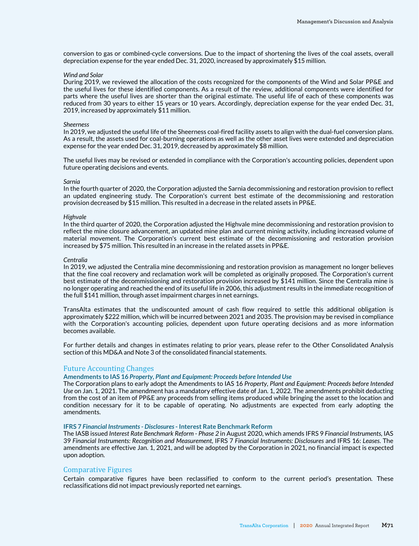conversion to gas or combined-cycle conversions. Due to the impact of shortening the lives of the coal assets, overall depreciation expense for the year ended Dec. 31, 2020, increased by approximately \$15 million.

#### *Wind and Solar*

During 2019, we reviewed the allocation of the costs recognized for the components of the Wind and Solar PP&E and the useful lives for these identified components. As a result of the review, additional components were identified for parts where the useful lives are shorter than the original estimate. The useful life of each of these components was reduced from 30 years to either 15 years or 10 years. Accordingly, depreciation expense for the year ended Dec. 31, 2019, increased by approximately \$11 million.

#### *Sheerness*

In 2019, we adjusted the useful life of the Sheerness coal-fired facility assets to align with the dual-fuel conversion plans. As a result, the assets used for coal-burning operations as well as the other asset lives were extended and depreciation expense for the year ended Dec. 31, 2019, decreased by approximately \$8 million.

The useful lives may be revised or extended in compliance with the Corporation's accounting policies, dependent upon future operating decisions and events.

#### *Sarnia*

In the fourth quarter of 2020, the Corporation adjusted the Sarnia decommissioning and restoration provision to reflect an updated engineering study. The Corporation's current best estimate of the decommissioning and restoration provision decreased by \$15 million. This resulted in a decrease in the related assets in PP&E.

#### *Highvale*

In the third quarter of 2020, the Corporation adjusted the Highvale mine decommissioning and restoration provision to reflect the mine closure advancement, an updated mine plan and current mining activity, including increased volume of material movement. The Corporation's current best estimate of the decommissioning and restoration provision increased by \$75 million. This resulted in an increase in the related assets in PP&E.

#### *Centralia*

In 2019, we adjusted the Centralia mine decommissioning and restoration provision as management no longer believes that the fine coal recovery and reclamation work will be completed as originally proposed. The Corporation's current best estimate of the decommissioning and restoration provision increased by \$141 million. Since the Centralia mine is no longer operating and reached the end of its useful life in 2006, this adjustment results in the immediate recognition of the full \$141 million, through asset impairment charges in net earnings.

TransAlta estimates that the undiscounted amount of cash flow required to settle this additional obligation is approximately \$222 million, which will be incurred between 2021 and 2035. The provision may be revised in compliance with the Corporation's accounting policies, dependent upon future operating decisions and as more information becomes available.

For further details and changes in estimates relating to prior years, please refer to the Other Consolidated Analysis section of this MD&A and Note 3 of the consolidated financial statements.

#### Future Accounting Changes

#### **Amendments to IAS 16** *Property, Plant and Equipment: Proceeds before Intended Use*

The Corporation plans to early adopt the Amendments to IAS 16 *Property, Plant and Equipment: Proceeds before Intended Use* on Jan. 1, 2021. The amendment has a mandatory effective date of Jan. 1, 2022. The amendments prohibit deducting from the cost of an item of PP&E any proceeds from selling items produced while bringing the asset to the location and condition necessary for it to be capable of operating. No adjustments are expected from early adopting the amendments.

#### **IFRS 7** *Financial Instruments - Disclosures* **- Interest Rate Benchmark Reform**

The IASB issued *Interest Rate Benchmark Reform - Phase 2* in August 2020, which amends IFRS 9 *Financial Instruments,* IAS 39 *Financial Instruments: Recognition and Measurement,* IFRS 7 *Financial Instruments: Disclosures* and IFRS 16: *Leases*. The amendments are effective Jan. 1, 2021, and will be adopted by the Corporation in 2021, no financial impact is expected upon adoption.

#### Comparative Figures

Certain comparative figures have been reclassified to conform to the current period's presentation. These reclassifications did not impact previously reported net earnings.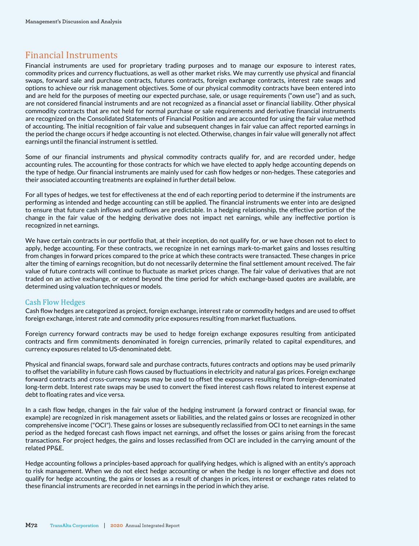# Financial Instruments

Financial instruments are used for proprietary trading purposes and to manage our exposure to interest rates, commodity prices and currency fluctuations, as well as other market risks. We may currently use physical and financial swaps, forward sale and purchase contracts, futures contracts, foreign exchange contracts, interest rate swaps and options to achieve our risk management objectives. Some of our physical commodity contracts have been entered into and are held for the purposes of meeting our expected purchase, sale, or usage requirements ("own use") and as such, are not considered financial instruments and are not recognized as a financial asset or financial liability. Other physical commodity contracts that are not held for normal purchase or sale requirements and derivative financial instruments are recognized on the Consolidated Statements of Financial Position and are accounted for using the fair value method of accounting. The initial recognition of fair value and subsequent changes in fair value can affect reported earnings in the period the change occurs if hedge accounting is not elected. Otherwise, changes in fair value will generally not affect earnings until the financial instrument is settled.

Some of our financial instruments and physical commodity contracts qualify for, and are recorded under, hedge accounting rules. The accounting for those contracts for which we have elected to apply hedge accounting depends on the type of hedge. Our financial instruments are mainly used for cash flow hedges or non-hedges. These categories and their associated accounting treatments are explained in further detail below.

For all types of hedges, we test for effectiveness at the end of each reporting period to determine if the instruments are performing as intended and hedge accounting can still be applied. The financial instruments we enter into are designed to ensure that future cash inflows and outflows are predictable. In a hedging relationship, the effective portion of the change in the fair value of the hedging derivative does not impact net earnings, while any ineffective portion is recognized in net earnings.

We have certain contracts in our portfolio that, at their inception, do not qualify for, or we have chosen not to elect to apply, hedge accounting. For these contracts, we recognize in net earnings mark-to-market gains and losses resulting from changes in forward prices compared to the price at which these contracts were transacted. These changes in price alter the timing of earnings recognition, but do not necessarily determine the final settlement amount received. The fair value of future contracts will continue to fluctuate as market prices change. The fair value of derivatives that are not traded on an active exchange, or extend beyond the time period for which exchange-based quotes are available, are determined using valuation techniques or models.

# Cash Flow Hedges

Cash flow hedges are categorized as project, foreign exchange, interest rate or commodity hedges and are used to offset foreign exchange, interest rate and commodity price exposures resulting from market fluctuations.

Foreign currency forward contracts may be used to hedge foreign exchange exposures resulting from anticipated contracts and firm commitments denominated in foreign currencies, primarily related to capital expenditures, and currency exposures related to US-denominated debt.

Physical and financial swaps, forward sale and purchase contracts, futures contracts and options may be used primarily to offset the variability in future cash flows caused by fluctuations in electricity and natural gas prices. Foreign exchange forward contracts and cross-currency swaps may be used to offset the exposures resulting from foreign-denominated long-term debt. Interest rate swaps may be used to convert the fixed interest cash flows related to interest expense at debt to floating rates and vice versa.

In a cash flow hedge, changes in the fair value of the hedging instrument (a forward contract or financial swap, for example) are recognized in risk management assets or liabilities, and the related gains or losses are recognized in other comprehensive income ("OCI"). These gains or losses are subsequently reclassified from OCI to net earnings in the same period as the hedged forecast cash flows impact net earnings, and offset the losses or gains arising from the forecast transactions. For project hedges, the gains and losses reclassified from OCI are included in the carrying amount of the related PP&E.

Hedge accounting follows a principles-based approach for qualifying hedges, which is aligned with an entity's approach to risk management. When we do not elect hedge accounting or when the hedge is no longer effective and does not qualify for hedge accounting, the gains or losses as a result of changes in prices, interest or exchange rates related to these financial instruments are recorded in net earnings in the period in which they arise.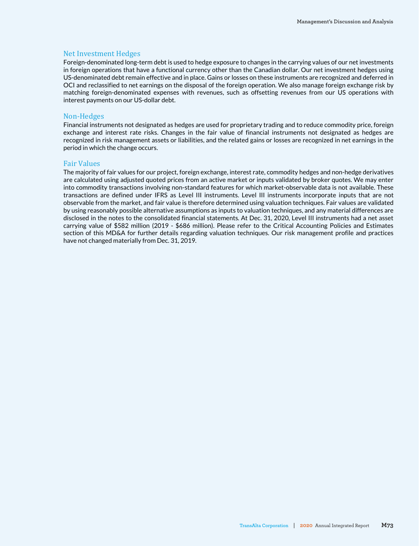#### Net Investment Hedges

Foreign-denominated long-term debt is used to hedge exposure to changes in the carrying values of our net investments in foreign operations that have a functional currency other than the Canadian dollar. Our net investment hedges using US-denominated debt remain effective and in place. Gains or losses on these instruments are recognized and deferred in OCI and reclassified to net earnings on the disposal of the foreign operation. We also manage foreign exchange risk by matching foreign-denominated expenses with revenues, such as offsetting revenues from our US operations with interest payments on our US-dollar debt.

#### Non-Hedges

Financial instruments not designated as hedges are used for proprietary trading and to reduce commodity price, foreign exchange and interest rate risks. Changes in the fair value of financial instruments not designated as hedges are recognized in risk management assets or liabilities, and the related gains or losses are recognized in net earnings in the period in which the change occurs.

#### Fair Values

The majority of fair values for our project, foreign exchange, interest rate, commodity hedges and non-hedge derivatives are calculated using adjusted quoted prices from an active market or inputs validated by broker quotes. We may enter into commodity transactions involving non-standard features for which market-observable data is not available. These transactions are defined under IFRS as Level III instruments. Level III instruments incorporate inputs that are not observable from the market, and fair value is therefore determined using valuation techniques. Fair values are validated by using reasonably possible alternative assumptions as inputs to valuation techniques, and any material differences are disclosed in the notes to the consolidated financial statements. At Dec. 31, 2020, Level III instruments had a net asset carrying value of \$582 million (2019 - \$686 million). Please refer to the Critical Accounting Policies and Estimates section of this MD&A for further details regarding valuation techniques. Our risk management profile and practices have not changed materially from Dec. 31, 2019.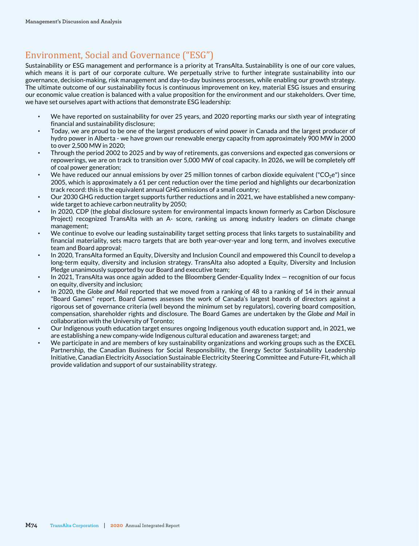# Environment, Social and Governance ("ESG")

Sustainability or ESG management and performance is a priority at TransAlta. Sustainability is one of our core values, which means it is part of our corporate culture. We perpetually strive to further integrate sustainability into our governance, decision-making, risk management and day-to-day business processes, while enabling our growth strategy. The ultimate outcome of our sustainability focus is continuous improvement on key, material ESG issues and ensuring our economic value creation is balanced with a value proposition for the environment and our stakeholders. Over time, we have set ourselves apart with actions that demonstrate ESG leadership:

- We have reported on sustainability for over 25 years, and 2020 reporting marks our sixth year of integrating financial and sustainability disclosure;
- Today, we are proud to be one of the largest producers of wind power in Canada and the largest producer of hydro power in Alberta - we have grown our renewable energy capacity from approximately 900 MW in 2000 to over 2,500 MW in 2020;
- Through the period 2002 to 2025 and by way of retirements, gas conversions and expected gas conversions or repowerings, we are on track to transition over 5,000 MW of coal capacity. In 2026, we will be completely off of coal power generation;
- We have reduced our annual emissions by over 25 million tonnes of carbon dioxide equivalent ("CO<sub>2</sub>e") since 2005, which is approximately a 61 per cent reduction over the time period and highlights our decarbonization track record: this is the equivalent annual GHG emissions of a small country;
- Our 2030 GHG reduction target supports further reductions and in 2021, we have established a new companywide target to achieve carbon neutrality by 2050;
- In 2020, CDP (the global disclosure system for environmental impacts known formerly as Carbon Disclosure Project) recognized TransAlta with an A- score, ranking us among industry leaders on climate change management;
- We continue to evolve our leading sustainability target setting process that links targets to sustainability and financial materiality, sets macro targets that are both year-over-year and long term, and involves executive team and Board approval;
- In 2020, TransAlta formed an Equity, Diversity and Inclusion Council and empowered this Council to develop a long-term equity, diversity and inclusion strategy. TransAlta also adopted a Equity, Diversity and Inclusion Pledge unanimously supported by our Board and executive team;
- In 2021, TransAlta was once again added to the Bloomberg Gender-Equality Index recognition of our focus on equity, diversity and inclusion;
- In 2020, the *Globe and Mail reported that we moved from a ranking of 48 to a ranking of 14 in their annual* "Board Games" report. Board Games assesses the work of Canada's largest boards of directors against a rigorous set of governance criteria (well beyond the minimum set by regulators), covering board composition, compensation, shareholder rights and disclosure. The Board Games are undertaken by the *Globe and Mail* in collaboration with the University of Toronto;
- Our Indigenous youth education target ensures ongoing Indigenous youth education support and, in 2021, we are establishing a new company-wide Indigenous cultural education and awareness target; and
- We participate in and are members of key sustainability organizations and working groups such as the EXCEL Partnership, the Canadian Business for Social Responsibility, the Energy Sector Sustainability Leadership Initiative, Canadian Electricity Association Sustainable Electricity Steering Committee and Future-Fit, which all provide validation and support of our sustainability strategy.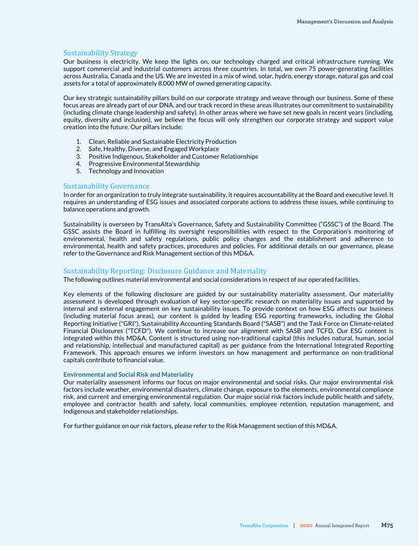#### Sustainability Strategy

Our business is electricity. We keep the lights on, our technology charged and critical infrastructure running. We support commercial and industrial customers across three countries. In total, we own 75 power-generating facilities across Australia, Canada and the US. We are invested in a mix of wind, solar, hydro, energy storage, natural gas and coal assets for a total of approximately 8,000 MW of owned generating capacity.

Our key strategic sustainability pillars build on our corporate strategy and weave through our business. Some of these focus areas are already part of our DNA, and our track record in these areas illustrates our commitment to sustainability (including climate change leadership and safety). In other areas where we have set new goals in recent years (including*,*  equity, diversity and inclusion), we believe the focus will only strengthen our corporate strategy and support value creation into the future. Our pillars include:

- 1. Clean, Reliable and Sustainable Electricity Production
- 2. Safe, Healthy, Diverse, and Engaged Workplace
- 3. Positive Indigenous, Stakeholder and Customer Relationships
- 4. Progressive Environmental Stewardship
- 5. Technology and Innovation

#### Sustainability Governance

In order for an organization to truly integrate sustainability, it requires accountability at the Board and executive level. It requires an understanding of ESG issues and associated corporate actions to address these issues, while continuing to balance operations and growth.

Sustainability is overseen by TransAlta's Governance, Safety and Sustainability Committee ("GSSC") of the Board. The GSSC assists the Board in fulfilling its oversight responsibilities with respect to the Corporation's monitoring of environmental, health and safety regulations, public policy changes and the establishment and adherence to environmental, health and safety practices, procedures and policies. For additional details on our governance, please refer to the Governance and Risk Management section of this MD&A.

#### Sustainability Reporting: Disclosure Guidance and Materiality

The following outlines material environmental and social considerations in respect of our operated facilities.

Key elements of the following disclosure are guided by our sustainability materiality assessment. Our materiality assessment is developed through evaluation of key sector-specific research on materiality issues and supported by internal and external engagement on key sustainability issues. To provide context on how ESG affects our business (including material focus areas), our content is guided by leading ESG reporting frameworks, including the Global Reporting Initiative ("GRI"), Sustainability Accounting Standards Board ("SASB") and the Task Force on Climate-related Financial Disclosures ("TCFD"). We continue to increase our alignment with SASB and TCFD. Our ESG content is integrated within this MD&A. Content is structured using non-traditional capital (this includes natural, human, social and relationship, intellectual and manufactured capital) as per guidance from the International Integrated Reporting Framework. This approach ensures we inform investors on how management and performance on non-traditional capitals contribute to financial value.

#### **Environmental and Social Risk and Materiality**

Our materiality assessment informs our focus on major environmental and social risks. Our major environmental risk factors include weather, environmental disasters, climate change, exposure to the elements, environmental compliance risk, and current and emerging environmental regulation. Our major social risk factors include public health and safety, employee and contractor health and safety, local communities, employee retention, reputation management, and Indigenous and stakeholder relationships.

For further guidance on our risk factors, please refer to the Risk Management section of this MD&A.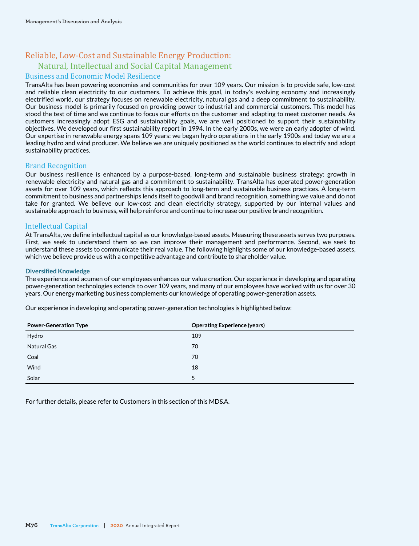# Reliable, Low-Cost and Sustainable Energy Production: Natural, Intellectual and Social Capital Management

# Business and Economic Model Resilience

TransAlta has been powering economies and communities for over 109 years. Our mission is to provide safe, low-cost and reliable clean electricity to our customers. To achieve this goal, in today's evolving economy and increasingly electrified world, our strategy focuses on renewable electricity, natural gas and a deep commitment to sustainability. Our business model is primarily focused on providing power to industrial and commercial customers. This model has stood the test of time and we continue to focus our efforts on the customer and adapting to meet customer needs. As customers increasingly adopt ESG and sustainability goals, we are well positioned to support their sustainability objectives. We developed our first sustainability report in 1994. In the early 2000s, we were an early adopter of wind. Our expertise in renewable energy spans 109 years: we began hydro operations in the early 1900s and today we are a leading hydro and wind producer. We believe we are uniquely positioned as the world continues to electrify and adopt sustainability practices.

# Brand Recognition

Our business resilience is enhanced by a purpose-based, long-term and sustainable business strategy: growth in renewable electricity and natural gas and a commitment to sustainability. TransAlta has operated power-generation assets for over 109 years, which reflects this approach to long-term and sustainable business practices. A long-term commitment to business and partnerships lends itself to goodwill and brand recognition, something we value and do not take for granted. We believe our low-cost and clean electricity strategy, supported by our internal values and sustainable approach to business, will help reinforce and continue to increase our positive brand recognition.

# Intellectual Capital

At TransAlta, we define intellectual capital as our knowledge-based assets. Measuring these assets serves two purposes. First, we seek to understand them so we can improve their management and performance. Second, we seek to understand these assets to communicate their real value. The following highlights some of our knowledge-based assets, which we believe provide us with a competitive advantage and contribute to shareholder value.

#### **Diversified Knowledge**

The experience and acumen of our employees enhances our value creation. Our experience in developing and operating power-generation technologies extends to over 109 years, and many of our employees have worked with us for over 30 years. Our energy marketing business complements our knowledge of operating power-generation assets.

Our experience in developing and operating power-generation technologies is highlighted below:

| <b>Power-Generation Type</b> | <b>Operating Experience (years)</b> |
|------------------------------|-------------------------------------|
| Hydro                        | 109                                 |
| Natural Gas                  | 70                                  |
| Coal                         | 70                                  |
| Wind                         | 18                                  |
| Solar                        | 5                                   |

For further details, please refer to Customers in this section of this MD&A.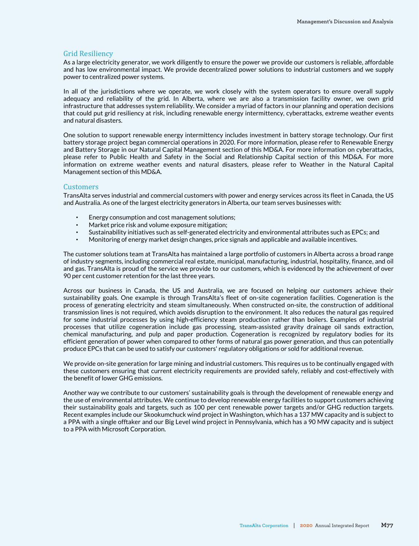#### Grid Resiliency

As a large electricity generator, we work diligently to ensure the power we provide our customers is reliable, affordable and has low environmental impact. We provide decentralized power solutions to industrial customers and we supply power to centralized power systems.

In all of the jurisdictions where we operate, we work closely with the system operators to ensure overall supply adequacy and reliability of the grid. In Alberta, where we are also a transmission facility owner, we own grid infrastructure that addresses system reliability. We consider a myriad of factors in our planning and operation decisions that could put grid resiliency at risk, including renewable energy intermittency, cyberattacks, extreme weather events and natural disasters.

One solution to support renewable energy intermittency includes investment in battery storage technology. Our first battery storage project began commercial operations in 2020. For more information, please refer to Renewable Energy and Battery Storage in our Natural Capital Management section of this MD&A. For more information on cyberattacks, please refer to Public Health and Safety in the Social and Relationship Capital section of this MD&A. For more information on extreme weather events and natural disasters, please refer to Weather in the Natural Capital Management section of this MD&A.

#### Customers

TransAlta serves industrial and commercial customers with power and energy services across its fleet in Canada, the US and Australia. As one of the largest electricity generators in Alberta, our team serves businesses with:

- Energy consumption and cost management solutions;
- Market price risk and volume exposure mitigation;
- Sustainability initiatives such as self-generated electricity and environmental attributes such as EPCs; and
- Monitoring of energy market design changes, price signals and applicable and available incentives.

The customer solutions team at TransAlta has maintained a large portfolio of customers in Alberta across a broad range of industry segments, including commercial real estate, municipal, manufacturing, industrial, hospitality, finance, and oil and gas. TransAlta is proud of the service we provide to our customers, which is evidenced by the achievement of over 90 per cent customer retention for the last three years.

Across our business in Canada, the US and Australia, we are focused on helping our customers achieve their sustainability goals. One example is through TransAlta's fleet of on-site cogeneration facilities. Cogeneration is the process of generating electricity and steam simultaneously. When constructed on-site, the construction of additional transmission lines is not required, which avoids disruption to the environment. It also reduces the natural gas required for some industrial processes by using high-efficiency steam production rather than boilers. Examples of industrial processes that utilize cogeneration include gas processing, steam-assisted gravity drainage oil sands extraction, chemical manufacturing, and pulp and paper production. Cogeneration is recognized by regulatory bodies for its efficient generation of power when compared to other forms of natural gas power generation, and thus can potentially produce EPCs that can be used to satisfy our customers' regulatory obligations or sold for additional revenue.

We provide on-site generation for large mining and industrial customers. This requires us to be continually engaged with these customers ensuring that current electricity requirements are provided safely, reliably and cost-effectively with the benefit of lower GHG emissions.

Another way we contribute to our customers' sustainability goals is through the development of renewable energy and the use of environmental attributes. We continue to develop renewable energy facilities to support customers achieving their sustainability goals and targets, such as 100 per cent renewable power targets and/or GHG reduction targets. Recent examples include our Skookumchuck wind project in Washington, which has a 137 MW capacity and is subject to a PPA with a single offtaker and our Big Level wind project in Pennsylvania, which has a 90 MW capacity and is subject to a PPA with Microsoft Corporation.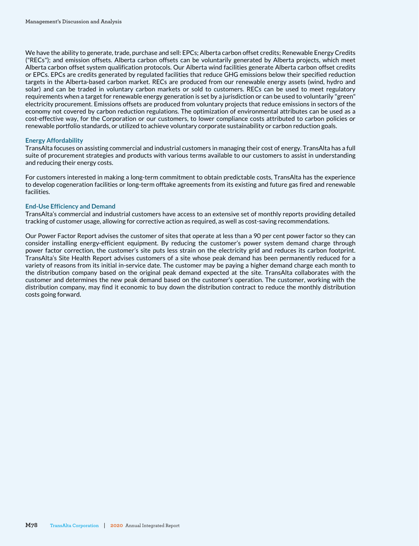We have the ability to generate, trade, purchase and sell: EPCs; Alberta carbon offset credits; Renewable Energy Credits ("RECs"); and emission offsets. Alberta carbon offsets can be voluntarily generated by Alberta projects, which meet Alberta carbon offset system qualification protocols. Our Alberta wind facilities generate Alberta carbon offset credits or EPCs. EPCs are credits generated by regulated facilities that reduce GHG emissions below their specified reduction targets in the Alberta-based carbon market. RECs are produced from our renewable energy assets (wind, hydro and solar) and can be traded in voluntary carbon markets or sold to customers. RECs can be used to meet regulatory requirements when a target for renewable energy generation is set by a jurisdiction or can be used to voluntarily "green" electricity procurement. Emissions offsets are produced from voluntary projects that reduce emissions in sectors of the economy not covered by carbon reduction regulations. The optimization of environmental attributes can be used as a cost-effective way, for the Corporation or our customers, to lower compliance costs attributed to carbon policies or renewable portfolio standards, or utilized to achieve voluntary corporate sustainability or carbon reduction goals.

#### **Energy Affordability**

TransAlta focuses on assisting commercial and industrial customers in managing their cost of energy. TransAlta has a full suite of procurement strategies and products with various terms available to our customers to assist in understanding and reducing their energy costs.

For customers interested in making a long-term commitment to obtain predictable costs, TransAlta has the experience to develop cogeneration facilities or long-term offtake agreements from its existing and future gas fired and renewable facilities.

#### **End-Use Efficiency and Demand**

TransAlta's commercial and industrial customers have access to an extensive set of monthly reports providing detailed tracking of customer usage, allowing for corrective action as required, as well as cost-saving recommendations.

Our Power Factor Report advises the customer of sites that operate at less than a 90 per cent power factor so they can consider installing energy-efficient equipment. By reducing the customer's power system demand charge through power factor correction, the customer's site puts less strain on the electricity grid and reduces its carbon footprint. TransAlta's Site Health Report advises customers of a site whose peak demand has been permanently reduced for a variety of reasons from its initial in-service date. The customer may be paying a higher demand charge each month to the distribution company based on the original peak demand expected at the site. TransAlta collaborates with the customer and determines the new peak demand based on the customer's operation. The customer, working with the distribution company, may find it economic to buy down the distribution contract to reduce the monthly distribution costs going forward.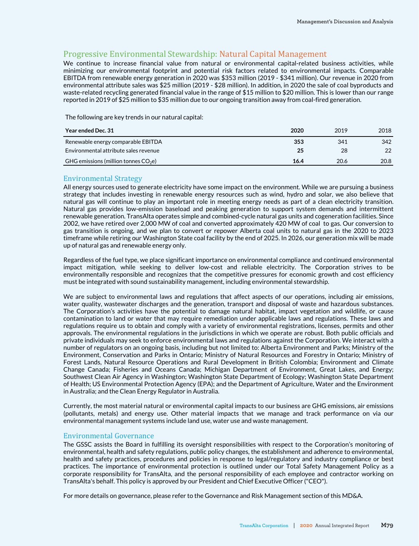# Progressive Environmental Stewardship: Natural Capital Management

We continue to increase financial value from natural or environmental capital-related business activities, while minimizing our environmental footprint and potential risk factors related to environmental impacts. Comparable EBITDA from renewable energy generation in 2020 was \$353 million (2019 - \$341 million). Our revenue in 2020 from environmental attribute sales was \$25 million (2019 - \$28 million). In addition, in 2020 the sale of coal byproducts and waste-related recycling generated financial value in the range of \$15 million to \$20 million. This is lower than our range reported in 2019 of \$25 million to \$35 million due to our ongoing transition away from coal-fired generation.

The following are key trends in our natural capital:

| Year ended Dec. 31                     | 2020 | 2019 | 2018 |
|----------------------------------------|------|------|------|
| Renewable energy comparable EBITDA     | 353  | 341  | 342  |
| Environmental attribute sales revenue  | 25   | 28   | 22   |
| GHG emissions (million tonnes $CO2e$ ) | 16.4 | 20.6 | 20.8 |

## Environmental Strategy

All energy sources used to generate electricity have some impact on the environment. While we are pursuing a business strategy that includes investing in renewable energy resources such as wind, hydro and solar, we also believe that natural gas will continue to play an important role in meeting energy needs as part of a clean electricity transition. Natural gas provides low-emission baseload and peaking generation to support system demands and intermittent renewable generation. TransAlta operates simple and combined-cycle natural gas units and cogeneration facilities. Since 2002, we have retired over 2,000 MW of coal and converted approximately 420 MW of coal to gas. Our conversion to gas transition is ongoing, and we plan to convert or repower Alberta coal units to natural gas in the 2020 to 2023 timeframe while retiring our Washington State coal facility by the end of 2025. In 2026, our generation mix will be made up of natural gas and renewable energy only.

Regardless of the fuel type, we place significant importance on environmental compliance and continued environmental impact mitigation, while seeking to deliver low-cost and reliable electricity. The Corporation strives to be environmentally responsible and recognizes that the competitive pressures for economic growth and cost efficiency must be integrated with sound sustainability management, including environmental stewardship.

We are subject to environmental laws and regulations that affect aspects of our operations, including air emissions, water quality, wastewater discharges and the generation, transport and disposal of waste and hazardous substances. The Corporation's activities have the potential to damage natural habitat, impact vegetation and wildlife, or cause contamination to land or water that may require remediation under applicable laws and regulations. These laws and regulations require us to obtain and comply with a variety of environmental registrations, licenses, permits and other approvals. The environmental regulations in the jurisdictions in which we operate are robust. Both public officials and private individuals may seek to enforce environmental laws and regulations against the Corporation. We interact with a number of regulators on an ongoing basis, including but not limited to: Alberta Environment and Parks; Ministry of the Environment, Conservation and Parks in Ontario; Ministry of Natural Resources and Forestry in Ontario; Ministry of Forest Lands, Natural Resource Operations and Rural Development in British Colombia; Environment and Climate Change Canada; Fisheries and Oceans Canada; Michigan Department of Environment, Great Lakes, and Energy; Southwest Clean Air Agency in Washington; Washington State Department of Ecology; Washington State Department of Health; US Environmental Protection Agency (EPA); and the Department of Agriculture, Water and the Environment in Australia; and the Clean Energy Regulator in Australia.

Currently, the most material natural or environmental capital impacts to our business are GHG emissions, air emissions (pollutants, metals) and energy use. Other material impacts that we manage and track performance on via our environmental management systems include land use, water use and waste management.

#### Environmental Governance

The GSSC assists the Board in fulfilling its oversight responsibilities with respect to the Corporation's monitoring of environmental, health and safety regulations, public policy changes, the establishment and adherence to environmental, health and safety practices, procedures and policies in response to legal/regulatory and industry compliance or best practices. The importance of environmental protection is outlined under our Total Safety Management Policy as a corporate responsibility for TransAlta, and the personal responsibility of each employee and contractor working on TransAlta's behalf. This policy is approved by our President and Chief Executive Officer ("CEO").

For more details on governance, please refer to the Governance and Risk Management section of this MD&A.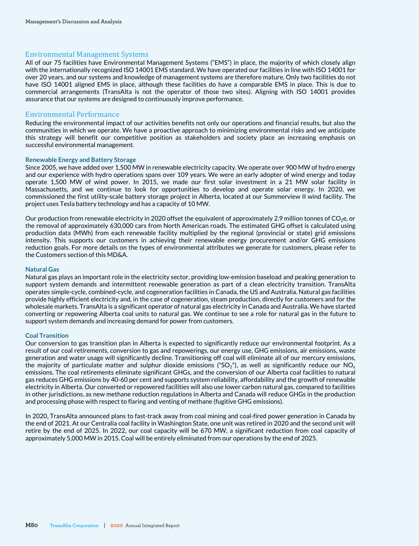# Environmental Management Systems

All of our 75 facilities have Environmental Management Systems ("EMS") in place, the majority of which closely align with the internationally recognized ISO 14001 EMS standard. We have operated our facilities in line with ISO 14001 for over 20 years, and our systems and knowledge of management systems are therefore mature. Only two facilities do not have ISO 14001 aligned EMS in place, although these facilities do have a comparable EMS in place. This is due to commercial arrangements (TransAlta is not the operator of those two sites). Aligning with ISO 14001 provides assurance that our systems are designed to continuously improve performance.

## Environmental Performance

Reducing the environmental impact of our activities benefits not only our operations and financial results, but also the communities in which we operate. We have a proactive approach to minimizing environmental risks and we anticipate this strategy will benefit our competitive position as stakeholders and society place an increasing emphasis on successful environmental management.

#### **Renewable Energy and Battery Storage**

Since 2005, we have added over 1,500 MW in renewable electricity capacity. We operate over 900 MW of hydro energy and our experience with hydro operations spans over 109 years. We were an early adopter of wind energy and today operate 1,500 MW of wind power. In 2015, we made our first solar investment in a 21 MW solar facility in Massachusetts, and we continue to look for opportunities to develop and operate solar energy. In 2020, we commissioned the first utility-scale battery storage project in Alberta, located at our Summerview II wind facility. The project uses Tesla battery technology and has a capacity of 10 MW.

Our production from renewable electricity in 2020 offset the equivalent of approximately 2.9 million tonnes of CO<sub>2</sub>e, or the removal of approximately 630,000 cars from North American roads. The estimated GHG offset is calculated using production data (MWh) from each renewable facility multiplied by the regional (provincial or state) grid emissions intensity. This supports our customers in achieving their renewable energy procurement and/or GHG emissions reduction goals. For more details on the types of environmental attributes we generate for customers, please refer to the Customers section of this MD&A.

#### **Natural Gas**

Natural gas plays an important role in the electricity sector, providing low-emission baseload and peaking generation to support system demands and intermittent renewable generation as part of a clean electricity transition. TransAlta operates simple-cycle, combined-cycle, and cogeneration facilities in Canada, the US and Australia. Natural gas facilities provide highly efficient electricity and, in the case of cogeneration, steam production, directly for customers and for the wholesale markets. TransAlta is a significant operator of natural gas electricity in Canada and Australia. We have started converting or repowering Alberta coal units to natural gas. We continue to see a role for natural gas in the future to support system demands and increasing demand for power from customers.

#### **Coal Transition**

Our conversion to gas transition plan in Alberta is expected to significantly reduce our environmental footprint. As a result of our coal retirements, conversion to gas and repowerings, our energy use, GHG emissions, air emissions, waste generation and water usage will significantly decline. Transitioning off coal will eliminate all of our mercury emissions, the majority of particulate matter and sulphur dioxide emissions ("SO<sub>2</sub>"), as well as significantly reduce our NO<sub>x</sub> emissions. The coal retirements eliminate significant GHGs, and the conversion of our Alberta coal facilities to natural gas reduces GHG emissions by 40-60 per cent and supports system reliability, affordability and the growth of renewable electricity in Alberta. Our converted or repowered facilities will also use lower carbon natural gas, compared to facilities in other jurisdictions, as new methane reduction regulations in Alberta and Canada will reduce GHGs in the production and processing phase with respect to flaring and venting of methane (fugitive GHG emissions).

In 2020, TransAlta announced plans to fast-track away from coal mining and coal-fired power generation in Canada by the end of 2021. At our Centralia coal facility in Washington State, one unit was retired in 2020 and the second unit will retire by the end of 2025. In 2022, our coal capacity will be 670 MW, a significant reduction from coal capacity of approximately 5,000 MW in 2015. Coal will be entirely eliminated from our operations by the end of 2025.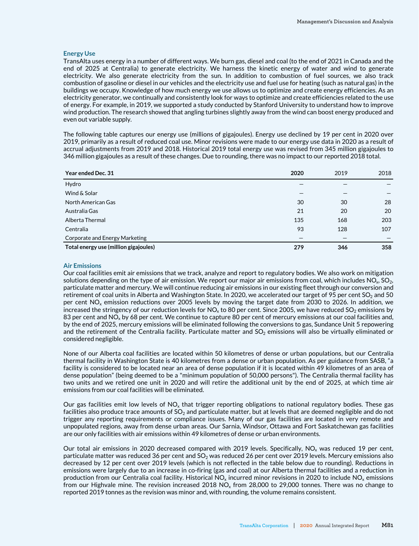#### **Energy Use**

TransAlta uses energy in a number of different ways. We burn gas, diesel and coal (to the end of 2021 in Canada and the end of 2025 at Centralia) to generate electricity. We harness the kinetic energy of water and wind to generate electricity. We also generate electricity from the sun. In addition to combustion of fuel sources, we also track combustion of gasoline or diesel in our vehicles and the electricity use and fuel use for heating (such as natural gas) in the buildings we occupy. Knowledge of how much energy we use allows us to optimize and create energy efficiencies. As an electricity generator, we continually and consistently look for ways to optimize and create efficiencies related to the use of energy. For example, in 2019, we supported a study conducted by Stanford University to understand how to improve wind production. The research showed that angling turbines slightly away from the wind can boost energy produced and even out variable supply.

The following table captures our energy use (millions of gigajoules). Energy use declined by 19 per cent in 2020 over 2019, primarily as a result of reduced coal use. Minor revisions were made to our energy use data in 2020 as a result of accrual adjustments from 2019 and 2018. Historical 2019 total energy use was revised from 345 million gigajoules to 346 million gigajoules as a result of these changes. Due to rounding, there was no impact to our reported 2018 total.

| Year ended Dec. 31                    | 2020 | 2019 | 2018 |
|---------------------------------------|------|------|------|
| Hydro                                 |      |      |      |
| Wind & Solar                          |      |      |      |
| North American Gas                    | 30   | 30   | 28   |
| Australia Gas                         | 21   | 20   | 20   |
| Alberta Thermal                       | 135  | 168  | 203  |
| Centralia                             | 93   | 128  | 107  |
| Corporate and Energy Marketing        |      |      |      |
| Total energy use (million gigajoules) | 279  | 346  | 358  |

#### **Air Emissions**

Our coal facilities emit air emissions that we track, analyze and report to regulatory bodies. We also work on mitigation solutions depending on the type of air emission. We report our major air emissions from coal, which includes  $NO<sub>x</sub>$ ,  $SO<sub>2</sub>$ , particulate matter and mercury. We will continue reducing air emissions in our existing fleet through our conversion and retirement of coal units in Alberta and Washington State. In 2020, we accelerated our target of 95 per cent  $SO_2$  and 50 per cent NO<sub>x</sub> emission reductions over 2005 levels by moving the target date from 2030 to 2026. In addition, we increased the stringency of our reduction levels for NO<sub>x</sub> to 80 per cent. Since 2005, we have reduced SO<sub>2</sub> emissions by 83 per cent and NO<sub>x</sub> by 68 per cent. We continue to capture 80 per cent of mercury emissions at our coal facilities and, by the end of 2025, mercury emissions will be eliminated following the conversions to gas, Sundance Unit 5 repowering and the retirement of the Centralia facility. Particulate matter and  $SO<sub>2</sub>$  emissions will also be virtually eliminated or considered negligible.

None of our Alberta coal facilities are located within 50 kilometres of dense or urban populations, but our Centralia thermal facility in Washington State is 40 kilometres from a dense or urban population. As per guidance from SASB, "a facility is considered to be located near an area of dense population if it is located within 49 kilometres of an area of dense population" (being deemed to be a "minimum population of 50,000 persons"). The Centralia thermal facility has two units and we retired one unit in 2020 and will retire the additional unit by the end of 2025, at which time air emissions from our coal facilities will be eliminated.

Our gas facilities emit low levels of  $NO<sub>x</sub>$  that trigger reporting obligations to national regulatory bodies. These gas facilities also produce trace amounts of  $SO_2$  and particulate matter, but at levels that are deemed negligible and do not trigger any reporting requirements or compliance issues. Many of our gas facilities are located in very remote and unpopulated regions, away from dense urban areas. Our Sarnia, Windsor, Ottawa and Fort Saskatchewan gas facilities are our only facilities with air emissions within 49 kilometres of dense or urban environments.

Our total air emissions in 2020 decreased compared with 2019 levels. Specifically,  $NO<sub>x</sub>$  was reduced 19 per cent, particulate matter was reduced 36 per cent and  $SO_2$  was reduced 26 per cent over 2019 levels. Mercury emissions also decreased by 12 per cent over 2019 levels (which is not reflected in the table below due to rounding). Reductions in emissions were largely due to an increase in co-firing (gas and coal) at our Alberta thermal facilities and a reduction in production from our Centralia coal facility. Historical  $NO_x$  incurred minor revisions in 2020 to include  $NO_x$  emissions from our Highvale mine. The revision increased 2018  $NO_x$  from 28,000 to 29,000 tonnes. There was no change to reported 2019 tonnes as the revision was minor and, with rounding, the volume remains consistent.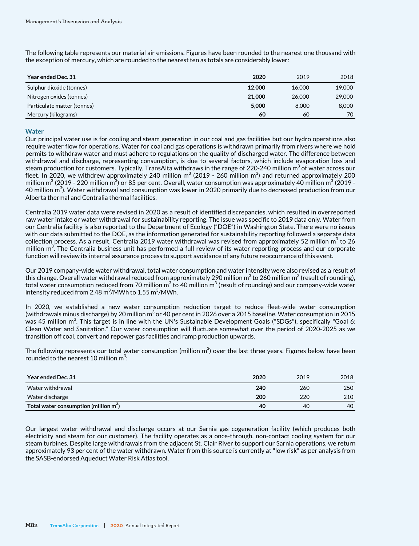The following table represents our material air emissions. Figures have been rounded to the nearest one thousand with the exception of mercury, which are rounded to the nearest ten as totals are considerably lower:

| Year ended Dec. 31          | 2020   | 2019   | 2018   |
|-----------------------------|--------|--------|--------|
| Sulphur dioxide (tonnes)    | 12,000 | 16.000 | 19,000 |
| Nitrogen oxides (tonnes)    | 21,000 | 26,000 | 29,000 |
| Particulate matter (tonnes) | 5,000  | 8,000  | 8.000  |
| Mercury (kilograms)         | 60     | 60     | 70     |

#### **Water**

Our principal water use is for cooling and steam generation in our coal and gas facilities but our hydro operations also require water flow for operations. Water for coal and gas operations is withdrawn primarily from rivers where we hold permits to withdraw water and must adhere to regulations on the quality of discharged water. The difference between withdrawal and discharge, representing consumption, is due to several factors, which include evaporation loss and steam production for customers. Typically, TransAlta withdraws in the range of 220-240 million m $^3$  of water across our fleet. In 2020, we withdrew approximately 240 million m<sup>3</sup> (2019 - 260 million m<sup>3</sup>) and returned approximately 200 million m $^3$  (2019 - 220 million m $^3$ ) or 85 per cent. Overall, water consumption was approximately 40 million m $^3$  (2019 -40 million m<sup>3</sup>). Water withdrawal and consumption was lower in 2020 primarily due to decreased production from our Alberta thermal and Centralia thermal facilities.

Centralia 2019 water data were revised in 2020 as a result of identified discrepancies, which resulted in overreported raw water intake or water withdrawal for sustainability reporting. The issue was specific to 2019 data only. Water from our Centralia facility is also reported to the Department of Ecology ("DOE") in Washington State. There were no issues with our data submitted to the DOE, as the information generated for sustainability reporting followed a separate data collection process. As a result, Centralia 2019 water withdrawal was revised from approximately 52 million m $^3$  to 26 million  $m^3$ . The Centralia business unit has performed a full review of its water reporting process and our corporate function will review its internal assurance process to support avoidance of any future reoccurrence of this event.

Our 2019 company-wide water withdrawal, total water consumption and water intensity were also revised as a result of this change. Overall water withdrawal reduced from approximately 290 million m $^3$  to 260 million m $^3$  (result of rounding), total water consumption reduced from 70 million m<sup>3</sup> to 40 million m<sup>3</sup> (result of rounding) and our company-wide water intensity reduced from 2.48  $\text{m}^3\text{/MWh}$  to 1.55  $\text{m}^3\text{/MWh}.$ 

In 2020, we established a new water consumption reduction target to reduce fleet-wide water consumption (withdrawals minus discharge) by 20 million m $^3$  or 40 per cent in 2026 over a 2015 baseline. Water consumption in 2015 was 45 million m<sup>3</sup>. This target is in line with the UN's Sustainable Development Goals ("SDGs"), specifically "Goal 6: Clean Water and Sanitation." Our water consumption will fluctuate somewhat over the period of 2020-2025 as we transition off coal, convert and repower gas facilities and ramp production upwards.

The following represents our total water consumption (million m $^3$ ) over the last three years. Figures below have been rounded to the nearest 10 million  $m^3$ :

| Year ended Dec. 31                       | 2020 | 2019 | 2018 |
|------------------------------------------|------|------|------|
| Water withdrawal                         | 240  | 260  | 250  |
| Water discharge                          | 200  | 220  | 210  |
| Total water consumption (million $m^3$ ) | 40   | 40   | 40   |

Our largest water withdrawal and discharge occurs at our Sarnia gas cogeneration facility (which produces both electricity and steam for our customer). The facility operates as a once-through, non-contact cooling system for our steam turbines. Despite large withdrawals from the adjacent St. Clair River to support our Sarnia operations, we return approximately 93 per cent of the water withdrawn. Water from this source is currently at "low risk" as per analysis from the SASB-endorsed Aqueduct Water Risk Atlas tool.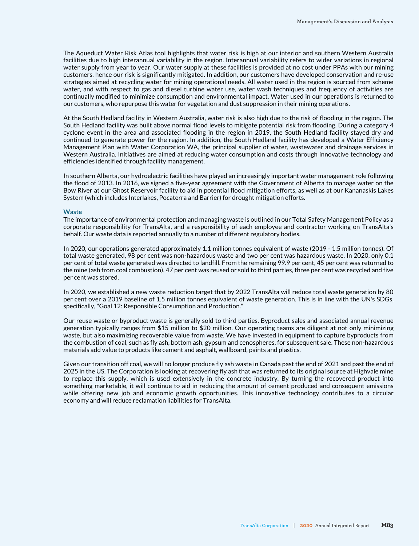The Aqueduct Water Risk Atlas tool highlights that water risk is high at our interior and southern Western Australia facilities due to high interannual variability in the region. Interannual variability refers to wider variations in regional water supply from year to year. Our water supply at these facilities is provided at no cost under PPAs with our mining customers, hence our risk is significantly mitigated. In addition, our customers have developed conservation and re-use strategies aimed at recycling water for mining operational needs. All water used in the region is sourced from scheme water, and with respect to gas and diesel turbine water use, water wash techniques and frequency of activities are continually modified to minimize consumption and environmental impact. Water used in our operations is returned to our customers, who repurpose this water for vegetation and dust suppression in their mining operations.

At the South Hedland facility in Western Australia, water risk is also high due to the risk of flooding in the region. The South Hedland facility was built above normal flood levels to mitigate potential risk from flooding. During a category 4 cyclone event in the area and associated flooding in the region in 2019, the South Hedland facility stayed dry and continued to generate power for the region. In addition, the South Hedland facility has developed a Water Efficiency Management Plan with Water Corporation WA, the principal supplier of water, wastewater and drainage services in Western Australia. Initiatives are aimed at reducing water consumption and costs through innovative technology and efficiencies identified through facility management.

In southern Alberta, our hydroelectric facilities have played an increasingly important water management role following the flood of 2013. In 2016, we signed a five-year agreement with the Government of Alberta to manage water on the Bow River at our Ghost Reservoir facility to aid in potential flood mitigation efforts, as well as at our Kananaskis Lakes System (which includes Interlakes, Pocaterra and Barrier) for drought mitigation efforts.

#### **Waste**

The importance of environmental protection and managing waste is outlined in our Total Safety Management Policy as a corporate responsibility for TransAlta, and a responsibility of each employee and contractor working on TransAlta's behalf. Our waste data is reported annually to a number of different regulatory bodies.

In 2020, our operations generated approximately 1.1 million tonnes equivalent of waste (2019 - 1.5 million tonnes). Of total waste generated, 98 per cent was non-hazardous waste and two per cent was hazardous waste. In 2020, only 0.1 per cent of total waste generated was directed to landfill. From the remaining 99.9 per cent, 45 per cent was returned to the mine (ash from coal combustion), 47 per cent was reused or sold to third parties, three per cent was recycled and five per cent was stored.

In 2020, we established a new waste reduction target that by 2022 TransAlta will reduce total waste generation by 80 per cent over a 2019 baseline of 1.5 million tonnes equivalent of waste generation. This is in line with the UN's SDGs, specifically, "Goal 12: Responsible Consumption and Production."

Our reuse waste or byproduct waste is generally sold to third parties. Byproduct sales and associated annual revenue generation typically ranges from \$15 million to \$20 million. Our operating teams are diligent at not only minimizing waste, but also maximizing recoverable value from waste. We have invested in equipment to capture byproducts from the combustion of coal, such as fly ash, bottom ash, gypsum and cenospheres, for subsequent sale. These non-hazardous materials add value to products like cement and asphalt, wallboard, paints and plastics.

Given our transition off coal, we will no longer produce fly ash waste in Canada past the end of 2021 and past the end of 2025 in the US. The Corporation is looking at recovering fly ash that was returned to its original source at Highvale mine to replace this supply, which is used extensively in the concrete industry. By turning the recovered product into something marketable, it will continue to aid in reducing the amount of cement produced and consequent emissions while offering new job and economic growth opportunities. This innovative technology contributes to a circular economy and will reduce reclamation liabilities for TransAlta.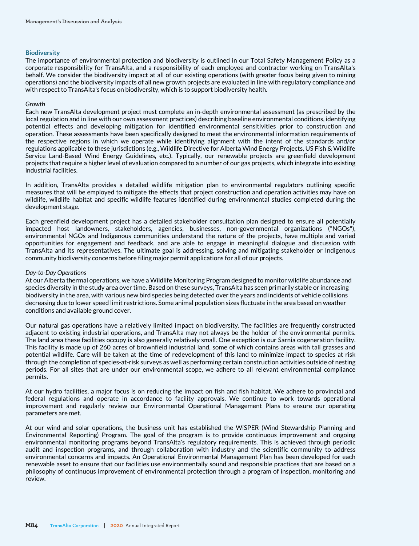#### **Biodiversity**

The importance of environmental protection and biodiversity is outlined in our Total Safety Management Policy as a corporate responsibility for TransAlta, and a responsibility of each employee and contractor working on TransAlta's behalf. We consider the biodiversity impact at all of our existing operations (with greater focus being given to mining operations) and the biodiversity impacts of all new growth projects are evaluated in line with regulatory compliance and with respect to TransAlta's focus on biodiversity, which is to support biodiversity health.

#### *Growth*

Each new TransAlta development project must complete an in-depth environmental assessment (as prescribed by the local regulation and in line with our own assessment practices) describing baseline environmental conditions, identifying potential effects and developing mitigation for identified environmental sensitivities prior to construction and operation. These assessments have been specifically designed to meet the environmental information requirements of the respective regions in which we operate while identifying alignment with the intent of the standards and/or regulations applicable to these jurisdictions (e.g., Wildlife Directive for Alberta Wind Energy Projects, US Fish & Wildlife Service Land-Based Wind Energy Guidelines, etc.). Typically, our renewable projects are greenfield development projects that require a higher level of evaluation compared to a number of our gas projects, which integrate into existing industrial facilities.

In addition, TransAlta provides a detailed wildlife mitigation plan to environmental regulators outlining specific measures that will be employed to mitigate the effects that project construction and operation activities may have on wildlife, wildlife habitat and specific wildlife features identified during environmental studies completed during the development stage.

Each greenfield development project has a detailed stakeholder consultation plan designed to ensure all potentially impacted host landowners, stakeholders, agencies, businesses, non-governmental organizations ("NGOs"), environmental NGOs and Indigenous communities understand the nature of the projects, have multiple and varied opportunities for engagement and feedback, and are able to engage in meaningful dialogue and discussion with TransAlta and its representatives. The ultimate goal is addressing, solving and mitigating stakeholder or Indigenous community biodiversity concerns before filing major permit applications for all of our projects.

#### *Day-to-Day Operations*

At our Alberta thermal operations, we have a Wildlife Monitoring Program designed to monitor wildlife abundance and species diversity in the study area over time. Based on these surveys, TransAlta has seen primarily stable or increasing biodiversity in the area, with various new bird species being detected over the years and incidents of vehicle collisions decreasing due to lower speed limit restrictions. Some animal population sizes fluctuate in the area based on weather conditions and available ground cover.

Our natural gas operations have a relatively limited impact on biodiversity. The facilities are frequently constructed adjacent to existing industrial operations, and TransAlta may not always be the holder of the environmental permits. The land area these facilities occupy is also generally relatively small. One exception is our Sarnia cogeneration facility. This facility is made up of 260 acres of brownfield industrial land, some of which contains areas with tall grasses and potential wildlife. Care will be taken at the time of redevelopment of this land to minimize impact to species at risk through the completion of species-at-risk surveys as well as performing certain construction activities outside of nesting periods. For all sites that are under our environmental scope, we adhere to all relevant environmental compliance permits.

At our hydro facilities, a major focus is on reducing the impact on fish and fish habitat. We adhere to provincial and federal regulations and operate in accordance to facility approvals. We continue to work towards operational improvement and regularly review our Environmental Operational Management Plans to ensure our operating parameters are met.

At our wind and solar operations, the business unit has established the WiSPER (Wind Stewardship Planning and Environmental Reporting) Program. The goal of the program is to provide continuous improvement and ongoing environmental monitoring programs beyond TransAlta's regulatory requirements. This is achieved through periodic audit and inspection programs, and through collaboration with industry and the scientific community to address environmental concerns and impacts. An Operational Environmental Management Plan has been developed for each renewable asset to ensure that our facilities use environmentally sound and responsible practices that are based on a philosophy of continuous improvement of environmental protection through a program of inspection, monitoring and review.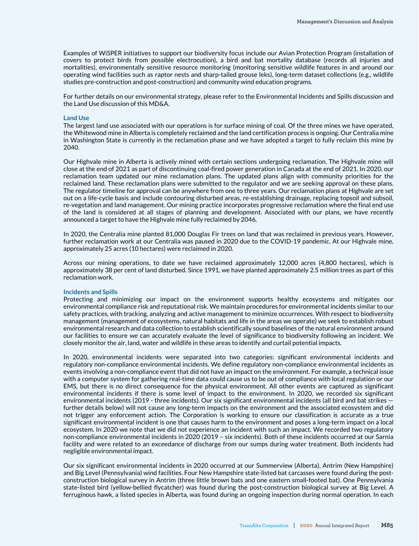Examples of WiSPER initiatives to support our biodiversity focus include our Avian Protection Program (installation of covers to protect birds from possible electrocution), a bird and bat mortality database (records all injuries and mortalities), environmentally sensitive resource monitoring (monitoring sensitive wildlife features in and around our operating wind facilities such as raptor nests and sharp-tailed grouse leks), long-term dataset collections (e.g., wildlife studies pre-construction and post-construction) and community wind education programs.

For further details on our environmental strategy, please refer to the Environmental Incidents and Spills discussion and the Land Use discussion of this MD&A.

#### **Land Use**

The largest land use associated with our operations is for surface mining of coal. Of the three mines we have operated, the Whitewood mine in Alberta is completely reclaimed and the land certification process is ongoing. Our Centralia mine in Washington State is currently in the reclamation phase and we have adopted a target to fully reclaim this mine by 2040.

Our Highvale mine in Alberta is actively mined with certain sections undergoing reclamation. The Highvale mine will close at the end of 2021 as part of discontinuing coal-fired power generation in Canada at the end of 2021. In 2020, our reclamation team updated our mine reclamation plans. The updated plans align with community priorities for the reclaimed land. These reclamation plans were submitted to the regulator and we are seeking approval on these plans. The regulator timeline for approval can be anywhere from one to three years. Our reclamation plans at Highvale are set out on a life-cycle basis and include contouring disturbed areas, re-establishing drainage, replacing topsoil and subsoil, re-vegetation and land management. Our mining practice incorporates progressive reclamation where the final end use of the land is considered at all stages of planning and development. Associated with our plans, we have recently announced a target to have the Highvale mine fully reclaimed by 2046.

In 2020, the Centralia mine planted 81,000 Douglas Fir trees on land that was reclaimed in previous years. However, further reclamation work at our Centralia was paused in 2020 due to the COVID-19 pandemic. At our Highvale mine, approximately 25 acres (10 hectares) were reclaimed in 2020.

Across our mining operations, to date we have reclaimed approximately 12,000 acres (4,800 hectares), which is approximately 38 per cent of land disturbed. Since 1991, we have planted approximately 2.5 million trees as part of this reclamation work.

#### **Incidents and Spills**

Protecting and minimizing our impact on the environment supports healthy ecosystems and mitigates our environmental compliance risk and reputational risk. We maintain procedures for environmental incidents similar to our safety practices, with tracking, analyzing and active management to minimize occurrences. With respect to biodiversity management (management of ecosystems, natural habitats and life in the areas we operate) we seek to establish robust environmental research and data collection to establish scientifically sound baselines of the natural environment around our facilities to ensure we can accurately evaluate the level of significance to biodiversity following an incident. We closely monitor the air, land, water and wildlife in these areas to identify and curtail potential impacts.

In 2020, environmental incidents were separated into two categories: significant environmental incidents and regulatory non-compliance environmental incidents. We define regulatory non-compliance environmental incidents as events involving a non-compliance event that did not have an impact on the environment. For example, a technical issue with a computer system for gathering real-time data could cause us to be out of compliance with local regulation or our EMS, but there is no direct consequence for the physical environment. All other events are captured as significant environmental incidents if there is some level of impact to the environment. In 2020, we recorded six significant environmental incidents (2019 - three incidents). Our six significant environmental incidents (all bird and bat strikes further details below) will not cause any long-term impacts on the environment and the associated ecosystem and did not trigger any enforcement action. The Corporation is working to ensure our classification is accurate as a true significant environmental incident is one that causes harm to the environment and poses a long-term impact on a local ecosystem. In 2020 we note that we did not experience an incident with such an impact. We recorded two regulatory non-compliance environmental incidents in 2020 (2019 – six incidents). Both of these incidents occurred at our Sarnia facility and were related to an exceedance of discharge from our sumps during water treatment. Both incidents had negligible environmental impact.

Our six significant environmental incidents in 2020 occurred at our Summerview (Alberta), Antrim (New Hampshire) and Big Level (Pennsylvania) wind facilities. Four New Hampshire state-listed bat carcasses were found during the postconstruction biological survey in Antrim (three little brown bats and one eastern small-footed bat). One Pennsylvania state-listed bird (yellow-bellied flycatcher) was found during the post-construction biological survey at Big Level. A ferruginous hawk, a listed species in Alberta, was found during an ongoing inspection during normal operation. In each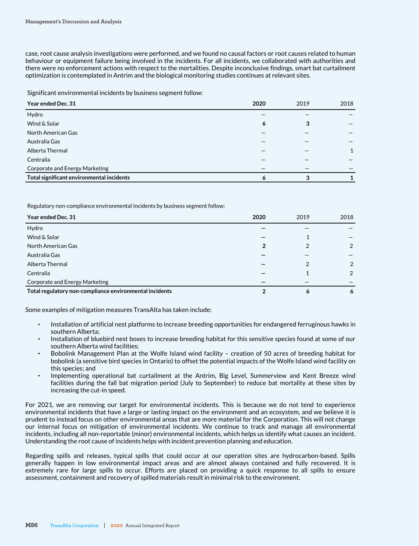case, root cause analysis investigations were performed, and we found no causal factors or root causes related to human behaviour or equipment failure being involved in the incidents. For all incidents, we collaborated with authorities and there were no enforcement actions with respect to the mortalities. Despite inconclusive findings, smart bat curtailment optimization is contemplated in Antrim and the biological monitoring studies continues at relevant sites.

Significant environmental incidents by business segment follow:

| Year ended Dec. 31                        | 2020 | 2019 | 2018 |
|-------------------------------------------|------|------|------|
| Hydro                                     |      |      |      |
| Wind & Solar                              | 6    | 3    |      |
| North American Gas                        |      |      |      |
| Australia Gas                             |      |      |      |
| Alberta Thermal                           |      |      |      |
| Centralia                                 |      |      |      |
| Corporate and Energy Marketing            |      |      |      |
| Total significant environmental incidents | 6    |      |      |

Regulatory non-compliance environmental incidents by business segment follow:

| Year ended Dec. 31                                      | 2020 | 2019 | 2018           |
|---------------------------------------------------------|------|------|----------------|
| Hydro                                                   |      |      |                |
| Wind & Solar                                            |      |      |                |
| North American Gas                                      | 2    |      | $\mathfrak{D}$ |
| Australia Gas                                           |      |      |                |
| Alberta Thermal                                         |      |      | 2              |
| Centralia                                               |      |      | $\mathfrak{D}$ |
| Corporate and Energy Marketing                          |      |      |                |
| Total regulatory non-compliance environmental incidents |      | 6    | 6              |

Some examples of mitigation measures TransAlta has taken include:

- Installation of artificial nest platforms to increase breeding opportunities for endangered ferruginous hawks in southern Alberta;
- Installation of bluebird nest boxes to increase breeding habitat for this sensitive species found at some of our southern Alberta wind facilities;
- Bobolink Management Plan at the Wolfe Island wind facility creation of 50 acres of breeding habitat for bobolink (a sensitive bird species in Ontario) to offset the potential impacts of the Wolfe Island wind facility on this species; and
- Implementing operational bat curtailment at the Antrim, Big Level, Summerview and Kent Breeze wind facilities during the fall bat migration period (July to September) to reduce bat mortality at these sites by increasing the cut-in speed.

For 2021, we are removing our target for environmental incidents. This is because we do not tend to experience environmental incidents that have a large or lasting impact on the environment and an ecosystem, and we believe it is prudent to instead focus on other environmental areas that are more material for the Corporation. This will not change our internal focus on mitigation of environmental incidents. We continue to track and manage all environmental incidents, including all non-reportable (minor) environmental incidents, which helps us identify what causes an incident. Understanding the root cause of incidents helps with incident prevention planning and education.

Regarding spills and releases, typical spills that could occur at our operation sites are hydrocarbon-based. Spills generally happen in low environmental impact areas and are almost always contained and fully recovered. It is extremely rare for large spills to occur. Efforts are placed on providing a quick response to all spills to ensure assessment, containment and recovery of spilled materials result in minimal risk to the environment.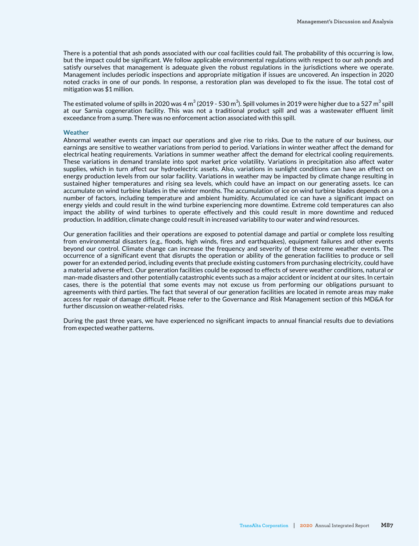There is a potential that ash ponds associated with our coal facilities could fail. The probability of this occurring is low, but the impact could be significant. We follow applicable environmental regulations with respect to our ash ponds and satisfy ourselves that management is adequate given the robust regulations in the jurisdictions where we operate. Management includes periodic inspections and appropriate mitigation if issues are uncovered. An inspection in 2020 noted cracks in one of our ponds. In response, a restoration plan was developed to fix the issue. The total cost of mitigation was \$1 million.

The estimated volume of spills in 2020 was 4 m $^3$  (2019 - 530 m $^3$ ). Spill volumes in 2019 were higher due to a 527 m $^3$  spill at our Sarnia cogeneration facility. This was not a traditional product spill and was a wastewater effluent limit exceedance from a sump. There was no enforcement action associated with this spill.

#### **Weather**

Abnormal weather events can impact our operations and give rise to risks. Due to the nature of our business, our earnings are sensitive to weather variations from period to period. Variations in winter weather affect the demand for electrical heating requirements. Variations in summer weather affect the demand for electrical cooling requirements. These variations in demand translate into spot market price volatility. Variations in precipitation also affect water supplies, which in turn affect our hydroelectric assets. Also, variations in sunlight conditions can have an effect on energy production levels from our solar facility. Variations in weather may be impacted by climate change resulting in sustained higher temperatures and rising sea levels, which could have an impact on our generating assets. Ice can accumulate on wind turbine blades in the winter months. The accumulation of ice on wind turbine blades depends on a number of factors, including temperature and ambient humidity. Accumulated ice can have a significant impact on energy yields and could result in the wind turbine experiencing more downtime. Extreme cold temperatures can also impact the ability of wind turbines to operate effectively and this could result in more downtime and reduced production. In addition, climate change could result in increased variability to our water and wind resources.

Our generation facilities and their operations are exposed to potential damage and partial or complete loss resulting from environmental disasters (e.g., floods, high winds, fires and earthquakes), equipment failures and other events beyond our control. Climate change can increase the frequency and severity of these extreme weather events. The occurrence of a significant event that disrupts the operation or ability of the generation facilities to produce or sell power for an extended period, including events that preclude existing customers from purchasing electricity, could have a material adverse effect. Our generation facilities could be exposed to effects of severe weather conditions, natural or man-made disasters and other potentially catastrophic events such as a major accident or incident at our sites. In certain cases, there is the potential that some events may not excuse us from performing our obligations pursuant to agreements with third parties. The fact that several of our generation facilities are located in remote areas may make access for repair of damage difficult. Please refer to the Governance and Risk Management section of this MD&A for further discussion on weather-related risks.

During the past three years, we have experienced no significant impacts to annual financial results due to deviations from expected weather patterns.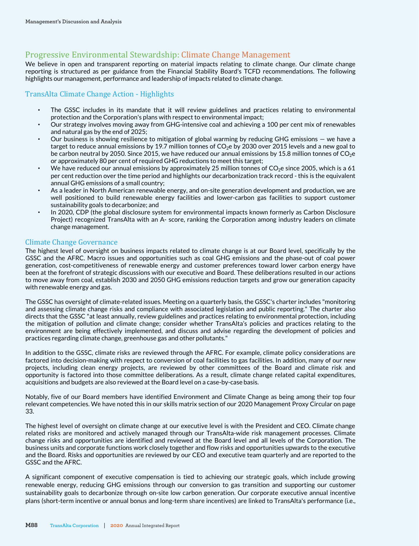# Progressive Environmental Stewardship: Climate Change Management

We believe in open and transparent reporting on material impacts relating to climate change. Our climate change reporting is structured as per guidance from the Financial Stability Board's TCFD recommendations. The following highlights our management, performance and leadership of impacts related to climate change.

# TransAlta Climate Change Action - Highlights

- The GSSC includes in its mandate that it will review guidelines and practices relating to environmental protection and the Corporation's plans with respect to environmental impact;
- Our strategy involves moving away from GHG-intensive coal and achieving a 100 per cent mix of renewables and natural gas by the end of 2025;
- Our business is showing resilience to mitigation of global warming by reducing GHG emissions we have a target to reduce annual emissions by 19.7 million tonnes of  $CO<sub>2</sub>$ e by 2030 over 2015 levels and a new goal to be carbon neutral by 2050. Since 2015, we have reduced our annual emissions by 15.8 million tonnes of  $CO<sub>2</sub>e$ or approximately 80 per cent of required GHG reductions to meet this target;
- We have reduced our annual emissions by approximately 25 million tonnes of  $CO<sub>2</sub>e$  since 2005, which is a 61 per cent reduction over the time period and highlights our decarbonization track record - this is the equivalent annual GHG emissions of a small country;
- As a leader in North American renewable energy, and on-site generation development and production, we are well positioned to build renewable energy facilities and lower-carbon gas facilities to support customer sustainability goals to decarbonize; and
- In 2020, CDP (the global disclosure system for environmental impacts known formerly as Carbon Disclosure Project) recognized TransAlta with an A- score, ranking the Corporation among industry leaders on climate change management.

# Climate Change Governance

The highest level of oversight on business impacts related to climate change is at our Board level, specifically by the GSSC and the AFRC. Macro issues and opportunities such as coal GHG emissions and the phase-out of coal power generation, cost-competitiveness of renewable energy and customer preferences toward lower carbon energy have been at the forefront of strategic discussions with our executive and Board. These deliberations resulted in our actions to move away from coal, establish 2030 and 2050 GHG emissions reduction targets and grow our generation capacity with renewable energy and gas.

The GSSC has oversight of climate-related issues. Meeting on a quarterly basis, the GSSC's charter includes "monitoring and assessing climate change risks and compliance with associated legislation and public reporting." The charter also directs that the GSSC "at least annually, review guidelines and practices relating to environmental protection, including the mitigation of pollution and climate change; consider whether TransAlta's policies and practices relating to the environment are being effectively implemented, and discuss and advise regarding the development of policies and practices regarding climate change, greenhouse gas and other pollutants."

In addition to the GSSC, climate risks are reviewed through the AFRC. For example, climate policy considerations are factored into decision-making with respect to conversion of coal facilities to gas facilities. In addition, many of our new projects, including clean energy projects, are reviewed by other committees of the Board and climate risk and opportunity is factored into those committee deliberations. As a result, climate change related capital expenditures, acquisitions and budgets are also reviewed at the Board level on a case-by-case basis.

Notably, five of our Board members have identified Environment and Climate Change as being among their top four relevant competencies. We have noted this in our skills matrix section of our 2020 Management Proxy Circular on page 33.

The highest level of oversight on climate change at our executive level is with the President and CEO. Climate change related risks are monitored and actively managed through our TransAlta-wide risk management processes. Climate change risks and opportunities are identified and reviewed at the Board level and all levels of the Corporation. The business units and corporate functions work closely together and flow risks and opportunities upwards to the executive and the Board. Risks and opportunities are reviewed by our CEO and executive team quarterly and are reported to the GSSC and the AFRC.

A significant component of executive compensation is tied to achieving our strategic goals, which include growing renewable energy, reducing GHG emissions through our conversion to gas transition and supporting our customer sustainability goals to decarbonize through on-site low carbon generation. Our corporate executive annual incentive plans (short-term incentive or annual bonus and long-term share incentives) are linked to TransAlta's performance (i.e.,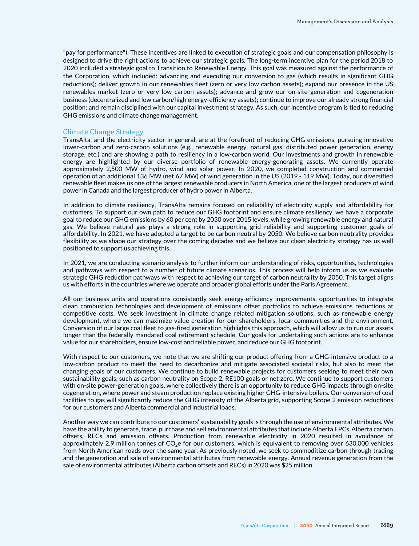"pay for performance"). These incentives are linked to execution of strategic goals and our compensation philosophy is designed to drive the right actions to achieve our strategic goals. The long-term incentive plan for the period 2018 to 2020 included a strategic goal to Transition to Renewable Energy. This goal was measured against the performance of the Corporation, which included: advancing and executing our conversion to gas (which results in significant GHG reductions); deliver growth in our renewables fleet (zero or very low carbon assets); expand our presence in the US renewables market (zero or very low carbon assets); advance and grow our on-site generation and cogeneration business (decentralized and low carbon/high energy-efficiency assets); continue to improve our already strong financial position; and remain disciplined with our capital investment strategy. As such, our incentive program is tied to reducing GHG emissions and climate change management.

#### Climate Change Strategy

TransAlta, and the electricity sector in general, are at the forefront of reducing GHG emissions, pursuing innovative lower-carbon and zero-carbon solutions (e.g., renewable energy, natural gas, distributed power generation, energy storage, etc.) and are showing a path to resiliency in a low-carbon world. Our investments and growth in renewable energy are highlighted by our diverse portfolio of renewable energy-generating assets. We currently operate approximately 2,500 MW of hydro, wind and solar power. In 2020, we completed construction and commercial operation of an additional 136 MW (net 67 MW) of wind generation in the US (2019 - 119 MW). Today, our diversified renewable fleet makes us one of the largest renewable producers in North America, one of the largest producers of wind power in Canada and the largest producer of hydro power in Alberta.

In addition to climate resiliency, TransAlta remains focused on reliability of electricity supply and affordability for customers. To support our own path to reduce our GHG footprint and ensure climate resiliency, we have a corporate goal to reduce our GHG emissions by 60 per cent by 2030 over 2015 levels, while growing renewable energy and natural gas. We believe natural gas plays a strong role in supporting grid reliability and supporting customer goals of affordability. In 2021, we have adopted a target to be carbon neutral by 2050. We believe carbon neutrality provides flexibility as we shape our strategy over the coming decades and we believe our clean electricity strategy has us well positioned to support us achieving this.

In 2021, we are conducting scenario analysis to further inform our understanding of risks, opportunities, technologies and pathways with respect to a number of future climate scenarios. This process will help inform us as we evaluate strategic GHG reduction pathways with respect to achieving our target of carbon neutrality by 2050. This target aligns us with efforts in the countries where we operate and broader global efforts under the Paris Agreement.

All our business units and operations consistently seek energy-efficiency improvements, opportunities to integrate clean combustion technologies and development of emissions offset portfolios to achieve emissions reductions at competitive costs. We seek investment in climate change related mitigation solutions, such as renewable energy development, where we can maximize value creation for our shareholders, local communities and the environment. Conversion of our large coal fleet to gas-fired generation highlights this approach, which will allow us to run our assets longer than the federally mandated coal retirement schedule. Our goals for undertaking such actions are to enhance value for our shareholders, ensure low-cost and reliable power, and reduce our GHG footprint.

With respect to our customers, we note that we are shifting our product offering from a GHG-intensive product to a low-carbon product to meet the need to decarbonize and mitigate associated societal risks, but also to meet the changing goals of our customers. We continue to build renewable projects for customers seeking to meet their own sustainability goals, such as carbon neutrality on Scope 2, RE100 goals or net zero. We continue to support customers with on-site power-generation goals, where collectively there is an opportunity to reduce GHG impacts through on-site cogeneration, where power and steam production replace existing higher GHG-intensive boilers. Our conversion of coal facilities to gas will significantly reduce the GHG intensity of the Alberta grid, supporting Scope 2 emission reductions for our customers and Alberta commercial and industrial loads.

Another way we can contribute to our customers' sustainability goals is through the use of environmental attributes. We have the ability to generate, trade, purchase and sell environmental attributes that include Alberta EPCs, Alberta carbon offsets, RECs and emission offsets. Production from renewable electricity in 2020 resulted in avoidance of approximately 2.9 million tonnes of  $CO<sub>2</sub>e$  for our customers, which is equivalent to removing over 630,000 vehicles from North American roads over the same year. As previously noted, we seek to commoditize carbon through trading and the generation and sale of environmental attributes from renewable energy. Annual revenue generation from the sale of environmental attributes (Alberta carbon offsets and RECs) in 2020 was \$25 million.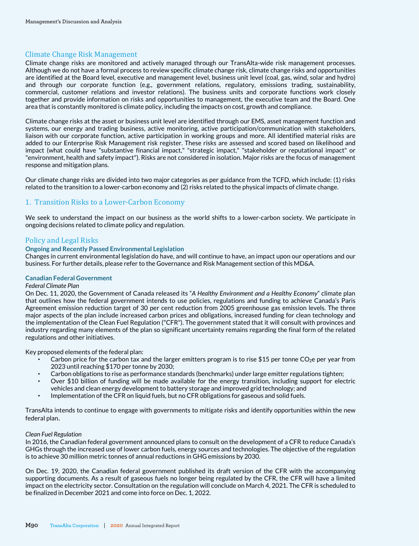# Climate Change Risk Management

Climate change risks are monitored and actively managed through our TransAlta-wide risk management processes. Although we do not have a formal process to review specific climate change risk, climate change risks and opportunities are identified at the Board level, executive and management level, business unit level (coal, gas, wind, solar and hydro) and through our corporate function (e.g., government relations, regulatory, emissions trading, sustainability, commercial, customer relations and investor relations). The business units and corporate functions work closely together and provide information on risks and opportunities to management, the executive team and the Board. One area that is constantly monitored is climate policy, including the impacts on cost, growth and compliance.

Climate change risks at the asset or business unit level are identified through our EMS, asset management function and systems, our energy and trading business, active monitoring, active participation/communication with stakeholders, liaison with our corporate function, active participation in working groups and more. All identified material risks are added to our Enterprise Risk Management risk register. These risks are assessed and scored based on likelihood and impact (what could have "substantive financial impact," "strategic impact," "stakeholder or reputational impact" or "environment, health and safety impact"). Risks are not considered in isolation. Major risks are the focus of management response and mitigation plans.

Our climate change risks are divided into two major categories as per guidance from the TCFD, which include: (1) risks related to the transition to a lower-carbon economy and (2) risks related to the physical impacts of climate change.

# 1. Transition Risks to a Lower-Carbon Economy

We seek to understand the impact on our business as the world shifts to a lower-carbon society. We participate in ongoing decisions related to climate policy and regulation.

# Policy and Legal Risks

#### **Ongoing and Recently Passed Environmental Legislation**

Changes in current environmental legislation do have, and will continue to have, an impact upon our operations and our business. For further details, please refer to the Governance and Risk Management section of this MD&A.

#### **Canadian Federal Government**

#### *Federal Climate Plan*

On Dec. 11, 2020, the Government of Canada released its "*A Healthy Environment and a Healthy Economy*" climate plan that outlines how the federal government intends to use policies, regulations and funding to achieve Canada's Paris Agreement emission reduction target of 30 per cent reduction from 2005 greenhouse gas emission levels. The three major aspects of the plan include increased carbon prices and obligations, increased funding for clean technology and the implementation of the Clean Fuel Regulation ("CFR"). The government stated that it will consult with provinces and industry regarding many elements of the plan so significant uncertainty remains regarding the final form of the related regulations and other initiatives.

Key proposed elements of the federal plan:

- Carbon price for the carbon tax and the larger emitters program is to rise \$15 per tonne CO<sub>2</sub>e per year from 2023 until reaching \$170 per tonne by 2030;
- Carbon obligations to rise as performance standards (benchmarks) under large emitter regulations tighten;
- Over \$10 billion of funding will be made available for the energy transition, including support for electric
- vehicles and clean energy development to battery storage and improved grid technology; and
- Implementation of the CFR on liquid fuels, but no CFR obligations for gaseous and solid fuels.

TransAlta intends to continue to engage with governments to mitigate risks and identify opportunities within the new federal plan.

#### *Clean Fuel Regulation*

In 2016, the Canadian federal government announced plans to consult on the development of a CFR to reduce Canada's GHGs through the increased use of lower carbon fuels, energy sources and technologies. The objective of the regulation is to achieve 30 million metric tonnes of annual reductions in GHG emissions by 2030.

On Dec. 19, 2020, the Canadian federal government published its draft version of the CFR with the accompanying supporting documents. As a result of gaseous fuels no longer being regulated by the CFR, the CFR will have a limited impact on the electricity sector. Consultation on the regulation will conclude on March 4, 2021. The CFR is scheduled to be finalized in December 2021 and come into force on Dec. 1, 2022.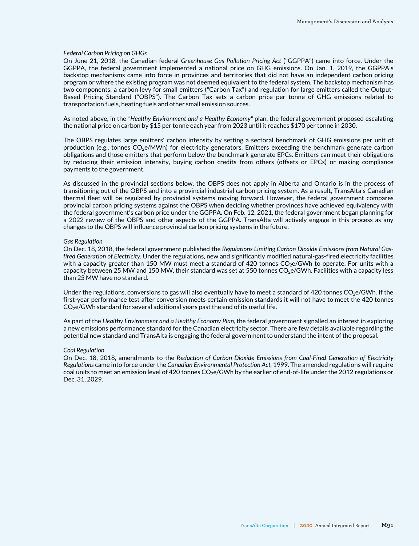#### *Federal Carbon Pricing on GHGs*

On June 21, 2018, the Canadian federal *Greenhouse Gas Pollution Pricing Act* ("GGPPA") came into force. Under the GGPPA, the federal government implemented a national price on GHG emissions. On Jan. 1, 2019, the GGPPA's backstop mechanisms came into force in provinces and territories that did not have an independent carbon pricing program or where the existing program was not deemed equivalent to the federal system. The backstop mechanism has two components: a carbon levy for small emitters ("Carbon Tax") and regulation for large emitters called the Output-Based Pricing Standard ("OBPS"). The Carbon Tax sets a carbon price per tonne of GHG emissions related to transportation fuels, heating fuels and other small emission sources.

As noted above, in the *"Healthy Environment and a Healthy Economy"* plan, the federal government proposed escalating the national price on carbon by \$15 per tonne each year from 2023 until it reaches \$170 per tonne in 2030.

The OBPS regulates large emitters' carbon intensity by setting a sectoral benchmark of GHG emissions per unit of production (e.g., tonnes  $CO<sub>2</sub>e/MWh$ ) for electricity generators. Emitters exceeding the benchmark generate carbon obligations and those emitters that perform below the benchmark generate EPCs. Emitters can meet their obligations by reducing their emission intensity, buying carbon credits from others (offsets or EPCs) or making compliance payments to the government.

As discussed in the provincial sections below, the OBPS does not apply in Alberta and Ontario is in the process of transitioning out of the OBPS and into a provincial industrial carbon pricing system. As a result, TransAlta's Canadian thermal fleet will be regulated by provincial systems moving forward. However, the federal government compares provincial carbon pricing systems against the OBPS when deciding whether provinces have achieved equivalency with the federal government's carbon price under the GGPPA. On Feb. 12, 2021, the federal government began planning for a 2022 review of the OBPS and other aspects of the GGPPA. TransAlta will actively engage in this process as any changes to the OBPS will influence provincial carbon pricing systems in the future.

#### *Gas Regulation*

On Dec. 18, 2018, the federal government published the *Regulations Limiting Carbon Dioxide Emissions from Natural Gasfired Generation of Electricity*. Under the regulations, new and significantly modified natural-gas-fired electricity facilities with a capacity greater than 150 MW must meet a standard of 420 tonnes  $CO<sub>2</sub>e/GWh$  to operate. For units with a capacity between 25 MW and 150 MW, their standard was set at 550 tonnes  $CO<sub>2</sub>e/GWh$ . Facilities with a capacity less than 25 MW have no standard.

Under the regulations, conversions to gas will also eventually have to meet a standard of 420 tonnes  $CO<sub>2</sub>e/GWh$ . If the first-year performance test after conversion meets certain emission standards it will not have to meet the 420 tonnes  $CO<sub>2</sub>e/GWh$  standard for several additional years past the end of its useful life.

As part of the *Healthy Environment and a Healthy Economy Plan*, the federal government signalled an interest in exploring a new emissions performance standard for the Canadian electricity sector. There are few details available regarding the potential new standard and TransAlta is engaging the federal government to understand the intent of the proposal.

#### *Coal Regulation*

On Dec. 18, 2018, amendments to the *Reduction of Carbon Dioxide Emissions from Coal-Fired Generation of Electricity Regulations* came into force under the *Canadian Environmental Protection Act*, 1999. The amended regulations will require coal units to meet an emission level of 420 tonnes  $CO<sub>2</sub>e/GWh$  by the earlier of end-of-life under the 2012 regulations or Dec. 31, 2029.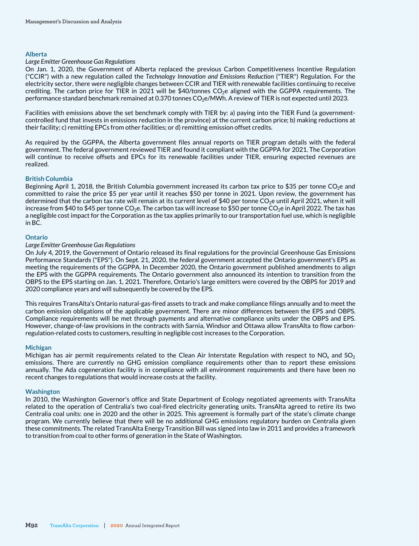#### **Alberta**

#### *Large Emitter Greenhouse Gas Regulations*

On Jan. 1, 2020, the Government of Alberta replaced the previous Carbon Competitiveness Incentive Regulation ("CCIR") with a new regulation called the *Technology Innovation and Emissions Reduction* ("TIER") Regulation. For the electricity sector, there were negligible changes between CCIR and TIER with renewable facilities continuing to receive crediting. The carbon price for TIER in 2021 will be  $$40/tonnes CO<sub>2</sub>e$  aligned with the GGPPA requirements. The performance standard benchmark remained at 0.370 tonnes CO<sub>2</sub>e/MWh. A review of TIER is not expected until 2023.

Facilities with emissions above the set benchmark comply with TIER by: a) paying into the TIER Fund (a governmentcontrolled fund that invests in emissions reduction in the province) at the current carbon price; b) making reductions at their facility; c) remitting EPCs from other facilities; or d) remitting emission offset credits.

As required by the GGPPA, the Alberta government files annual reports on TIER program details with the federal government. The federal government reviewed TIER and found it compliant with the GGPPA for 2021. The Corporation will continue to receive offsets and EPCs for its renewable facilities under TIER, ensuring expected revenues are realized.

#### **British Columbia**

Beginning April 1, 2018, the British Columbia government increased its carbon tax price to \$35 per tonne  $CO<sub>2</sub>e$  and committed to raise the price \$5 per year until it reaches \$50 per tonne in 2021. Upon review, the government has determined that the carbon tax rate will remain at its current level of \$40 per tonne CO<sub>2</sub>e until April 2021, when it will increase from \$40 to \$45 per tonne CO<sub>2</sub>e. The carbon tax will increase to \$50 per tonne CO<sub>2</sub>e in April 2022. The tax has a negligible cost impact for the Corporation as the tax applies primarily to our transportation fuel use, which is negligible in BC.

#### **Ontario**

#### *Large Emitter Greenhouse Gas Regulations*

On July 4, 2019, the Government of Ontario released its final regulations for the provincial Greenhouse Gas Emissions Performance Standards ("EPS"). On Sept. 21, 2020, the federal government accepted the Ontario government's EPS as meeting the requirements of the GGPPA. In December 2020, the Ontario government published amendments to align the EPS with the GGPPA requirements. The Ontario government also announced its intention to transition from the OBPS to the EPS starting on Jan. 1, 2021. Therefore, Ontario's large emitters were covered by the OBPS for 2019 and 2020 compliance years and will subsequently be covered by the EPS.

This requires TransAlta's Ontario natural-gas-fired assets to track and make compliance filings annually and to meet the carbon emission obligations of the applicable government. There are minor differences between the EPS and OBPS. Compliance requirements will be met through payments and alternative compliance units under the OBPS and EPS. However, change-of-law provisions in the contracts with Sarnia, Windsor and Ottawa allow TransAlta to flow carbonregulation-related costs to customers, resulting in negligible cost increases to the Corporation.

#### **Michigan**

Michigan has air permit requirements related to the Clean Air Interstate Regulation with respect to NO<sub>x</sub> and SO<sub>2</sub> emissions. There are currently no GHG emission compliance requirements other than to report these emissions annually. The Ada cogeneration facility is in compliance with all environment requirements and there have been no recent changes to regulations that would increase costs at the facility.

#### **Washington**

In 2010, the Washington Governor's office and State Department of Ecology negotiated agreements with TransAlta related to the operation of Centralia's two coal-fired electricity generating units. TransAlta agreed to retire its two Centralia coal units: one in 2020 and the other in 2025. This agreement is formally part of the state's climate change program. We currently believe that there will be no additional GHG emissions regulatory burden on Centralia given these commitments. The related TransAlta Energy Transition Bill was signed into law in 2011 and provides a framework to transition from coal to other forms of generation in the State of Washington.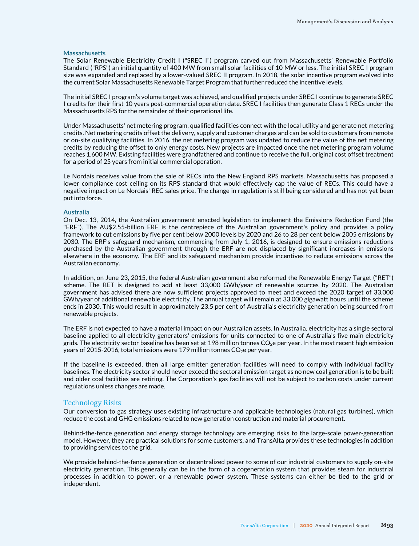#### **Massachusetts**

The Solar Renewable Electricity Credit I ("SREC I") program carved out from Massachusetts' Renewable Portfolio Standard ("RPS") an initial quantity of 400 MW from small solar facilities of 10 MW or less. The initial SREC I program size was expanded and replaced by a lower-valued SREC II program. In 2018, the solar incentive program evolved into the current Solar Massachusetts Renewable Target Program that further reduced the incentive levels.

The initial SREC I program's volume target was achieved, and qualified projects under SREC I continue to generate SREC I credits for their first 10 years post-commercial operation date. SREC I facilities then generate Class 1 RECs under the Massachusetts RPS for the remainder of their operational life.

Under Massachusetts' net metering program, qualified facilities connect with the local utility and generate net metering credits. Net metering credits offset the delivery, supply and customer charges and can be sold to customers from remote or on-site qualifying facilities. In 2016, the net metering program was updated to reduce the value of the net metering credits by reducing the offset to only energy costs. New projects are impacted once the net metering program volume reaches 1,600 MW. Existing facilities were grandfathered and continue to receive the full, original cost offset treatment for a period of 25 years from initial commercial operation.

Le Nordais receives value from the sale of RECs into the New England RPS markets. Massachusetts has proposed a lower compliance cost ceiling on its RPS standard that would effectively cap the value of RECs. This could have a negative impact on Le Nordais' REC sales price. The change in regulation is still being considered and has not yet been put into force.

#### **Australia**

On Dec. 13, 2014, the Australian government enacted legislation to implement the Emissions Reduction Fund (the "ERF"). The AU\$2.55-billion ERF is the centrepiece of the Australian government's policy and provides a policy framework to cut emissions by five per cent below 2000 levels by 2020 and 26 to 28 per cent below 2005 emissions by 2030. The ERF's safeguard mechanism, commencing from July 1, 2016, is designed to ensure emissions reductions purchased by the Australian government through the ERF are not displaced by significant increases in emissions elsewhere in the economy. The ERF and its safeguard mechanism provide incentives to reduce emissions across the Australian economy.

In addition, on June 23, 2015, the federal Australian government also reformed the Renewable Energy Target ("RET") scheme. The RET is designed to add at least 33,000 GWh/year of renewable sources by 2020. The Australian government has advised there are now sufficient projects approved to meet and exceed the 2020 target of 33,000 GWh/year of additional renewable electricity. The annual target will remain at 33,000 gigawatt hours until the scheme ends in 2030. This would result in approximately 23.5 per cent of Australia's electricity generation being sourced from renewable projects.

The ERF is not expected to have a material impact on our Australian assets. In Australia, electricity has a single sectoral baseline applied to all electricity generators' emissions for units connected to one of Australia's five main electricity grids. The electricity sector baseline has been set at 198 million tonnes  $CO<sub>2</sub>e$  per year. In the most recent high emission years of 2015-2016, total emissions were 179 million tonnes  $CO<sub>2</sub>e$  per year.

If the baseline is exceeded, then all large emitter generation facilities will need to comply with individual facility baselines. The electricity sector should never exceed the sectoral emission target as no new coal generation is to be built and older coal facilities are retiring. The Corporation's gas facilities will not be subject to carbon costs under current regulations unless changes are made.

#### Technology Risks

Our conversion to gas strategy uses existing infrastructure and applicable technologies (natural gas turbines), which reduce the cost and GHG emissions related to new generation construction and material procurement.

Behind-the-fence generation and energy storage technology are emerging risks to the large-scale power-generation model. However, they are practical solutions for some customers, and TransAlta provides these technologies in addition to providing services to the grid.

We provide behind-the-fence generation or decentralized power to some of our industrial customers to supply on-site electricity generation. This generally can be in the form of a cogeneration system that provides steam for industrial processes in addition to power, or a renewable power system. These systems can either be tied to the grid or independent.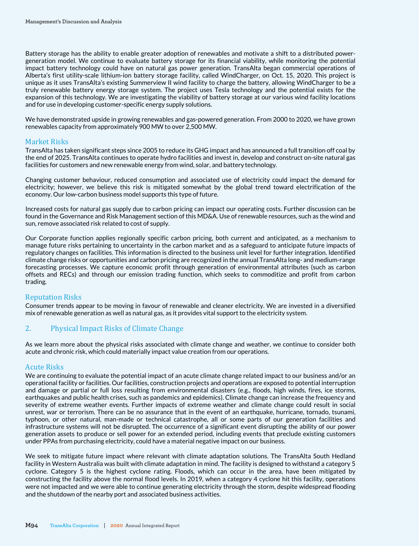Battery storage has the ability to enable greater adoption of renewables and motivate a shift to a distributed powergeneration model. We continue to evaluate battery storage for its financial viability, while monitoring the potential impact battery technology could have on natural gas power generation. TransAlta began commercial operations of Alberta's first utility-scale lithium-ion battery storage facility, called WindCharger, on Oct. 15, 2020. This project is unique as it uses TransAlta's existing Summerview II wind facility to charge the battery, allowing WindCharger to be a truly renewable battery energy storage system. The project uses Tesla technology and the potential exists for the expansion of this technology. We are investigating the viability of battery storage at our various wind facility locations and for use in developing customer-specific energy supply solutions.

We have demonstrated upside in growing renewables and gas-powered generation. From 2000 to 2020, we have grown renewables capacity from approximately 900 MW to over 2,500 MW.

## Market Risks

TransAlta has taken significant steps since 2005 to reduce its GHG impact and has announced a full transition off coal by the end of 2025. TransAlta continues to operate hydro facilities and invest in, develop and construct on-site natural gas facilities for customers and new renewable energy from wind, solar, and battery technology.

Changing customer behaviour, reduced consumption and associated use of electricity could impact the demand for electricity; however, we believe this risk is mitigated somewhat by the global trend toward electrification of the economy. Our low-carbon business model supports this type of future.

Increased costs for natural gas supply due to carbon pricing can impact our operating costs. Further discussion can be found in the Governance and Risk Management section of this MD&A. Use of renewable resources, such as the wind and sun, remove associated risk related to cost of supply.

Our Corporate function applies regionally specific carbon pricing, both current and anticipated, as a mechanism to manage future risks pertaining to uncertainty in the carbon market and as a safeguard to anticipate future impacts of regulatory changes on facilities. This information is directed to the business unit level for further integration. Identified climate change risks or opportunities and carbon pricing are recognized in the annual TransAlta long- and medium-range forecasting processes. We capture economic profit through generation of environmental attributes (such as carbon offsets and RECs) and through our emission trading function, which seeks to commoditize and profit from carbon trading.

#### Reputation Risks

Consumer trends appear to be moving in favour of renewable and cleaner electricity. We are invested in a diversified mix of renewable generation as well as natural gas, as it provides vital support to the electricity system.

# 2. Physical Impact Risks of Climate Change

As we learn more about the physical risks associated with climate change and weather, we continue to consider both acute and chronic risk, which could materially impact value creation from our operations.

#### Acute Risks

We are continuing to evaluate the potential impact of an acute climate change related impact to our business and/or an operational facility or facilities. Our facilities, construction projects and operations are exposed to potential interruption and damage or partial or full loss resulting from environmental disasters (e.g., floods, high winds, fires, ice storms, earthquakes and public health crises, such as pandemics and epidemics). Climate change can increase the frequency and severity of extreme weather events. Further impacts of extreme weather and climate change could result in social unrest, war or terrorism. There can be no assurance that in the event of an earthquake, hurricane, tornado, tsunami, typhoon, or other natural, man-made or technical catastrophe, all or some parts of our generation facilities and infrastructure systems will not be disrupted. The occurrence of a significant event disrupting the ability of our power generation assets to produce or sell power for an extended period, including events that preclude existing customers under PPAs from purchasing electricity, could have a material negative impact on our business.

We seek to mitigate future impact where relevant with climate adaptation solutions. The TransAlta South Hedland facility in Western Australia was built with climate adaptation in mind. The facility is designed to withstand a category 5 cyclone. Category 5 is the highest cyclone rating. Floods, which can occur in the area, have been mitigated by constructing the facility above the normal flood levels. In 2019, when a category 4 cyclone hit this facility, operations were not impacted and we were able to continue generating electricity through the storm, despite widespread flooding and the shutdown of the nearby port and associated business activities.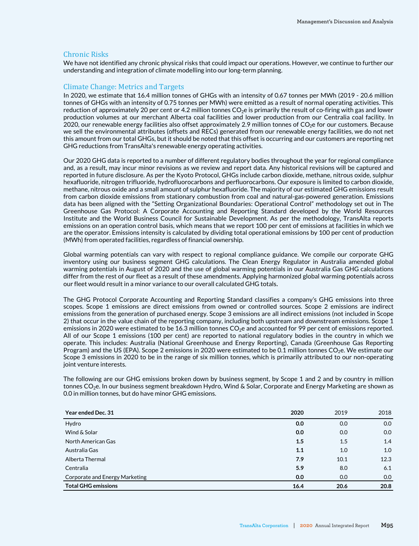### Chronic Risks

We have not identified any chronic physical risks that could impact our operations. However, we continue to further our understanding and integration of climate modelling into our long-term planning.

## Climate Change: Metrics and Targets

In 2020, we estimate that 16.4 million tonnes of GHGs with an intensity of 0.67 tonnes per MWh (2019 - 20.6 million tonnes of GHGs with an intensity of 0.75 tonnes per MWh) were emitted as a result of normal operating activities. This reduction of approximately 20 per cent or 4.2 million tonnes  $CO<sub>2</sub>e$  is primarily the result of co-firing with gas and lower production volumes at our merchant Alberta coal facilities and lower production from our Centralia coal facility. In 2020, our renewable energy facilities also offset approximately 2.9 million tonnes of  $CO<sub>2</sub>$ e for our customers. Because we sell the environmental attributes (offsets and RECs) generated from our renewable energy facilities, we do not net this amount from our total GHGs, but it should be noted that this offset is occurring and our customers are reporting net GHG reductions from TransAlta's renewable energy operating activities.

Our 2020 GHG data is reported to a number of different regulatory bodies throughout the year for regional compliance and, as a result, may incur minor revisions as we review and report data. Any historical revisions will be captured and reported in future disclosure. As per the Kyoto Protocol, GHGs include carbon dioxide, methane, nitrous oxide, sulphur hexafluoride, nitrogen trifluoride, hydrofluorocarbons and perfluorocarbons. Our exposure is limited to carbon dioxide, methane, nitrous oxide and a small amount of sulphur hexafluoride. The majority of our estimated GHG emissions result from carbon dioxide emissions from stationary combustion from coal and natural-gas-powered generation. Emissions data has been aligned with the "Setting Organizational Boundaries: Operational Control" methodology set out in The Greenhouse Gas Protocol: A Corporate Accounting and Reporting Standard developed by the World Resources Institute and the World Business Council for Sustainable Development. As per the methodology, TransAlta reports emissions on an operation control basis, which means that we report 100 per cent of emissions at facilities in which we are the operator. Emissions intensity is calculated by dividing total operational emissions by 100 per cent of production (MWh) from operated facilities, regardless of financial ownership.

Global warming potentials can vary with respect to regional compliance guidance. We compile our corporate GHG inventory using our business segment GHG calculations. The Clean Energy Regulator in Australia amended global warming potentials in August of 2020 and the use of global warming potentials in our Australia Gas GHG calculations differ from the rest of our fleet as a result of these amendments. Applying harmonized global warming potentials across our fleet would result in a minor variance to our overall calculated GHG totals.

The GHG Protocol Corporate Accounting and Reporting Standard classifies a company's GHG emissions into three scopes. Scope 1 emissions are direct emissions from owned or controlled sources. Scope 2 emissions are indirect emissions from the generation of purchased energy. Scope 3 emissions are all indirect emissions (not included in Scope 2) that occur in the value chain of the reporting company, including both upstream and downstream emissions. Scope 1 emissions in 2020 were estimated to be 16.3 million tonnes CO<sub>2</sub>e and accounted for 99 per cent of emissions reported. All of our Scope 1 emissions (100 per cent) are reported to national regulatory bodies in the country in which we operate. This includes: Australia (National Greenhouse and Energy Reporting), Canada (Greenhouse Gas Reporting Program) and the US (EPA). Scope 2 emissions in 2020 were estimated to be 0.1 million tonnes  $CO<sub>2</sub>e$ . We estimate our Scope 3 emissions in 2020 to be in the range of six million tonnes, which is primarily attributed to our non-operating joint venture interests.

The following are our GHG emissions broken down by business segment, by Scope 1 and 2 and by country in million tonnes CO<sub>2</sub>e. In our business segment breakdown Hydro, Wind & Solar, Corporate and Energy Marketing are shown as 0.0 in million tonnes, but do have minor GHG emissions.

| Year ended Dec. 31             | 2020 | 2019 | 2018 |
|--------------------------------|------|------|------|
| Hydro                          | 0.0  | 0.0  | 0.0  |
| Wind & Solar                   | 0.0  | 0.0  | 0.0  |
| North American Gas             | 1.5  | 1.5  | 1.4  |
| Australia Gas                  | 1.1  | 1.0  | 1.0  |
| Alberta Thermal                | 7.9  | 10.1 | 12.3 |
| Centralia                      | 5.9  | 8.0  | 6.1  |
| Corporate and Energy Marketing | 0.0  | 0.0  | 0.0  |
| <b>Total GHG emissions</b>     | 16.4 | 20.6 | 20.8 |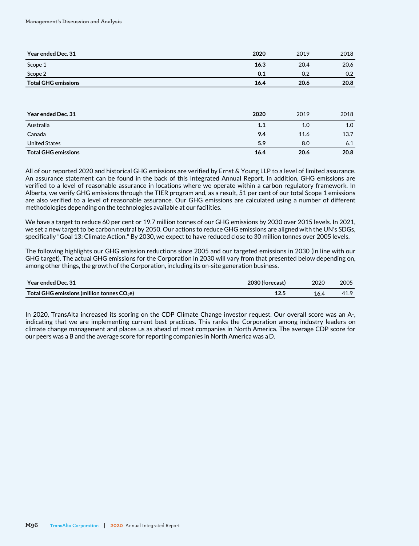| Year ended Dec. 31         | 2020 | 2019 | 2018 |
|----------------------------|------|------|------|
| Scope 1                    | 16.3 | 20.4 | 20.6 |
| Scope 2                    | 0.1  | 0.2  | 0.2  |
| <b>Total GHG emissions</b> | 16.4 | 20.6 | 20.8 |

| Year ended Dec. 31         | 2020 | 2019 | 2018 |
|----------------------------|------|------|------|
| Australia                  | 1.1  | 1.0  | 1.0  |
| Canada                     | 9.4  | 11.6 | 13.7 |
| <b>United States</b>       | 5.9  | 8.0  | 6.1  |
| <b>Total GHG emissions</b> | 16.4 | 20.6 | 20.8 |

All of our reported 2020 and historical GHG emissions are verified by Ernst & Young LLP to a level of limited assurance. An assurance statement can be found in the back of this Integrated Annual Report. In addition, GHG emissions are verified to a level of reasonable assurance in locations where we operate within a carbon regulatory framework. In Alberta, we verify GHG emissions through the TIER program and, as a result, 51 per cent of our total Scope 1 emissions are also verified to a level of reasonable assurance. Our GHG emissions are calculated using a number of different methodologies depending on the technologies available at our facilities.

We have a target to reduce 60 per cent or 19.7 million tonnes of our GHG emissions by 2030 over 2015 levels. In 2021, we set a new target to be carbon neutral by 2050. Our actions to reduce GHG emissions are aligned with the UN's SDGs, specifically "Goal 13: Climate Action." By 2030, we expect to have reduced close to 30 million tonnes over 2005 levels.

The following highlights our GHG emission reductions since 2005 and our targeted emissions in 2030 (in line with our GHG target). The actual GHG emissions for the Corporation in 2030 will vary from that presented below depending on, among other things, the growth of the Corporation, including its on-site generation business.

| Year ended Dec. 31                           | 2030 (forecast) | 2020 | 2005 |
|----------------------------------------------|-----------------|------|------|
| Total GHG emissions (million tonnes $CO2e$ ) | 12F<br>⊥∠.ಪ     | 16.4 | 41.9 |

In 2020, TransAlta increased its scoring on the CDP Climate Change investor request. Our overall score was an A-, indicating that we are implementing current best practices. This ranks the Corporation among industry leaders on climate change management and places us as ahead of most companies in North America. The average CDP score for our peers was a B and the average score for reporting companies in North America was a D.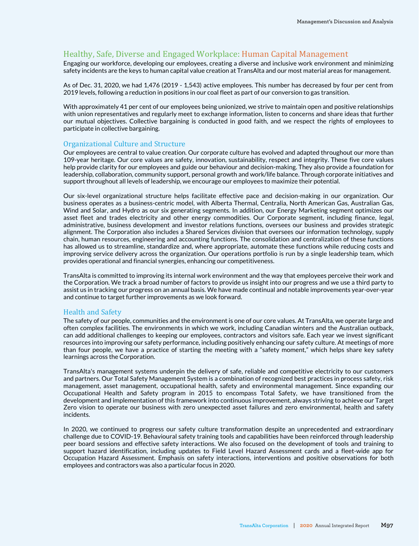# Healthy, Safe, Diverse and Engaged Workplace: Human Capital Management

Engaging our workforce, developing our employees, creating a diverse and inclusive work environment and minimizing safety incidents are the keys to human capital value creation at TransAlta and our most material areas for management.

As of Dec. 31, 2020, we had 1,476 (2019 - 1,543) active employees. This number has decreased by four per cent from 2019 levels, following a reduction in positions in our coal fleet as part of our conversion to gas transition.

With approximately 41 per cent of our employees being unionized, we strive to maintain open and positive relationships with union representatives and regularly meet to exchange information, listen to concerns and share ideas that further our mutual objectives. Collective bargaining is conducted in good faith, and we respect the rights of employees to participate in collective bargaining.

#### Organizational Culture and Structure

Our employees are central to value creation. Our corporate culture has evolved and adapted throughout our more than 109-year heritage. Our core values are safety, innovation, sustainability, respect and integrity. These five core values help provide clarity for our employees and guide our behaviour and decision-making. They also provide a foundation for leadership, collaboration, community support, personal growth and work/life balance. Through corporate initiatives and support throughout all levels of leadership, we encourage our employees to maximize their potential.

Our six-level organizational structure helps facilitate effective pace and decision-making in our organization. Our business operates as a business-centric model, with Alberta Thermal, Centralia, North American Gas, Australian Gas, Wind and Solar, and Hydro as our six generating segments. In addition, our Energy Marketing segment optimizes our asset fleet and trades electricity and other energy commodities. Our Corporate segment, including finance, legal, administrative, business development and investor relations functions, oversees our business and provides strategic alignment. The Corporation also includes a Shared Services division that oversees our information technology, supply chain, human resources, engineering and accounting functions. The consolidation and centralization of these functions has allowed us to streamline, standardize and, where appropriate, automate these functions while reducing costs and improving service delivery across the organization. Our operations portfolio is run by a single leadership team, which provides operational and financial synergies, enhancing our competitiveness.

TransAlta is committed to improving its internal work environment and the way that employees perceive their work and the Corporation. We track a broad number of factors to provide us insight into our progress and we use a third party to assist us in tracking our progress on an annual basis. We have made continual and notable improvements year-over-year and continue to target further improvements as we look forward.

## Health and Safety

The safety of our people, communities and the environment is one of our core values. At TransAlta, we operate large and often complex facilities. The environments in which we work, including Canadian winters and the Australian outback, can add additional challenges to keeping our employees, contractors and visitors safe. Each year we invest significant resources into improving our safety performance, including positively enhancing our safety culture. At meetings of more than four people, we have a practice of starting the meeting with a "safety moment," which helps share key safety learnings across the Corporation.

TransAlta's management systems underpin the delivery of safe, reliable and competitive electricity to our customers and partners. Our Total Safety Management System is a combination of recognized best practices in process safety, risk management, asset management, occupational health, safety and environmental management. Since expanding our Occupational Health and Safety program in 2015 to encompass Total Safety, we have transitioned from the development and implementation of this framework into continuous improvement, always striving to achieve our Target Zero vision to operate our business with zero unexpected asset failures and zero environmental, health and safety incidents.

In 2020, we continued to progress our safety culture transformation despite an unprecedented and extraordinary challenge due to COVID-19. Behavioural safety training tools and capabilities have been reinforced through leadership peer board sessions and effective safety interactions. We also focused on the development of tools and training to support hazard identification, including updates to Field Level Hazard Assessment cards and a fleet-wide app for Occupation Hazard Assessment. Emphasis on safety interactions, interventions and positive observations for both employees and contractors was also a particular focus in 2020.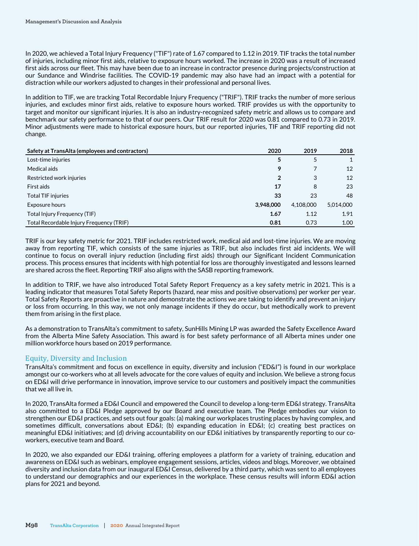In 2020, we achieved a Total Injury Frequency ("TIF") rate of 1.67 compared to 1.12 in 2019. TIF tracks the total number of injuries, including minor first aids, relative to exposure hours worked. The increase in 2020 was a result of increased first aids across our fleet. This may have been due to an increase in contractor presence during projects/construction at our Sundance and Windrise facilities. The COVID-19 pandemic may also have had an impact with a potential for distraction while our workers adjusted to changes in their professional and personal lives.

In addition to TIF, we are tracking Total Recordable Injury Frequency ("TRIF"). TRIF tracks the number of more serious injuries, and excludes minor first aids, relative to exposure hours worked. TRIF provides us with the opportunity to target and monitor our significant injuries. It is also an industry-recognized safety metric and allows us to compare and benchmark our safety performance to that of our peers. Our TRIF result for 2020 was 0.81 compared to 0.73 in 2019. Minor adjustments were made to historical exposure hours, but our reported injuries, TIF and TRIF reporting did not change.

| Safety at TransAlta (employees and contractors) | 2020           | 2019      | 2018      |
|-------------------------------------------------|----------------|-----------|-----------|
| Lost-time injuries                              | 5              | 5         |           |
| Medical aids                                    | 9              |           | 12        |
| Restricted work injuries                        | $\overline{2}$ | 3         | 12        |
| First aids                                      | 17             | 8         | 23        |
| <b>Total TIF injuries</b>                       | 33             | 23        | 48        |
| Exposure hours                                  | 3,948,000      | 4.108.000 | 5,014,000 |
| Total Injury Frequency (TIF)                    | 1.67           | 1.12      | 1.91      |
| Total Recordable Injury Frequency (TRIF)        | 0.81           | 0.73      | 1.00      |

TRIF is our key safety metric for 2021. TRIF includes restricted work, medical aid and lost-time injuries. We are moving away from reporting TIF, which consists of the same injuries as TRIF, but also includes first aid incidents. We will continue to focus on overall injury reduction (including first aids) through our Significant Incident Communication process. This process ensures that incidents with high potential for loss are thoroughly investigated and lessons learned are shared across the fleet. Reporting TRIF also aligns with the SASB reporting framework.

In addition to TRIF, we have also introduced Total Safety Report Frequency as a key safety metric in 2021. This is a leading indicator that measures Total Safety Reports (hazard, near miss and positive observations) per worker per year. Total Safety Reports are proactive in nature and demonstrate the actions we are taking to identify and prevent an injury or loss from occurring. In this way, we not only manage incidents if they do occur, but methodically work to prevent them from arising in the first place.

As a demonstration to TransAlta's commitment to safety, SunHills Mining LP was awarded the Safety Excellence Award from the Alberta Mine Safety Association. This award is for best safety performance of all Alberta mines under one million workforce hours based on 2019 performance.

# Equity, Diversity and Inclusion

TransAlta's commitment and focus on excellence in equity, diversity and inclusion ("ED&I") is found in our workplace amongst our co-workers who at all levels advocate for the core values of equity and inclusion. We believe a strong focus on ED&I will drive performance in innovation, improve service to our customers and positively impact the communities that we all live in.

In 2020, TransAlta formed a ED&I Council and empowered the Council to develop a long-term ED&I strategy. TransAlta also committed to a ED&I Pledge approved by our Board and executive team. The Pledge embodies our vision to strengthen our ED&I practices, and sets out four goals: (a) making our workplaces trusting places by having complex, and sometimes difficult, conversations about ED&I; (b) expanding education in ED&I; (c) creating best practices on meaningful ED&I initiatives; and (d) driving accountability on our ED&I initiatives by transparently reporting to our coworkers, executive team and Board.

In 2020, we also expanded our ED&I training, offering employees a platform for a variety of training, education and awareness on ED&I such as webinars, employee engagement sessions, articles, videos and blogs. Moreover, we obtained diversity and inclusion data from our inaugural ED&I Census, delivered by a third party, which was sent to all employees to understand our demographics and our experiences in the workplace. These census results will inform ED&I action plans for 2021 and beyond.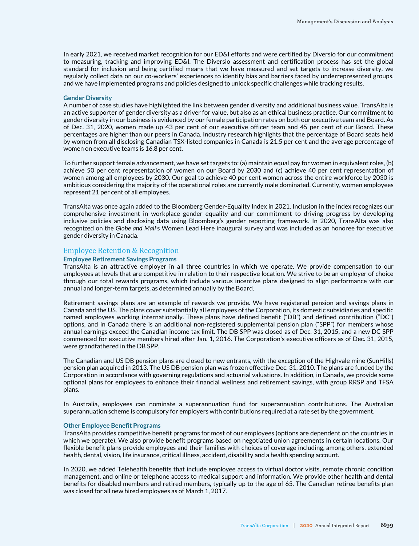In early 2021, we received market recognition for our ED&I efforts and were certified by Diversio for our commitment to measuring, tracking and improving ED&I. The Diversio assessment and certification process has set the global standard for inclusion and being certified means that we have measured and set targets to increase diversity, we regularly collect data on our co-workers' experiences to identify bias and barriers faced by underrepresented groups, and we have implemented programs and policies designed to unlock specific challenges while tracking results.

#### **Gender Diversity**

A number of case studies have highlighted the link between gender diversity and additional business value. TransAlta is an active supporter of gender diversity as a driver for value, but also as an ethical business practice. Our commitment to gender diversity in our business is evidenced by our female participation rates on both our executive team and Board. As of Dec. 31, 2020, women made up 43 per cent of our executive officer team and 45 per cent of our Board. These percentages are higher than our peers in Canada. Industry research highlights that the percentage of Board seats held by women from all disclosing Canadian TSX-listed companies in Canada is 21.5 per cent and the average percentage of women on executive teams is 16.8 per cent.

To further support female advancement, we have set targets to: (a) maintain equal pay for women in equivalent roles, (b) achieve 50 per cent representation of women on our Board by 2030 and (c) achieve 40 per cent representation of women among all employees by 2030. Our goal to achieve 40 per cent women across the entire workforce by 2030 is ambitious considering the majority of the operational roles are currently male dominated. Currently, women employees represent 21 per cent of all employees.

TransAlta was once again added to the Bloomberg Gender-Equality Index in 2021. Inclusion in the index recognizes our comprehensive investment in workplace gender equality and our commitment to driving progress by developing inclusive policies and disclosing data using Bloomberg's gender reporting framework. In 2020, TransAlta was also recognized on the *Globe and Mail'*s Women Lead Here inaugural survey and was included as an honoree for executive gender diversity in Canada.

#### Employee Retention & Recognition

#### **Employee Retirement Savings Programs**

TransAlta is an attractive employer in all three countries in which we operate. We provide compensation to our employees at levels that are competitive in relation to their respective location. We strive to be an employer of choice through our total rewards programs, which include various incentive plans designed to align performance with our annual and longer-term targets, as determined annually by the Board.

Retirement savings plans are an example of rewards we provide. We have registered pension and savings plans in Canada and the US. The plans cover substantially all employees of the Corporation, its domestic subsidiaries and specific named employees working internationally. These plans have defined benefit ("DB") and defined contribution ("DC") options, and in Canada there is an additional non-registered supplemental pension plan ("SPP") for members whose annual earnings exceed the Canadian income tax limit. The DB SPP was closed as of Dec. 31, 2015, and a new DC SPP commenced for executive members hired after Jan. 1, 2016. The Corporation's executive officers as of Dec. 31, 2015, were grandfathered in the DB SPP.

The Canadian and US DB pension plans are closed to new entrants, with the exception of the Highvale mine (SunHills) pension plan acquired in 2013. The US DB pension plan was frozen effective Dec. 31, 2010. The plans are funded by the Corporation in accordance with governing regulations and actuarial valuations. In addition, in Canada, we provide some optional plans for employees to enhance their financial wellness and retirement savings, with group RRSP and TFSA plans.

In Australia, employees can nominate a superannuation fund for superannuation contributions. The Australian superannuation scheme is compulsory for employers with contributions required at a rate set by the government.

#### **Other Employee Benefit Programs**

TransAlta provides competitive benefit programs for most of our employees (options are dependent on the countries in which we operate). We also provide benefit programs based on negotiated union agreements in certain locations. Our flexible benefit plans provide employees and their families with choices of coverage including, among others, extended health, dental, vision, life insurance, critical illness, accident, disability and a health spending account.

In 2020, we added Telehealth benefits that include employee access to virtual doctor visits, remote chronic condition management, and online or telephone access to medical support and information. We provide other health and dental benefits for disabled members and retired members, typically up to the age of 65. The Canadian retiree benefits plan was closed for all new hired employees as of March 1, 2017.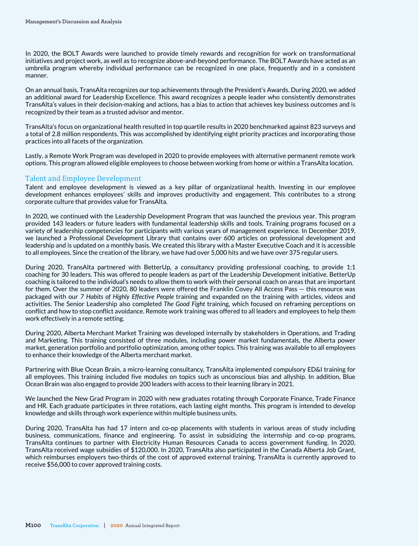In 2020, the BOLT Awards were launched to provide timely rewards and recognition for work on transformational initiatives and project work, as well as to recognize above-and-beyond performance. The BOLT Awards have acted as an umbrella program whereby individual performance can be recognized in one place, frequently and in a consistent manner.

On an annual basis, TransAlta recognizes our top achievements through the President's Awards. During 2020, we added an additional award for Leadership Excellence. This award recognizes a people leader who consistently demonstrates TransAlta's values in their decision-making and actions, has a bias to action that achieves key business outcomes and is recognized by their team as a trusted advisor and mentor.

TransAlta's focus on organizational health resulted in top quartile results in 2020 benchmarked against 823 surveys and a total of 2.8 million respondents. This was accomplished by identifying eight priority practices and incorporating those practices into all facets of the organization.

Lastly, a Remote Work Program was developed in 2020 to provide employees with alternative permanent remote work options. This program allowed eligible employees to choose between working from home or within a TransAlta location.

## Talent and Employee Development

Talent and employee development is viewed as a key pillar of organizational health. Investing in our employee development enhances employees' skills and improves productivity and engagement. This contributes to a strong corporate culture that provides value for TransAlta.

In 2020, we continued with the Leadership Development Program that was launched the previous year. This program provided 143 leaders or future leaders with fundamental leadership skills and tools. Training programs focused on a variety of leadership competencies for participants with various years of management experience. In December 2019, we launched a Professional Development Library that contains over 600 articles on professional development and leadership and is updated on a monthly basis. We created this library with a Master Executive Coach and it is accessible to all employees. Since the creation of the library, we have had over 5,000 hits and we have over 375 regular users.

During 2020, TransAlta partnered with BetterUp, a consultancy providing professional coaching, to provide 1:1 coaching for 30 leaders. This was offered to people leaders as part of the Leadership Development initiative. BetterUp coaching is tailored to the individual's needs to allow them to work with their personal coach on areas that are important for them. Over the summer of 2020, 80 leaders were offered the Franklin Covey All Access Pass — this resource was packaged with our *7 Habits of Highly Effective People* training and expanded on the training with articles, videos and activities. The Senior Leadership also completed *The Good Fight* training, which focused on reframing perceptions on conflict and how to stop conflict avoidance. Remote work training was offered to all leaders and employees to help them work effectively in a remote setting.

During 2020, Alberta Merchant Market Training was developed internally by stakeholders in Operations, and Trading and Marketing. This training consisted of three modules, including power market fundamentals, the Alberta power market, generation portfolio and portfolio optimization, among other topics. This training was available to all employees to enhance their knowledge of the Alberta merchant market.

Partnering with Blue Ocean Brain, a micro-learning consultancy, TransAlta implemented compulsory ED&I training for all employees. This training included five modules on topics such as unconscious bias and allyship. In addition, Blue Ocean Brain was also engaged to provide 200 leaders with access to their learning library in 2021.

We launched the New Grad Program in 2020 with new graduates rotating through Corporate Finance, Trade Finance and HR. Each graduate participates in three rotations, each lasting eight months. This program is intended to develop knowledge and skills through work experience within multiple business units.

During 2020, TransAlta has had 17 intern and co-op placements with students in various areas of study including business, communications, finance and engineering. To assist in subsidizing the internship and co-op programs, TransAlta continues to partner with Electricity Human Resources Canada to access government funding. In 2020, TransAlta received wage subsidies of \$120,000. In 2020, TransAlta also participated in the Canada Alberta Job Grant, which reimburses employers two-thirds of the cost of approved external training. TransAlta is currently approved to receive \$56,000 to cover approved training costs.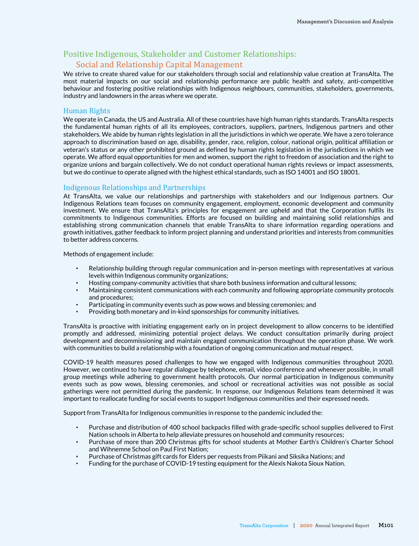# Positive Indigenous, Stakeholder and Customer Relationships: Social and Relationship Capital Management

We strive to create shared value for our stakeholders through social and relationship value creation at TransAlta. The most material impacts on our social and relationship performance are public health and safety, anti-competitive behaviour and fostering positive relationships with Indigenous neighbours, communities, stakeholders, governments, industry and landowners in the areas where we operate.

## Human Rights

We operate in Canada, the US and Australia. All of these countries have high human rights standards. TransAlta respects the fundamental human rights of all its employees, contractors, suppliers, partners, Indigenous partners and other stakeholders. We abide by human rights legislation in all the jurisdictions in which we operate. We have a zero tolerance approach to discrimination based on age, disability, gender, race, religion, colour, national origin, political affiliation or veteran's status or any other prohibited ground as defined by human rights legislation in the jurisdictions in which we operate. We afford equal opportunities for men and women, support the right to freedom of association and the right to organize unions and bargain collectively. We do not conduct operational human rights reviews or impact assessments, but we do continue to operate aligned with the highest ethical standards, such as ISO 14001 and ISO 18001.

# Indigenous Relationships and Partnerships

At TransAlta, we value our relationships and partnerships with stakeholders and our Indigenous partners. Our Indigenous Relations team focuses on community engagement, employment, economic development and community investment. We ensure that TransAlta's principles for engagement are upheld and that the Corporation fulfils its commitments to Indigenous communities. Efforts are focused on building and maintaining solid relationships and establishing strong communication channels that enable TransAlta to share information regarding operations and growth initiatives, gather feedback to inform project planning and understand priorities and interests from communities to better address concerns.

Methods of engagement include:

- Relationship building through regular communication and in-person meetings with representatives at various levels within Indigenous community organizations;
- Hosting company-community activities that share both business information and cultural lessons;
- Maintaining consistent communications with each community and following appropriate community protocols and procedures;
- Participating in community events such as pow wows and blessing ceremonies; and
- Providing both monetary and in-kind sponsorships for community initiatives.

TransAlta is proactive with initiating engagement early on in project development to allow concerns to be identified promptly and addressed, minimizing potential project delays. We conduct consultation primarily during project development and decommissioning and maintain engaged communication throughout the operation phase. We work with communities to build a relationship with a foundation of ongoing communication and mutual respect.

COVID-19 health measures posed challenges to how we engaged with Indigenous communities throughout 2020. However, we continued to have regular dialogue by telephone, email, video conference and whenever possible, in small group meetings while adhering to government health protocols. Our normal participation in Indigenous community events such as pow wows, blessing ceremonies, and school or recreational activities was not possible as social gatherings were not permitted during the pandemic. In response, our Indigenous Relations team determined it was important to reallocate funding for social events to support Indigenous communities and their expressed needs.

Support from TransAlta for Indigenous communities in response to the pandemic included the:

- Purchase and distribution of 400 school backpacks filled with grade-specific school supplies delivered to First Nation schools in Alberta to help alleviate pressures on household and community resources;
- Purchase of more than 200 Christmas gifts for school students at Mother Earth's Children's Charter School and Wihnemne School on Paul First Nation;
- Purchase of Christmas gift cards for Elders per requests from Piikani and Siksika Nations; and
- Funding for the purchase of COVID-19 testing equipment for the Alexis Nakota Sioux Nation.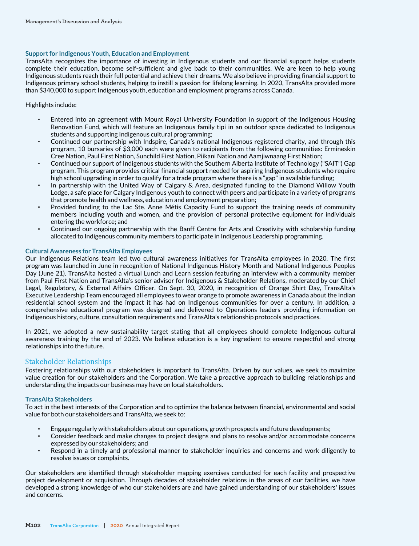#### **Support for Indigenous Youth, Education and Employment**

TransAlta recognizes the importance of investing in Indigenous students and our financial support helps students complete their education, become self-sufficient and give back to their communities. We are keen to help young Indigenous students reach their full potential and achieve their dreams. We also believe in providing financial support to Indigenous primary school students, helping to instill a passion for lifelong learning. In 2020, TransAlta provided more than \$340,000 to support Indigenous youth, education and employment programs across Canada.

#### Highlights include:

- Entered into an agreement with Mount Royal University Foundation in support of the Indigenous Housing Renovation Fund, which will feature an Indigenous family tipi in an outdoor space dedicated to Indigenous students and supporting Indigenous cultural programming;
- Continued our partnership with Indspire, Canada's national Indigenous registered charity, and through this program, 10 bursaries of \$3,000 each were given to recipients from the following communities: Ermineskin Cree Nation, Paul First Nation, Sunchild First Nation, Piikani Nation and Aamjiwnaang First Nation;
- Continued our support of Indigenous students with the Southern Alberta Institute of Technology ("SAIT") Gap program. This program provides critical financial support needed for aspiring Indigenous students who require high school upgrading in order to qualify for a trade program where there is a "gap" in available funding;
- In partnership with the United Way of Calgary & Area, designated funding to the Diamond Willow Youth Lodge, a safe place for Calgary Indigenous youth to connect with peers and participate in a variety of programs that promote health and wellness, education and employment preparation;
- Provided funding to the Lac Ste. Anne Métis Capacity Fund to support the training needs of community members including youth and women, and the provision of personal protective equipment for individuals entering the workforce; and
- Continued our ongoing partnership with the Banff Centre for Arts and Creativity with scholarship funding allocated to Indigenous community members to participate in Indigenous Leadership programming.

#### **Cultural Awareness for TransAlta Employees**

Our Indigenous Relations team led two cultural awareness initiatives for TransAlta employees in 2020. The first program was launched in June in recognition of National Indigenous History Month and National Indigenous Peoples Day (June 21). TransAlta hosted a virtual Lunch and Learn session featuring an interview with a community member from Paul First Nation and TransAlta's senior advisor for Indigenous & Stakeholder Relations, moderated by our Chief Legal, Regulatory, & External Affairs Officer. On Sept. 30, 2020, in recognition of Orange Shirt Day, TransAlta's Executive Leadership Team encouraged all employees to wear orange to promote awareness in Canada about the Indian residential school system and the impact it has had on Indigenous communities for over a century. In addition, a comprehensive educational program was designed and delivered to Operations leaders providing information on Indigenous history, culture, consultation requirements and TransAlta's relationship protocols and practices.

In 2021, we adopted a new sustainability target stating that all employees should complete Indigenous cultural awareness training by the end of 2023. We believe education is a key ingredient to ensure respectful and strong relationships into the future.

# Stakeholder Relationships

Fostering relationships with our stakeholders is important to TransAlta. Driven by our values, we seek to maximize value creation for our stakeholders and the Corporation. We take a proactive approach to building relationships and understanding the impacts our business may have on local stakeholders.

#### **TransAlta Stakeholders**

To act in the best interests of the Corporation and to optimize the balance between financial, environmental and social value for both our stakeholders and TransAlta, we seek to:

- Engage regularly with stakeholders about our operations, growth prospects and future developments;
- Consider feedback and make changes to project designs and plans to resolve and/or accommodate concerns expressed by our stakeholders; and
- Respond in a timely and professional manner to stakeholder inquiries and concerns and work diligently to resolve issues or complaints.

Our stakeholders are identified through stakeholder mapping exercises conducted for each facility and prospective project development or acquisition. Through decades of stakeholder relations in the areas of our facilities, we have developed a strong knowledge of who our stakeholders are and have gained understanding of our stakeholders' issues and concerns.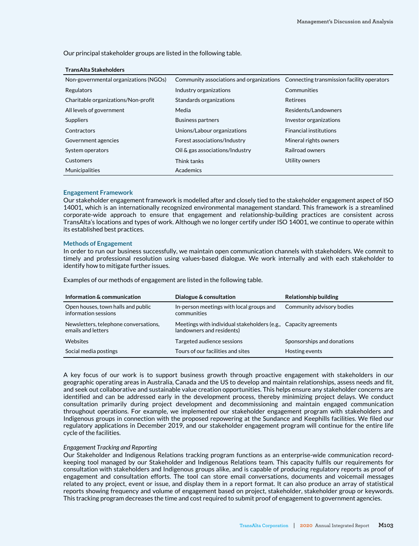Our principal stakeholder groups are listed in the following table.

| Non-governmental organizations (NGOs) | Community associations and organizations Connecting transmission facility operators |                               |
|---------------------------------------|-------------------------------------------------------------------------------------|-------------------------------|
| Regulators                            | Industry organizations                                                              | Communities                   |
| Charitable organizations/Non-profit   | Standards organizations                                                             | Retirees                      |
| All levels of government              | Media                                                                               | Residents/Landowners          |
| Suppliers                             | <b>Business partners</b>                                                            | Investor organizations        |
| Contractors                           | Unions/Labour organizations                                                         | <b>Financial institutions</b> |
| Government agencies                   | Forest associations/Industry                                                        | Mineral rights owners         |
| System operators                      | Oil & gas associations/Industry                                                     | Railroad owners               |
| Customers                             | Think tanks                                                                         | Utility owners                |
| Municipalities                        | Academics                                                                           |                               |

#### **TransAlta Stakeholders**

#### **Engagement Framework**

Our stakeholder engagement framework is modelled after and closely tied to the stakeholder engagement aspect of ISO 14001, which is an internationally recognized environmental management standard. This framework is a streamlined corporate-wide approach to ensure that engagement and relationship-building practices are consistent across TransAlta's locations and types of work. Although we no longer certify under ISO 14001, we continue to operate within its established best practices.

#### **Methods of Engagement**

In order to run our business successfully, we maintain open communication channels with stakeholders. We commit to timely and professional resolution using values-based dialogue. We work internally and with each stakeholder to identify how to mitigate further issues.

Examples of our methods of engagement are listed in the following table.

| Information & communication                                 | Dialogue & consultation                                                                       | Relationship building      |
|-------------------------------------------------------------|-----------------------------------------------------------------------------------------------|----------------------------|
| Open houses, town halls and public<br>information sessions  | In-person meetings with local groups and<br>communities                                       | Community advisory bodies  |
| Newsletters, telephone conversations,<br>emails and letters | Meetings with individual stakeholders (e.g., Capacity agreements<br>landowners and residents) |                            |
| Websites                                                    | Targeted audience sessions                                                                    | Sponsorships and donations |
| Social media postings                                       | Tours of our facilities and sites                                                             | Hosting events             |

A key focus of our work is to support business growth through proactive engagement with stakeholders in our geographic operating areas in Australia, Canada and the US to develop and maintain relationships, assess needs and fit, and seek out collaborative and sustainable value creation opportunities. This helps ensure any stakeholder concerns are identified and can be addressed early in the development process, thereby minimizing project delays. We conduct consultation primarily during project development and decommissioning and maintain engaged communication throughout operations. For example, we implemented our stakeholder engagement program with stakeholders and Indigenous groups in connection with the proposed repowering at the Sundance and Keephills facilities. We filed our regulatory applications in December 2019, and our stakeholder engagement program will continue for the entire life cycle of the facilities.

#### *Engagement Tracking and Reporting*

Our Stakeholder and Indigenous Relations tracking program functions as an enterprise-wide communication recordkeeping tool managed by our Stakeholder and Indigenous Relations team. This capacity fulfils our requirements for consultation with stakeholders and Indigenous groups alike, and is capable of producing regulatory reports as proof of engagement and consultation efforts. The tool can store email conversations, documents and voicemail messages related to any project, event or issue, and display them in a report format. It can also produce an array of statistical reports showing frequency and volume of engagement based on project, stakeholder, stakeholder group or keywords. This tracking program decreases the time and cost required to submit proof of engagement to government agencies.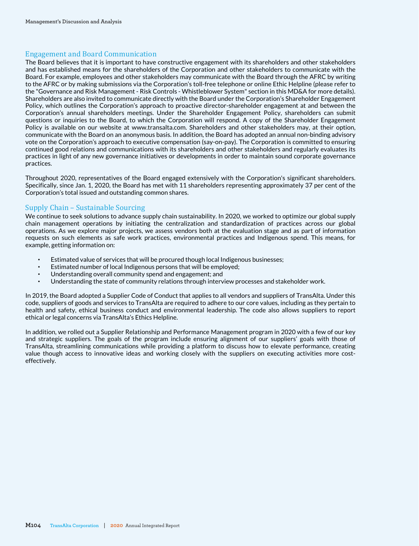# Engagement and Board Communication

The Board believes that it is important to have constructive engagement with its shareholders and other stakeholders and has established means for the shareholders of the Corporation and other stakeholders to communicate with the Board. For example, employees and other stakeholders may communicate with the Board through the AFRC by writing to the AFRC or by making submissions via the Corporation's toll-free telephone or online Ethic Helpline (please refer to the "Governance and Risk Management - Risk Controls - Whistleblower System" section in this MD&A for more details). Shareholders are also invited to communicate directly with the Board under the Corporation's Shareholder Engagement Policy, which outlines the Corporation's approach to proactive director-shareholder engagement at and between the Corporation's annual shareholders meetings. Under the Shareholder Engagement Policy, shareholders can submit questions or inquiries to the Board, to which the Corporation will respond. A copy of the Shareholder Engagement Policy is available on our website at www.transalta.com. Shareholders and other stakeholders may, at their option, communicate with the Board on an anonymous basis. In addition, the Board has adopted an annual non-binding advisory vote on the Corporation's approach to executive compensation (say-on-pay). The Corporation is committed to ensuring continued good relations and communications with its shareholders and other stakeholders and regularly evaluates its practices in light of any new governance initiatives or developments in order to maintain sound corporate governance practices.

Throughout 2020, representatives of the Board engaged extensively with the Corporation's significant shareholders. Specifically, since Jan. 1, 2020, the Board has met with 11 shareholders representing approximately 37 per cent of the Corporation's total issued and outstanding common shares.

# Supply Chain – Sustainable Sourcing

We continue to seek solutions to advance supply chain sustainability. In 2020, we worked to optimize our global supply chain management operations by initiating the centralization and standardization of practices across our global operations. As we explore major projects, we assess vendors both at the evaluation stage and as part of information requests on such elements as safe work practices, environmental practices and Indigenous spend. This means, for example, getting information on:

- Estimated value of services that will be procured though local Indigenous businesses;
- Estimated number of local Indigenous persons that will be employed;
- Understanding overall community spend and engagement; and
- Understanding the state of community relations through interview processes and stakeholder work.

In 2019, the Board adopted a Supplier Code of Conduct that applies to all vendors and suppliers of TransAlta. Under this code, suppliers of goods and services to TransAlta are required to adhere to our core values, including as they pertain to health and safety, ethical business conduct and environmental leadership. The code also allows suppliers to report ethical or legal concerns via TransAlta's Ethics Helpline.

In addition, we rolled out a Supplier Relationship and Performance Management program in 2020 with a few of our key and strategic suppliers. The goals of the program include ensuring alignment of our suppliers' goals with those of TransAlta, streamlining communications while providing a platform to discuss how to elevate performance, creating value though access to innovative ideas and working closely with the suppliers on executing activities more costeffectively.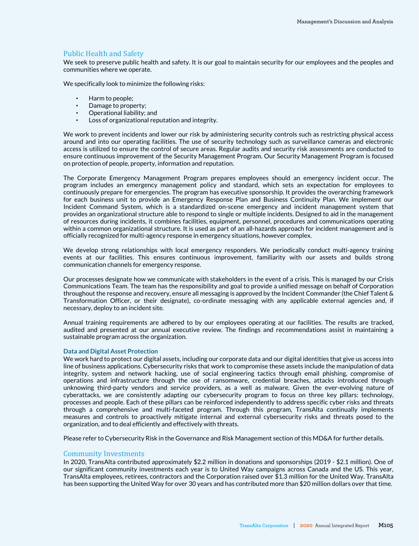# Public Health and Safety

We seek to preserve public health and safety. It is our goal to maintain security for our employees and the peoples and communities where we operate.

We specifically look to minimize the following risks:

- Harm to people:
- Damage to property;
- Operational liability; and
- Loss of organizational reputation and integrity.

We work to prevent incidents and lower our risk by administering security controls such as restricting physical access around and into our operating facilities. The use of security technology such as surveillance cameras and electronic access is utilized to ensure the control of secure areas. Regular audits and security risk assessments are conducted to ensure continuous improvement of the Security Management Program. Our Security Management Program is focused on protection of people, property, information and reputation.

The Corporate Emergency Management Program prepares employees should an emergency incident occur. The program includes an emergency management policy and standard, which sets an expectation for employees to continuously prepare for emergencies. The program has executive sponsorship. It provides the overarching framework for each business unit to provide an Emergency Response Plan and Business Continuity Plan. We implement our Incident Command System, which is a standardized on-scene emergency and incident management system that provides an organizational structure able to respond to single or multiple incidents. Designed to aid in the management of resources during incidents, it combines facilities, equipment, personnel, procedures and communications operating within a common organizational structure. It is used as part of an all-hazards approach for incident management and is officially recognized for multi-agency response in emergency situations, however complex.

We develop strong relationships with local emergency responders. We periodically conduct multi-agency training events at our facilities. This ensures continuous improvement, familiarity with our assets and builds strong communication channels for emergency response.

Our processes designate how we communicate with stakeholders in the event of a crisis. This is managed by our Crisis Communications Team. The team has the responsibility and goal to provide a unified message on behalf of Corporation throughout the response and recovery, ensure all messaging is approved by the Incident Commander (the Chief Talent & Transformation Officer, or their designate), co-ordinate messaging with any applicable external agencies and, if necessary, deploy to an incident site.

Annual training requirements are adhered to by our employees operating at our facilities. The results are tracked, audited and presented at our annual executive review. The findings and recommendations assist in maintaining a sustainable program across the organization.

#### **Data and Digital Asset Protection**

We work hard to protect our digital assets, including our corporate data and our digital identities that give us access into line of business applications. Cybersecurity risks that work to compromise these assets include the manipulation of data integrity, system and network hacking, use of social engineering tactics through email phishing, compromise of operations and infrastructure through the use of ransomware, credential breaches, attacks introduced through unknowing third-party vendors and service providers, as a well as malware. Given the ever-evolving nature of cyberattacks, we are consistently adapting our cybersecurity program to focus on three key pillars: technology, processes and people. Each of these pillars can be reinforced independently to address specific cyber risks and threats through a comprehensive and multi-faceted program. Through this program, TransAlta continually implements measures and controls to proactively mitigate internal and external cybersecurity risks and threats posed to the organization, and to deal efficiently and effectively with threats.

Please refer to Cybersecurity Risk in the Governance and Risk Management section of this MD&A for further details.

#### Community Investments

In 2020, TransAlta contributed approximately \$2.2 million in donations and sponsorships (2019 - \$2.1 million). One of our significant community investments each year is to United Way campaigns across Canada and the US. This year, TransAlta employees, retirees, contractors and the Corporation raised over \$1.3 million for the United Way. TransAlta has been supporting the United Way for over 30 years and has contributed more than \$20 million dollars over that time.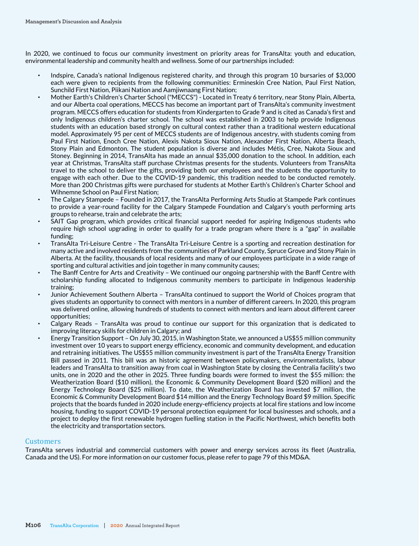In 2020, we continued to focus our community investment on priority areas for TransAlta: youth and education, environmental leadership and community health and wellness. Some of our partnerships included:

- Indspire, Canada's national Indigenous registered charity, and through this program 10 bursaries of \$3,000 each were given to recipients from the following communities: Ermineskin Cree Nation, Paul First Nation, Sunchild First Nation, Piikani Nation and Aamjiwnaang First Nation;
- Mother Earth's Children's Charter School ("MECCS") Located in Treaty 6 territory, near Stony Plain, Alberta, and our Alberta coal operations, MECCS has become an important part of TransAlta's community investment program. MECCS offers education for students from Kindergarten to Grade 9 and is cited as Canada's first and only Indigenous children's charter school. The school was established in 2003 to help provide Indigenous students with an education based strongly on cultural context rather than a traditional western educational model. Approximately 95 per cent of MECCS students are of Indigenous ancestry, with students coming from Paul First Nation, Enoch Cree Nation, Alexis Nakota Sioux Nation, Alexander First Nation, Alberta Beach, Stony Plain and Edmonton. The student population is diverse and includes Métis, Cree, Nakota Sioux and Stoney. Beginning in 2014, TransAlta has made an annual \$35,000 donation to the school. In addition, each year at Christmas, TransAlta staff purchase Christmas presents for the students. Volunteers from TransAlta travel to the school to deliver the gifts, providing both our employees and the students the opportunity to engage with each other. Due to the COVID-19 pandemic, this tradition needed to be conducted remotely. More than 200 Christmas gifts were purchased for students at Mother Earth's Children's Charter School and Wihnemne School on Paul First Nation;
- The Calgary Stampede Founded in 2017, the TransAlta Performing Arts Studio at Stampede Park continues to provide a year-round facility for the Calgary Stampede Foundation and Calgary's youth performing arts groups to rehearse, train and celebrate the arts;
- SAIT Gap program, which provides critical financial support needed for aspiring Indigenous students who require high school upgrading in order to qualify for a trade program where there is a "gap" in available funding;
- TransAlta Tri-Leisure Centre The TransAlta Tri-Leisure Centre is a sporting and recreation destination for many active and involved residents from the communities of Parkland County, Spruce Grove and Stony Plain in Alberta. At the facility, thousands of local residents and many of our employees participate in a wide range of sporting and cultural activities and join together in many community causes;
- The Banff Centre for Arts and Creativity We continued our ongoing partnership with the Banff Centre with scholarship funding allocated to Indigenous community members to participate in Indigenous leadership training;
- Junior Achievement Southern Alberta TransAlta continued to support the World of Choices program that gives students an opportunity to connect with mentors in a number of different careers. In 2020, this program was delivered online, allowing hundreds of students to connect with mentors and learn about different career opportunities;
- Calgary Reads TransAlta was proud to continue our support for this organization that is dedicated to improving literacy skills for children in Calgary; and
- Energy Transition Support On July 30, 2015, in Washington State, we announced a US\$55 million community investment over 10 years to support energy efficiency, economic and community development, and education and retraining initiatives. The US\$55 million community investment is part of the TransAlta Energy Transition Bill passed in 2011. This bill was an historic agreement between policymakers, environmentalists, labour leaders and TransAlta to transition away from coal in Washington State by closing the Centralia facility's two units, one in 2020 and the other in 2025. Three funding boards were formed to invest the \$55 million: the Weatherization Board (\$10 million), the Economic & Community Development Board (\$20 million) and the Energy Technology Board (\$25 million). To date, the Weatherization Board has invested \$7 million, the Economic & Community Development Board \$14 million and the Energy Technology Board \$9 million. Specific projects that the boards funded in 2020 include energy-efficiency projects at local fire stations and low income housing, funding to support COVID-19 personal protection equipment for local businesses and schools, and a project to deploy the first renewable hydrogen fuelling station in the Pacific Northwest, which benefits both the electricity and transportation sectors.

#### **Customers**

TransAlta serves industrial and commercial customers with power and energy services across its fleet (Australia, Canada and the US). For more information on our customer focus, please refer to page 79 of this MD&A.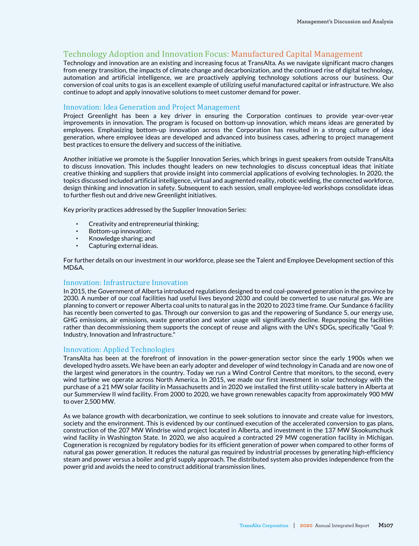# Technology Adoption and Innovation Focus: Manufactured Capital Management

Technology and innovation are an existing and increasing focus at TransAlta. As we navigate significant macro changes from energy transition, the impacts of climate change and decarbonization, and the continued rise of digital technology, automation and artificial intelligence, we are proactively applying technology solutions across our business. Our conversion of coal units to gas is an excellent example of utilizing useful manufactured capital or infrastructure. We also continue to adopt and apply innovative solutions to meet customer demand for power.

## Innovation: Idea Generation and Project Management

Project Greenlight has been a key driver in ensuring the Corporation continues to provide year-over-year improvements in innovation. The program is focused on bottom-up innovation, which means ideas are generated by employees. Emphasizing bottom-up innovation across the Corporation has resulted in a strong culture of idea generation, where employee ideas are developed and advanced into business cases, adhering to project management best practices to ensure the delivery and success of the initiative.

Another initiative we promote is the Supplier Innovation Series, which brings in guest speakers from outside TransAlta to discuss innovation. This includes thought leaders on new technologies to discuss conceptual ideas that initiate creative thinking and suppliers that provide insight into commercial applications of evolving technologies. In 2020, the topics discussed included artificial intelligence, virtual and augmented reality, robotic welding, the connected workforce, design thinking and innovation in safety. Subsequent to each session, small employee-led workshops consolidate ideas to further flesh out and drive new Greenlight initiatives.

Key priority practices addressed by the Supplier Innovation Series:

- Creativity and entrepreneurial thinking;
- **•** Bottom-up innovation;<br>• Knowledge sharing: and
- Knowledge sharing; and
- Capturing external ideas.

For further details on our investment in our workforce, please see the Talent and Employee Development section of this MD&A.

# Innovation: Infrastructure Innovation

In 2015, the Government of Alberta introduced regulations designed to end coal-powered generation in the province by 2030. A number of our coal facilities had useful lives beyond 2030 and could be converted to use natural gas. We are planning to convert or repower Alberta coal units to natural gas in the 2020 to 2023 time frame. Our Sundance 6 facility has recently been converted to gas. Through our conversion to gas and the repowering of Sundance 5, our energy use, GHG emissions, air emissions, waste generation and water usage will significantly decline. Repurposing the facilities rather than decommissioning them supports the concept of reuse and aligns with the UN's SDGs, specifically "Goal 9: Industry, Innovation and Infrastructure."

#### Innovation: Applied Technologies

TransAlta has been at the forefront of innovation in the power-generation sector since the early 1900s when we developed hydro assets. We have been an early adopter and developer of wind technology in Canada and are now one of the largest wind generators in the country. Today we run a Wind Control Centre that monitors, to the second, every wind turbine we operate across North America. In 2015, we made our first investment in solar technology with the purchase of a 21 MW solar facility in Massachusetts and in 2020 we installed the first utility-scale battery in Alberta at our Summerview II wind facility. From 2000 to 2020, we have grown renewables capacity from approximately 900 MW to over 2,500 MW.

As we balance growth with decarbonization, we continue to seek solutions to innovate and create value for investors, society and the environment. This is evidenced by our continued execution of the accelerated conversion to gas plans, construction of the 207 MW Windrise wind project located in Alberta, and investment in the 137 MW Skookumchuck wind facility in Washington State. In 2020, we also acquired a contracted 29 MW cogeneration facility in Michigan. Cogeneration is recognized by regulatory bodies for its efficient generation of power when compared to other forms of natural gas power generation. It reduces the natural gas required by industrial processes by generating high-efficiency steam and power versus a boiler and grid supply approach. The distributed system also provides independence from the power grid and avoids the need to construct additional transmission lines.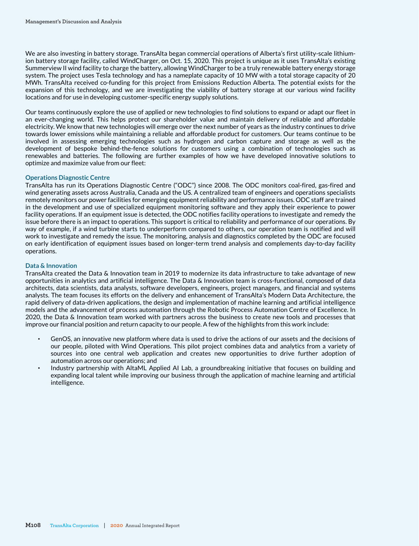We are also investing in battery storage. TransAlta began commercial operations of Alberta's first utility-scale lithiumion battery storage facility, called WindCharger, on Oct. 15, 2020. This project is unique as it uses TransAlta's existing Summerview II wind facility to charge the battery, allowing WindCharger to be a truly renewable battery energy storage system. The project uses Tesla technology and has a nameplate capacity of 10 MW with a total storage capacity of 20 MWh. TransAlta received co-funding for this project from Emissions Reduction Alberta. The potential exists for the expansion of this technology, and we are investigating the viability of battery storage at our various wind facility locations and for use in developing customer-specific energy supply solutions.

Our teams continuously explore the use of applied or new technologies to find solutions to expand or adapt our fleet in an ever-changing world. This helps protect our shareholder value and maintain delivery of reliable and affordable electricity. We know that new technologies will emerge over the next number of years as the industry continues to drive towards lower emissions while maintaining a reliable and affordable product for customers. Our teams continue to be involved in assessing emerging technologies such as hydrogen and carbon capture and storage as well as the development of bespoke behind-the-fence solutions for customers using a combination of technologies such as renewables and batteries. The following are further examples of how we have developed innovative solutions to optimize and maximize value from our fleet:

### **Operations Diagnostic Centre**

TransAlta has run its Operations Diagnostic Centre ("ODC") since 2008. The ODC monitors coal-fired, gas-fired and wind generating assets across Australia, Canada and the US. A centralized team of engineers and operations specialists remotely monitors our power facilities for emerging equipment reliability and performance issues. ODC staff are trained in the development and use of specialized equipment monitoring software and they apply their experience to power facility operations. If an equipment issue is detected, the ODC notifies facility operations to investigate and remedy the issue before there is an impact to operations. This support is critical to reliability and performance of our operations. By way of example, if a wind turbine starts to underperform compared to others, our operation team is notified and will work to investigate and remedy the issue. The monitoring, analysis and diagnostics completed by the ODC are focused on early identification of equipment issues based on longer-term trend analysis and complements day-to-day facility operations.

### **Data & Innovation**

TransAlta created the Data & Innovation team in 2019 to modernize its data infrastructure to take advantage of new opportunities in analytics and artificial intelligence. The Data & Innovation team is cross-functional, composed of data architects, data scientists, data analysts, software developers, engineers, project managers, and financial and systems analysts. The team focuses its efforts on the delivery and enhancement of TransAlta's Modern Data Architecture, the rapid delivery of data-driven applications, the design and implementation of machine learning and artificial intelligence models and the advancement of process automation through the Robotic Process Automation Centre of Excellence. In 2020, the Data & Innovation team worked with partners across the business to create new tools and processes that improve our financial position and return capacity to our people. A few of the highlights from this work include:

- GenOS, an innovative new platform where data is used to drive the actions of our assets and the decisions of our people, piloted with Wind Operations. This pilot project combines data and analytics from a variety of sources into one central web application and creates new opportunities to drive further adoption of automation across our operations; and
- Industry partnership with AltaML Applied AI Lab, a groundbreaking initiative that focuses on building and expanding local talent while improving our business through the application of machine learning and artificial intelligence.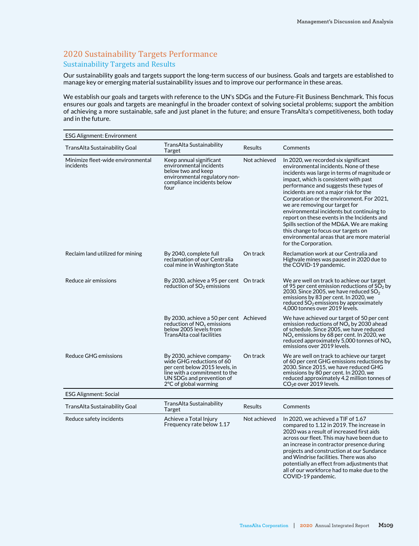# 2020 Sustainability Targets Performance Sustainability Targets and Results

Our sustainability goals and targets support the long-term success of our business. Goals and targets are established to manage key or emerging material sustainability issues and to improve our performance in these areas.

We establish our goals and targets with reference to the UN's SDGs and the Future-Fit Business Benchmark. This focus ensures our goals and targets are meaningful in the broader context of solving societal problems; support the ambition of achieving a more sustainable, safe and just planet in the future; and ensure TransAlta's competitiveness, both today and in the future.

| <b>ESG Alignment: Environment</b>              |                                                                                                                                                                                           |                |                                                                                                                                                                                                                                                                                                                                                                                                                                                                                                                                                                                                   |
|------------------------------------------------|-------------------------------------------------------------------------------------------------------------------------------------------------------------------------------------------|----------------|---------------------------------------------------------------------------------------------------------------------------------------------------------------------------------------------------------------------------------------------------------------------------------------------------------------------------------------------------------------------------------------------------------------------------------------------------------------------------------------------------------------------------------------------------------------------------------------------------|
| TransAlta Sustainability Goal                  | TransAlta Sustainability<br>Target                                                                                                                                                        | <b>Results</b> | Comments                                                                                                                                                                                                                                                                                                                                                                                                                                                                                                                                                                                          |
| Minimize fleet-wide environmental<br>incidents | Keep annual significant<br>environmental incidents<br>below two and keep<br>environmental regulatory non-<br>compliance incidents below<br>four                                           | Not achieved   | In 2020, we recorded six significant<br>environmental incidents. None of these<br>incidents was large in terms of magnitude or<br>impact, which is consistent with past<br>performance and suggests these types of<br>incidents are not a major risk for the<br>Corporation or the environment. For 2021,<br>we are removing our target for<br>environmental incidents but continuing to<br>report on these events in the Incidents and<br>Spills section of the MD&A. We are making<br>this change to focus our targets on<br>environmental areas that are more material<br>for the Corporation. |
| Reclaim land utilized for mining               | By 2040, complete full<br>reclamation of our Centralia<br>coal mine in Washington State                                                                                                   | On track       | Reclamation work at our Centralia and<br>Highvale mines was paused in 2020 due to<br>the COVID-19 pandemic.                                                                                                                                                                                                                                                                                                                                                                                                                                                                                       |
| Reduce air emissions                           | By 2030, achieve a 95 per cent On track<br>reduction of $SO2$ emissions                                                                                                                   |                | We are well on track to achieve our target<br>of 95 per cent emission reductions of $SO2$ by<br>2030. Since 2005, we have reduced $SO_2$<br>emissions by 83 per cent. In 2020, we<br>reduced $SO_2$ emissions by approximately<br>4,000 tonnes over 2019 levels.                                                                                                                                                                                                                                                                                                                                  |
|                                                | By 2030, achieve a 50 per cent Achieved<br>reduction of NO <sub>x</sub> emissions<br>below 2005 levels from<br><b>TransAlta coal facilities</b>                                           |                | We have achieved our target of 50 per cent<br>emission reductions of $NOx$ by 2030 ahead<br>of schedule. Since 2005, we have reduced<br>$NOx$ emissions by 68 per cent. In 2020, we<br>reduced approximately 5,000 tonnes of $NOx$<br>emissions over 2019 levels.                                                                                                                                                                                                                                                                                                                                 |
| <b>Reduce GHG emissions</b>                    | By 2030, achieve company-<br>wide GHG reductions of 60<br>per cent below 2015 levels, in<br>line with a commitment to the<br>UN SDGs and prevention of<br>$2^{\circ}$ C of global warming | On track       | We are well on track to achieve our target<br>of 60 per cent GHG emissions reductions by<br>2030. Since 2015, we have reduced GHG<br>emissions by 80 per cent. In 2020, we<br>reduced approximately 4.2 million tonnes of<br>CO <sub>2</sub> e over 2019 levels.                                                                                                                                                                                                                                                                                                                                  |
| <b>ESG Alignment: Social</b>                   |                                                                                                                                                                                           |                |                                                                                                                                                                                                                                                                                                                                                                                                                                                                                                                                                                                                   |
| TransAlta Sustainability Goal                  | TransAlta Sustainability<br>Target                                                                                                                                                        | <b>Results</b> | Comments                                                                                                                                                                                                                                                                                                                                                                                                                                                                                                                                                                                          |
| Reduce safety incidents                        | Achieve a Total Injury<br>Frequency rate below 1.17                                                                                                                                       | Not achieved   | In 2020, we achieved a TIF of 1.67<br>compared to 1.12 in 2019. The increase in<br>2020 was a result of increased first aids<br>across our fleet. This may have been due to<br>an increase in contractor presence during<br>projects and construction at our Sundance<br>and Windrise facilities. There was also<br>potentially an effect from adjustments that<br>all of our workforce had to make due to the<br>COVID-19 pandemic.                                                                                                                                                              |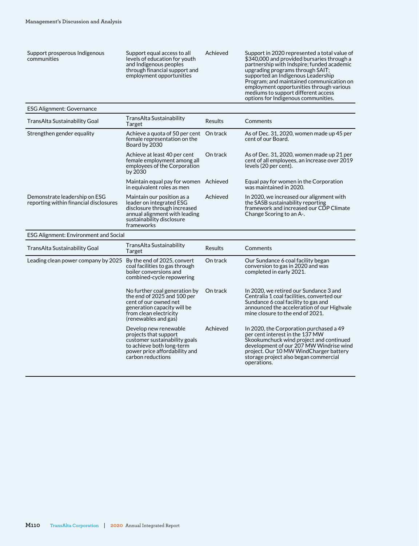Support prosperous Indigenous communities

Support equal access to all levels of education for youth and Indigenous peoples through financial support and employment opportunities

Achieved Support in 2020 represented a total value of \$340,000 and provided bursaries through a partnership with Indspire; funded academic upgrading programs through SAIT; supported an Indigenous Leadership Program; and maintained communication on employment opportunities through various mediums to support different access options for Indigenous communities.

#### ESG Alignment: Governance

| TransAlta Sustainability Goal                                           | TransAlta Sustainability<br>Target                                                                                                                                 | Results  | Comments                                                                                                                                             |
|-------------------------------------------------------------------------|--------------------------------------------------------------------------------------------------------------------------------------------------------------------|----------|------------------------------------------------------------------------------------------------------------------------------------------------------|
| Strengthen gender equality                                              | Achieve a guota of 50 per cent<br>female representation on the<br>Board by 2030                                                                                    | On track | As of Dec. 31, 2020, women made up 45 per<br>cent of our Board.                                                                                      |
|                                                                         | Achieve at least 40 per cent<br>female employment among all<br>employees of the Corporation<br>by 2030                                                             | On track | As of Dec. 31, 2020, women made up 21 per<br>cent of all employees, an increase over 2019<br>levels (20 per cent).                                   |
|                                                                         | Maintain equal pay for women<br>in equivalent roles as men                                                                                                         | Achieved | Equal pay for women in the Corporation<br>was maintained in 2020.                                                                                    |
| Demonstrate leadership on ESG<br>reporting within financial disclosures | Maintain our position as a<br>leader on integrated ESG<br>disclosure through increased<br>annual alignment with leading<br>sustainability disclosure<br>frameworks | Achieved | In 2020, we increased our alignment with<br>the SASB sustainability reporting<br>framework and increased our CDP Climate<br>Change Scoring to an A-. |

| <b>ESG Alignment: Environment and Social</b> |                                                                                                                                                                        |                |                                                                                                                                                                                                                                                                    |
|----------------------------------------------|------------------------------------------------------------------------------------------------------------------------------------------------------------------------|----------------|--------------------------------------------------------------------------------------------------------------------------------------------------------------------------------------------------------------------------------------------------------------------|
| TransAlta Sustainability Goal                | TransAlta Sustainability<br>Target                                                                                                                                     | <b>Results</b> | Comments                                                                                                                                                                                                                                                           |
| Leading clean power company by 2025          | By the end of 2025, convert<br>coal facilities to gas through<br>boiler conversions and<br>combined-cycle repowering                                                   | On track       | Our Sundance 6 coal facility began<br>conversion to gas in 2020 and was<br>completed in early 2021.                                                                                                                                                                |
|                                              | No further coal generation by<br>the end of 2025 and 100 per<br>cent of our owned net<br>generation capacity will be<br>from clean electricity<br>(renewables and gas) | On track       | In 2020, we retired our Sundance 3 and<br>Centralia 1 coal facilities, converted our<br>Sundance 6 coal facility to gas and<br>announced the acceleration of our Highvale<br>mine closure to the end of 2021.                                                      |
|                                              | Develop new renewable<br>projects that support<br>customer sustainability goals<br>to achieve both long-term<br>power price affordability and<br>carbon reductions     | Achieved       | In 2020, the Corporation purchased a 49<br>per cent interest in the 137 MW<br>Skookumchuck wind project and continued<br>development of our 207 MW Windrise wind<br>project. Our 10 MW WindCharger battery<br>storage project also began commercial<br>operations. |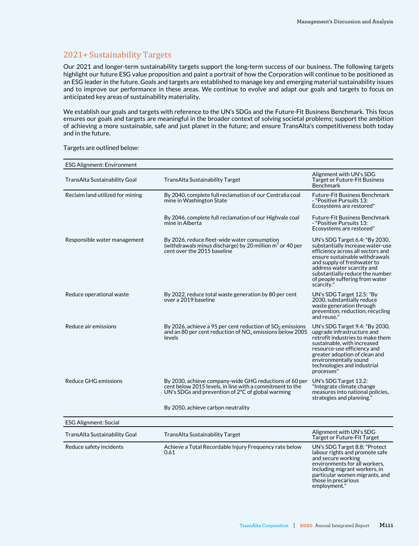## 2021+ Sustainability Targets

Our 2021 and longer-term sustainability targets support the long-term success of our business. The following targets highlight our future ESG value proposition and paint a portrait of how the Corporation will continue to be positioned as an ESG leader in the future. Goals and targets are established to manage key and emerging material sustainability issues and to improve our performance in these areas. We continue to evolve and adapt our goals and targets to focus on anticipated key areas of sustainability materiality.

We establish our goals and targets with reference to the UN's SDGs and the Future-Fit Business Benchmark. This focus ensures our goals and targets are meaningful in the broader context of solving societal problems; support the ambition of achieving a more sustainable, safe and just planet in the future; and ensure TransAlta's competitiveness both today and in the future.

Targets are outlined below:

| <b>ESG Alignment: Environment</b> |                                                                                                                                                                         |                                                                                                                                                                                                                                                                                           |
|-----------------------------------|-------------------------------------------------------------------------------------------------------------------------------------------------------------------------|-------------------------------------------------------------------------------------------------------------------------------------------------------------------------------------------------------------------------------------------------------------------------------------------|
| TransAlta Sustainability Goal     | TransAlta Sustainability Target                                                                                                                                         | Alignment with UN's SDG<br>Target or Future-Fit Business<br>Benchmark                                                                                                                                                                                                                     |
| Reclaim land utilized for mining  | By 2040, complete full reclamation of our Centralia coal<br>mine in Washington State                                                                                    | Future-Fit Business Benchmark<br>- "Positive Pursuits 13:<br>Ecosystems are restored"                                                                                                                                                                                                     |
|                                   | By 2046, complete full reclamation of our Highvale coal<br>mine in Alberta                                                                                              | Future-Fit Business Benchmark<br>- "Positive Pursuits 13:<br>Ecosystems are restored"                                                                                                                                                                                                     |
| Responsible water management      | By 2026, reduce fleet-wide water consumption<br>(withdrawals minus discharge) by 20 million m <sup>3</sup> or 40 per<br>cent over the 2015 baseline                     | UN's SDG Target 6.4: "By 2030,<br>substantially increase water-use<br>efficiency across all sectors and<br>ensure sustainable withdrawals<br>and supply of freshwater to<br>address water scarcity and<br>substantially reduce the number<br>of people suffering from water<br>scarcity." |
| Reduce operational waste          | By 2022, reduce total waste generation by 80 per cent<br>over a 2019 baseline                                                                                           | UN's SDG Target 12.5: "By<br>2030, substantially reduce<br>waste generation through<br>prevention, reduction, recycling<br>and reuse."                                                                                                                                                    |
| Reduce air emissions              | By 2026, achieve a 95 per cent reduction of $SO_2$ emissions<br>and an 80 per cent reduction of $NOx$ emissions below 2005<br>levels                                    | UN's SDG Target 9.4: "By 2030,<br>upgrade infrastructure and<br>retrofit industries to make them<br>sustainable, with increased<br>resource-use efficiency and<br>greater adoption of clean and<br>environmentally sound<br>technologies and industrial<br>processes"                     |
| Reduce GHG emissions              | By 2030, achieve company-wide GHG reductions of 60 per<br>cent below 2015 levels, in line with a commitment to the<br>UN's SDGs and prevention of 2°C of global warming | UN's SDG Target 13.2:<br>"Integrate climate change<br>measures into national policies,<br>strategies and planning."                                                                                                                                                                       |
|                                   | By 2050, achieve carbon neutrality                                                                                                                                      |                                                                                                                                                                                                                                                                                           |
| <b>ESG Alignment: Social</b>      |                                                                                                                                                                         |                                                                                                                                                                                                                                                                                           |
| TransAlta Sustainability Goal     | <b>TransAlta Sustainability Target</b>                                                                                                                                  | Alignment with UN's SDG<br><b>Target or Future-Fit Target</b>                                                                                                                                                                                                                             |
| Reduce safety incidents           | Achieve a Total Recordable Injury Frequency rate below<br>0.61                                                                                                          | UN's SDG Target 8.8: "Protect<br>labour rights and promote safe<br>and secure working<br>environments for all workers,<br>including migrant workers, in<br>particular women migrants, and                                                                                                 |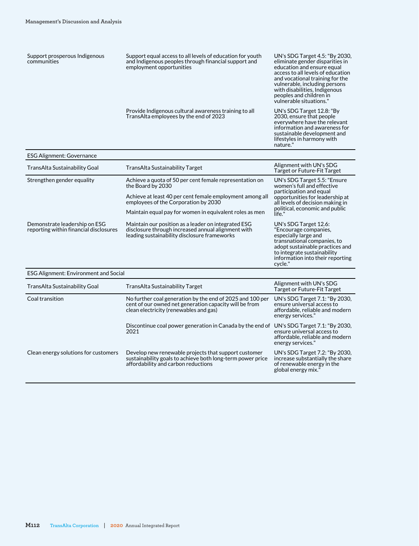| Support prosperous Indigenous<br>communities                            | Support equal access to all levels of education for youth<br>and Indigenous peoples through financial support and<br>employment opportunities                 | UN's SDG Target 4.5: "By 2030,<br>eliminate gender disparities in<br>education and ensure equal<br>access to all levels of education<br>and vocational training for the<br>vulnerable, including persons<br>with disabilities, Indigenous<br>peoples and children in<br>vulnerable situations." |
|-------------------------------------------------------------------------|---------------------------------------------------------------------------------------------------------------------------------------------------------------|-------------------------------------------------------------------------------------------------------------------------------------------------------------------------------------------------------------------------------------------------------------------------------------------------|
|                                                                         | Provide Indigenous cultural awareness training to all<br>TransAlta employees by the end of 2023                                                               | UN's SDG Target 12.8: "By<br>2030, ensure that people<br>everywhere have the relevant<br>information and awareness for<br>sustainable development and<br>lifestyles in harmony with<br>nature."                                                                                                 |
| <b>ESG Alignment: Governance</b>                                        |                                                                                                                                                               |                                                                                                                                                                                                                                                                                                 |
| TransAlta Sustainability Goal                                           | TransAlta Sustainability Target                                                                                                                               | Alignment with UN's SDG<br><b>Target or Future-Fit Target</b>                                                                                                                                                                                                                                   |
| Strengthen gender equality                                              | Achieve a quota of 50 per cent female representation on<br>the Board by 2030                                                                                  | UN's SDG Target 5.5: "Ensure<br>women's full and effective<br>participation and equal                                                                                                                                                                                                           |
|                                                                         | Achieve at least 40 per cent female employment among all<br>employees of the Corporation by 2030                                                              | opportunities for leadership at<br>all levels of decision making in                                                                                                                                                                                                                             |
|                                                                         | Maintain equal pay for women in equivalent roles as men                                                                                                       | political, economic and public<br>life."                                                                                                                                                                                                                                                        |
| Demonstrate leadership on ESG<br>reporting within financial disclosures | Maintain our position as a leader on integrated ESG<br>disclosure through increased annual alignment with<br>leading sustainability disclosure frameworks     | UN's SDG Target 12.6:<br>"Encourage companies,<br>especially large and<br>transnational companies, to<br>adopt sustainable practices and<br>to integrate sustainability<br>information into their reporting<br>cycle."                                                                          |
| <b>ESG Alignment: Environment and Social</b>                            |                                                                                                                                                               |                                                                                                                                                                                                                                                                                                 |
| TransAlta Sustainability Goal                                           | TransAlta Sustainability Target                                                                                                                               | Alignment with UN's SDG<br>Target or Future-Fit Target                                                                                                                                                                                                                                          |
| Coal transition                                                         | No further coal generation by the end of 2025 and 100 per<br>cent of our owned net generation capacity will be from<br>clean electricity (renewables and gas) | UN's SDG Target 7.1: "By 2030,<br>ensure universal access to<br>affordable, reliable and modern<br>energy services."                                                                                                                                                                            |
|                                                                         | Discontinue coal power generation in Canada by the end of UN's SDG Target 7.1: "By 2030,<br>2021                                                              | ensure universal access to<br>affordable, reliable and modern<br>energy services."                                                                                                                                                                                                              |
| Clean energy solutions for customers                                    | Develop new renewable projects that support customer<br>sustainability goals to achieve both long-term power price<br>affordability and carbon reductions     | UN's SDG Target 7.2: "By 2030,<br>increase substantially the share<br>of renewable energy in the                                                                                                                                                                                                |

global energy mix."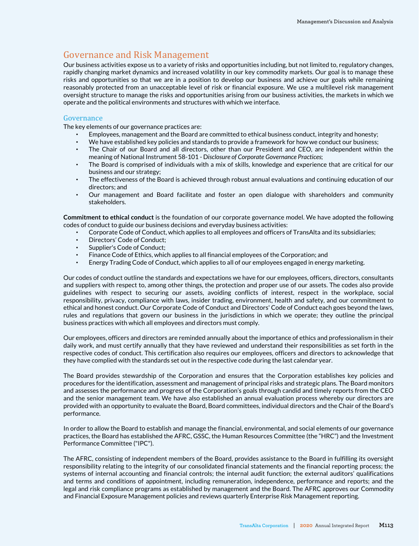# Governance and Risk Management

Our business activities expose us to a variety of risks and opportunities including, but not limited to, regulatory changes, rapidly changing market dynamics and increased volatility in our key commodity markets. Our goal is to manage these risks and opportunities so that we are in a position to develop our business and achieve our goals while remaining reasonably protected from an unacceptable level of risk or financial exposure. We use a multilevel risk management oversight structure to manage the risks and opportunities arising from our business activities, the markets in which we operate and the political environments and structures with which we interface.

### Governance

The key elements of our governance practices are:

- Employees, management and the Board are committed to ethical business conduct, integrity and honesty;
- We have established key policies and standards to provide a framework for how we conduct our business;
- The Chair of our Board and all directors, other than our President and CEO, are independent within the meaning of National Instrument 58-101 - D*isclosure of Corporate Governance Practices*;
- The Board is comprised of individuals with a mix of skills, knowledge and experience that are critical for our business and our strategy;
- The effectiveness of the Board is achieved through robust annual evaluations and continuing education of our directors; and
- Our management and Board facilitate and foster an open dialogue with shareholders and community stakeholders.

**Commitment to ethical conduct** is the foundation of our corporate governance model. We have adopted the following codes of conduct to guide our business decisions and everyday business activities:

- Corporate Code of Conduct, which applies to all employees and officers of TransAlta and its subsidiaries;
- Directors' Code of Conduct;
- Supplier's Code of Conduct:
- Finance Code of Ethics, which applies to all financial employees of the Corporation; and
- Energy Trading Code of Conduct, which applies to all of our employees engaged in energy marketing.

Our codes of conduct outline the standards and expectations we have for our employees, officers, directors, consultants and suppliers with respect to, among other things, the protection and proper use of our assets. The codes also provide guidelines with respect to securing our assets, avoiding conflicts of interest, respect in the workplace, social responsibility, privacy, compliance with laws, insider trading, environment, health and safety, and our commitment to ethical and honest conduct. Our Corporate Code of Conduct and Directors' Code of Conduct each goes beyond the laws, rules and regulations that govern our business in the jurisdictions in which we operate; they outline the principal business practices with which all employees and directors must comply.

Our employees, officers and directors are reminded annually about the importance of ethics and professionalism in their daily work, and must certify annually that they have reviewed and understand their responsibilities as set forth in the respective codes of conduct. This certification also requires our employees, officers and directors to acknowledge that they have complied with the standards set out in the respective code during the last calendar year.

The Board provides stewardship of the Corporation and ensures that the Corporation establishes key policies and procedures for the identification, assessment and management of principal risks and strategic plans. The Board monitors and assesses the performance and progress of the Corporation's goals through candid and timely reports from the CEO and the senior management team. We have also established an annual evaluation process whereby our directors are provided with an opportunity to evaluate the Board, Board committees, individual directors and the Chair of the Board's performance.

In order to allow the Board to establish and manage the financial, environmental, and social elements of our governance practices, the Board has established the AFRC, GSSC, the Human Resources Committee (the "HRC") and the Investment Performance Committee ("IPC").

The AFRC, consisting of independent members of the Board, provides assistance to the Board in fulfilling its oversight responsibility relating to the integrity of our consolidated financial statements and the financial reporting process; the systems of internal accounting and financial controls; the internal audit function; the external auditors' qualifications and terms and conditions of appointment, including remuneration, independence, performance and reports; and the legal and risk compliance programs as established by management and the Board. The AFRC approves our Commodity and Financial Exposure Management policies and reviews quarterly Enterprise Risk Management reporting.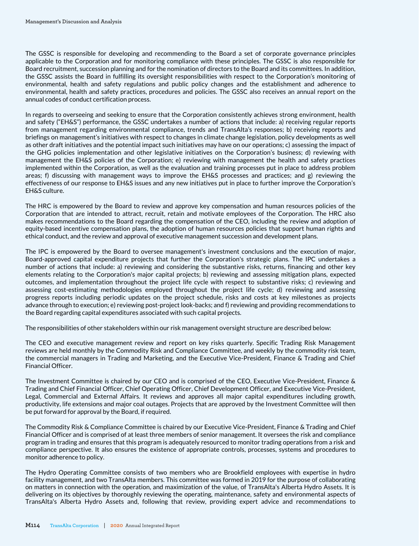The GSSC is responsible for developing and recommending to the Board a set of corporate governance principles applicable to the Corporation and for monitoring compliance with these principles. The GSSC is also responsible for Board recruitment, succession planning and for the nomination of directors to the Board and its committees. In addition, the GSSC assists the Board in fulfilling its oversight responsibilities with respect to the Corporation's monitoring of environmental, health and safety regulations and public policy changes and the establishment and adherence to environmental, health and safety practices, procedures and policies. The GSSC also receives an annual report on the annual codes of conduct certification process.

In regards to overseeing and seeking to ensure that the Corporation consistently achieves strong environment, health and safety ("EH&S") performance, the GSSC undertakes a number of actions that include: a) receiving regular reports from management regarding environmental compliance, trends and TransAlta's responses; b) receiving reports and briefings on management's initiatives with respect to changes in climate change legislation, policy developments as well as other draft initiatives and the potential impact such initiatives may have on our operations; c) assessing the impact of the GHG policies implementation and other legislative initiatives on the Corporation's business; d) reviewing with management the EH&S policies of the Corporation; e) reviewing with management the health and safety practices implemented within the Corporation, as well as the evaluation and training processes put in place to address problem areas; f) discussing with management ways to improve the EH&S processes and practices; and g) reviewing the effectiveness of our response to EH&S issues and any new initiatives put in place to further improve the Corporation's EH&S culture.

The HRC is empowered by the Board to review and approve key compensation and human resources policies of the Corporation that are intended to attract, recruit, retain and motivate employees of the Corporation. The HRC also makes recommendations to the Board regarding the compensation of the CEO, including the review and adoption of equity-based incentive compensation plans, the adoption of human resources policies that support human rights and ethical conduct, and the review and approval of executive management succession and development plans.

The IPC is empowered by the Board to oversee management's investment conclusions and the execution of major, Board-approved capital expenditure projects that further the Corporation's strategic plans. The IPC undertakes a number of actions that include: a) reviewing and considering the substantive risks, returns, financing and other key elements relating to the Corporation's major capital projects; b) reviewing and assessing mitigation plans, expected outcomes, and implementation throughout the project life cycle with respect to substantive risks; c) reviewing and assessing cost-estimating methodologies employed throughout the project life cycle; d) reviewing and assessing progress reports including periodic updates on the project schedule, risks and costs at key milestones as projects advance through to execution; e) reviewing post-project look-backs; and f) reviewing and providing recommendations to the Board regarding capital expenditures associated with such capital projects.

The responsibilities of other stakeholders within our risk management oversight structure are described below:

The CEO and executive management review and report on key risks quarterly. Specific Trading Risk Management reviews are held monthly by the Commodity Risk and Compliance Committee, and weekly by the commodity risk team, the commercial managers in Trading and Marketing, and the Executive Vice-President, Finance & Trading and Chief Financial Officer.

The Investment Committee is chaired by our CEO and is comprised of the CEO, Executive Vice-President, Finance & Trading and Chief Financial Officer, Chief Operating Officer, Chief Development Officer, and Executive Vice-President, Legal, Commercial and External Affairs. It reviews and approves all major capital expenditures including growth, productivity, life extensions and major coal outages. Projects that are approved by the Investment Committee will then be put forward for approval by the Board, if required.

The Commodity Risk & Compliance Committee is chaired by our Executive Vice-President, Finance & Trading and Chief Financial Officer and is comprised of at least three members of senior management. It oversees the risk and compliance program in trading and ensures that this program is adequately resourced to monitor trading operations from a risk and compliance perspective. It also ensures the existence of appropriate controls, processes, systems and procedures to monitor adherence to policy.

The Hydro Operating Committee consists of two members who are Brookfield employees with expertise in hydro facility management, and two TransAlta members. This committee was formed in 2019 for the purpose of collaborating on matters in connection with the operation, and maximization of the value, of TransAlta's Alberta Hydro Assets. It is delivering on its objectives by thoroughly reviewing the operating, maintenance, safety and environmental aspects of TransAlta's Alberta Hydro Assets and, following that review, providing expert advice and recommendations to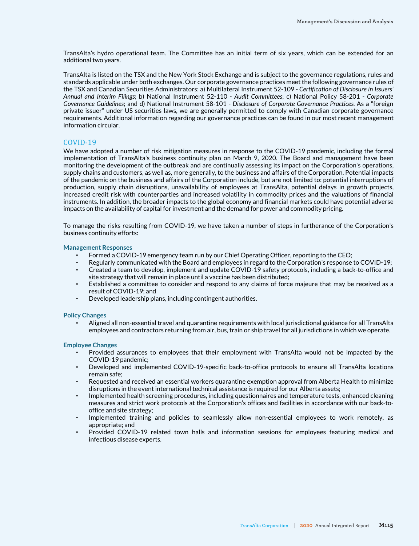TransAlta's hydro operational team. The Committee has an initial term of six years, which can be extended for an additional two years.

TransAlta is listed on the TSX and the New York Stock Exchange and is subject to the governance regulations, rules and standards applicable under both exchanges. Our corporate governance practices meet the following governance rules of the TSX and Canadian Securities Administrators: a) Multilateral Instrument 52-109 - *Certification of Disclosure in Issuers' Annual and Interim Filings*; b) National Instrument 52-110 - *Audit Committees*; c) National Policy 58-201 - *Corporate Governance Guidelines*; and d) National Instrument 58-101 - *Disclosure of Corporate Governance Practices*. As a "foreign private issuer" under US securities laws, we are generally permitted to comply with Canadian corporate governance requirements. Additional information regarding our governance practices can be found in our most recent management information circular.

### COVID-19

We have adopted a number of risk mitigation measures in response to the COVID-19 pandemic, including the formal implementation of TransAlta's business continuity plan on March 9, 2020. The Board and management have been monitoring the development of the outbreak and are continually assessing its impact on the Corporation's operations, supply chains and customers, as well as, more generally, to the business and affairs of the Corporation. Potential impacts of the pandemic on the business and affairs of the Corporation include, but are not limited to: potential interruptions of production, supply chain disruptions, unavailability of employees at TransAlta, potential delays in growth projects, increased credit risk with counterparties and increased volatility in commodity prices and the valuations of financial instruments. In addition, the broader impacts to the global economy and financial markets could have potential adverse impacts on the availability of capital for investment and the demand for power and commodity pricing.

To manage the risks resulting from COVID-19, we have taken a number of steps in furtherance of the Corporation's business continuity efforts:

#### **Management Responses**

- Formed a COVID-19 emergency team run by our Chief Operating Officer, reporting to the CEO;
- Regularly communicated with the Board and employees in regard to the Corporation's response to COVID-19;
- Created a team to develop, implement and update COVID-19 safety protocols, including a back-to-office and site strategy that will remain in place until a vaccine has been distributed;
- Established a committee to consider and respond to any claims of force majeure that may be received as a result of COVID-19; and
- Developed leadership plans, including contingent authorities.

#### **Policy Changes**

Aligned all non-essential travel and quarantine requirements with local jurisdictional guidance for all TransAlta employees and contractors returning from air, bus, train or ship travel for all jurisdictions in which we operate.

#### **Employee Changes**

- Provided assurances to employees that their employment with TransAlta would not be impacted by the COVID-19 pandemic;
- Developed and implemented COVID-19-specific back-to-office protocols to ensure all TransAlta locations remain safe;
- Requested and received an essential workers quarantine exemption approval from Alberta Health to minimize disruptions in the event international technical assistance is required for our Alberta assets;
- Implemented health screening procedures, including questionnaires and temperature tests, enhanced cleaning measures and strict work protocols at the Corporation's offices and facilities in accordance with our back-tooffice and site strategy;
- Implemented training and policies to seamlessly allow non-essential employees to work remotely, as appropriate; and
- Provided COVID-19 related town halls and information sessions for employees featuring medical and infectious disease experts.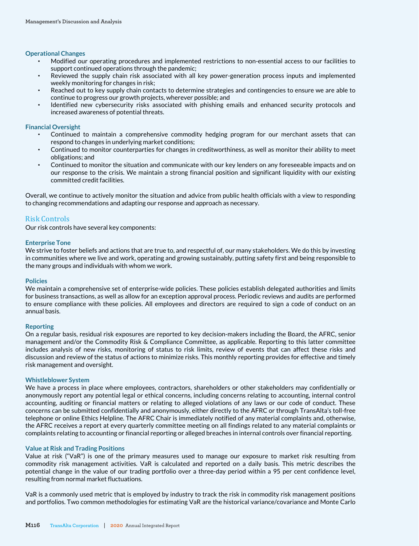#### **Operational Changes**

- Modified our operating procedures and implemented restrictions to non-essential access to our facilities to support continued operations through the pandemic;
- Reviewed the supply chain risk associated with all key power-generation process inputs and implemented weekly monitoring for changes in risk;
- Reached out to key supply chain contacts to determine strategies and contingencies to ensure we are able to continue to progress our growth projects, wherever possible; and
- Identified new cybersecurity risks associated with phishing emails and enhanced security protocols and increased awareness of potential threats.

#### **Financial Oversight**

- Continued to maintain a comprehensive commodity hedging program for our merchant assets that can respond to changes in underlying market conditions;
- Continued to monitor counterparties for changes in creditworthiness, as well as monitor their ability to meet obligations; and
- Continued to monitor the situation and communicate with our key lenders on any foreseeable impacts and on our response to the crisis. We maintain a strong financial position and significant liquidity with our existing committed credit facilities.

Overall, we continue to actively monitor the situation and advice from public health officials with a view to responding to changing recommendations and adapting our response and approach as necessary.

### Risk Controls

Our risk controls have several key components:

### **Enterprise Tone**

We strive to foster beliefs and actions that are true to, and respectful of, our many stakeholders. We do this by investing in communities where we live and work, operating and growing sustainably, putting safety first and being responsible to the many groups and individuals with whom we work.

#### **Policies**

We maintain a comprehensive set of enterprise-wide policies. These policies establish delegated authorities and limits for business transactions, as well as allow for an exception approval process. Periodic reviews and audits are performed to ensure compliance with these policies. All employees and directors are required to sign a code of conduct on an annual basis.

#### **Reporting**

On a regular basis, residual risk exposures are reported to key decision-makers including the Board, the AFRC, senior management and/or the Commodity Risk & Compliance Committee, as applicable. Reporting to this latter committee includes analysis of new risks, monitoring of status to risk limits, review of events that can affect these risks and discussion and review of the status of actions to minimize risks. This monthly reporting provides for effective and timely risk management and oversight.

#### **Whistleblower System**

We have a process in place where employees, contractors, shareholders or other stakeholders may confidentially or anonymously report any potential legal or ethical concerns, including concerns relating to accounting, internal control accounting, auditing or financial matters or relating to alleged violations of any laws or our code of conduct. These concerns can be submitted confidentially and anonymously, either directly to the AFRC or through TransAlta's toll-free telephone or online Ethics Helpline. The AFRC Chair is immediately notified of any material complaints and, otherwise, the AFRC receives a report at every quarterly committee meeting on all findings related to any material complaints or complaints relating to accounting or financial reporting or alleged breaches in internal controls over financial reporting.

#### **Value at Risk and Trading Positions**

Value at risk ("VaR") is one of the primary measures used to manage our exposure to market risk resulting from commodity risk management activities. VaR is calculated and reported on a daily basis. This metric describes the potential change in the value of our trading portfolio over a three-day period within a 95 per cent confidence level, resulting from normal market fluctuations.

VaR is a commonly used metric that is employed by industry to track the risk in commodity risk management positions and portfolios. Two common methodologies for estimating VaR are the historical variance/covariance and Monte Carlo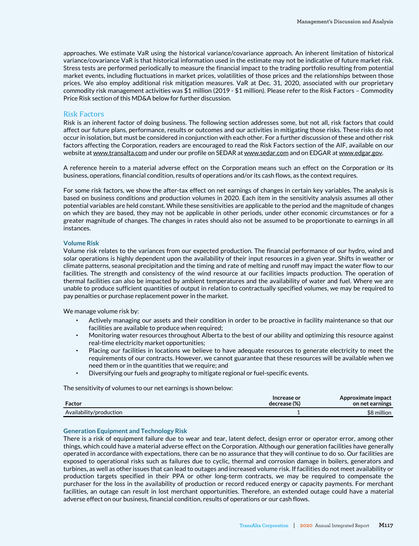approaches. We estimate VaR using the historical variance/covariance approach. An inherent limitation of historical variance/covariance VaR is that historical information used in the estimate may not be indicative of future market risk. Stress tests are performed periodically to measure the financial impact to the trading portfolio resulting from potential market events, including fluctuations in market prices, volatilities of those prices and the relationships between those prices. We also employ additional risk mitigation measures. VaR at Dec. 31, 2020, associated with our proprietary commodity risk management activities was \$1 million (2019 - \$1 million). Please refer to the Risk Factors – Commodity Price Risk section of this MD&A below for further discussion.

#### Risk Factors

Risk is an inherent factor of doing business. The following section addresses some, but not all, risk factors that could affect our future plans, performance, results or outcomes and our activities in mitigating those risks. These risks do not occur in isolation, but must be considered in conjunction with each other. For a further discussion of these and other risk factors affecting the Corporation, readers are encouraged to read the Risk Factors section of the AIF, available on our website at www.transalta.com and under our profile on SEDAR at www.sedar.com and on EDGAR at www.edgar.gov.

A reference herein to a material adverse effect on the Corporation means such an effect on the Corporation or its business, operations, financial condition, results of operations and/or its cash flows, as the context requires.

For some risk factors, we show the after-tax effect on net earnings of changes in certain key variables. The analysis is based on business conditions and production volumes in 2020. Each item in the sensitivity analysis assumes all other potential variables are held constant. While these sensitivities are applicable to the period and the magnitude of changes on which they are based, they may not be applicable in other periods, under other economic circumstances or for a greater magnitude of changes. The changes in rates should also not be assumed to be proportionate to earnings in all instances.

### **Volume Risk**

Volume risk relates to the variances from our expected production. The financial performance of our hydro, wind and solar operations is highly dependent upon the availability of their input resources in a given year. Shifts in weather or climate patterns, seasonal precipitation and the timing and rate of melting and runoff may impact the water flow to our facilities. The strength and consistency of the wind resource at our facilities impacts production. The operation of thermal facilities can also be impacted by ambient temperatures and the availability of water and fuel. Where we are unable to produce sufficient quantities of output in relation to contractually specified volumes, we may be required to pay penalties or purchase replacement power in the market.

We manage volume risk by:

- Actively managing our assets and their condition in order to be proactive in facility maintenance so that our facilities are available to produce when required;
- Monitoring water resources throughout Alberta to the best of our ability and optimizing this resource against real-time electricity market opportunities;
- Placing our facilities in locations we believe to have adequate resources to generate electricity to meet the requirements of our contracts. However, we cannot guarantee that these resources will be available when we need them or in the quantities that we require; and
- Diversifying our fuels and geography to mitigate regional or fuel-specific events.

The sensitivity of volumes to our net earnings is shown below:

| Factor                  | Increase or<br>decrease (%) | Approximate impact<br>on net earnings |
|-------------------------|-----------------------------|---------------------------------------|
| Availability/production |                             | \$8 million                           |

#### **Generation Equipment and Technology Risk**

There is a risk of equipment failure due to wear and tear, latent defect, design error or operator error, among other things, which could have a material adverse effect on the Corporation. Although our generation facilities have generally operated in accordance with expectations, there can be no assurance that they will continue to do so. Our facilities are exposed to operational risks such as failures due to cyclic, thermal and corrosion damage in boilers, generators and turbines, as well as other issues that can lead to outages and increased volume risk. If facilities do not meet availability or production targets specified in their PPA or other long-term contracts, we may be required to compensate the purchaser for the loss in the availability of production or record reduced energy or capacity payments. For merchant facilities, an outage can result in lost merchant opportunities. Therefore, an extended outage could have a material adverse effect on our business, financial condition, results of operations or our cash flows.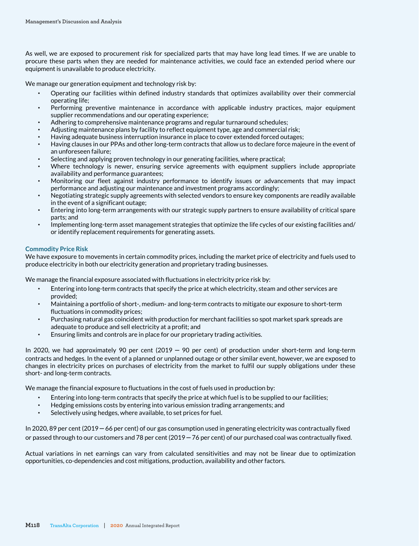As well, we are exposed to procurement risk for specialized parts that may have long lead times. If we are unable to procure these parts when they are needed for maintenance activities, we could face an extended period where our equipment is unavailable to produce electricity.

We manage our generation equipment and technology risk by:

- Operating our facilities within defined industry standards that optimizes availability over their commercial operating life;
- Performing preventive maintenance in accordance with applicable industry practices, major equipment supplier recommendations and our operating experience;
- Adhering to comprehensive maintenance programs and regular turnaround schedules;
- Adjusting maintenance plans by facility to reflect equipment type, age and commercial risk;
- Having adequate business interruption insurance in place to cover extended forced outages;
- Having clauses in our PPAs and other long-term contracts that allow us to declare force majeure in the event of an unforeseen failure;
- Selecting and applying proven technology in our generating facilities, where practical;
- Where technology is newer, ensuring service agreements with equipment suppliers include appropriate availability and performance guarantees;
- Monitoring our fleet against industry performance to identify issues or advancements that may impact performance and adjusting our maintenance and investment programs accordingly;
- Negotiating strategic supply agreements with selected vendors to ensure key components are readily available in the event of a significant outage;
- Entering into long-term arrangements with our strategic supply partners to ensure availability of critical spare parts; and
- Implementing long-term asset management strategies that optimize the life cycles of our existing facilities and/ or identify replacement requirements for generating assets.

### **Commodity Price Risk**

We have exposure to movements in certain commodity prices, including the market price of electricity and fuels used to produce electricity in both our electricity generation and proprietary trading businesses.

We manage the financial exposure associated with fluctuations in electricity price risk by:

- Entering into long-term contracts that specify the price at which electricity, steam and other services are provided;
- Maintaining a portfolio of short-, medium- and long-term contracts to mitigate our exposure to short-term fluctuations in commodity prices;
- Purchasing natural gas coincident with production for merchant facilities so spot market spark spreads are adequate to produce and sell electricity at a profit; and
- Ensuring limits and controls are in place for our proprietary trading activities.

In 2020, we had approximately 90 per cent (2019  $-$  90 per cent) of production under short-term and long-term contracts and hedges. In the event of a planned or unplanned outage or other similar event, however, we are exposed to changes in electricity prices on purchases of electricity from the market to fulfil our supply obligations under these short- and long-term contracts.

We manage the financial exposure to fluctuations in the cost of fuels used in production by:

- Entering into long-term contracts that specify the price at which fuel is to be supplied to our facilities;
- Hedging emissions costs by entering into various emission trading arrangements; and
- Selectively using hedges, where available, to set prices for fuel.

In 2020, 89 per cent (2019 – 66 per cent) of our gas consumption used in generating electricity was contractually fixed or passed through to our customers and 78 per cent (2019 – 76 per cent) of our purchased coal was contractually fixed.

Actual variations in net earnings can vary from calculated sensitivities and may not be linear due to optimization opportunities, co-dependencies and cost mitigations, production, availability and other factors.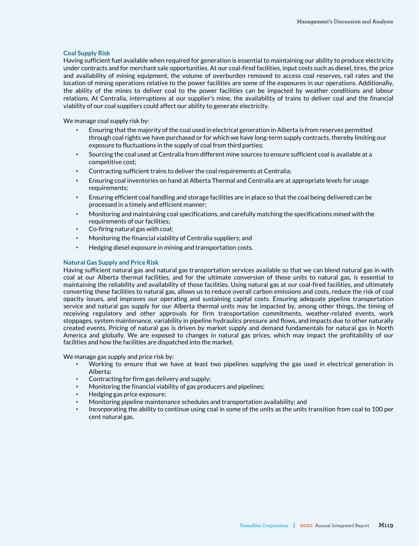#### **Coal Supply Risk**

Having sufficient fuel available when required for generation is essential to maintaining our ability to produce electricity under contracts and for merchant sale opportunities. At our coal-fired facilities, input costs such as diesel, tires, the price and availability of mining equipment, the volume of overburden removed to access coal reserves, rail rates and the location of mining operations relative to the power facilities are some of the exposures in our operations. Additionally, the ability of the mines to deliver coal to the power facilities can be impacted by weather conditions and labour relations. At Centralia, interruptions at our supplier's mine, the availability of trains to deliver coal and the financial viability of our coal suppliers could affect our ability to generate electricity.

We manage coal supply risk by:

- Ensuring that the majority of the coal used in electrical generation in Alberta is from reserves permitted through coal rights we have purchased or for which we have long-term supply contracts, thereby limiting our exposure to fluctuations in the supply of coal from third parties;
- Sourcing the coal used at Centralia from different mine sources to ensure sufficient coal is available at a competitive cost;
- Contracting sufficient trains to deliver the coal requirements at Centralia;
- Ensuring coal inventories on hand at Alberta Thermal and Centralia are at appropriate levels for usage requirements;
- Ensuring efficient coal handling and storage facilities are in place so that the coal being delivered can be processed in a timely and efficient manner;
- Monitoring and maintaining coal specifications, and carefully matching the specifications mined with the requirements of our facilities;
- Co-firing natural gas with coal;
- Monitoring the financial viability of Centralia suppliers; and
- Hedging diesel exposure in mining and transportation costs.

### **Natural Gas Supply and Price Risk**

Having sufficient natural gas and natural gas transportation services available so that we can blend natural gas in with coal at our Alberta thermal facilities, and for the ultimate conversion of those units to natural gas, is essential to maintaining the reliability and availability of those facilities. Using natural gas at our coal-fired facilities, and ultimately converting these facilities to natural gas, allows us to reduce overall carbon emissions and costs, reduce the risk of coal opacity issues, and improves our operating and sustaining capital costs. Ensuring adequate pipeline transportation service and natural gas supply for our Alberta thermal units may be impacted by, among other things, the timing of receiving regulatory and other approvals for firm transportation commitments, weather-related events, work stoppages, system maintenance, variability in pipeline hydraulics pressure and flows, and impacts due to other naturally created events. Pricing of natural gas is driven by market supply and demand fundamentals for natural gas in North America and globally. We are exposed to changes in natural gas prices, which may impact the profitability of our facilities and how the facilities are dispatched into the market.

We manage gas supply and price risk by:

- Working to ensure that we have at least two pipelines supplying the gas used in electrical generation in Alberta;
- Contracting for firm gas delivery and supply;
- Monitoring the financial viability of gas producers and pipelines;
- Hedging gas price exposure;
- Monitoring pipeline maintenance schedules and transportation availability; and
- Incorporating the ability to continue using coal in some of the units as the units transition from coal to 100 per cent natural gas.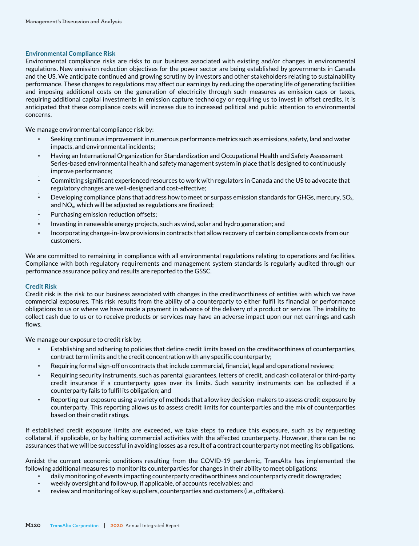### **Environmental Compliance Risk**

Environmental compliance risks are risks to our business associated with existing and/or changes in environmental regulations. New emission reduction objectives for the power sector are being established by governments in Canada and the US. We anticipate continued and growing scrutiny by investors and other stakeholders relating to sustainability performance. These changes to regulations may affect our earnings by reducing the operating life of generating facilities and imposing additional costs on the generation of electricity through such measures as emission caps or taxes, requiring additional capital investments in emission capture technology or requiring us to invest in offset credits. It is anticipated that these compliance costs will increase due to increased political and public attention to environmental concerns.

We manage environmental compliance risk by:

- Seeking continuous improvement in numerous performance metrics such as emissions, safety, land and water impacts, and environmental incidents;
- Having an International Organization for Standardization and Occupational Health and Safety Assessment Series-based environmental health and safety management system in place that is designed to continuously improve performance;
- Committing significant experienced resources to work with regulators in Canada and the US to advocate that regulatory changes are well-designed and cost-effective;
- Developing compliance plans that address how to meet or surpass emission standards for GHGs, mercury, SO<sub>2</sub>, and NO<sub>x</sub>, which will be adjusted as regulations are finalized;
- Purchasing emission reduction offsets;
- Investing in renewable energy projects, such as wind, solar and hydro generation; and
- Incorporating change-in-law provisions in contracts that allow recovery of certain compliance costs from our customers.

We are committed to remaining in compliance with all environmental regulations relating to operations and facilities. Compliance with both regulatory requirements and management system standards is regularly audited through our performance assurance policy and results are reported to the GSSC.

### **Credit Risk**

Credit risk is the risk to our business associated with changes in the creditworthiness of entities with which we have commercial exposures. This risk results from the ability of a counterparty to either fulfil its financial or performance obligations to us or where we have made a payment in advance of the delivery of a product or service. The inability to collect cash due to us or to receive products or services may have an adverse impact upon our net earnings and cash flows.

We manage our exposure to credit risk by:

- Establishing and adhering to policies that define credit limits based on the creditworthiness of counterparties, contract term limits and the credit concentration with any specific counterparty;
- Requiring formal sign-off on contracts that include commercial, financial, legal and operational reviews;
- Requiring security instruments, such as parental guarantees, letters of credit, and cash collateral or third-party credit insurance if a counterparty goes over its limits. Such security instruments can be collected if a counterparty fails to fulfil its obligation; and
- Reporting our exposure using a variety of methods that allow key decision-makers to assess credit exposure by counterparty. This reporting allows us to assess credit limits for counterparties and the mix of counterparties based on their credit ratings.

If established credit exposure limits are exceeded, we take steps to reduce this exposure, such as by requesting collateral, if applicable, or by halting commercial activities with the affected counterparty. However, there can be no assurances that we will be successful in avoiding losses as a result of a contract counterparty not meeting its obligations.

Amidst the current economic conditions resulting from the COVID-19 pandemic, TransAlta has implemented the following additional measures to monitor its counterparties for changes in their ability to meet obligations:

- daily monitoring of events impacting counterparty creditworthiness and counterparty credit downgrades;
- weekly oversight and follow-up, if applicable, of accounts receivables; and
- review and monitoring of key suppliers, counterparties and customers (i.e., offtakers).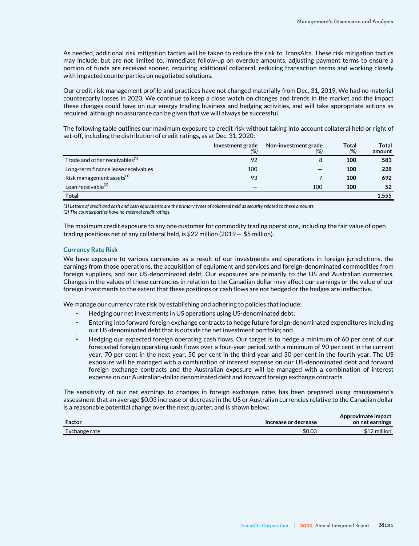As needed, additional risk mitigation tactics will be taken to reduce the risk to TransAlta. These risk mitigation tactics may include, but are not limited to, immediate follow-up on overdue amounts, adjusting payment terms to ensure a portion of funds are received sooner, requiring additional collateral, reducing transaction terms and working closely with impacted counterparties on negotiated solutions.

Our credit risk management profile and practices have not changed materially from Dec. 31, 2019. We had no material counterparty losses in 2020. We continue to keep a close watch on changes and trends in the market and the impact these changes could have on our energy trading business and hedging activities, and will take appropriate actions as required, although no assurance can be given that we will always be successful.

The following table outlines our maximum exposure to credit risk without taking into account collateral held or right of set-off, including the distribution of credit ratings, as at Dec. 31, 2020:

|                                            | Investment grade<br>(%) | Non-investment grade<br>(%) | Total<br>(%) | <b>Total</b><br>amount |
|--------------------------------------------|-------------------------|-----------------------------|--------------|------------------------|
| Trade and other receivables <sup>(1)</sup> | 92                      | 8                           | 100          | 583                    |
| Long-term finance lease receivables        | 100                     |                             | 100          | 228                    |
| Risk management assets <sup>(1)</sup>      | 93                      |                             | 100          | 692                    |
| Loan receivable <sup>(2)</sup>             |                         | 100                         | 100          | 52                     |
| <b>Total</b>                               |                         |                             |              | 1,555                  |

*(1) Letters of credit and cash and cash equivalents are the primary types of collateral held as security related to these amounts.* 

*(2) The counterparties have no external credit ratings.* 

The maximum credit exposure to any one customer for commodity trading operations, including the fair value of open trading positions net of any collateral held, is \$22 million (2019 – \$5 million).

#### **Currency Rate Risk**

We have exposure to various currencies as a result of our investments and operations in foreign jurisdictions, the earnings from those operations, the acquisition of equipment and services and foreign-denominated commodities from foreign suppliers, and our US-denominated debt. Our exposures are primarily to the US and Australian currencies. Changes in the values of these currencies in relation to the Canadian dollar may affect our earnings or the value of our foreign investments to the extent that these positions or cash flows are not hedged or the hedges are ineffective.

We manage our currency rate risk by establishing and adhering to policies that include:

- Hedging our net investments in US operations using US-denominated debt;
- Entering into forward foreign exchange contracts to hedge future foreign-denominated expenditures including our US-denominated debt that is outside the net investment portfolio; and
- Hedging our expected foreign operating cash flows. Our target is to hedge a minimum of 60 per cent of our forecasted foreign operating cash flows over a four-year period, with a minimum of 90 per cent in the current year, 70 per cent in the next year, 50 per cent in the third year and 30 per cent in the fourth year. The US exposure will be managed with a combination of interest expense on our US-denominated debt and forward foreign exchange contracts and the Australian exposure will be managed with a combination of interest expense on our Australian-dollar denominated debt and forward foreign exchange contracts.

The sensitivity of our net earnings to changes in foreign exchange rates has been prepared using management's assessment that an average \$0.03 increase or decrease in the US or Australian currencies relative to the Canadian dollar is a reasonable potential change over the next quarter, and is shown below:

| Factor        | Increase or decrease | Approximate impact<br>on net earnings |
|---------------|----------------------|---------------------------------------|
| Exchange rate | \$0.03               | \$12 million                          |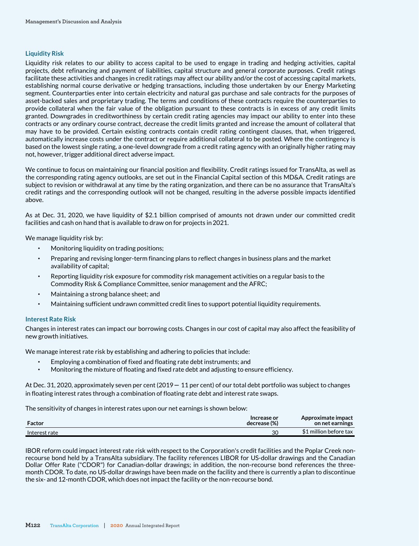### **Liquidity Risk**

Liquidity risk relates to our ability to access capital to be used to engage in trading and hedging activities, capital projects, debt refinancing and payment of liabilities, capital structure and general corporate purposes. Credit ratings facilitate these activities and changes in credit ratings may affect our ability and/or the cost of accessing capital markets, establishing normal course derivative or hedging transactions, including those undertaken by our Energy Marketing segment. Counterparties enter into certain electricity and natural gas purchase and sale contracts for the purposes of asset-backed sales and proprietary trading. The terms and conditions of these contracts require the counterparties to provide collateral when the fair value of the obligation pursuant to these contracts is in excess of any credit limits granted. Downgrades in creditworthiness by certain credit rating agencies may impact our ability to enter into these contracts or any ordinary course contract, decrease the credit limits granted and increase the amount of collateral that may have to be provided. Certain existing contracts contain credit rating contingent clauses, that, when triggered, automatically increase costs under the contract or require additional collateral to be posted. Where the contingency is based on the lowest single rating, a one-level downgrade from a credit rating agency with an originally higher rating may not, however, trigger additional direct adverse impact.

We continue to focus on maintaining our financial position and flexibility. Credit ratings issued for TransAlta, as well as the corresponding rating agency outlooks, are set out in the Financial Capital section of this MD&A. Credit ratings are subject to revision or withdrawal at any time by the rating organization, and there can be no assurance that TransAlta's credit ratings and the corresponding outlook will not be changed, resulting in the adverse possible impacts identified above.

As at Dec. 31, 2020, we have liquidity of \$2.1 billion comprised of amounts not drawn under our committed credit facilities and cash on hand that is available to draw on for projects in 2021.

We manage liquidity risk by:

- Monitoring liquidity on trading positions;
- Preparing and revising longer-term financing plans to reflect changes in business plans and the market availability of capital;
- Reporting liquidity risk exposure for commodity risk management activities on a regular basis to the Commodity Risk & Compliance Committee, senior management and the AFRC;
- Maintaining a strong balance sheet; and
- Maintaining sufficient undrawn committed credit lines to support potential liquidity requirements.

#### **Interest Rate Risk**

Changes in interest rates can impact our borrowing costs. Changes in our cost of capital may also affect the feasibility of new growth initiatives.

We manage interest rate risk by establishing and adhering to policies that include:

- Employing a combination of fixed and floating rate debt instruments; and
- Monitoring the mixture of floating and fixed rate debt and adjusting to ensure efficiency.

At Dec. 31, 2020, approximately seven per cent (2019 – 11 per cent) of our total debt portfolio was subject to changes in floating interest rates through a combination of floating rate debt and interest rate swaps.

The sensitivity of changes in interest rates upon our net earnings is shown below:

| Factor        | Increase or<br>decrease (%) | Approximate impact<br>on net earnings |
|---------------|-----------------------------|---------------------------------------|
| Interest rate | 30                          | \$1 million before tax                |

IBOR reform could impact interest rate risk with respect to the Corporation's credit facilities and the Poplar Creek nonrecourse bond held by a TransAlta subsidiary. The facility references LIBOR for US-dollar drawings and the Canadian Dollar Offer Rate ("CDOR") for Canadian-dollar drawings; in addition, the non-recourse bond references the threemonth CDOR. To date, no US-dollar drawings have been made on the facility and there is currently a plan to discontinue the six- and 12-month CDOR, which does not impact the facility or the non-recourse bond.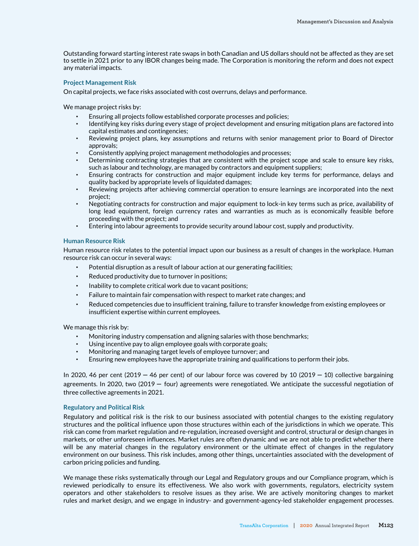Outstanding forward starting interest rate swaps in both Canadian and US dollars should not be affected as they are set to settle in 2021 prior to any IBOR changes being made. The Corporation is monitoring the reform and does not expect any material impacts.

#### **Project Management Risk**

On capital projects, we face risks associated with cost overruns, delays and performance.

We manage project risks by:

- Ensuring all projects follow established corporate processes and policies;
- Identifying key risks during every stage of project development and ensuring mitigation plans are factored into capital estimates and contingencies;
- Reviewing project plans, key assumptions and returns with senior management prior to Board of Director approvals;
- Consistently applying project management methodologies and processes;
- Determining contracting strategies that are consistent with the project scope and scale to ensure key risks, such as labour and technology, are managed by contractors and equipment suppliers;
- Ensuring contracts for construction and major equipment include key terms for performance, delays and quality backed by appropriate levels of liquidated damages;
- Reviewing projects after achieving commercial operation to ensure learnings are incorporated into the next project;
- Negotiating contracts for construction and major equipment to lock-in key terms such as price, availability of long lead equipment, foreign currency rates and warranties as much as is economically feasible before proceeding with the project; and
- Entering into labour agreements to provide security around labour cost, supply and productivity.

#### **Human Resource Risk**

Human resource risk relates to the potential impact upon our business as a result of changes in the workplace. Human resource risk can occur in several ways:

- Potential disruption as a result of labour action at our generating facilities;
- Reduced productivity due to turnover in positions;
- Inability to complete critical work due to vacant positions;
- Failure to maintain fair compensation with respect to market rate changes; and
- Reduced competencies due to insufficient training, failure to transfer knowledge from existing employees or insufficient expertise within current employees.

We manage this risk by:

- Monitoring industry compensation and aligning salaries with those benchmarks;
- Using incentive pay to align employee goals with corporate goals;
- Monitoring and managing target levels of employee turnover; and
- Ensuring new employees have the appropriate training and qualifications to perform their jobs.

In 2020, 46 per cent (2019 – 46 per cent) of our labour force was covered by 10 (2019 – 10) collective bargaining agreements. In 2020, two (2019 – four) agreements were renegotiated. We anticipate the successful negotiation of three collective agreements in 2021.

#### **Regulatory and Political Risk**

Regulatory and political risk is the risk to our business associated with potential changes to the existing regulatory structures and the political influence upon those structures within each of the jurisdictions in which we operate. This risk can come from market regulation and re-regulation, increased oversight and control, structural or design changes in markets, or other unforeseen influences. Market rules are often dynamic and we are not able to predict whether there will be any material changes in the regulatory environment or the ultimate effect of changes in the regulatory environment on our business. This risk includes, among other things, uncertainties associated with the development of carbon pricing policies and funding.

We manage these risks systematically through our Legal and Regulatory groups and our Compliance program, which is reviewed periodically to ensure its effectiveness. We also work with governments, regulators, electricity system operators and other stakeholders to resolve issues as they arise. We are actively monitoring changes to market rules and market design, and we engage in industry- and government-agency-led stakeholder engagement processes.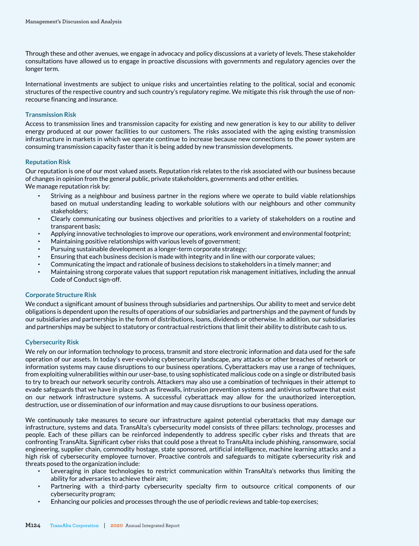Through these and other avenues, we engage in advocacy and policy discussions at a variety of levels. These stakeholder consultations have allowed us to engage in proactive discussions with governments and regulatory agencies over the longer term.

International investments are subject to unique risks and uncertainties relating to the political, social and economic structures of the respective country and such country's regulatory regime. We mitigate this risk through the use of nonrecourse financing and insurance.

### **Transmission Risk**

Access to transmission lines and transmission capacity for existing and new generation is key to our ability to deliver energy produced at our power facilities to our customers. The risks associated with the aging existing transmission infrastructure in markets in which we operate continue to increase because new connections to the power system are consuming transmission capacity faster than it is being added by new transmission developments.

### **Reputation Risk**

Our reputation is one of our most valued assets. Reputation risk relates to the risk associated with our business because of changes in opinion from the general public, private stakeholders, governments and other entities.

We manage reputation risk by:

- Striving as a neighbour and business partner in the regions where we operate to build viable relationships based on mutual understanding leading to workable solutions with our neighbours and other community stakeholders;
- Clearly communicating our business objectives and priorities to a variety of stakeholders on a routine and transparent basis;
- Applying innovative technologies to improve our operations, work environment and environmental footprint;
- Maintaining positive relationships with various levels of government;
- Pursuing sustainable development as a longer-term corporate strategy;
- Ensuring that each business decision is made with integrity and in line with our corporate values;
- Communicating the impact and rationale of business decisions to stakeholders in a timely manner; and
- Maintaining strong corporate values that support reputation risk management initiatives, including the annual Code of Conduct sign-off.

### **Corporate Structure Risk**

We conduct a significant amount of business through subsidiaries and partnerships. Our ability to meet and service debt obligations is dependent upon the results of operations of our subsidiaries and partnerships and the payment of funds by our subsidiaries and partnerships in the form of distributions, loans, dividends or otherwise. In addition, our subsidiaries and partnerships may be subject to statutory or contractual restrictions that limit their ability to distribute cash to us.

### **Cybersecurity Risk**

We rely on our information technology to process, transmit and store electronic information and data used for the safe operation of our assets. In today's ever-evolving cybersecurity landscape, any attacks or other breaches of network or information systems may cause disruptions to our business operations. Cyberattackers may use a range of techniques, from exploiting vulnerabilities within our user-base, to using sophisticated malicious code on a single or distributed basis to try to breach our network security controls. Attackers may also use a combination of techniques in their attempt to evade safeguards that we have in place such as firewalls, intrusion prevention systems and antivirus software that exist on our network infrastructure systems. A successful cyberattack may allow for the unauthorized interception, destruction, use or dissemination of our information and may cause disruptions to our business operations.

We continuously take measures to secure our infrastructure against potential cyberattacks that may damage our infrastructure, systems and data. TransAlta's cybersecurity model consists of three pillars: technology, processes and people. Each of these pillars can be reinforced independently to address specific cyber risks and threats that are confronting TransAlta. Significant cyber risks that could pose a threat to TransAlta include phishing, ransomware, social engineering, supplier chain, commodity hostage, state sponsored, artificial intelligence, machine learning attacks and a high risk of cybersecurity employee turnover. Proactive controls and safeguards to mitigate cybersecurity risk and threats posed to the organization include:

- Leveraging in place technologies to restrict communication within TransAlta's networks thus limiting the ability for adversaries to achieve their aim;
- Partnering with a third-party cybersecurity specialty firm to outsource critical components of our cybersecurity program;
- Enhancing our policies and processes through the use of periodic reviews and table-top exercises;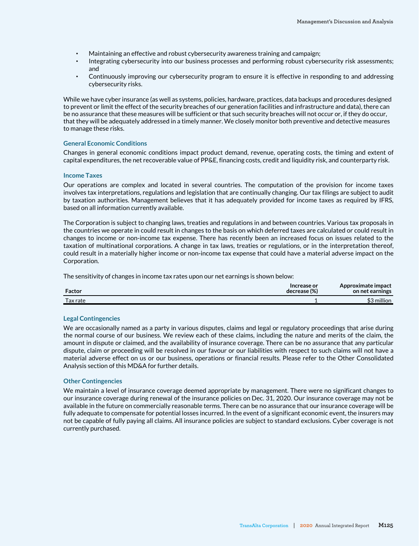- Maintaining an effective and robust cybersecurity awareness training and campaign;
- Integrating cybersecurity into our business processes and performing robust cybersecurity risk assessments; and
- Continuously improving our cybersecurity program to ensure it is effective in responding to and addressing cybersecurity risks.

While we have cyber insurance (as well as systems, policies, hardware, practices, data backups and procedures designed to prevent or limit the effect of the security breaches of our generation facilities and infrastructure and data), there can be no assurance that these measures will be sufficient or that such security breaches will not occur or, if they do occur, that they will be adequately addressed in a timely manner. We closely monitor both preventive and detective measures to manage these risks.

#### **General Economic Conditions**

Changes in general economic conditions impact product demand, revenue, operating costs, the timing and extent of capital expenditures, the net recoverable value of PP&E, financing costs, credit and liquidity risk, and counterparty risk.

#### **Income Taxes**

Our operations are complex and located in several countries. The computation of the provision for income taxes involves tax interpretations, regulations and legislation that are continually changing. Our tax filings are subject to audit by taxation authorities. Management believes that it has adequately provided for income taxes as required by IFRS, based on all information currently available.

The Corporation is subject to changing laws, treaties and regulations in and between countries. Various tax proposals in the countries we operate in could result in changes to the basis on which deferred taxes are calculated or could result in changes to income or non-income tax expense. There has recently been an increased focus on issues related to the taxation of multinational corporations. A change in tax laws, treaties or regulations, or in the interpretation thereof, could result in a materially higher income or non-income tax expense that could have a material adverse impact on the Corporation.

The sensitivity of changes in income tax rates upon our net earnings is shown below:

| Factor   | Increase or<br>decrease (%) | Approximate impact<br>on net earnings |
|----------|-----------------------------|---------------------------------------|
| Tax rate |                             | $43$ million                          |

### **Legal Contingencies**

We are occasionally named as a party in various disputes, claims and legal or regulatory proceedings that arise during the normal course of our business. We review each of these claims, including the nature and merits of the claim, the amount in dispute or claimed, and the availability of insurance coverage. There can be no assurance that any particular dispute, claim or proceeding will be resolved in our favour or our liabilities with respect to such claims will not have a material adverse effect on us or our business, operations or financial results. Please refer to the Other Consolidated Analysis section of this MD&A for further details.

#### **Other Contingencies**

We maintain a level of insurance coverage deemed appropriate by management. There were no significant changes to our insurance coverage during renewal of the insurance policies on Dec. 31, 2020. Our insurance coverage may not be available in the future on commercially reasonable terms. There can be no assurance that our insurance coverage will be fully adequate to compensate for potential losses incurred. In the event of a significant economic event, the insurers may not be capable of fully paying all claims. All insurance policies are subject to standard exclusions. Cyber coverage is not currently purchased.